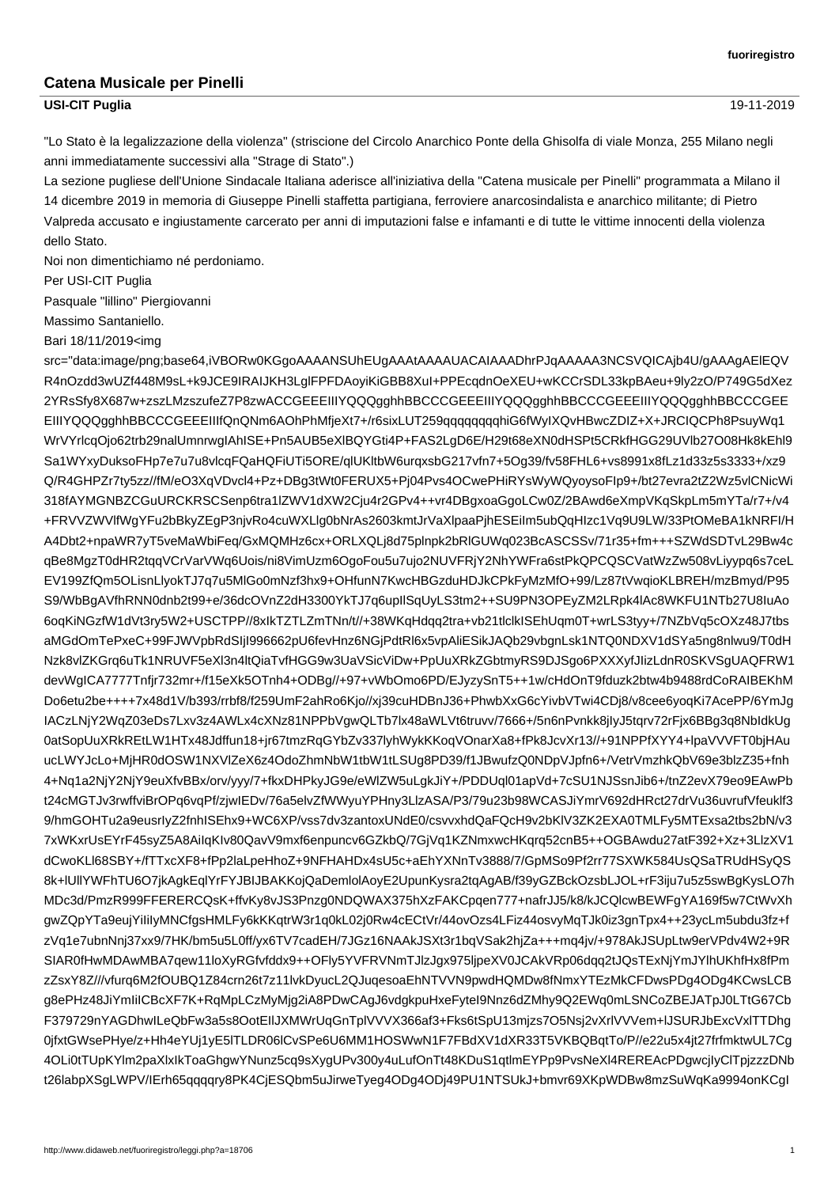## **USI-CIT Puglia** 19-11-2019

"Lo Stato è la legalizzazione della violenza" (striscione del Circolo Anarchico Ponte della Ghisolfa di viale Monza, 255 Milano negli anni immediatamente successivi alla "Strage di Stato".)

La sezione pugliese dell'Unione Sindacale Italiana aderisce all'iniziativa della "Catena musicale per Pinelli" programmata a Milano il 14 dicembre 2019 in memoria di Giuseppe Pinelli staffetta partigiana, ferroviere anarcosindalista e anarchico militante; di Pietro Valpreda accusato e ingiustamente carcerato per anni di imputazioni false e infamanti e di tutte le vittime innocenti della violenza dello Stato.

Noi non dimentichiamo né perdoniamo.

Per USI-CIT Puglia

Pasquale "lillino" Piergiovanni

Massimo Santaniello.

Bari 18/11/2019<img

src="data:image/png;base64,iVBORw0KGgoAAAANSUhEUgAAAtAAAAUACAIAAADhrPJqAAAAA3NCSVQICAjb4U/gAAAgAElEQV R4nOzdd3wUZf448M9sL+k9JCE9IRAIJKH3LglFPFDAoyiKiGBB8XuI+PPEcqdnOeXEU+wKCCrSDL33kpBAeu+9ly2zO/P749G5dXez 2YRsSfy8X687w+zszLMzszufeZ7P8zwACCGEEEIIIYQQQgghhBBCCCGEEEIIIYQQQgghhBBCCCGEEEIIIYQQQgghhBBCCCGEE EIIIYQQQgghhBBCCCGEEEIIIfQnQNm6AOhPhMfjeXt7+/r6sixLUT259qqqqqqqqhiG6fWyIXQvHBwcZDIZ+X+JRCIQCPh8PsuyWq1 WrVYrlcqOjo62trb29nalUmnrwgIAhISE+Pn5AUB5eXlBQYGti4P+FAS2LgD6E/H29t68eXN0dHSPt5CRkfHGG29UVlb27O08Hk8kEhl9 Sa1WYxyDuksoFHp7e7u7u8vlcqFQaHQFiUTi5ORE/qlUKltbW6urqxsbG217vfn7+5Og39/fv58FHL6+vs8991x8fLz1d33z5s3333+/xz9 Q/R4GHPZr7ty5zz//fM/eO3XqVDvcl4+Pz+DBg3tWt0FERUX5+Pj04Pvs4OCwePHiRYsWyWQyoysoFIp9+/bt27evra2tZ2Wz5vlCNicWi 318fAYMGNBZCGuURCKRSCSenp6tra1lZWV1dXW2Cju4r2GPv4++vr4DBgxoaGgoLCw0Z/2BAwd6eXmpVKqSkpLm5mYTa/r7+/v4 +FRVVZWVlfWgYFu2bBkyZEgP3njvRo4cuWXLlg0bNrAs2603kmtJrVaXlpaaPjhESEiIm5ubQqHIzc1Vq9U9LW/33PtOMeBA1kNRFI/H A4Dbt2+npaWR7yT5veMaWbiFeq/GxMQMHz6cx+ORLXQLj8d75plnpk2bRlGUWq023BcASCSSv/71r35+fm+++SZWdSDTvL29Bw4c qBe8MgzT0dHR2tqqVCrVarVWq6Uois/ni8VimUzm6OgoFou5u7ujo2NUVFRjY2NhYWFra6stPkQPCQSCVatWzZw508vLiyypq6s7ceL EV199ZfQm5OLisnLlyokTJ7q7u5MlGo0mNzf3hx9+OHfunN7KwcHBGzduHDJkCPkFyMzMfO+99/Lz87tVwqioKLBREH/mzBmyd/P95 S9/WbBgAVfhRNN0dnb2t99+e/36dcOVnZ2dH3300YkTJ7q6upIlSqUyLS3tm2++SU9PN3OPEyZM2LRpk4lAc8WKFU1NTb27U8IuAo 6oqKiNGzfW1dVt3ry5W2+USCTPP//8xIkTZTLZmTNn/t//+38WKqHdqq2tra+vb21tlclkISEhUqm0T+wrLS3tyy+/7NZbVq5cOXz48J7tbs aMGdOmTePxeC+99FJWVpbRdSIjI996662pU6fevHnz6NGjPdtRl6x5vpAliESikJAQb29vbgnLsk1NTQ0NDXV1dSYa5ng8nlwu9/T0dH Nzk8vlZKGrq6uTk1NRUVF5eXl3n4ltQiaTvfHGG9w3UaVSicViDw+PpUuXRkZGbtmyRS9DJSgo6PXXXyfJIizLdnR0SKVSgUAQFRW1 devWgICA7777Tnfjr732mr+/f15eXk5OTnh4+ODBg//+97+vWbOmo6PD/EJyzySnT5++1w/cHdOnT9fduzk2btw4b9488rdCoRAIBEKhM Do6etu2be++++7x48d1V/b393/rrbf8/f259UmF2ahRo6Kjo//xj39cuHDBnJ36+PhwbXxG6cYivbVTwi4CDj8/v8cee6yoqKi7AcePP/6YmJg IACzLNjY2WqZ03eDs7Lxv3z4AWLx4cXNz81NPPbVgwQLTb7lx48aWLVt6truvv/7666+/5n6nPvnkk8jIyJ5tqrv72rFjx6BBg3q8NbIdkUg 0atSopUuXRkREtLW1HTx48Jdffun18+jr67tmzRqGYbZv337lyhWykKKoqVOnarXa8+fPk8JcvXr13//+91NPPfXYY4+lpaVVVFT0bjHAu ucLWYJcLo+MjHR0dOSW1NXVlZeX6z4OdoZhmNbW1tbW1tLSUg8PD39/f1JBwufzQ0NDpVJpfn6+/VetrVmzhkQbV69e3blzZ35+fnh 4+Nq1a2NjY2NjY9euXfvBBx/orv/yyy/7+fkxDHPkyJG9e/eWlZW5uLgkJiY+/PDDUql01apVd+7cSU1NJSsnJib6+/tnZ2evX79eo9EAwPb t24cMGTJv3rwffviBrOPq6vqPf/zjwIEDv/76a5elvZfWWyuYPHny3LlzASA/P3/79u23b98WCASJiYmrV692dHRct27drVu36uvrufVfeuklf3 9/hmGOHTu2a9eusrIyZ2fnhISEhx9+WC6XP/vss7dv3zantoxUNdE0/csvvxhdQaFQcH9v2bKlV3ZK2EXA0TMLFy5MTExsa2tbs2bN/v3 7xWKxrUsEYrF45syZ5A8AiIqKIv80QavV9mxf6enpuncv6GZkbQ/7GjVq1KZNmxwcHKqrq52cnB5++OGBAwdu27atF392+Xz+3LlzXV1 dCwoKLl68SBY+/fTTxcXF8+fPp2laLpeHhoZ+9NFHAHDx4sU5c+aEhYXNnTv3888/7/GpMSo9Pf2rr77SXWK584UsQSaTRUdHSyQS 8k+lUllYWFhTU6O7jkAgkEqlYrFYJBIJBAKKojQaDemlolAoyE2UpunKysra2tqAgAB/f39yGZBckOzsbLJOL+rF3iju7u5z5swBgKysLO7h MDc3d/PmzR999FFERERCQsK+ffvKy8vJS3Pnzg0NDQWAX375hXzFAKCpqen777+nafrJJ5/k8/kJCQlcwBEWFgYA169f5w7CtWvXh gwZQpYTa9eujYiIiIyMNCfgsHMLFy6kKKqtrW3r1q0kL02j0Rw4cECtVr/44ovOzs4LFiz44osvyMqTJk0iz3gnTpx4++23ycLm5ubdu3fz+f zVq1e7ubnNnj37xx9/7HK/bm5u5L0ff/yx6TV7cadEH/7JGz16NAAkJSXt3r1bqVSak2hjZa+++mq4jv/+978AkJSUpLtw9erVPdv4W2+9R SIAR0fHwMDAwMBA7qew11loXyRGfvfddx9++OFly5YVFRVNmTJlzJgx975ljpeXV0JCAkVRp06dqq2tJQsTExNjYmJYlhUKhfHx8fPm zZsxY8Z///vfurq6M2fOUBQ1Z84crn26t7z11lvkDyucL2QJuqesoaEhNTVVN9pwdHQMDw8fNmxYTEzMkCFDwsPDg4ODg4KCwsLCB g8ePHz48JiYmIiICBcXF7K+RqMpLCzMyMjg2iA8PDwCAgJ6vdgkpuHxeFyteI9Nnz6dZMhy9Q2EWq0mLSNCoZBEJATpJ0LTtG67Cb F379729nYAGDhwILeQbFw3a5s8OotEIlJXMWrUqGnTplVVVX366af3+Fks6tSpU13mjzs7O5Nsj2vXrlVVVem+lJSURJbExcVxlTTDhg 0jfxtGWsePHye/z+Hh4eYUj1yE5lTLDR06lCvSPe6U6MM1HOSWwN1F7FBdXV1dXR33T5VKBQBqtTo/P//e22u5x4jt27frfmktwUL7Cg 4OLi0tTUpKYlm2paXlxIkToaGhgwYNunz5cq9sXygUPv300y4uLufOnTt48KDuS1qtlmEYPp9PvsNeXl4REREAcPDgwcjIyClTpjzzzDNb t26labpXSgLWPV/IErh65qqqqry8PK4CjESQbm5uJirweTyeg4ODg4ODj49PU1NTSUkJ+bmvr69XKpWDBw8mzSuWqKa9994onKCgI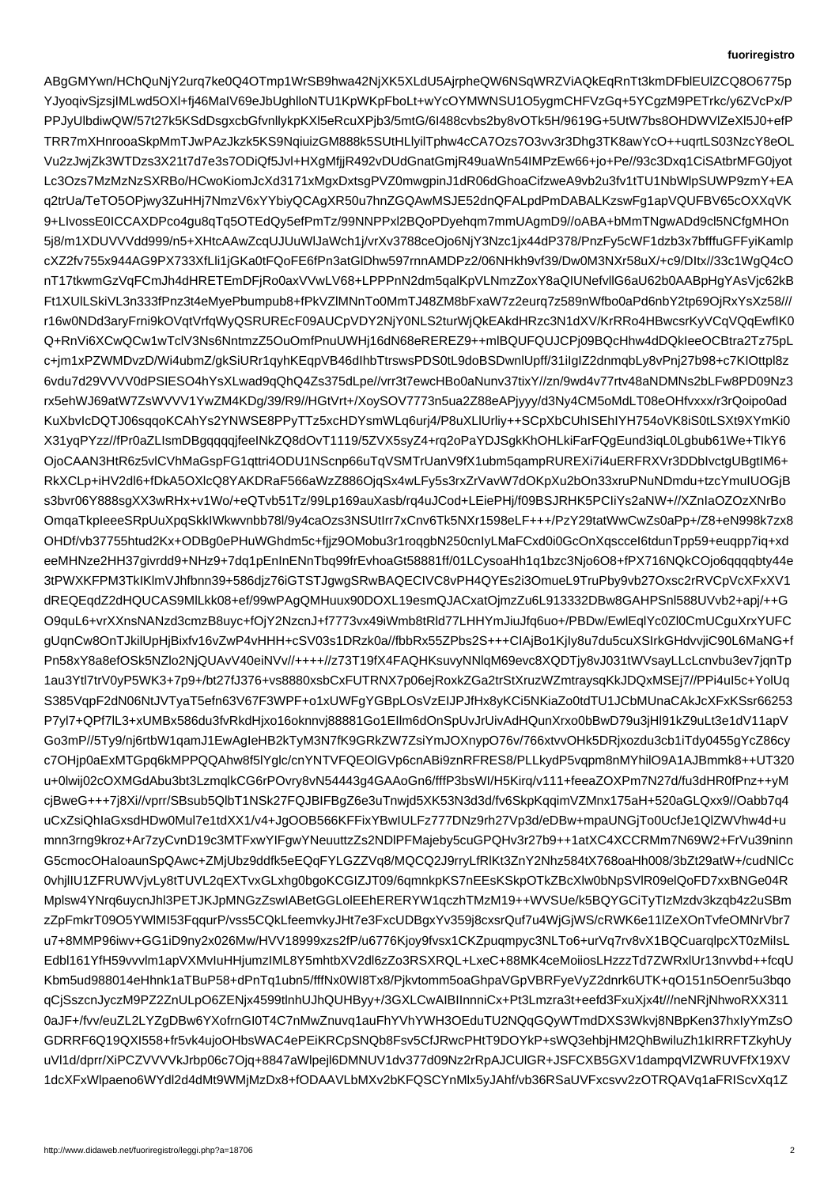ABgGMYwn/HChQuNjY2urq7ke0Q4OTmp1WrSB9hwa42NjXK5XLdU5AjrpheQW6NSqWRZViAQkEqRnTt3kmDFbIEUIZCQ8O6775p YJyoqivSjzsjIMLwd5OXI+fj46MaIV69eJbUghlloNTU1KpWKpFboLt+wYcOYMWNSU1O5ygmCHFVzGq+5YCgzM9PETrkc/y6ZVcPx/P PPJyUlbdiwQW/57t27k5KSdDsgxcbGfvnllykpKXl5eRcuXPjb3/5mtG/6I488cvbs2by8vOTk5H/9619G+5UtW7bs8OHDWVIZeXl5J0+efP TRR7mXHnrooaSkpMmTJwPAzJkzk5KS9NqiuizGM888k5SUtHLlyilTphw4cCA7Ozs7O3vv3r3Dhq3TK8awYcO++uqrtLS03NzcY8eOL Vu2zJwjZk3WTDzs3X21t7d7e3s7ODiQf5JvI+HXgMfjjR492vDUdGnatGmjR49uaWn54IMPzEw66+jo+Pe//93c3Dxq1CiSAtbrMFG0jyot Lc3Ozs7MzMzNzSXRBo/HCwoKiomJcXd3171xMgxDxtsqPVZ0mwgpinJ1dR06dGhoaCifzweA9vb2u3fv1tTU1NbWlpSUWP9zmY+EA q2trUa/TeTO5OPjwy3ZuHHj7NmzV6xYYbiyQCAgXR50u7hnZGQAwMSJE52dnQFALpdPmDABALKzswFg1apVQUFBV65cOXXqVK 9+LIvossE0ICCAXDPco4qu8qTq5OTEdQy5efPmTz/99NNPPxI2BQoPDyehqm7mmUAgmD9//oABA+bMmTNgwADd9cl5NCfgMHOn 5j8/m1XDUVVVdd999/n5+XHtcAAwZcqUJUuWlJaWch1j/vrXv3788ceOjo6NjY3Nzc1jx44dP378/PnzFy5cWF1dzb3x7bfffuGFFyiKamlp cXZ2fv755x944AG9PX733XfLli1jGKa0tFQoFE6fPn3atGlDhw597rnnAMDPz2/06NHkh9vf39/Dw0M3NXr58uX/+c9/Dltx//33c1WqQ4cO nT17tkwmGzVqFCmJh4dHRETEmDFjRo0axVVwLV68+LPPPnN2dm5qalKpVLNmzZoxY8aQIUNefvllG6aU62b0AABpHgYAsVjc62kB Ft1XUILSkiVL3n333fPnz3t4eMvePbumpub8+fPkVZIMNnTo0MmTJ48ZM8bFxaW7z2eurq7z589nWfbo0aPd6nbY2tp69OjRxYsXz58/// r16w0NDd3aryFrni9kOVqtVrfqWyQSRUREcF09AUCpVDY2NjY0NLS2turWjQkEAkdHRzc3N1dXV/KrRRo4HBwcsrKyVCqVQqEwfIK0 Q+RnVi6XCwQCw1wTclV3Ns6NntmzZ5OuOmfPnuUWHj16dN68eREREZ9++mlBQUFQUJCPj09BQcHhw4dDQkleeOCBtra2Tz75pL c+jm1xPZWMDvzD/Wi4ubmZ/gkSiURr1gyhKEgpVB46dlhbTtrswsPDS0tL9doBSDwnlUpff/31ilglZ2dnmgbLy8vPnj27b98+c7KlOttpl8z 6vdu7d29VVVV0dPSIESO4hYsXLwad9qQhQ4Zs375dLpe//vrr3t7ewcHBo0aNunv37tixY//zn/9wd4v77rtv48aNDMNs2bLFw8PD09Nz3 rx5ehWJ69atW7ZsWVVV1YwZM4KDg/39/R9//HGtVrt+/XoySOV7773n5ua2Z88eAPjyyy/d3Ny4CM5oMdLT08eOHfvxxx/r3rQoipo0ad KuXbvlcDQTJ06sqqoKCAhYs2YNWSE8PPyTTz5xcHDYsmWLq6urj4/P8uXLlUrliy++SCpXbCUhISEhIYH754oVK8iS0tLSXt9XYmKi0 X31yqPYzz//fPr0aZLIsmDBgqqqqifeeINkZQ8dOvT1119/5ZVX5syZ4+rq2oPaYDJSgkKhOHLkiFarFQgEund3iqL0Lgbub61We+TlkY6 OjoCAAN3HtR6z5vlCVhMaGspFG1qttri4ODU1NScnp66uTqVSMTrUanV9fX1ubm5qampRUREXi7i4uERFRXVr3DDblvctqUBqtlM6+ RkXCLp+iHV2dl6+fDkA5OXlcQ8YAKDRaF566aWzZ886OjqSx4wLFy5s3rxZrVavW7dOKpXu2bOn33xruPNuNDmdu+tzcYmuIUOGjB s3bvr06Y888sqXX3wRHx+v1Wo/+eQTvb51Tz/99Lp169auXasb/rq4uJCod+LEiePHj/f09BSJRHK5PCliYs2aNW+//XZnlaOZOzXNrBo OmgaTkpleeeSRpUuXpgSkklWkwvnbb78l/9y4caOzs3NSUtIrr7xCnv6Tk5NXr1598eLF+++/PzY29tatWwCwZs0aPp+/Z8+eN998k7zx8 OHDf/vb37755htud2Kx+ODBg0ePHuWGhdm5c+fjjz9OMobu3r1roqgbN250cnlyLMaFCxd0i0GcOnXqsccel6tdunTpp59+euqpp7iq+xd eeMHNze2HH37givrdd9+NHz9+7dq1pEnInENnTbq99frEvhoaGt58881ff/01LCysoaHh1q1bzc3Njo6O8+fPX716NQkCOjo6qqqqbty44e 3tPWXKFPM3TkIKImVJhfbnn39+586djz76iGTSTJgwgSRwBAQECIVC8vPH4QYEs2i3OmueL9TruPby9vb27Oxsc2rRVCpVcXFxXV1 dREQEqdZ2dHQUCAS9MILkk08+ef/99wPAgQMHuux90DOXL19esmQJACxatOjmzZu6L913332DBw8GAHPSnl588UVvb2+apj/++G O9quL6+vrXXnsNANzd3cmzB8uyc+fOjY2NzcnJ+f7773vx49iWmb8tRld77LHHYmJiuJfq6uo+/PBDw/EwlEqlYc0Zl0CmUCquXrxYUFC gUqnCw8OnTJkilUpHjBixfv16vZwP4vHHH+cSV03s1DRzk0a//fbbRx55ZPbs2S+++CIAjBo1KjIy8u7du5cuXSIrkGHdvvjiC90L6MaNG+f Pn58xY8a8efOSk5NZlo2NjQUAvV40eiNVv//++++//z73T19fX4FAQHKsuvyNNlqM69evc8XQDTjy8vJ031tWVsayLLcLcnvbu3ev7jqnTp 1au3Ytl7trV0yP5WK3+7p9+/bt27fJ376+vs8880xsbCxFUTRNX7p06ejRoxkZGa2trStXruzWZmtraysqKkJDQxMSEj7//PPi4ul5c+YolUq S385VqpF2dN06NtJVTyaT5efn63V67F3WPF+o1xUWFqYGBpLOsVzEIJPJfHx8yKCi5NKiaZo0tdTU1JCbMUnaCAkJcXFxKSsr66253 P7yl7+QPf7lL3+xUMBx586du3fvRkdHjxo16oknnvj88881Go1Ellm6dOnSpUvJrUivAdHQunXrxo0bBwD79u3jHl91kZ9uLt3e1dV11apV Go3mP//5Tv9/ni6rtbW1gamJ1EwAgleHB2kTvM3N7fK9GRkZW7ZsiYmJOXnvpO76v/766xtvvOHk5DRixozdu3cb1iTdv0455gYcZ86cv c7OHjp0aExMTGpq6kMPPQQAhw8f5lYglc/cnYNTVFQEOIGVp6cnABi9znRFRES8/PLLkydP5vqpm8nMYhilO9A1AJBmmk8++UT320 u+0lwij02cOXMGdAbu3bt3LzmqlkCG6rPOvry8vN54443g4GAAoGn6/fffP3bsWI/H5Kirq/v111+feeaZOXPm7N27d/fu3dHR0fPnz++yM cjBweG+++7j8Xi//vprr/SBsub5QlbT1NSk27FQJBIFBgZ6e3uTnwjd5XK53N3d3d/fv6SkpKqqimVZMnx175aH+520aGLQxx9//Oabb7q4 uCxZsiQhlaGxsdHDw0Mul7e1tdXX1/v4+JqOOB566KFFixYBwlULFz777DNz9rh27Vp3d/eDBw+mpaUNGjTo0UcfJe1QlZWVhw4d+u mnn3rng9kroz+Ar7zyCvnD19c3MTFxwYIFqwYNeuuttzZs2NDIPFMajeby5cuGPQHv3r27b9++1atXC4XCCRMm7N69W2+FrVu39ninn G5cmocOHaloaunSpQAwc+ZMjUbz9ddfk5eEQqFYLGZZVq8/MQCQ2J9rryLfRlKt3ZnY2Nhz584tX768oaHh008/3bZt29atW+/cudNlCc 0vhillU1ZFRUWVivLy8tTUVL2qEXTvxGLxhq0bqoKCGIZJT09/6qmnkpKS7nEEsKSkpOTkZBcXlw0bNpSVlR09elQoFD7xxBNGe04R Mplsw4YNrq6uycnJhl3PETJKJpMNGzZswIABetGGLoIEEhERERYW1qczhTMzM19++WVSUe/k5BQYGCiTyTlzMzdv3kzqb4z2uSBm zZpFmkrT09O5YWIMI53FqqurP/vss5CQkLfeemvkyJHt7e3FxcUDBqxYv359j8cxsrQuf7u4WjGjWS/cRWK6e11IZeXOnTvfeOMNrVbr7 u7+8MMP96iwv+GG1iD9ny2x026Mw/HVV18999xzs2fP/u6776Kjoy9fvsx1CKZpuqmpyc3NLTo6+urVq7rv8vX1BQCuarqlpcXT0zMilsL Edbl161YfH59vvvlm1apVXMvluHHjumzIML8Y5mhtbXV2dl6zZo3RSXRQL+LxeC+88MK4ceMoiiosLHzzzTd7ZWRxlUr13nvvbd++fcqU Kbm5ud988014eHhnk1aTBuP58+dPnTq1ubn5/fffNx0WI8Tx8/Pjkvtomm5oaGhpaVGpVBRFyeVyZ2dnrk6UTK+qO151n5Oenr5u3bqo qCjSszcnJyczM9PZ2ZnULpO6ZENjx4599tlnhUJhQUHByy+/3GXLCwAIBIInnniCx+Pt3Lmzra3t+eefd3FxuXjx4t///neNRjNhwoRXX311 0aJF+/fvv/euZL2LYZgDBw6YXofrnGI0T4C7nMwZnuvq1auFhYVhYWH3OEduTU2NQqGQyWTmdDXS3Wkvj8NBpKen37hxlyYmZsO GDRRF6Q19QXI558+fr5vk4ujoOHbsWAC4ePEiKRCpSNQb8Fsv5CfJRwcPHtT9DOYkP+sWQ3ehbjHM2QhBwiluZh1klRRFTZkyhUy uVI1d/dprr/XiPCZVVVVkJrbp06c7Ojq+8847aWlpejl6DMNUV1dv377d09Nz2rRpAJCUIGR+JSFCXB5GXV1dampqVIZWRUVFfX19XV 1dcXFxWlpaeno6WYdl2d4dMt9WMjMzDx8+fODAAVLbMXv2bKFQSCYnMlx5yJAhf/vb36RSaUVFxcsvv2zOTRQAVq1aFRIScvXq1Z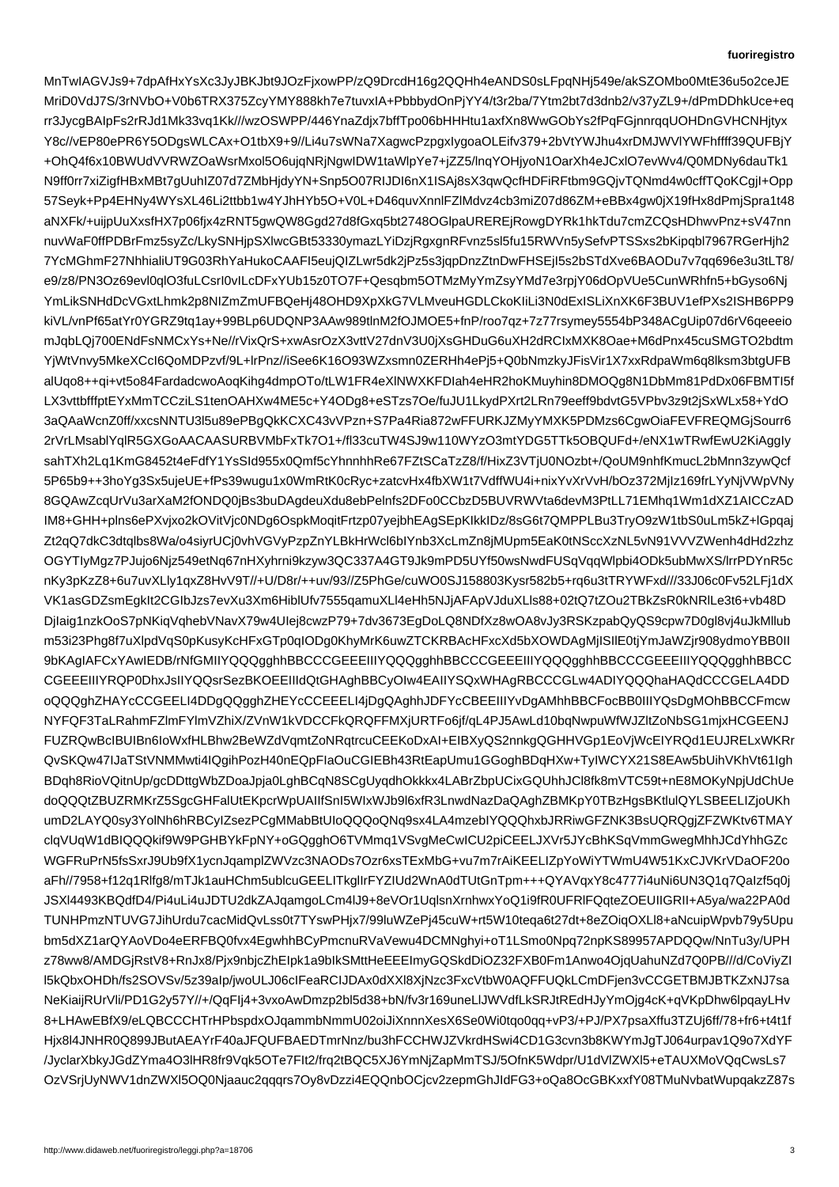MnTwIAGVJs9+7dpAfHxYsXc3JyJBKJbt9JOzFjxowPP/zQ9DrcdH16g2QQHh4eANDS0sLFpqNHj549e/akSZOMbo0MtE36u5o2ceJE MriD0VdJ7S/3rNVbO+V0b6TRX375ZcyYMY888kh7e7tuvxIA+PbbbydOnPjYY4/t3r2ba/7Ytm2bt7d3dnb2/v37yZL9+/dPmDDhkUce+eq rr3JycqBAlpFs2rRJd1Mk33vq1Kk///wzOSWPP/446YnaZdjx7bffTpo06bHHHtu1axfXn8WwGObYs2fPqFGjnnrqqUOHDnGVHCNHjtyx Y8c//vEP80ePR6Y5ODgsWLCAx+O1tbX9+9//Li4u7sWNa7XagwcPzpgxlygoaOLEifv379+2bVtYWJhu4xrDMJWVIYWFhffff39QUFBjY +OhQ4f6x10BWUdVVRWZOaWsrMxol5O6ujqNRjNgwIDW1taWlpYe7+jZZ5/lnqYOHjyoN1OarXh4eJCxlO7evWv4/Q0MDNy6dauTk1 N9ff0rr7xiZigfHBxMBt7gUuhlZ07d7ZMbHjdyYN+Snp5O07RIJDI6nX1ISAj8sX3qwQcfHDFiRFtbm9GQjvTQNmd4w0cffTQoKCqjI+Opp 57Seyk+Pp4EHNy4WYsXL46Li2ttbb1w4YJhHYb5O+V0L+D46quvXnnlFZlMdvz4cb3miZ07d86ZM+eBBx4qw0jX19fHx8dPmjSpra1t48 aNXFk/+uijpUuXxsfHX7p06fjx4zRNT5qwQW8Ggd27d8fGxq5bt2748OGlpaUREREjRowgDYRk1hkTdu7cmZCQsHDhwvPnz+sV47nn nuvWaF0ffPDBrFmz5syZc/LkySNHjpSXIwcGBt53330ymazLYiDzjRgxgnRFvnz5sl5fu15RWVn5ySefvPTSSxs2bKipqbl7967RGerHjh2 7YcMGhmF27NhhialiUT9G03RhYaHukoCAAFI5eujQIZLwr5dk2jPz5s3jqpDnzZtnDwFHSEjI5s2bSTdXve6BAODu7v7qq696e3u3tLT8/ e9/z8/PN3Oz69evl0qlO3fuLCsrl0vlLcDFxYUb15z0TO7F+Qesqbm5OTMzMyYmZsyYMd7e3rpjY06dOpVUe5CunWRhfn5+bGyso6Nj YmLikSNHdDcVGxtLhmk2p8NIZmZmUFBQeHj48OHD9XpXkG7VLMveuHGDLCkoKliLi3N0dExISLiXnXK6F3BUV1efPXs2ISHB6PP9 kiVL/vnPf65atYr0YGRZ9tg1ay+99BLp6UDQNP3AAw989tlnM2fOJMOE5+fnP/roo7gz+7z77rsymey5554bP348ACqUip07d6rV6geeeio mJqbLQj700ENdFsNMCxYs+Ne//rVixQrS+xwAsrOzX3vttV27dnV3U0jXsGHDuG6uXH2dRCIxMXK8Oae+M6dPnx45cuSMGTO2bdtm YiWtVnvv5MkeXCcl6QoMDPzvf/9L+IrPnz//iSee6K16O93WZxsmn0ZERHh4ePi5+Q0bNmzkvJFisVir1X7xxRdpaWm6q8lksm3btqUFB alUqo8++qi+vt5o84FardadcwoAoqKihg4dmpOTo/tLW1FR4eXlNWXKFDlah4eHR2hoKMuyhin8DMOQg8N1DbMm81PdDx06FBMTI5f LX3vttbfffptEYxMmTCCziLS1tenOAHXw4ME5c+Y4ODg8+eSTzs7Oe/fuJU1LkydPXrt2LRn79eeff9bdvtG5VPbv3z9t2jSxWLx58+YdO 3aQAaWcnZ0ff/xxcsNNTU3l5u89ePBgQkKCXC43vVPzn+S7Pa4Ria872wFFURKJZMyYMXK5PDMzs6CgwOiaFEVFREQMGjSourr6 2rVrLMsablYqlR5GXGoAACAASURBVMbFxTk7O1+/fl33cuTW4SJ9w110WYzO3mtYDG5TTk5OBQUFd+/eNX1wTRwfEwU2KiAggly sahTXh2Lq1KmG8452t4eFdfY1YsSId955x0Qmf5cYhnnhhRe67FZtSCaTzZ8/f/HixZ3VTjU0NOzbt+/QoUM9nhfKmucL2bMnn3zywQcf 5P65b9++3hoYg3Sx5ujeUE+fPs39wugu1x0WmRtK0cRyc+zatcvHx4fbXW1t7VdffWU4i+nixYvXrVvH/bOz372MjIz169frLYyNjVWpVNy 8GQAwZcqUrVu3arXaM2fONDQ0jBs3buDAqdeuXdu8ebPelnfs2DFo0CCbzD5BUVRWVta6devM3PtLL71EMhq1Wm1dXZ1AICCzAD IM8+GHH+pIns6ePXvjxo2kOVitVjc0NDq6OspkMoqitFrtzp07yejbhEAqSEpKlkkIDz/8sG6t7QMPPLBu3TryO9zW1tbS0uLm5kZ+IGpqaj Zt2qQ7dkC3dtqlbs8Wa/o4siyrUCj0vhVGVyPzpZnYLBkHrWcl6bIYnb3XcLmZn8jMUpm5EaK0tNSccXzNL5vN91VVVZWenh4dHd2zhz OGYTIyMgz7PJujo6Njz549etNq67nHXyhrni9kzyw3QC337A4GT9Jk9mPD5UYf50wsNwdFUSqVqqWlpbi4ODk5ubMwXS/IrrPDYnR5c nKy3pKzZ8+6u7uvXLly1qxZ8HvV9T//+U/D8r/++uv/93//Z5PhGe/cuWO0SJ158803Kysr582b5+rq6u3tTRYWFxd///33J06c0Fv52LFj1dX VK1asGDZsmEgklt2CGlbJzs7evXu3Xm6HiblUfv7555gamuXLl4eHh5NJjAFApVJduXLls88+02tQ7tZOu2TBkZsR0kNRlLe3t6+vb48D Djlaig1nzkOoS7pNKiqVqhebVNavX79w4Ulej8cwzP79+7dv3673EqDoLQ8NDfXz8wOA8vJy3RSKzpabQyQS9cpw7D0gl8vj4uJkMllub m53i23Phq8f7uXlpdVqS0pKusyKcHFxGTp0qIODq0KhyMrK6uwZTCKRBAcHFxcXd5bXOWDAqMjISIlE0tjYmJaWZjr908ydmoYBB0II 9bKAgIAFCxYAwIEDB/rNfGMIIYQQQgghhBBCCCGEEEIIIYQQQgghhBBCCCGEEEIIIYQQQgghhBBCCCGEEEIIIYQQQgghhBBCC CGEEEIIIYRQP0DhxJsIIYQQsrSezBKOEEIIIdQtGHAqhBBCyOIw4EAIIYSQxWHAqRBCCCGLw4ADIYQQQhaHAQdCCCGELA4DD oQQQqhZHAYcCCGEELI4DDqQQqqhZHEYcCCEEELI4jDqQAqhhJDFYcCBEEIIIYvDqAMhhBBCFocBB0IIIYQsDqMOhBBCCFmcw NYFQF3TaLRahmFZImFYImVZhiX/ZVnW1kVDCCFkQRQFFMXjURTFo6jf/qL4PJ5AwLd10bqNwpuWfWJZItZoNbSG1mjxHCGEENJ FUZRQwBcIBUIBn6IoWxfHLBhw2BeWZdVqmtZoNRqtrcuCEEKoDxAI+EIBXyQS2nnkgQGHHVGp1EoVjWcEIYRQd1EUJRELxWKRr QvSKQw47IJaTStVNMMwti4IQgihPozH40nEQpFIaOuCGIEBh43RtEapUmu1GGoghBDqHXw+TyIWCYX21S8EAw5bUihVKhVt61Igh BDqh8RioVQitnUp/gcDDttgWbZDoaJpja0LghBCqN8SCgUyqdhOkkkx4LABrZbpUCixGQUhhJCl8fk8mVTC59t+nE8MOKyNpjUdChUe doQQQtZBUZRMKrZ5SgcGHFalUtEKpcrWpUAIIfSnI5WIxWJb9l6xfR3LnwdNazDaQAghZBMKpY0TBzHgsBKtlulQYLSBEELIZjoUKh umD2LAYQ0sy3YolNh6hRBCylZsezPCgMMabBtUIoQQQoQNq9sx4LA4mzebIYQQQhxbJRRiwGFZNK3BsUQRQqjZFZWKtv6TMAY clgVUgW1dBIQQQkif9W9PGHBYkFpNY+oGQqqhO6TVMmq1VSvqMeCwICU2piCEELJXVr5JYcBhKSqVmmGweqMhhJCdYhhGZc WGFRuPrN5fsSxrJ9Ub9fX1ycnJqamplZWVzc3NAODs7Ozr6xsTExMbG+vu7m7rAiKEELIZpYoWiYTWmU4W51KxCJVKrVDaOF20o aFh//7958+f12q1Rlfq8/mTJk1auHChm5ublcuGEELITkglIrFYZIUd2WnA0dTUtGnTpm+++QYAVqxY8c4777i4uNi6UN3Q1q7Qalzf5q0j JSXI4493KBQdfD4/Pi4uLi4uJDTU2dkZAJqamqoLCm4lJ9+8eVOr1UqlsnXrnhwxYoQ1i9fR0UFRIFQqteZOEUIIGRII+A5ya/wa22PA0d TUNHPmzNTUVG7JihUrdu7cacMidQvLss0t7TYswPHjx7/99luWZePj45cuW+rt5W10tega6t27dt+8eZOiqOXLl8+aNcuipWpvb79y5Upu bm5dXZ1arQYAoVDo4eERFBQ0fvx4EgwhhBCyPmcnuRVaVewu4DCMNghyi+oT1LSmo0Npq72npKS89957APDQQw/NnTu3y/UPH z78ww8/AMDGjRstV8+RnJx8/Pjx9nbjcZhElpk1a9blkSMttHeEEEImyGQSkdDiOZ32FXB0Fm1Anwo4OjqUahuNZd7Q0PB///d/CoViyZl I5kQbxOHDh/fs2SOVSv/5z39alp/jwoULJ06clFeaRCIJDAx0dXXl8XjNzc3FxcVtbW0AQFFUQkLCmDFjen3vCCGETBMJBTKZxNJ7sa NeKiaijRUrVIi/PD1G2y57Y//+/QqFIj4+3vxoAwDmzp2bl5d38+bN/fv3r169uneLIJWVdfLkSRJtREdHJyYmOjg4cK+qVKpDhw6lpqayLHv 8+LHAwEBfX9/eLQBCCCHTrHPbspdxOJqammbNmmU02oiJiXnnnXesX6Se0Wi0tqo0qq+vP3/+PJ/PX7psaXffu3TZUj6ff/78+fr6+t4t1f Hjx8l4JNHR0Q899JButAEAYrF40aJFQUFBAEDTmrNnz/bu3hFCCHWJZVkrdHSwi4CD1G3cvn3b8KWYmJgTJ064urpav1Q9o7XdYF /JyclarXbkyJGdZYma4O3lHR8fr9Vqk5OTe7Flt2/frq2tBQC5XJ6YmNjZapMmTSJ/5OfnK5Wdpr/U1dVlZWXl5+eTAUXMoVQqCwsLs7 OzVSrjUyNWV1dnZWXI5OQ0Njaauc2qqqrs7Oy8vDzzi4EQQnbOCjcv2zepmGhJIdFG3+oQa8OcGBKxxfY08TMuNvbatWupqakzZ87s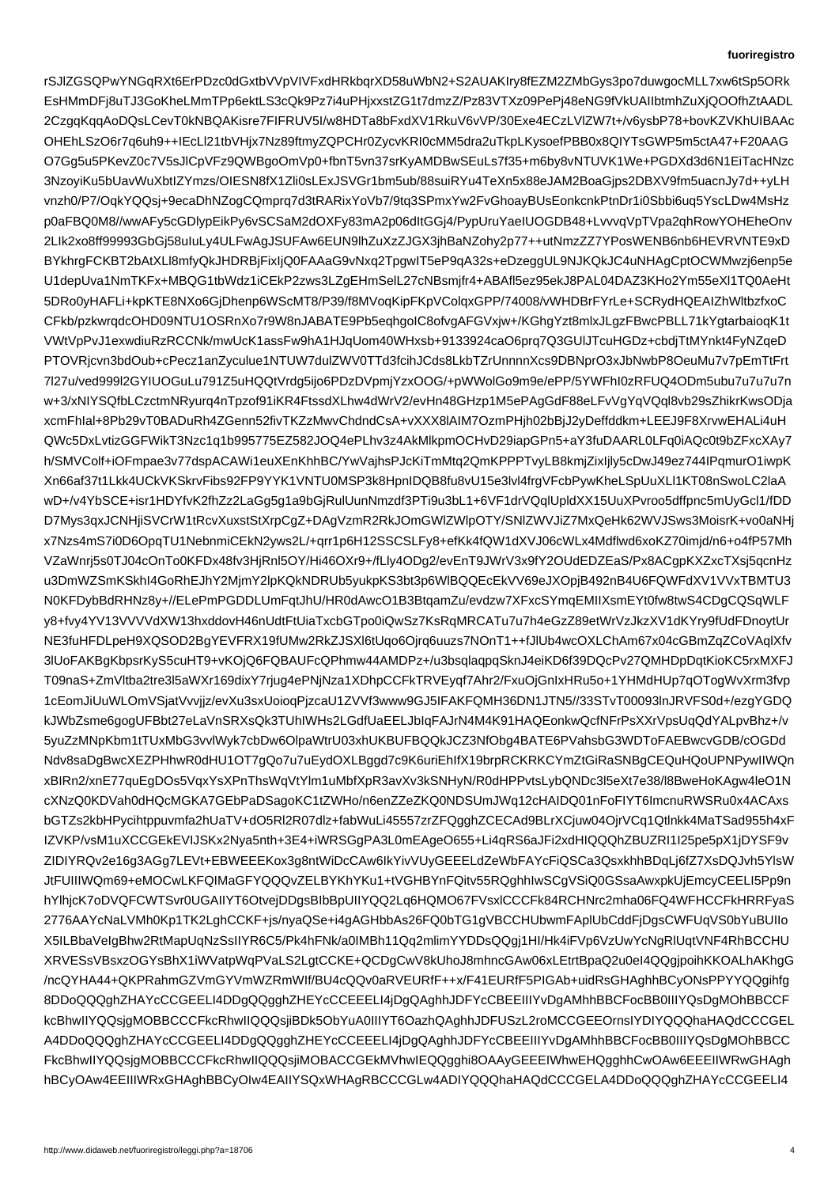rSJIZGSQPwYNGqRXt6ErPDzc0dGxtbVVpVIVFxdHRkbqrXD58uWbN2+S2AUAKIry8fEZM2ZMbGys3po7duwgocMLL7xw6tSp5ORk EsHMmDFj8uTJ3GoKheLMmTPp6ektLS3cQk9Pz7i4uPHjxxstZG1t7dmzZ/Pz83VTXz09PePj48eNG9fVkUAIIbtmhZuXjQOOfhZtAADL 2CzggKggAoDQsLCevT0kNBQAKisre7FIFRUV5I/w8HDTa8bFxdXV1RkuV6vVP/30Exe4ECzLVIZW7t+/v6ysbP78+bovKZVKhUIBAAc OHEhLSzO6r7q6uh9++IEcLl21tbVHjx7Nz89ftmyZQPCHr0ZycvKRI0cMM5dra2uTkpLKysoefPBB0x8QIYTsGWP5m5ctA47+F20AAG O7Gg5u5PKevZ0c7V5sJlCpVFz9QWBgoOmVp0+fbnT5vn37srKyAMDBwSEuLs7f35+m6by8vNTUVK1We+PGDXd3d6N1EiTacHNzc 3NzoyiKu5bUavWuXbtlZYmzs/OIESN8fX1Zli0sLExJSVGr1bm5ub/88suiRYu4TeXn5x88eJAM2BoaGjps2DBXV9fm5uacnJy7d++yLH vnzh0/P7/OqkYQQsj+9ecaDhNZoqCQmprq7d3tRARixYoVb7/9tq3SPmxYw2FvGhoayBUsEonkcnkPtnDr1i0Sbbi6uq5YscLDw4MsHz p0aFBQ0M8//wwAFy5cGDlypEikPy6vSCSaM2dOXFy83mA2p06dltGGj4/PypUruYaeIUOGDB48+LvvvqVpTVpa2qhRowYOHEheOnv 2Llk2xo8ff99993GbGj58uIuLy4ULFwAgJSUFAw6EUN9lhZuXzZJGX3jhBaNZohy2p77++utNmzZZ7YPosWENB6nb6HEVRVNTE9xD BYkhrgFCKBT2bAtXLl8mfyQkJHDRBjFixIjQ0FAAaG9vNxq2TpgwlT5eP9qA32s+eDzeggUL9NJKQkJC4uNHAgCptOCWMwzj6enp5e U1depUva1NmTKFx+MBQG1tbWdz1iCEkP2zws3LZgEHmSelL27cNBsmjfr4+ABAfl5ez95ekJ8PAL04DAZ3KHo2Ym55eXl1TQ0AeHt 5DRo0yHAFLi+kpKTE8NXo6GjDhenp6WScMT8/P39/f8MVoqKipFKpVColaxGPP/74008/vWHDBrFYrLe+SCRydHQEAIZhWltbzfxoC CFkb/pzkwrqdcOHD09NTU1OSRnXo7r9W8nJABATE9Pb5eqhqoIC8ofvqAFGVxjw+/KGhqYzt8mlxJLqzFBwcPBLL71kYqtarbaioqK1t VWtVpPvJ1exwdiuRzRCCNk/mwUcK1assFw9hA1HJqUom40WHxsb+9133924caO6prq7Q3GUIJTcuHGDz+cbdjTtMYnkt4FyNZqeD PTOVRicvn3bdOub+cPecz1anZvculue1NTUW7dulZWV0TTd3fcihJCds8LkbTZrUnnnnXcs9DBNprO3xJbNwbP8OeuMu7v7pEmTtFrt 7l27u/ved999l2GYIUOGuLu791Z5uHQQtVrdg5ijo6PDzDVpmjYzxOOG/+pWWolGo9m9e/ePP/5YWFhI0zRFUQ4ODm5ubu7u7u7u7n w+3/xNIYSQfbLCzctmNRyurq4nTpzof91iKR4FtssdXLhw4dWrV2/evHn48GHzp1M5ePAgGdF88eLFvVgYqVQql8vb29sZhikrKwsODja xcmFhlal+8Pb29vT0BADuRh4ZGenn52fivTKZzMwvChdndCsA+vXXX8IAIM7OzmPHjh02bBjJ2yDeffddkm+LEEJ9F8XrvwEHALi4uH QWc5DxLvtizGGFWikT3Nzc1q1b995775EZ582JOQ4ePLhv3z4AkMlkpmOCHvD29iapGPn5+aY3fuDAARL0LFq0iAQc0t9bZFxcXAy7 h/SMVColf+iOFmpae3v77dspACAWi1euXEnKhhBC/YwVajhsPJcKiTmMtg2QmKPPPTvyLB8kmjZixljly5cDwJ49ez744lPqmurO1iwpK Xn66af37t1Lkk4UCkVKSkrvFibs92FP9YYK1VNTU0MSP3k8HpnIDQB8fu8vU15e3lvl4frgVFcbPywKheLSpUuXLl1KT08nSwoLC2laA wD+/v4YbSCE+isr1HDYfvK2fhZz2LaGq5q1a9bGiRulUunNmzdf3PTi9u3bL1+6VF1drVQqlUpldXX15UuXPvroo5dffpnc5mUyGcl1/fDD D7Mys3gxJCNHijSVCrW1tRcvXuxstStXrpCqZ+DAqVzmR2RkJOmGWIZWlpOTY/SNIZWVJiZ7MxQeHk62WVJSws3MoisrK+vo0aNHi x7Nzs4mS7i0D6OpqTU1NebnmiCEkN2yws2L/+qrr1p6H12SSCSLFy8+efKk4fQW1dXVJ06cWLx4Mdflwd6xoKZ70imjd/n6+o4fP57Mh VZaWnrj5s0TJ04cOnTo0KFDx48fv3HjRnl5OY/Hi46OXr9+/fLly4ODg2/evEnT9JWrV3x9fY2OUdEDZEaS/Px8ACgpKXZxcTXsj5qcnHz u3DmWZSmKSkhI4GoRhEJhY2MjmY2lpKQkNDRUb5yukpKS3bt3p6WIBQQEcEkVV69eJXOpjB492nB4U6FQWFdXV1VVxTBMTU3 N0KFDvbBdRHNz8y+//ELePmPGDDLUmFqtJhU/HR0dAwcO1B3BtqamZu/evdzw7XFxcSYmqEMIIXsmEYt0fw8twS4CDgCQSqWLF y8+fvy4YV13VVVVdXW13hxddovH46nUdtFtUiaTxcbGTpo0iQwSz7KsRqMRCATu7u7h4eGzZ89etWrVzJkzXV1dKYry9fUdFDnoytUr NE3fuHFDLpeH9XQSOD2BqYEVFRX19fUMw2RkZJSXl6tUqo6Ojrq6uuzs7NOnT1++fJlUb4wcOXLChAm67x04cGBmZqZCoVAqlXfv 3lUoFAKBgKbpsrKyS5cuHT9+vKOjQ6FQBAUFcQPhmw44AMDPz+/u3bsqlaqpqSknJ4eiKD6f39DQcPv27QMHDpDqtKioKC5rxMXFJ T09naS+ZmVltba2tre3l5aWXr169dixY7rjuq4ePNjNza1XDhpCCFkTRVEyqf7Ahr2/FxuOjGnlxHRu5o+1YHMdHUp7qOToqWvXrm3fvp 1cEomJiUuWLOmVSiatVvvijz/evXu3sxUoioqPizcaU1ZVVf3www9GJ5IFAKFQMH36DN1JTN5//33STvT00093InJRVFS0d+/ezqYGDQ kJWbZsme6qoqUFBbt27eLaVnSRXsQk3TUhIWHs2LGdfUaEELJblqFAJrN4M4K91HAQEonkwQcfNFrPsXXrVpsUqQdYALpvBhz+/v 5yuZzMNpKbm1tTUxMbG3vvlWyk7cbDw6OlpaWtrU03xhUKBUFBQQkJCZ3NfObg4BATE6PVahsbG3WDToFAEBwcvGDB/cOGDd Ndv8saDgBwcXEZPHhwR0dHU1OT7gQo7u7uEydOXLBggd7c9K6uriEhlfX19brpRCKRKCYmZtGiRaSNBgCEQuHQoUPNPywllWQn xBIRn2/xnE77quEgDOs5VqxYsXPnThsWqVtYlm1uMbfXpR3avXv3kSNHyN/R0dHPPvtsLybQNDc3l5eXt7e38/l8BweHoKAgw4leO1N cXNzQ0KDVah0dHQcMGKA7GEbPaDSagoKC1tZWHo/n6enZZeZKQ0NDSUmJWq12cHAIDQ01nFoFIYT6ImcnuRWSRu0x4ACAxs bGTZs2kbHPycihtppuvmfa2hUaTV+dO5Rl2R07dlz+fabWuLi45557zrZFQgghZCECAd9BLrXCjuw04OjrVCq1Qtlnkk4MaTSad955h4xF IZVKP/vsM1uXCCGEkEVIJSKx2Nya5nth+3E4+iWRSGqPA3L0mEAqeO655+Li4qRS6aJFi2xdHIQQQhZBUZRI1I25pe5pX1jDYSF9v ZIDIYRQv2e16g3AGg7LEVt+EBWEEEKox3g8ntWiDcCAw6lkYivVUyGEEELdZeWbFAYcFiQSCa3QsxkhhBDqLj6fZ7XsDQJvh5YlsW JtFUIIIWQm69+eMOCwLKFQIMaGFYQQQvZELBYKhYKu1+tVGHBYnFQitv55RQqhhIwSCqVSiQ0GSsaAwxpkUjEmcyCEELI5Pp9n hYlhicK7oDVQFCWTSvr0UGAIIYT6OtveiDDgsBlbBpUIIYQQ2Lg6HQMO67FVsxlCCCFk84RCHNrc2mha06FQ4WFHCCFkHRRFyaS 2776AAYcNaLVMh0Kp1TK2LqhCCKF+is/nyaQSe+i4qAGHbbAs26FQ0bTG1qVBCCHUbwmFAplUbCddFiDqsCWFUqVS0bYuBUllo X5ILBbaVeIgBhw2RtMapUqNzSsIIYR6C5/Pk4hFNk/a0IMBh11Qq2mlimYYDDsQQgj1HI/Hk4iFVp6VzUwYcNgRIUqtVNF4RhBCCHU XRVESsVBsxzOGYsBhX1iWVatpWqPVaLS2LgtCCKE+QCDgCwV8kUhoJ8mhncGAw06xLEtrtBpaQ2u0eI4QQgjpoihKKOALhAKhgG /ncQYHA44+QKPRahmGZVmGYVmWZRmWlf/BU4cQQv0aRVEURfF++x/F41EURfF5PIGAb+uidRsGHAghhBCyONsPPYYQQgihfg 8DDoQQQghZHAYcCCGEELI4DDgQQgghZHEYcCCEEELI4jDgQAghhJDFYcCBEEIIIYvDgAMhhBBCFocBB0IIIYQsDgMOhBBCCF kcBhwIIYQQsjgMOBBCCCFkcRhwIIQQQsjiBDk5ObYuA0IIIYT6OazhQAghhJDFUSzL2roMCCGEEOrnsIYDIYQQQhaHAQdCCCGEL A4DDoQQQghZHAYcCCGEELI4DDgQQgghZHEYcCCEEELI4jDgQAghhJDFYcCBEEIIIYvDgAMhhBBCFocBB0IIIYQsDgMOhBBCC FkcBhwllYQQsjgMOBBCCCFkcRhwllQQQsjiMOBACCGEkMVhwlEQQgghi8OAAyGEEEIWhwEHQgghhCwOAw6EEEIIWRwGHAgh hBCyOAw4EEIIIWRxGHAghBBCyOIw4EAIIYSQxWHAgRBCCCGLw4ADIYQQQhaHAQdCCCGELA4DDoQQQghZHAYcCCGEELI4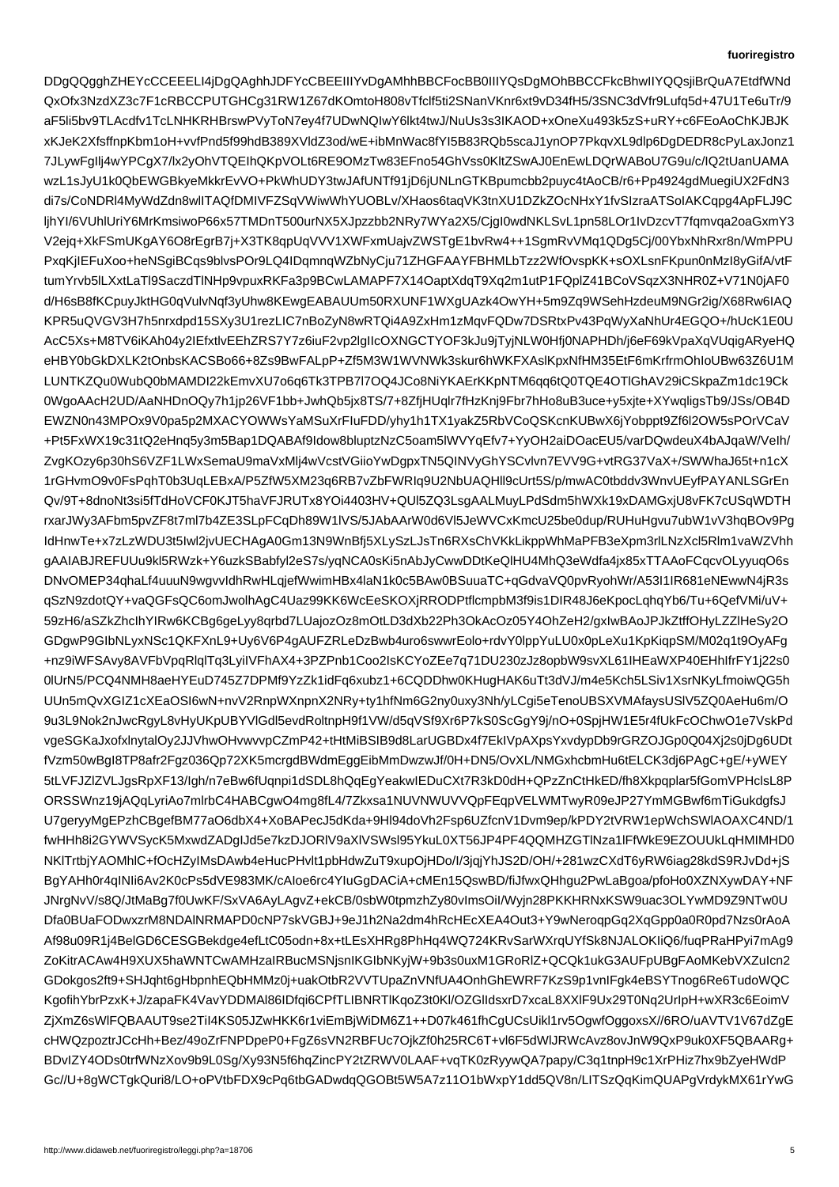DDgQQgghZHEYcCCEEELI4jDgQAghhJDFYcCBEEIIIYvDgAMhhBBCFocBB0IIIYQsDgMOhBBCCFkcBhwIIYQQsjiBrQuA7EtdfWNd QxOfx3NzdXZ3c7F1cRBCCPUTGHCq31RW1Z67dKOmtoH808vTfclf5ti2SNanVKnr6xt9vD34fH5/3SNC3dVfr9Lufq5d+47U1Te6uTr/9 aF5li5bv9TLAcdfv1TcLNHKRHBrswPVyToN7ey4f7UDwNQIwY6lkt4twJ/NuUs3s3IKAOD+xOneXu493k5zS+uRY+c6FEoAoChKJBJK xKJeK2XfsffnpKbm1oH+vvfPnd5f99hdB389XVldZ3od/wE+ibMnWac8fYI5B83RQb5scaJ1ynOP7PkqvXL9dlp6DqDEDR8cPyLaxJonz1 7JLywFgllj4wYPCgX7/lx2yOhVTQEIhQKpVOLt6RE9OMzTw83EFno54GhVss0KltZSwAJ0EnEwLDQrWABoU7G9u/c/lQ2tUanUAMA wzL1sJyU1k0QbEWGBkyeMkkrEvVO+PkWhUDY3twJAfUNTf91jD6jUNLnGTKBpumcbb2puyc4tAoCB/r6+Pp4924gdMuegiUX2FdN3 di7s/CoNDRI4MyWdZdn8wlITAQfDMIVFZSqVWiwWhYUOBLv/XHaos6taqVK3tnXU1DZkZOcNHxY1fvSlzraATSoIAKCqpq4ApFLJ9C ljhYl/6VUhlUriY6MrKmsiwoP66x57TMDnT500urNX5XJpzzbb2NRy7WYa2X5/Cjgl0wdNKLSvL1pn58LOr1lvDzcvT7fgmvqa2oaGxmY3 V2ejq+XkFSmUKgAY6O8rEgrB7j+X3TK8qpUqVVV1XWFxmUajvZWSTgE1bvRw4++1SgmRvVMq1QDg5Cj/00YbxNhRxr8n/WmPPU PxqKjIEFuXoo+heNSgiBCqs9blvsPOr9LQ4IDqmnqWZbNyCju71ZHGFAAYFBHMLbTzz2WfOvspKK+sOXLsnFKpun0nMzI8yGifA/vtF tumYrvb5lLXxtLaTl9SaczdTlNHp9vpuxRKFa3p9BCwLAMAPF7X14OaptXdqT9Xq2m1utP1FQplZ41BCoVSqzX3NHR0Z+V71N0jAF0 d/H6sB8fKCpuyJktHG0qVulvNqf3yUhw8KEwqEABAUUm50RXUNF1WXqUAzk4OwYH+5m9Zq9WSehHzdeuM9NGr2iq/X68Rw6IAQ KPR5uQVGV3H7h5nrxdpd15SXy3U1rezLIC7nBoZyN8wRTQi4A9ZxHm1zMqvFQDw7DSRtxPv43PqWyXaNhUr4EGQO+/hUcK1E0U AcC5Xs+M8TV6iKAh04y2lEfxtlvEEhZRS7Y7z6iuF2vp2lgIIcOXNGCTYOF3kJu9jTyjNLW0Hfj0NAPHDh/j6eF69kVpaXqVUqigARyeHQ eHBY0bGkDXLK2tOnbsKACSBo66+8Zs9BwFALpP+Zf5M3W1WVNWk3skur6hWKFXAslKpxNfHM35EtF6mKrfrmOhloUBw63Z6U1M LUNTKZQu0WubQ0bMAMDI22kEmvXU7o6q6Tk3TPB7I7OQ4JCo8NiYKAErKKpNTM6qq6tQ0TQE4OTIGhAV29iCSkpaZm1dc19Ck 0WgoAAcH2UD/AaNHDnOQy7h1jp26VF1bb+JwhQb5jx8TS/7+8ZfjHUqIr7fHzKnj9Fbr7hHo8uB3uce+y5xjte+XYwqligsTb9/JSs/OB4D EWZN0n43MPOx9V0pa5p2MXACYOWWsYaMSuXrFluFDD/yhy1h1TX1yakZ5RbVCoQSKcnKUBwX6jYobppt9Zf6l2OW5sPOrVCaV +Pt5FxWX19c31tQ2eHnq5y3m5Bap1DQABAf9ldow8bluptzNzC5oam5lWVYqEfv7+YyOH2aiDOacEU5/varDQwdeuX4bAJqaW/Velh/ ZvgKOzy6p30hS6VZF1LWxSemaU9maVxMlj4wVcstVGiioYwDgpxTN5QINVyGhYSCvlvn7EVV9G+vtRG37VaX+/SWWhaJ65t+n1cX 1rGHvmO9v0FsPqhT0b3UqLEBxA/P5ZfW5XM23q6RB7vZbFWRIq9U2NbUAQHll9cUrt5S/p/mwAC0tbddv3WnvUEyfPAYANLSGrEn Qv/9T+8dnoNt3si5fTdHoVCF0KJT5haVFJRUTx8YOi4403HV+QUI5ZQ3LsqAALMuyLPdSdm5hWXk19xDAMGxjU8vFK7cUSqWDTH rxarJWy3AFbm5pvZF8t7ml7b4ZE3SLpFCqDh89W1IVS/5JAbAArW0d6VI5JeWVCxKmcU25be0dup/RUHuHqvu7ubW1vV3hqBOv9Pq IdHnwTe+x7zLzWDU3t5IwI2jvUECHAgA0Gm13N9WnBfj5XLySzLJsTn6RXsChVKkLikppWhMaPFB3eXpm3rlLNzXcl5Rlm1vaWZVhh gAAIABJREFUUu9kl5RWzk+Y6uzkSBabfyl2eS7s/yqNCA0sKi5nAbJyCwwDDtKeQlHU4MhQ3eWdfa4jx85xTTAAoFCqcvOLyyuqO6s DNvOMEP34qhaLf4uuuN9wgvvldhRwHLqjefWwimHBx4laN1k0c5BAw0BSuuaTC+qGdvaVQ0pvRyohWr/A53l1lR681eNEwwN4jR3s qSzN9zdotQY+vaQGFsQC6omJwolhAgC4Uaz99KK6WcEeSKOXjRRODPtflcmpbM3f9is1DIR48J6eKpocLqhqYb6/Tu+6QefVMi/uV+ 59zH6/aSZkZhclhYIRw6KCBg6geLyy8qrbd7LUajozOz8mOtLD3dXb22Ph3OkAcOz05Y4OhZeH2/gxIwBAoJPJkZtffOHyLZZlHeSy2O GDgwP9GlbNLyxNSc1QKFXnL9+Uy6V6P4gAUFZRLeDzBwb4uro6swwrEolo+rdvY0lppYuLU0x0pLeXu1KpKigpSM/M02g1t9OyAFg +nz9iWFSAvy8AVFbVpqRlqlTq3LyiIVFhAX4+3PZPnb1Coo2lsKCYoZEe7q71DU230zJz8opbW9svXL61IHEaWXP40EHhlfrFY1j22s0 0lUrN5/PCQ4NMH8aeHYEuD745Z7DPMf9YzZk1idFq6xubz1+6CQDDhw0KHuqHAK6uTt3dVJ/m4e5Kch5LSiv1XsrNKyLfmoiwQG5h UUn5mQvXGIZ1cXEaOSI6wN+nvV2RnpWXnpnX2NRy+ty1hfNm6G2ny0uxy3Nh/yLCqi5eTenoUBSXVMAfaysUSIV5ZQ0AeHu6m/O 9u3L9Nok2nJwcRqyL8vHyUKpUBYVIGdl5evdRoltnpH9f1VW/d5qVSf9Xr6P7kS0ScGqY9j/nO+0SpjHW1E5r4fUkFcOChwO1e7VskPd vgeSGKaJxofxInytalOy2JJVhwOHvwvvpCZmP42+tHtMiBSIB9d8LarUGBDx4f7EkIVpAXpsYxvdypDb9rGRZOJGp0Q04Xj2s0jDg6UDt fVzm50wBgI8TP8afr2Fgz036Qp72XK5mcrgdBWdmEggEibMmDwzwJf/0H+DN5/OvXL/NMGxhcbmHu6tELCK3dj6PAgC+gE/+yWEY 5tLVFJZIZVLJgsRpXF13/Igh/n7eBw6fUqnpi1dSDL8hQqEgYeakwIEDuCXt7R3kD0dH+QPzZnCtHkED/fh8Xkpqplar5fGomVPHclsL8P ORSSWnz19jAQqLyriAo7mlrbC4HABCgwO4mg8fL4/7Zkxsa1NUVNWUVVQpFEqpVELWMTwyR09eJP27YmMGBwf6mTiGukdgfsJ U7geryyMgEPzhCBgefBM77aO6dbX4+XoBAPecJ5dKda+9Hl94doVh2Fsp6UZfcnV1Dvm9ep/kPDY2tVRW1epWchSWIAOAXC4ND/1 fwHHh8i2GYWVSycK5MxwdZADqIJd5e7kzDJORIV9aXIVSWsI95YkuL0XT56JP4PF4QQMHZGTINza1IFfWkE9EZOUUkLqHMIMHD0 NKITrtbjYAOMhlC+fOcHZyIMsDAwb4eHucPHvlt1pbHdwZuT9xupOjHDo/l/3jqjYhJS2D/OH/+281wzCXdT6yRW6iag28kdS9RJvDd+jS BqYAHh0r4qINIi6Av2K0cPs5dVE983MK/cAloe6rc4YIuGqDACiA+cMEn15QswBD/fiJfwxQHhqu2PwLaBqoa/pfoHo0XZNXywDAY+NF JNrgNvV/s8Q/JtMaBq7f0UwKF/SxVA6AyLAqvZ+ekCB/0sbW0tpmzhZy80vImsOil/Wyjn28PKKHRNxKSW9uac3OLYwMD9Z9NTw0U Dfa0BUaFODwxzrM8NDAINRMAPD0cNP7skVGBJ+9eJ1h2Na2dm4hRcHEcXEA4Out3+Y9wNeroqpGq2XqGpp0a0R0pd7Nzs0rAoA Af98u09R1j4BelGD6CESGBekdge4efLtC05odn+8x+tLEsXHRg8PhHq4WQ724KRvSarWXrqUYfSk8NJALOKIiQ6/fuqPRaHPyi7mAg9 ZoKitrACAw4H9XUX5haWNTCwAMHzaIRBucMSNjsnIKGIbNKyjW+9b3s0uxM1GRoRIZ+QCQk1ukG3AUFpUBqFAoMKebVXZuIcn2 GDokgos2ft9+SHJqht6gHbpnhEQbHMMz0j+uakOtbR2VVTUpaZnVNfUA4OnhGhEWRF7KzS9p1vnlFgk4eBSYTnog6Re6TudoWQC KgofihYbrPzxK+J/zapaFK4VavYDDMAI86IDfqi6CPfTLIBNRTIKqoZ3t0Kl/OZGIIdsxrD7xcaL8XXIF9Ux29T0Nq2UrlpH+wXR3c6EoimV ZjXmZ6sWIFQBAAUT9se2TiI4KS05JZwHKK6r1viEmBjWiDM6Z1++D07k461fhCqUCsUikl1rv5OgwfOggoxsX//6RO/uAVTV1V67dZgE cHWQzpoztrJCcHh+Bez/49oZrFNPDpeP0+FgZ6sVN2RBFUc7OjkZf0h25RC6T+vl6F5dWlJRWcAvz8ovJnW9QxP9uk0XF5QBAARg+ BDvIZY4ODs0trfWNzXov9b9L0Sg/Xy93N5f6hqZincPY2tZRWV0LAAF+vqTK0zRyywQA7papy/C3q1tnpH9c1XrPHiz7hx9bZyeHWdP Gc//U+8qWCTqkQuri8/LO+oPVtbFDX9cPq6tbGADwdqQGOBt5W5A7z11O1bWxpY1dd5QV8n/LITSzQqKimQUAPqVrdykMX61rYwG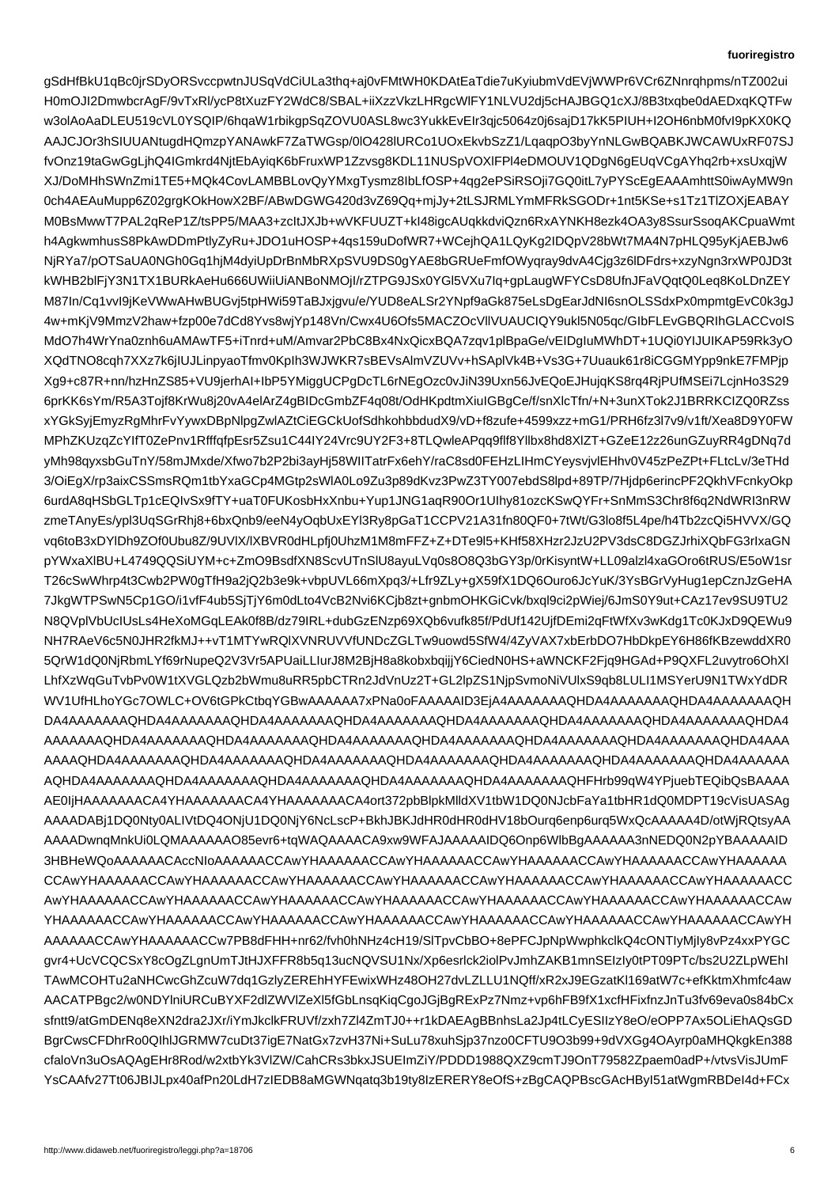gSdHfBkU1qBc0jrSDyORSvccpwtnJUSqVdCiULa3thq+aj0vFMtWH0KDAtEaTdie7uKyiubmVdEVjWWPr6VCr6ZNnrqhpms/nTZ002ui H0mOJI2DmwbcrAgF/9vTxRI/ycP8tXuzFY2WdC8/SBAL+iiXzzVkzLHRgcWIFY1NLVU2dj5cHAJBGQ1cXJ/8B3txqbe0dAEDxqKQTFw w3olAoAaDLEU519cVL0YSQIP/6hqaW1rbikqpSqZOVU0ASL8wc3YukkEvEIr3qjc5064z0j6sajD17kK5PIUH+I2OH6nbM0fvI9pKX0KQ AAJCJOr3hSIUUANtuqdHQmzpYANAwkF7ZaTWGsp/0lO428lURCo1UOxEkvbSzZ1/LqaqpO3byYnNLGwBQABKJWCAWUxRF07SJ fvOnz19taGwGgLjhQ4IGmkrd4NjtEbAyiqK6bFruxWP1Zzvsg8KDL11NUSpVOXIFPI4eDMOUV1QDgN6qEUqVCgAYhq2rb+xsUxqjW XJ/DoMHhSWnZmi1TE5+MQk4CovLAMBBLovQyYMxgTysmz8lbLfOSP+4qq2ePSiRSOji7GQ0itL7yPYScEqEAAAmhttS0iwAyMW9n 0ch4AEAuMupp6Z02grgKOkHowX2BF/ABwDGWG420d3vZ69Qq+mjJy+2tLSJRMLYmMFRkSGODr+1nt5KSe+s1Tz1TlZOXjEABAY M0BsMwwT7PAL2qReP1Z/tsPP5/MAA3+zcltJXJb+wVKFUUZT+kl48igcAUqkkdviQzn6RxAYNKH8ezk4OA3y8SsurSsoqAKCpuaWmt h4AgkwmhusS8PkAwDDmPtlyZyRu+JDO1uHOSP+4qs159uDofWR7+WCejhQA1LQyKg2IDQpV28bWt7MA4N7pHLQ95yKjAEBJw6 NjRYa7/pOTSaUA0NGh0Gq1hjM4dyiUpDrBnMbRXpSVU9DS0gYAE8bGRUeFmfOWyqray9dvA4Cjg3z6lDFdrs+xzyNgn3rxWP0JD3t kWHB2blFjY3N1TX1BURkAeHu666UWiiUiANBoNMOjl/rZTPG9JSx0YGl5VXu7lq+gpLaugWFYCsD8UfnJFaVQqtQ0Leq8KoLDnZEY M87In/Cq1vvl9jKeVWwAHwBUGvj5tpHWi59TaBJxjqvu/e/YUD8eALSr2YNpf9aGk875eLsDqEarJdNl6snOLSSdxPx0mpmtqEvC0k3qJ 4w+mKiV9MmzV2haw+fzp00e7dCd8Yvs8wiYp148Vn/Cwx4U6Ofs5MACZOcVIIVUAUCIQY9ukl5N05gc/GlbFLEvGBQRIhGLACCvoIS MdO7h4WrYna0znh6uAMAwTF5+iTnrd+uM/Amvar2PbC8Bx4NxQicxBQA7zqv1plBpaGe/vEIDgluMWhDT+1UQi0YIJUIKAP59Rk3yO XQdTNO8cah7XXz7k6ilUJLinpvaoTfmv0Kplh3WJWKR7sBEVsAlmVZUVv+hSAplVk4B+Vs3G+7Uuauk61r8iCGGMYpp9nkE7FMPip Xg9+c87R+nn/hzHnZS85+VU9jerhAI+IbP5YMiggUCPgDcTL6rNEgOzc0vJiN39Uxn56JvEQoEJHujqKS8rq4RjPUfMSEi7LcjnHo3S29 6prKK6sYm/R5A3Tojf8KrWu8j20vA4elArZ4gBIDcGmbZF4q08t/OdHKpdtmXiuIGBgCe/f/snXlcTfn/+N+3unXTok2J1BRRKCIZQ0RZss xYGkSyjEmyzRgMhrFvYywxDBpNlpgZwlAZtCiEGCkUofSdhkohbbdudX9/vD+f8zufe+4599xzz+mG1/PRH6fz3l7v9/v1ft/Xea8D9Y0FW MPhZKUzqZcYIfT0ZePnv1RfffqfpEsr5Zsu1C44IY24Vrc9UY2F3+8TLQwleAPqq9flf8Yllbx8hd8XlZT+GZeE12z26unGZuyRR4gDNq7d yMh98qyxsbGuTnY/58mJMxde/Xfwo7b2P2bi3ayHi58WIITatrFx6ehY/raC8sd0FEHzLIHmCYeysvjvIEHhv0V45zPeZPt+FLtcLv/3eTHd 3/OiEgX/rp3aixCSSmsRQm1tbYxaGCp4MGtp2sWIA0Lo9Zu3p89dKvz3PwZ3TY007ebdS8lpd+89TP/7Hjdp6erincPF2QkhVFcnkyOkp 6urdA8qHSbGLTp1cEQlvSx9fTY+uaT0FUKosbHxXnbu+Yup1JNG1aqR90Or1Ulhy81ozcKSwQYFr+SnMmS3Chr8f6q2NdWRI3nRW zmeTAnyEs/ypl3UqSGrRhi8+6bxQnb9/eeN4yOqbUxEYl3Ry8pGaT1CCPV21A31fn80QF0+7tWt/G3lo8f5L4pe/h4Tb2zcQi5HVVX/GQ vq6toB3xDYIDh9ZOf0Ubu8Z/9UVIX/IXBVR0dHLpfj0UhzM1M8mFFZ+Z+DTe9l5+KHf58XHzr2JzU2PV3dsC8DGZJrhiXQbFG3rlxaGN pYWxaXlBU+L4749QQSiUYM+c+ZmO9BsdfXN8ScvUTnSlU8ayuLVq0s8O8Q3bGY3p/0rKisyntW+LL09alzl4xaGOro6tRUS/E5oW1sr T26cSwWhrp4t3Cwb2PW0gTfH9a2jQ2b3e9k+vbpUVL66mXpq3/+Lfr9ZLy+gX59fX1DQ6Ouro6JcYuK/3YsBGrVyHug1epCznJzGeHA 7JkgWTPSwN5Cp1GO/i1vfF4ub5SjTjY6m0dLto4VcB2Nvi6KCjb8zt+gnbmOHKGiCvk/bxql9ci2pWiej/6JmS0Y9ut+CAz17ev9SU9TU2 N8QVpIVbUcIUsLs4HeXoMGqLEAk0f8B/dz79IRL+dubGzENzp69XQb6vufk85f/PdUf142UjfDEmi2qFtWfXv3wKdg1Tc0KJxD9QEWu9 NH7RAeV6c5N0JHR2fkMJ++vT1MTYwRQIXVNRUVVfUNDcZGLTw9uowd5SfW4/4ZyVAX7xbErbDO7HbDkpEY6H86fKBzewddXR0 5QrW1dQ0NjRbmLYf69rNupeQ2V3Vr5APUaiLLIurJ8M2BjH8a8kobxbqijjY6CiedN0HS+aWNCKF2Fjq9HGAd+P9QXFL2uvytro6OhXI LhfXzWqGuTvbPv0W1tXVGLQzb2bWmu8uRR5pbCTRn2JdVnUz2T+GL2lpZS1NjpSvmoNiVUlxS9qb8LULI1MSYerU9N1TWxYdDR WV1UfHLhoYGc7OWLC+OV6tGPkCtbqYGBwAAAAAA7xPNa0oFAAAAAID3EjA4AAAAAAAAQHDA4AAAAAAAQHDA4AAAAAAAAQH DA4AAAAAAAQHDA4AAAAAAQHDA4AAAAAAQHDA4AAAAAAQHDA4AAAAAAAQHDA4AAAAAAQHDA4AAAAAAAQHDA4 AAAAAAAQHDA4AAAAAAAQHDA4AAAAAAQHDA4AAAAAAQHDA4AAAAAAAQHDA4AAAAAAAQHDA4AAAAAAAAQHDA4AAA AQHDA4AAAAAAAQHDA4AAAAAAAQHDA4AAAAAAAQHDA4AAAAAAAQHDA4AAAAAAAAQHFHrb99qW4YPjuebTEQibQsBAAAA AE0IjHAAAAAAACA4YHAAAAAAACA4YHAAAAAAACA4ort372pbBlpkMlldXV1tbW1DQ0NJcbFaYa1tbHR1dQ0MDPT19cVisUASAg AAAADABj1DQ0Nty0ALIVtDQ4ONjU1DQ0NjY6NcLscP+BkhJBKJdHR0dHR0dHV18bOurq6enp6urq5WxQcAAAAA4D/otWjRQtsyAA AAAADwngMnkUi0LQMAAAAAAO85evr6+tqWAQAAAACA9xw9WFAJAAAAAIDQ6Onp6WlbBqAAAAAA3nNEDQ0N2pYBAAAAID 3HBHeWQoAAAAAAACAccNloAAAAAAACCAwYHAAAAAACCAwYHAAAAAACCAwYHAAAAAACCAwYHAAAAAACCAwYHAAAAAAA CCAwYHAAAAAACCAwYHAAAAAACCAwYHAAAAAACCAwYHAAAAAACCAwYHAAAAAACCAwYHAAAAAACCAwYHAAAAAACC AwYHAAAAAACCAwYHAAAAAACCAwYHAAAAAACCAwYHAAAAAACCAwYHAAAAAACCAwYHAAAAAACCAwYHAAAAAACCAw YHAAAAAACCAwYHAAAAAACCAwYHAAAAAACCAwYHAAAAAACCAwYHAAAAAACCAwYHAAAAAACCAwYHAAAAAACCAwYH AAAAAACCAwYHAAAAAACCw7PB8dFHH+nr62/fvh0hNHz4cH19/SITpvCbBO+8ePFCJpNpWwphkclkQ4cONTlyMjly8vPz4xxPYGC gvr4+UcVCQCSxY8cOgZLgnUmTJtHJXFFR8b5q13ucNQVSU1Nx/Xp6esrlck2iolPvJmhZAKB1mnSElzly0tPT09PTc/bs2U2ZLpWEhl TAwMCOHTu2aNHCwcGhZcuW7dq1GzlvZEREhHYFEwixWHz48OH27dvLZLLU1NQff/xR2xJ9EGzatKl169atW7c+efKktmXhmfc4aw AACATPBgc2/w0NDYIniURCuBYXF2dIZWVIZeXI5fGbLnsqKiqCgoJGjBgRExPz7Nmz+vp6hFB9fX1xcfHFixfnzJnTu3fv69eva0s84bCx sfntt9/atGmDENq8eXN2dra2JXr/iYmJkclkFRUVf/zxh7Zl4ZmTJ0++r1kDAEAgBBnhsLa2Jp4tLCyESIIzY8eO/eOPP7Ax5OLiEhAQsGD BgrCwsCFDhrRo0QlhlJGRMW7cuDt37igE7NatGx7zvH37Ni+SuLu78xuhSjp37nzo0CFTU9O3b99+9dVXGg4OAyrp0aMHQkgkEn388 cfaloVn3uOsAQAqEHr8Rod/w2xtbYk3VlZW/CahCRs3bkxJSUEImZiY/PDDD1988QXZ9cmTJ9OnT79582Zpaem0adP+/vtvsVisJUmF YsCAAfv27Tt06JBIJLpx40afPn20LdH7zIEDB8aMGWNqatq3b19ty8lzERERY8eOfS+zBqCAQPBscGAcHByI51atWqmRBDel4d+FCx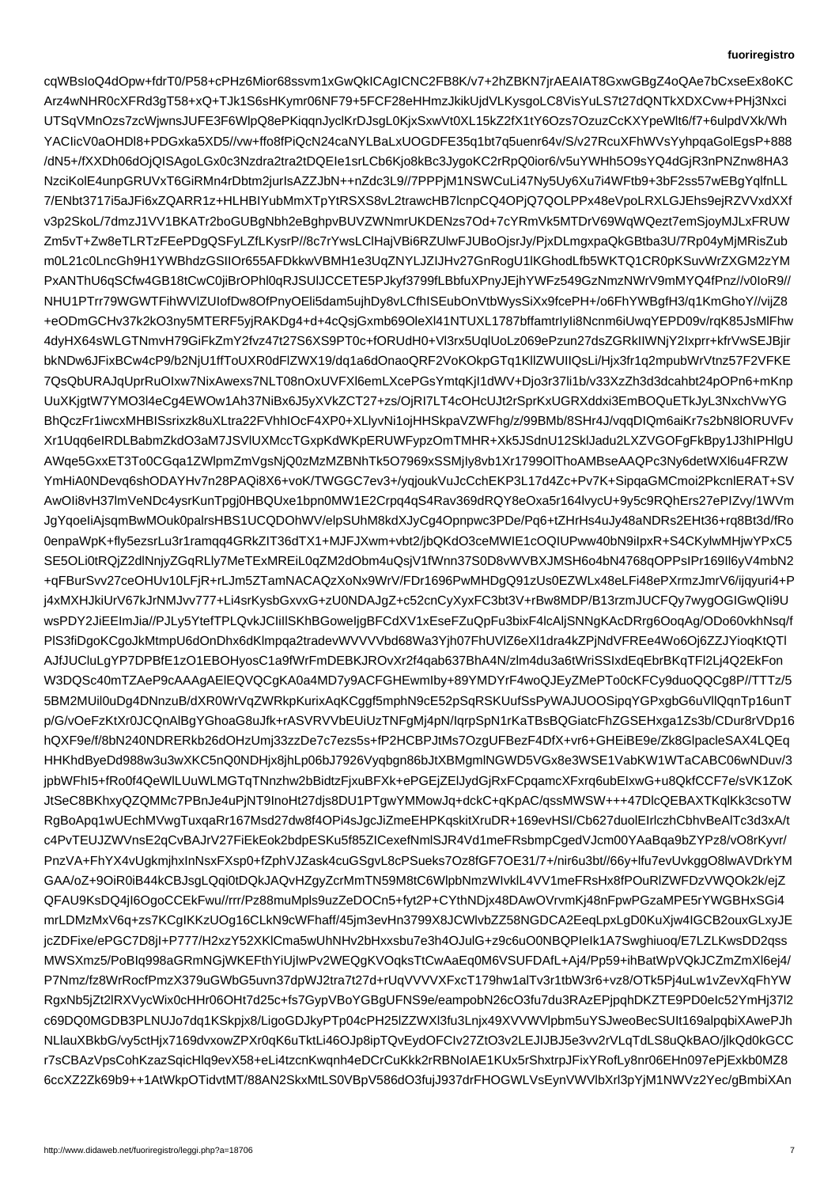cqWBsloQ4dOpw+fdrT0/P58+cPHz6Mior68ssvm1xGwQkICAgICNC2FB8K/v7+2hZBKN7jrAEAIAT8GxwGBgZ4oQAe7bCxseEx8oKC Arz4wNHR0cXFRd3qT58+xQ+TJk1S6sHKymr06NF79+5FCF28eHHmzJkikUjdVLKysgoLC8VisYuLS7t27dQNTkXDXCvw+PHj3Nxci UTSqVMnOzs7zcWjwnsJUFE3F6WlpQ8ePKiqqnJyclKrDJsqL0KjxSxwVt0XL15kZ2fX1tY6Ozs7OzuzCcKXYpeWlt6/f7+6ulpdVXk/Wh YAClicV0aOHDl8+PDGxka5XD5//vw+ffo8fPiQcN24caNYLBaLxUOGDFE35q1bt7q5uenr64v/S/v27RcuXFhWVsYyhpqaGolEqsP+888 /dN5+/fXXDh06dOjQISAgoLGx0c3Nzdra2tra2tDQEle1srLCb6Kjo8kBc3JygoKC2rRpQ0ior6/v5uYWHh5O9sYQ4dGjR3nPNZnw8HA3 NzciKolE4unpGRUVxT6GiRMn4rDbtm2jurlsAZZJbN++nZdc3L9//7PPPjM1NSWCuLi47Ny5Uy6Xu7i4WFtb9+3bF2ss57wEBgYqlfnLL 7/ENbt3717i5aJFi6xZQARR1z+HLHBIYubMmXTpYtRSXS8vL2trawcHB7lcnpCQ4OPjQ7QOLPPx48eVpoLRXLGJEhs9ejRZVVxdXXf v3p2SkoL/7dmzJ1VV1BKATr2boGUBgNbh2eBghpvBUVZWNmrUKDENzs7Od+7cYRmVk5MTDrV69WqWQezt7emSjoyMJLxFRUW Zm5vT+Zw8eTLRTzFEePDgQSFyLZfLKysrP//8c7rYwsLClHajVBi6RZUlwFJUBoOjsrJy/PjxDLmgxpaQkGBtba3U/7Rp04yMjMRisZub m0L21c0LncGh9H1YWBhdzGSIIOr655AFDkkwVBMH1e3UqZNYLJZIJHv27GnRogU1IKGhodLfb5WKTQ1CR0pKSuvWrZXGM2zYM PxANThU6qSCfw4GB18tCwC0jiBrOPhl0qRJSUIJCCETE5PJkyf3799fLBbfuXPnyJEjhYWFz549GzNmzNWrV9mMYQ4fPnz//v0loR9// NHU1PTrr79WGWTFihWVIZUIofDw8OfPnyOEli5dam5ujhDy8vLCfhISEubOnVtbWysSiXx9fcePH+/o6FhYWBqfH3/q1KmGhoY//vijZ8 +eODmGCHv37k2kO3ny5MTERF5yjRAKDq4+d+4cQsjGxmb69OleXl41NTUXL1787bffamtrlyli8Ncnm6iUwqYEPD09v/rqK85JsMlFhw 4dyHX64sWLGTNmvH79GiFkZmY2fvz47t27S6XS9PT0c+fORUdH0+Vl3rx5UqlUoLz069ePzun27dsZGRkIIWNjY2lxprr+kfrVwSEJBjir bkNDw6JFixBCw4cP9/b2NiU1ffToUXR0dFIZWX19/da1a6dOnaoQRF2VoKOkpGTa1KIIZWUIIQsLi/Hix3fr1a2mpubWrVtnz57F2VFKE 7QsQbURAJqUprRuOlxw7NixAwexs7NLT08nOxUVFXl6emLXcePGsYmtqKjl1dWV+Djo3r37li1b/v33XzZh3d3dcahbt24pOPn6+mKnp UuXKjgtW7YMO3I4eCg4EWOw1Ah37NiBx6J5yXVkZCT27+zs/OjRI7LT4cOHcUJt2rSprKxUGRXddxi3EmBOQuETkJyL3NxchVwYG BhQczFr1iwcxMHBISsrixzk8uXLtra22FVhhIOcF4XP0+XLIyvNi1ojHHSkpaVZWFhg/z/99BMb/8SHr4J/vqqDIQm6aiKr7s2bN8lORUVFv Xr1Uqq6eIRDLBabmZkdO3aM7JSVIUXMccTGxpKdWKpERUWFypzOmTMHR+Xk5JSdnU12SkIJadu2LXZVGOFgFkBpy1J3hIPHlgU AWge5GxxET3To0CGga1ZWlpmZmVgsNiQ0zMzMZBNhTk5O7969xSSMjly8vb1Xr1799OlThoAMBseAAQPc3Ny6detWXl6u4FRZW YmHiA0NDevq6shODAYHv7n28PAQi8X6+voK/TWGGC7ev3+/yqjoukVuJcCchEKP3L17d4Zc+Pv7K+SipqaGMCmoi2PkcnlERAT+SV AwOli8vH37ImVeNDc4ysrKunTpgj0HBQUxe1bpn0MW1E2Crpg4gS4Rav369dRQY8eOxa5r164lvycU+9y5c9RQhErs27ePlZvy/1WVm JqYqoeliAjsqmBwMOuk0palrsHBS1UCQDOhWV/elpSUhM8kdXJyCq4Opnpwc3PDe/Pq6+tZHrHs4uJy48aNDRs2EHt36+rq8Bt3d/fRo 0enpaWpK+fly5ezsrLu3r1ramqq4GRkZIT36dTX1+MJFJXwm+vbt2/jbQKdO3ceMWIE1cOQIUPww40bN9ilpxR+S4CKylwMHjwYPxC5 SE5OLi0tRQjZ2dlNnjyZGqRLly7MeTExMREiL0qZM2dObm4uQsjV1fWnn37S0D8vWVBXJMSH6o4bN4768qOPPslPr169ll6yV4mbN2 +qFBurSvv27ceOHUv10LFjR+rLJm5ZTamNACAQzXoNx9WrV/FDr1696PwMHDqQ91zUs0EZWLx48eLFi48ePXrmzJmrV6/ijqyuri4+P j4xMXHJkiUrV67kJrNMJvv777+Li4srKysbGxvxG+zU0NDAJgZ+c52cnCyXyxFC3bt3V+rBw8MDP/B13rzmJUCFQy7wygOGIGwQIi9U wsPDY2JiEEImJia//PJLy5YtefTPLQvkJCIiIISKhBGoweIjgBFCdXV1xEseFZuQpFu3bixF4IcAljSNNgKAcDRrg6OogAg/ODo60vkhNsq/f PIS3fiDgoKCgoJkMtmpU6dOnDhx6dKImpga2tradevWVVVVbd68Wa3Yjh07FhUVIZ6eXI1dra4kZPjNdVFREe4Wo6Oj6ZZJYioqKtQTI AJfJUCluLgYP7DPBfE1zO1EBOHyosC1a9fWrFmDEBKJROvXr2f4qab637BhA4N/zlm4du3a6tWriSSIxdEqEbrBKqTFl2Lj4Q2EkFon W3DQSc40mTZAeP9cAAAqAEIEQVQCqKA0a4MD7y9ACFGHEwmlby+89YMDYrF4woQJEyZMePTo0cKFCy9duoQQCq8P//TTTz/5 5BM2MUil0uDg4DNnzuB/dXR0WrVqZWRkpKurixAqKCggf5mphN9cE52pSqRSKUufSsPyWAJUOOSipqYGPxgbG6uVllQqnTp16unT p/G/vOeFzKtXr0JCQnAlBqYGhoaG8uJfk+rASVRVVbEUiUzTNFqMj4pN/lqrpSpN1rKaTBsBQGiatcFhZGSEHxqa1Zs3b/CDur8rVDp16 hQXF9e/f/8bN240NDRERkb26dOHzUmi33zzDe7c7ezs5s+fP2HCBPJtMs7OzgUFBezF4DfX+vr6+GHEiBE9e/Zk8GlpacleSAX4LQEg HHKhdByeDd988w3u3wXKC5nQ0NDHjx8jhLp06bJ7926Vyqbgn86bJtXBMgmlNGWD5VGx8e3WSE1VabKW1WTaCABC06wNDuv/3 jpbWFhI5+fRo0f4QeWILUuWLMGTqTNnzhw2bBidtzFjxuBFXk+ePGEjZElJydGjRxFCpqamcXFxrq6ubElxwG+u8QkfCCF7e/sVK1ZoK JtSeC8BKhxyQZQMMc7PBnJe4uPjNT9InoHt27djs8DU1PTgwYMMowJq+dckC+qKpAC/qssMWSW+++47DlcQEBAXTKqlKk3csoTW RgBoApq1wUEchMVwgTuxqaRr167Msd27dw8f4OPi4sJgcJiZmeEHPKqskitXruDR+169evHSI/Cb627duolEIrlczhCbhvBeAlTc3d3xA/t c4PvTEUJZWVnsE2qCvBAJrV27FiEkEok2bdpESKu5f85ZICexefNmlSJR4Vd1meFRsbmpCqedVJcm00YAaBqa9bZYPz8/vO8rKyvr/ PnzVA+FhYX4vUgkmjhxInNsxFXsp0+fZphVJZask4cuGSgvL8cPSueks7Oz8fGF7OE31/7+/nir6u3bt//66y+lfu7evUvkggO8lwAVDrkYM GAA/oZ+9OiR0iB44kCBJsqLQqi0tDQkJAQvHZqvZcrMmTN59M8tC6WlpbNmzWIvkIL4VV1meFRsHx8fPOuRIZWFDzVWQOk2k/eiZ QFAU9KsDQ4il6OqoCCEkFwu//rrr/Pz88muMpls9uzZeDOCn5+fyt2P+CYthNDix48DAwOVrvmKj48nFpwPGzaMPE5rYWGBHxSGi4 mrLDMzMxV6q+zs7KCqlKKzUOq16CLkN9cWFhaff/45jm3evHn3799X8JCWlvbZZ58NGDCA2EeqLpxLqD0KuXjw4lGCB2ouxGLxyJE jcZDFixe/ePGC7D8jl+P777/H2xzY52XKlCma5wUhNHv2bHxxsbu7e3h4OJulG+z9c6uO0NBQPlelk1A7Swghiuoq/E7LZLKwsDD2qss MWSXmz5/PoBIq998aGRmNGjWKEFthYiUjIwPv2WEQgKVOqksTtCwAaEq0M6VSUFDAfL+Aj4/Pp59+ihBatWpVQkJCZmZmXl6ej4/ P7Nmz/fz8WrRocfPmzX379uGWbG5uvn37dpWJ2tra7t27d+rUqVVVVXFxcT179hw1alTv3r1tbW3r6+vz8/OTk5Pj4uLw1vZevXqFhYW RgxNb5jZt2lRXVycWix0cHHr06OHt7d25c+fs7GypVBoYGBgUFNS9e/eampobN26cO3fu7du3RAzEPjpqhDKZTE9PD0elc52YmHj37l2 c69DQ0MGDB3PLNUJo7dq1KSkpjx8/LigoGDJkyPTp04cPH25IZZWXl3fu3Lnjx49XVVWVlpbm5uYSJweoBecSUlt169alpqbiXAwePJh NLlauXBkbG/vy5ctHjx7169dvxowZPXr0qK6uTktLi46OJp8ipTQvEydOFCIv27ZtO3v2LEJIJBJ5e3vv2rVLqTdLS8uQkBAO/jlkQd0kGCC r7sCBAzVpsCohKzazSqicHlq9evX58+eLi4tzcnKwqnh4eDCrCuKkk2rRBNoIAE1KUx5rShxtrpJFixYRofLy8nr06EHn097ePjExkb0MZ8 6ccXZ2Zk69b9++1AtWkpOTidvtMT/88AN2SkxMtLS0VBpV586dO3fujJ937drFHOGWLVsEynVWVlbXrl3pYjM1NWVz2Yec/gBmbiXAn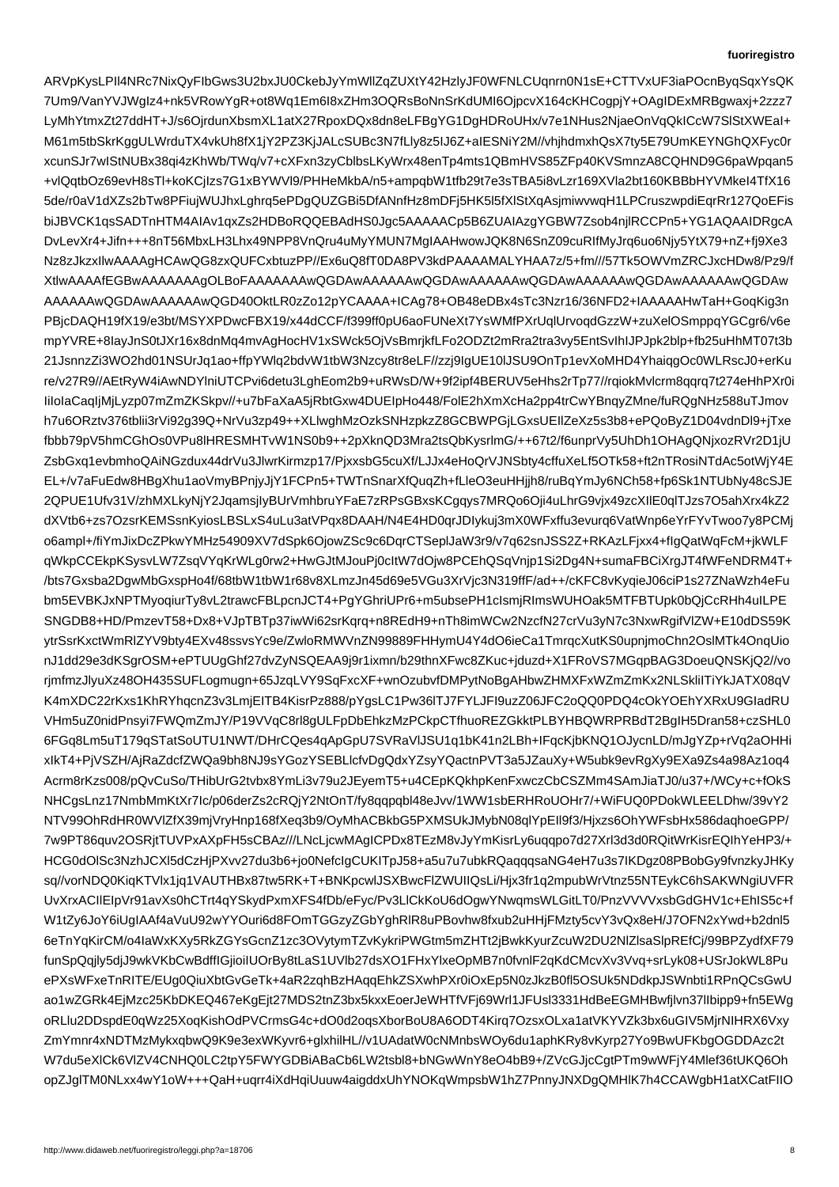ARVpKysLPII4NRc7NixQyFlbGws3U2bxJU0CkebJyYmWllZqZUXtY42HzIyJF0WFNLCUqnrn0N1sE+CTTVxUF3iaPOcnByqSqxYsQK 7Um9/VanYVJWgIz4+nk5VRowYgR+ot8Wq1Em6I8xZHm3OQRsBoNnSrKdUMI6OjpcvX164cKHCogpjY+OAgIDExMRBgwaxj+2zzz7 LyMhYtmxZt27ddHT+J/s6OjrdunXbsmXL1atX27RpoxDQx8dn8eLFBqYG1DqHDRoUHx/v7e1NHus2NjaeOnVqQkICcW7SlStXWEal+ M61m5tbSkrKggULWrduTX4vkUh8fX1jY2PZ3KjJALcSUBc3N7fLly8z5IJ6Z+aIESNiY2M//vhjhdmxhQsX7ty5E79UmKEYNGhQXFyc0r xcunSJr7wlStNUBx38qi4zKhWb/TWq/v7+cXFxn3zyCblbsLKyWrx48enTp4mts1QBmHVS85ZFp40KVSmnzA8CQHND9G6paWpqan5 +vlQqtbOz69evH8sTl+koKCjIzs7G1xBYWVl9/PHHeMkbA/n5+ampqbW1tfb29t7e3sTBA5i8vLzr169XVla2bt160KBBbHYVMkeI4TfX16 5de/r0aV1dXZs2bTw8PFiujWUJhxLghrq5ePDgQUZGBi5DfANnfHz8mDFj5HK5l5fXlStXqAsjmiwvwqH1LPCruszwpdiEqrRr127QoEFis biJBVCK1qsSADTnHTM4AIAv1qxZs2HDBoRQQEBAdHS0Jqc5AAAAACp5B6ZUAIAzqYGBW7Zsob4njlRCCPn5+YG1AQAAIDRgcA DvLevXr4+Jifn+++8nT56MbxLH3Lhx49NPP8VnQru4uMyYMUN7MgIAAHwowJQK8N6SnZ09cuRIfMyJrq6uo6Njy5YtX79+nZ+fj9Xe3 Nz8zJkzxIIwAAAAqHCAwQG8zxQUFCxbtuzPP//Ex6uQ8fT0DA8PV3kdPAAAAMALYHAA7z/5+fm///57Tk5OWVmZRCJxcHDw8/Pz9/f XtlwAAAAfEGBwAAAAAAAAgOLBoFAAAAAAAwQGDAwAAAAAAwQGDAwAAAAAAwQGDAwAAAAAAwQGDAwAAAAAAwQGDAw AAAAAAwQGDAwAAAAAAwQGD40OktLR0zZo12pYCAAAA+ICAq78+OB48eDBx4sTc3Nzr16/36NFD2+IAAAAAHwTaH+GoqKiq3n PBicDAQH19fX19/e3bt/MSYXPDwcFBX19/x44dCCF/f399ff0pU6aoFUNeXt7YsWMfPXrUqlUrvoqdGzzW+zuXelOSmppqYGCqr6/v6e mpYVRE+8layJnS0tJXr16x8dnMq4mvAgHocHV1xSWck5OjVsBmrjkfLFo2ODZt2mRra2tra3vy5EntSvlhlJPJpk2blp+fb25uHhMT07t3b 21JsnnzZi3WO2hd01NSUrJq1ao+ffpYWlq2bdvW1tbW3Nzcv8tr8eLF//zzi9lqUE10lJSU9OnTp1evXoMHD4YhaiqqOc0WLRscJ0+erKu re/v27R9//AEtRyW4iAwNDYIniUTCPvi6detu3LghEom2b9+uRWsD/W+9f2ipf4BERUV5eHhs2rTp77//rqiokMvlcrm8qqrq7t274eHhPXr0i lilolaCaqljMjLyzp07mZmZKSkpv//+u7bFaXaA5jRbtGxw4DUEIpHo448/FolE2hXmXcHa2pp4trCwYBnqyZMne/fuRQqNHz588uTJmov h7u6ORztv376tblii3rVi92g39Q+NrVu3zp49++XLlwghMzOzkSNHzpkzZ8GCBWPGjLGxsUEIIZeXz5s3b8+ePQoByZ1D04vdnDl9+iTxe fbbb79pV5hmCGhOs0VPu8lHRESMHTvW1NS0b9++2pXknQD3Mra2tsQbKysrlmG/++67t2/f6unprVy5UhDh1OHAgQNjxozRVr2D1jU ZsbGxq1evbmhoQAiNGzdux44drVu3JlwrKirmzp17/PjxxsbG5cuXf/LJJx4eHoQrVJNSbty4cffuXeLf5OTk58+ft2nTRosiNTdAc5otWjY4E EL+/v7aFuEdw8HBgXhu1aoVmyBPnjyJjY1FCPn5+TWTnSnarXfQuqZh+fLleO3euHHjjh8/ruBqYmJy6NCh58+fp6Sk1NTUbNy48cSJE 2QPUE1Ufv31V/zhMXLkyNjY2JqamsjIyBUrVmhbruYFaE7zRPsGBxsKCqqys7MRQo6Oji4uLhrG9vjx49zcXIIE0qlTJzs7O5ahXrx4kZ2 dXVtb6+zs7OzsrKEMSsnKyiosLBSLxS4uLu3atVPqx8DAAH/N4E4HD0qrJDIykuj3mX0WFxffu3evurq6VatWnp6eYrFYvTwoo7y8PCMi o6ampl+/fiYmJixDcZPkwYMHz54909XV7dSpk6OjowZSc9c6DqrCTSeplJaW3r9/v7q62snJSS2Z+RKAzLFjxx4+flgQatWqFcM+jkWLF qWkpCCEkpKSysvLW7ZsqVYqKrWLg0rw2+HwGJtMJouPj0cltW7dOjw8PCEhQSqVnjp1Si2Dg4N+sumaFBCiXrgJT4fWFeNDRM4T+ /bts7Gxsba2DgwMbGxspHo4f/68tbW1tbW1r68v8XLmzJn45d69e5VGu3XrVjc3N319ffF/ad++/cKFC8vKyqieJ06ciP1s27ZNaWzh4eFu bm5EVBKJxNPTMyoqiurTy8vL2trawcFBLpcnJCT4+PqYGhriUPr6+m5ubsePH1clsmjRImsWUHOak5MTFBTUpk0bQjCcRHh4uILPE SNGDB8+HD/PmzevT58+Dx8+VJpTBTp37iwWi62srKqrq+n8REdH9+nTh8imWCw2NzcfN27crVu3yN7c3NxwRgifVlZW+E10dDS59K ytrSsrKxctWmRlZYV9bty4EXv48ssvsYc9e/ZwloRMWVnZN99889FHHymU4Y4dO6ieCa1TmrqcXutKS0upnjmoChn2OslMTk4OnqUio nJ1dd29e3dKSgrOSM+ePTUUgGhf27dvZyNSQEAA9j9r1ixmn/b29thnXFwc8ZKuc+jduzd+X1FRoVS7MGqpBAG3DoeuQNSKjQ2//vo rjmfmzJlyuXz48OH435SUFLoamugn+65JzgLVY9SqFxcXF+wnOzubvfDMPytNoBgAHbwZHMXFxWZmZmKx2NLSkliITiYkJATX08qV K4mXDC22rKxs1KhRYhgcnZ3v3LmjEITB4KisrPz888/pYgsLC1Pw36ITJ7FYLJFI9uzZ06JFC2oQQ0PDQ4cOkYOEhYXRxU9GladRU VHm5uZ0nidPnsyi7FWQmZmJY/P19VVqC8rl8qULFpDbEhkzMzPCkpCTfhuoREZGkktPLBYHBQWRPRBdT2BqlH5Dran58+czSHL0 6FGq8Lm5uT179qSTatSoUTU1NWT/DHrCQes4qApGpU7SVRaVIJSU1q1bK41n2LBh+IFqcKibKNQ1OJvcnLD/mJqYZp+rVq2aOHHi xlkT4+PjVSZH/AjRaZdcfZWQa9bh8NJ9sYGozYSEBLlcfvDqQdxYZsyYQactnPVT3a5JZauXy+W5ubk9evRgXy9EXa9Zs4a98Az1oq4 Acrm8rKzs008/pQvCuSo/THibUrG2tvbx8YmLi3v79u2JEyemT5+u4CEpKQkhpKenFxwczCbCSZMm4SAmJiaTJ0/u37+/WCy+c+fOkS NHCgsLnz17NmbMmKtXr7lc/p06derZs2cRQjY2NtOnT/fy8qqpqbl48eJvv/1WW1sbERHRoUOHr7/+WiFUQ0PDokWLEELDhw/39vY2 NTV99OhRdHR0WVIZfX39mjVryHnp168fXeq3b9/OyMhACBkbG5PXMSUkJMybN08qlYpEll9f3/Hjxzs6OhYWFsbHx586daqhoeGPP/ 7w9PT86quv2OSRjtTUVPxAXpFH5sCBAz///LNcLjcwMAgICPDx8TEzM8vJyYmKisrLy6uqqpo7d27Xrl3d3d0RQitWrKisrEQlhYeHP3/+ HCG0dOISc3NzhJCXI5dCzHjPXvv27du3b6+jo0NefcIgCUKITpJ58+a5u7u7ubkRQaqqqsaNG4eH7u3s7lKDgz08PBobGy9fvnzkyJHKy sq//vorNDQ0KiqKTVlx1jq1VAUTHBx87tw5RK+T+BNKpcwlJSXBwcFlZWUIIQsLi/Hjx3fr1q2mpubWrVtnz55NTEykC6hSAKWNqiUVFR UvXrxACIIEIpVr91avXs0hCTrt4qYSkydPxmXFS4fDb/eFyc/Pv3LICkKoU6dOqwYNwqmsWLGitLT0/PnzVVVVxsbGdGHV1c+EhIS5c+f W1tZy6JoY6iUqIAAf4aVuU92wYYOuri6d8FOmTGGzyZGbYqhRIR8uPBovhw8fxub2uHHjFMzty5cvY3vQx8eH/J7OFN2xYwd+b2dnl5 6eTnYqKirCM/o4laWxKXy5RkZGYsGcnZ1zc3OVytymTZvKykriPWGtm5mZHTt2jBwkKyurZcuW2DU2NIZlsaSlpREfCj/99BPZydfXF79 funSpQqjly5djJ9wkVKbCwBdfflGjioiIUOrBy8tLaS1UVlb27dsXO1FHxYlxeOpMB7n0fvnlF2qKdCMcvXv3Vvq+srLyk08+USrJokWL8Pu ePXsWFxeTnRITE/EUg0QiuXbtGvGeTk+4aR2zqhBzHAqqEhkZSXwhPXr0iOxEp5N0zJkzB0fl5OSUk5NDdkpJSWnbti1RPnQCsGwU ao1wZGRk4EjMzc25KbDKEQ467eKgEjt27MDS2tnZ3bx5kxxEoerJeWHTfVFj69Wrl1JFUsl3331HdBeEGMHBwfjlvn37llbipp9+fn5EWg oRLlu2DDspdE0qWz25XoqKishOdPVCrmsG4c+dO0d2oqsXborBoU8A6ODT4Kirq7OzsxOLxa1atVKYVZk3bx6uGIV5MjrNIHRX6Vxy ZmYmnr4xNDTMzMykxqbwQ9K9e3exWKyvr6+glxhilHL//v1UAdatW0cNMnbsWOy6du1aphKRy8vKyrp27Yo9BwUFKbgOGDDAzc2t W7du5eXICk6VIZV4CNHQ0LC2tpY5FWYGDBiABaCb6LW2tsbl8+bNGwWnY8eO4bB9+/ZVcGJjcCqtPTm9wWFjY4Mlef36tUKQ6Oh opZJqlTM0NLxx4wY1oW+++QaH+uqrr4iXdHqiUuuw4aiqddxUhYNOKqWmpsbW1hZ7PnnyJNXDqQMHlK7h4CCAWqbH1atXCatFIIO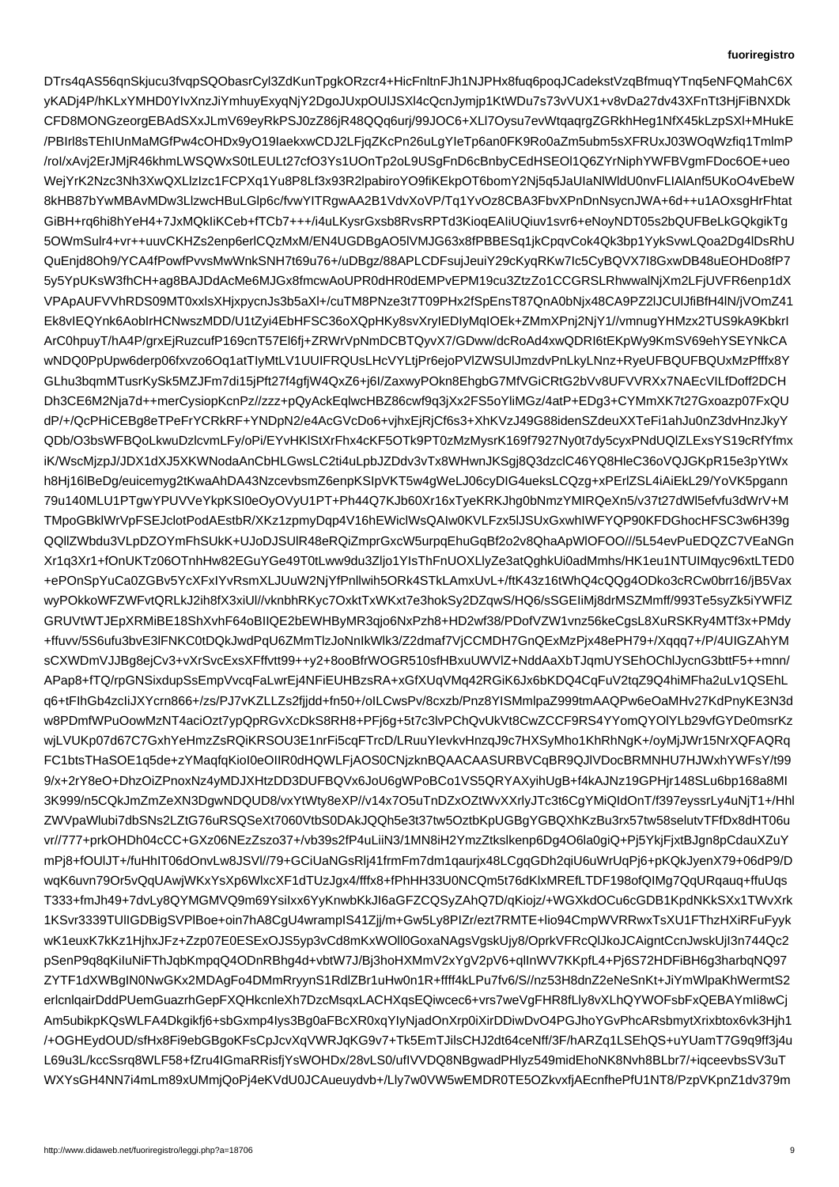DTrs4qAS56qnSkjucu3fvqpSQObasrCyl3ZdKunTpgkORzcr4+HicFnltnFJh1NJPHx8fuq6poqJCadekstVzqBfmuqYTnq5eNFQMahC6X yKADj4P/hKLxYMHD0YlvXnzJiYmhuyExyqNjY2DgoJUxpOUIJSXI4cQcnJymjp1KtWDu7s73vVUX1+v8vDa27dv43XFnTt3HjFiBNXDk CFD8MONGzeorgEBAdSXxJLmV69eyRkPSJ0zZ86jR48QQq6urj/99JOC6+XLl7Oysu7evWtgagrgZGRkhHeg1NfX45kLzpSXI+MHukE /PBIrl8sTEhIUnMaMGfPw4cOHDx9yO19laekxwCDJ2LFjqZKcPn26uLqYIeTp6an0FK9Ro0aZm5ubm5sXFRUxJ03WOqWzfiq1TmlmP /rol/xAvj2ErJMjR46khmLWSQWxS0tLEULt27cfO3Ys1UOnTp2oL9USgFnD6cBnbyCEdHSEOI1Q6ZYrNiphYWFBVgmFDoc6OE+ueo WejYrK2Nzc3Nh3XwQXLlzIzc1FCPXq1Yu8P8Lf3x93R2lpabiroYO9fiKEkpOT6bomY2Nj5q5JaUlaNlWldU0nvFLIAIAnf5UKoO4vEbeW 8kHB87bYwMBAvMDw3LlzwcHBuLGlp6c/fvwYITRgwAA2B1VdvXoVP/Tq1YvOz8CBA3FbvXPnDnNsycnJWA+6d++u1AOxsgHrFhtat GiBH+rg6hi8hYeH4+7JxMQkliKCeb+fTCb7+++/i4uLKvsrGxsb8RvsRPTd3KiogEAliUQiuv1svr6+eNovNDT05s2bQUFBeLkGQkgikTg 5OWmSulr4+vr++uuvCKHZs2enp6erlCQzMxM/EN4UGDBgAO5IVMJG63x8fPBBESq1jkCpqvCok4Qk3bp1YykSvwLQoa2Dg4lDsRhU QuEnjd8Oh9/YCA4fPowfPvvsMwWnkSNH7t69u76+/uDBgz/88APLCDFsujJeuiY29cKyqRKw7lc5CyBQVX7l8GxwDB48uEOHDo8fP7 5y5YpUKsW3fhCH+ag8BAJDdAcMe6MJGx8fmcwAoUPR0dHR0dEMPvEPM19cu3ZtzZo1CCGRSLRhwwalNjXm2LFjUVFR6enp1dX VPApAUFVVhRDS09MT0xxlsXHixpycnJs3b5aXl+/cuTM8PNze3t7T09PHx2fSpEnsT87QnA0bNix48CA9PZ2IJCUIJfiBfH4IN/jVOmZ41 Ek8vIEQYnk6AobIrHCNwszMDD/U1tZyi4EbHFSC36oXQpHKy8svXryIEDIyMqIOEk+ZMmXPnj2NjY1//vmnuqYHMzx2TUS9kA9Kbkrl ArC0hpuyT/hA4P/grxEjRuzcufP169cnT57El6fj+ZRWrVpNmDCBTQyvX7/GDww/dcRoAd4xwQDRI6tEKpWy9KmSV69ehYSEYNkCA wNDQ0PpUpw6derp06fxvzo6Oq1atTlvMtLV1UUIFRQUsLHcVYLtiPr6eioPVlZWSUIJmzdvPnLkvLNnz+RveUFBQUFBQUxMzPfffx8Y GLhu3bqmMTusrKySk5MZJFm7di15jPft27f4gfjW4QxZ6+j6l/ZaxwyPOkn8EhgbG7MfVGiCRtG2bVv8UFVVRXx7NAEcVILfDoff2DCH Dh3CE6M2Nja7d++merCysiopKcnPz//zzz+pQyAckEqlwcHBZ86cwf9q3jXx2FS5oYliMGz/4atP+EDg3+CYMmXK7t27Gxoazp07FxQU dP/+/QcPHiCEBg8eTPeFrYCRkRF+YNDpN2/e4AcGVcDo6+vjhxEjRjCf6s3+XhKVzJ49G88idenSZdeuXXTeFi1ahJu0nZ3dvHnzJkyY QDb/O3bsWFBQoLkwuDzlcvmLFy/oPi/EYvHKlStXrFhx4cKF5OTk9PT0zMzMysrK169f7927Ny0t7dy5cyxPNdUQlZLExsYS19cRfYfmx iK/WscMizpJ/JDX1dXJ5XKWNodaAnCbHLGwsLC2ti4uLpbJZDdv3vTx8WHwnJKSqj8Q3dzclC46YQ8HleC36oVQJGKpR15e3pYtWx h8Hj16lBeDg/euicemyg2tKwaAhDA43NzcevbsmZ6enpKSIpVKT5w4gWeLJ06cyDIG4ueksLCQzg+xPErlZSL4iAiEkL29/YoVK5pgann 79u140MLU1PTqwYPUVVeYkpKSI0eOyOVyU1PT+Ph44Q7KJb60Xr16xTyeKRKJhq0bNmzYMIRQeXn5/v37t27dWl5efvfu3dWrV+M TMpoGBkIWrVpFSEJclotPodAEstbR/XKz1zpmyDqp4V16hEWiclWsQAIw0KVLFzx5IJSUxGxwhIWFYQP90KFDGhocHFSC3w6H39q QQIIZWbdu3VLpDZOYmFhSUkK+UJoDJSUIR48eRQiZmprGxcW5urpqEhuGqBf2o2v8QhaApWIOFOO///5L54evPuEDQZC7VEaNGn Xr1q3Xr1+fOnUKTz06OTnhHw82EGuYGe49T0tLww9du3Zljo1YIsThFnUOXLlyZe3atQqhkUi0adMmhs/HK1eu1NTUIMqyc96xtLTED0 +ePOnSpYuCa0ZGBv5YcXFxIYvRsmXLJUuW2NjYfPnllwih5ORk4STkLAmxUvL+/ftK43z16tWhQ4cQQg4ODko3cRCw0brr16/jB5Vax wyPOkkoWFZWFvtQRLkJ2ih8fX3xiUl//vknbhRKyc7OxktTxWKxt7e3hokSy2DZqwS/HQ6/sSGEIiMj8drMSZMmff/993Te5syZk5iYWFlZ GRUVtWTJEpXRMiBE18ShXvhF64oBIIQE2bEWHByMR3qjo6NxPzh8+HD2wf38/PDofVZW1vnz56keCgsL8XuRSKRy4MTf3x+PMdy +ffuvv/5S6ufu3bvE3lFNKC0tDQkJwdPqU6ZMmTlzJoNnlkWlk3/Z2dmaf7VjCCMDH7GnQExMzPjx48ePH79+/Xqqq7+/P/4UIGZAhYM sCXWDmVJJBg8ejCv3+vXrSvcExsXFffvtt99++y2+8ooBfrWOGR510sfHBxuUWVlZ+NddAaXbTJqmUYSEhOChlJycnG3bttF5++mnn/ APap8+fTQ/rpGNSixdupSsEmpVvcqFaLwrEj4NFiEUHBzsRA+xGfXUqVMq42RGiK6Jx6bKDQ4CqFuV2tqZ9Q4hiMFha2uLv1QSEhL g6+tFlhGb4zcliJXYcrn866+/zs/PJ7vKZLLZs2fijdd+fn50+/olLCwsPv/8cxzb/Pnz8YISMmlpaZ999tmAAQPw6eOaMHv27KdPnyKE3N3d w8PDmfWPuOowMzNT4aciOzt7ypQpRGvXcDkS8RH8+PFj6q+5t7c3lvPChQvUkVt8CwZCCF9RS4YYomQYOlYLb29vfGYDe0msrKz wiLVUKp07d67C7GxhYeHmzZsRQiKRSOU3E1nrFi5caFTrcD/LRuuYlevkvHnzaJ9c7HXSvMho1KhRhNaK+/ovMiJWr15NrXQFAQRg FC1btsTHaSOE1q5de+zYMaqfqKioI0eOIIR0dHQWLFjAOS0CNjzknBQAACAASURBVCqBR9QJIVDocBRMNHU7HJWxhYWFsY/t99 9/x+2rY8eO+DhzOiZPnoxNz4yMDJXHtzDD3DUFBQVx6JoU6gWPoBCo1VS5QRYAXyihUgB+f4kAJNz19GPHjr148SLu6bp168a8MI 3K999/n5CQkJmZmZeXN3DgwNDQUD8/vxYtWty8eXP//v14x7O5uTnDZxOZtWvXXrlyJTc3t6CqYMiQldOnT/f397eyssrLy4uNjT1+/Hhl ZWVpaWlubi7dbSNs2LZtG76uRSQSeXt7060VtbS0DAkJQQh5e3t37tw5OztbKpUGBgYGBQXhKzBu3rx57tw58selutvTFfDx8dHT06u vr//777+prkOHDh04cCC+GXz06NEzZszo37+/vb39s2fP4uLiiN3/1MN8iH2YmzZtkslkenp6Dq4O6la0qiQ+Pj5YkjFjxtBJqn8pCdauXZuY mPj8+fOUIJT+/fuHhIT06dOnvLw8JSVI//79+GCiUaNGsRIj41frmFm7dm1qaurjx48LCgqGDh2qiU6uWrUqPj6+pKQkJyenX79+06dP9/D wqK6uvn79Or5vQqUAwjWKxYsXp6WlxcXF1dTUzJqx4/fffx8+fPhHH33U0NCQm5t76dKlxMREfLTDF198ofQlMq7QqURqauq+ffuUqs T333+fmJh49+7dvLy8QYMGMVQ9m69Ysilxx6YyKnwbKkJl6aGFZCQSyZAhQ7D/qKiojz/+WGXkdOCu6cGDB1KpdNKkSXx1TWvXrk 1KSvr3339TUIIGDBigSVPIBoe+oin7hA8CqU4wrampIS41Zjj/m+Gw5Ly8PIZr/ezt7RMTE+lio94CmpWVRRwxTsXU1FThzHXiRFuFyyk wK1euxK7kKz1HjhxJFz+Zzp07E0ESExOJS5yp3vCd8mKxWOll0GoxaNAgsVgskUjy8/OprkVFRcQlJkoJCAigntCcnJwskUjl3n744Qc2 pSenP9q8qKiluNiFThJqbKmpqQ4ODnRBhq4d+vbtW7J/Bj3hoHXMmV2xYqV2pV6+qllnWV7KKpfL4+Pj6S72HDFiBH6g3harbqNQ97 ZYTF1dXWBglN0NwGKx2MDAgFo4DMmRryynS1RdlZBr1uHw0n1R+ffff4kLPu7fv6/S//nz53H8dnZ2eNeSnKt+JiYmWlpaKhWermtS2 erlcnlqairDddPUemGuazrhGepFXQHkcnleXh7DzcMsqxLACHXqsEQiwcec6+vrs7weVgFHR8fLly8vXLhQYWOFsbFxQEBAYmli8wCj Am5ubikpKQsWLFA4Dkgikfj6+sbGxmp4lys3Bq0aFBcXR0xqYlyNjadOnXrp0iXirDDiwDvO4PGJhoYGvPhcARsbmytXrixbtox6vk3Hjh1 /+OGHEydOUD/sfHx8Fi9ebGBgoKFsCpJcvXqVWRJqKG9v7+Tk5EmTJilsCHJ2dt64ceNff/3F/hARZq1LSEhQS+uYUamT7G9q9ff3j4u L69u3L/kccSsrq8WLF58+fZru4IGmaRRisfjYsWOHDx/28vLS0/uflVVDQ8NBgwadPHlyz549midEhoNK8Nvh8BLbr7/+iqceevbsSV3uT WXYsGH4NN7i4mLm89xUMmjQoPj4eKVdU0JCAueuydvb+/Lly7w0VW5wEMDR0TE5OZkvxfjAEcnfhePfU1NT8/PzpVKpnZ1dv379m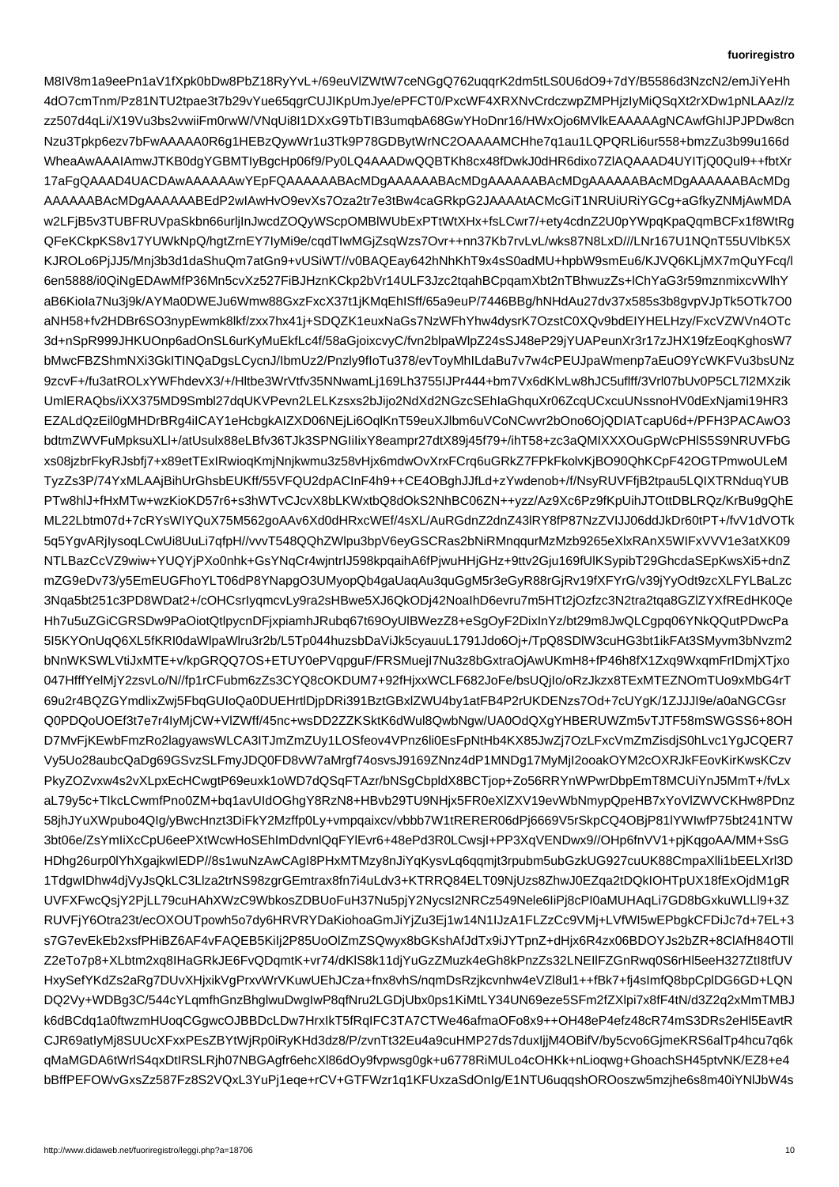M8IV8m1a9eePn1aV1fXpk0bDw8PbZ18RyYvL+/69euVIZWtW7ceNGgQ762uqqrK2dm5tLS0U6dO9+7dY/B5586d3NzcN2/emJiYeHh 4dO7cmTnm/Pz81NTU2tpae3t7b29vYue65qgrCUJIKpUmJye/ePFCT0/PxcWF4XRXNvCrdczwpZMPHjzlyMiQSqXt2rXDw1pNLAAz//z zz507d4qLi/X19Vu3bs2vwiiFm0rwW/VNqUi8I1DXxG9TbTIB3umqbA68GwYHoDnr16/HWxOjo6MVlkEAAAAAqNCAwfGhIJPJPDw8cn Nzu3Tpkp6ezv7bFwAAAAA0R6g1HEBzQywWr1u3Tk9P78GDBytWrNC2OAAAAMCHhe7g1au1LQPQRLi6ur558+bmzZu3b99u166d WheaAwAAAIAmwJTKB0dgYGBMTIyBgcHp06f9/Py0LQ4AAADwQQBTKh8cx48fDwkJ0dHR6dixo7ZIAQAAAD4UYITjQ0Qul9++fbtXr 17aFgQAAAD4UACDAwAAAAAAWYEpFQAAAAAABAcMDgAAAAAABAcMDgAAAAAABAcMDgAAAAAABAcMDgAAAAAABAcMDg AAAAAABAcMDgAAAAAABEdP2wIAwHvO9evXs7Oza2tr7e3tBw4caGRkpG2JAAAAtACMcGiT1NRUiURiYGCg+aGfkyZNMjAwMDA w2LFjB5v3TUBFRUVpaSkbn66urljInJwcdZOQyWScpOMBIWUbExPTtWtXHx+fsLCwr7/+ety4cdnZ2U0pYWpqKpaQqmBCFx1f8WtRg QFeKCkpKS8v17YUWkNpQ/hgtZrnEY7lyMi9e/cqdTlwMGjZsqWzs7Ovr++nn37Kb7rvLvL/wks87N8LxD///LNr167U1NQnT55UVlbK5X KJROLo6PjJJ5/Mnj3b3d1daShuQm7atGn9+vUSiWT//v0BAQEay642hNhKhT9x4sS0adMU+hpbW9smEu6/KJVQ6KLjMX7mQuYFcq/l 6en5888/i0QiNgEDAwMfP36Mn5cvXz527FiBJHznKCkp2bVr14ULF3Jzc2tqahBCpqamXbt2nTBhwuzZs+IChYaG3r59mznmixcvWlhY aB6Kiola7Nu3j9k/AYMa0DWEJu6Wmw88GxzFxcX37t1jKMqEhISff/65a9euP/7446BBq/hNHdAu27dv37x585s3b8qvpVJpTk5OTk7O0 aNH58+fv2HDBr6SO3nypEwmk8lkf/zxx7hx41j+SDQZK1euxNaGs7NzWFhYhw4dysrK7OzstC0XQv9bdElYHELHzy/FxcVZWVn4OTc 3d+nSpR999JHKUOnp6adOnSL6urKyMuEkfLc4f/58aGjoixcvyC/fvn2blpaWlpZ24sSJ48eP29jYUAPeunXr3r17zJHX19fzEoqKghosW7 bMwcFBZShmNXi3GkITINQaDgsLCvcnJ/lbmUz2/Pnzlv9floTu378/evTovMhILdaBu7v7w4cPEUJpaWmenp7aEuO9YcWKFVu3bsUNz 9zcvF+/fu3atROLxYWFhdevX3/+/Hltbe3WrVtfv35NNwamLj169Lh3755IJPr444+bm7Vx6dKlvLw8hJC5uflff/3Vrl07bUv0P5CL7l2MXzik UmlERAQbs/iXX375MD9Smbl27dqUKVPevn2LELKzsxs2bJijo2NdXd2NGzcSEhlaGhquXr06ZcqUCxcuUNssnoHV0dExNjami19HR3 EZALdQzEil0gMHDrBRg4ilCAY1eHcbgkAlZXD06NEjLi6OqlKnT59euXJlbm6uVCoNCwvr2bOno6OjQDIATcapU6d+/PFH3PACAwO3 bdtmZWVFuMpksuXLI+/atUsulx88eLBfv36TJk3SPNGlilixY8eampr27dtX89j45f79+/ihT58+zc3aQMIXXXOuGpWcPHIS5S9NRUVFbG xs08izbrFkyRJsbfi7+x89etTExIRwioqKmjNnjkwmu3z58vHjx6mdwOvXrxFCrq6uGRkZ7FPkFkolvKjBO90QhKCpF42OGTPmwoULeM TyzZs3P/74YxMLAAjBihUrGhsbEUKff/55VFQU2dpACInF4h9++CE4OBghJJfLd+zYwdenob+/f/NsyRUVFfjB2tpau5LQIXTRNduqYUB PTw8hlJ+fHxMTw+wzKioKD57r6+s3hWTvCJcvX8bLKWxtbQ8dOkS2NhBC06ZN++yzz/Az9Xc6Pz9fKpUihJTOttDBLRQz/KrBu9qQhE ML22Lbtm07d+7cRYsWIYQuX75M562qoAAv6Xd0dHRxcWEf/4sXL/AuRGdnZ2dnZ43lRY8fP87NzZVIJJ06ddJkDr60tPT+/fvV1dVOTk 5q5YgvARjIysoqLCwUi8UuLi7qfpH//vvvT548QQhZWlpu3bpV6eyGSCRas2bNiRMnqqurMzMzb9265eXlxRAnX5WIFxVVV1e3atXK09 NTLBazCcVZ9wiw+YUQYjPXo0nhk+GsYNqCr4wjntrlJ598kpqaihA6fPjwuHHjGHz+9ttv2Gju169fUlKSypibT29GhcdaSEpKwsXi5+dnZ mZG9eDv73/y5EmEUGFhoYLT06dP8YNapgO3UMyopQb4gaUaqAu3quGgM5r3eGyR88rGjRv19fXFYrG/v39jYyOdt9zcXLFYLBaLzc 3Nqa5bt251c3PD8WDat2+/cOHCsrlyqmcvLy9ra2sHBwe5XJ6QkODj42NoalhD6evru7m5HTt2jOzfzc3N2tra2tqa8GZlZYXfREdHK0Qe Hh7u5uZGiCGRSDw9PaOiotQtlpycnDFjxpiamhJRubq67t69OyUlBWezZ8+eSqOyF2DixInYz/bt29m8JwQLCqpq06YNkQQutPDwcPa 5I5KYOnUqQ6XL5fKRI0daWlpaWlru3r2b/L5Tp044huzsbDaViJk5cyauuL1791Jdo6Oj+/TpQ8SDIW3cuHG3bt1ikFAt3SMyvm3bNvzm2 bNnWKSWLVtiJxMTE+v/kpGRQQ7OS+ETUY0ePVqpguF/FRSMuejI7Nu3z8bGxtraOjAwUKmH8+fP46h8fX1Zxq9WxqmFrIDmjXTjxo 047HfffYelMjY2zsvLo/N//fp1rCFubm6zZs3CYQ8cOKDUM7+92fHjxxWCLF682JoFe/bsUQjlo/oRzJkzx8TExMTEZNOmTUo9xMbG4rT 69u2r4BQZGYmdlixZwj5FbqGUIoQa0DUEHrtlDjpDRi391BztGBxlZWU4by1atFB4P2rUKDENzs7Od+7cUYqK/1ZJJJJ9e/a0aNGCGsr Q0PDQoUOEf3t7e7r4IvMjCW+VIZWff/45nc+wsDD2ZZKSktK6dWul8QwbNqw/UA0OdQXqYHBERUWZm5vTJTF58mSWGSS6+8OH D7MvFiKEwbFmzRo2lagyawsWLCA3ITJmZmZUv1LOSfeov4VPnz6li0EsFpNtHb4KX85JwZi7OzLFxcVmZmZisdiS0hLvc1YgJCQER7 Vy5Uo28aubcQaDg69GSvzSLFmyJDQ0FD8vW7aMrgf74osvsJ9169ZNnz4dP1MNDg17MyMjI2ooakOYM2cOXRJkFEovKirKwsKCzv PkyZOZvxw4s2vXLpxEcHCwgtP69euxk1oWD7dQSqFTAzr/bNSqCbpldX8BCTjop+Zo56RRYnWPwrDbpEmT8MCUiYnJ5MmT+/fvLx aL79y5c+TlkcLCwmfPno0ZM+bq1avUldOGhgY8RzN8+HBvb29TU9NHjx5FR0eXIZXV19evWbNmypQpeHB7xYoVIZWVCKHw8PDnz 58jhJYuXWpubo4Qlg/yBwcHnzt3DiFkY2Mzffp0Ly+vmpqaixcv/vbbb7W1tRERER06dPj6669V5rSkpCQ4OBjP81lYWlwfP75bt241NTW 3bt06e/ZsYmliXcCpU6eePXtWcwHoSEhlmDdvnlQqFYlEvr6+48ePd3R0LCwsjI+PP3XqVENDwx9//OHp6fnVV1+pjKqqoAA/MM+SsG HDhg26urp0lYhXgajkwIEDP//8s1wuNzAwCAgI8PHxMTMzy8nJiYqKysvLq6qqmjt3rpubm5ubGzkUG927cuUK88CmpaXlli1bEELXrl3D 1TdgwIDhw4djVyJsQkLC3Llza2trNS98zgrGEmtrax8fn7i4uLdv3+KTRRQ84ELT09NjUzs8ZhwJ0EZga2tDQkIOHTpUX18fExOjdM1gR UVFXFwcQsjY2PjLL79cuHAhXWzC9WbkosZDBUoFuH37Nu5pjY2NycsI2NRCz549Nele6liPj8cPl0aMUHAqLi7GD8bGxkuWLLl9+3Z RUVFjY6Otra23t/ecOXOUTpowh5o7dy6HRVRYDaKiohoaGmJiYjZu3Ej1w14N1IJzA1FLZzCc9VMj+LVfWI5wEPbqkCFDiJc7d+7EL+3 s7G7evEkEb2xsfPHiBZ6AF4vFAQEB5KiIj2P85UoOIZmZSQwyx8bGKshAfJdTx9iJYTpnZ+dHjx6R4zx06BDOYJs2bZR+8ClAfH84OTII Z2eTo7p8+XLbtm2xq8lHaGRkJE6FvQDqmtK+vr74/dKlS8k11djYuGzZMuzk4eGh8kPnzZs32LNEIIFZGnRwq0S6rHl5eeH327Ztl8tfUV HxySefYKdZs2aRg7DUvXHjxikVgPrxvWrVKuwUEhJCza+fnx8vhS/ngmDsRzjkcvnhw4eVZl8ul1++fBk7+fj4sImfQ8bpCpIDG6GD+LQN DQ2Vy+WDBq3C/544cYLqmfhGnzBhglwuDwqIwP8qfNru2LGDjUbx0ps1KiMtLY34UN69eze5SFm2fZXlpi7x8fF4tN/d3Z2q2xMmTMBJ k6dBCdq1a0ftwzmHUoqCGqwcOJBBDcLDw7HrxlkT5fRqlFC3TA7CTWe46afmaOFo8x9++OH48eP4efz48cR74mS3DRs2eHl5EavtR CJR69atlyMj8SUUcXFxxPEsZBYtWjRp0iRyKHd3dz8/P/zvnTt32Eu4a9cuHMP27ds7duxljjM4OBifV/by5cvo6GjmeKRS6alTp4hcu7q6k qMaMGDA6tWrlS4qxDtlRSLRjh07NBGAgfr6ehcXl86dOy9fvpwsg0gk+u6778RiMULo4cOHKk+nLioqwg+GhoachSH45ptvNK/EZ8+e4 bBffPEFOWvGxsZz587Fz8S2VQxL3YuPj1eqe+rCV+GTFWzr1q1KFUxzaSdOnIq/E1NTU6uqqshOROoszw5mzjhe6s8m40iYNlJbW4s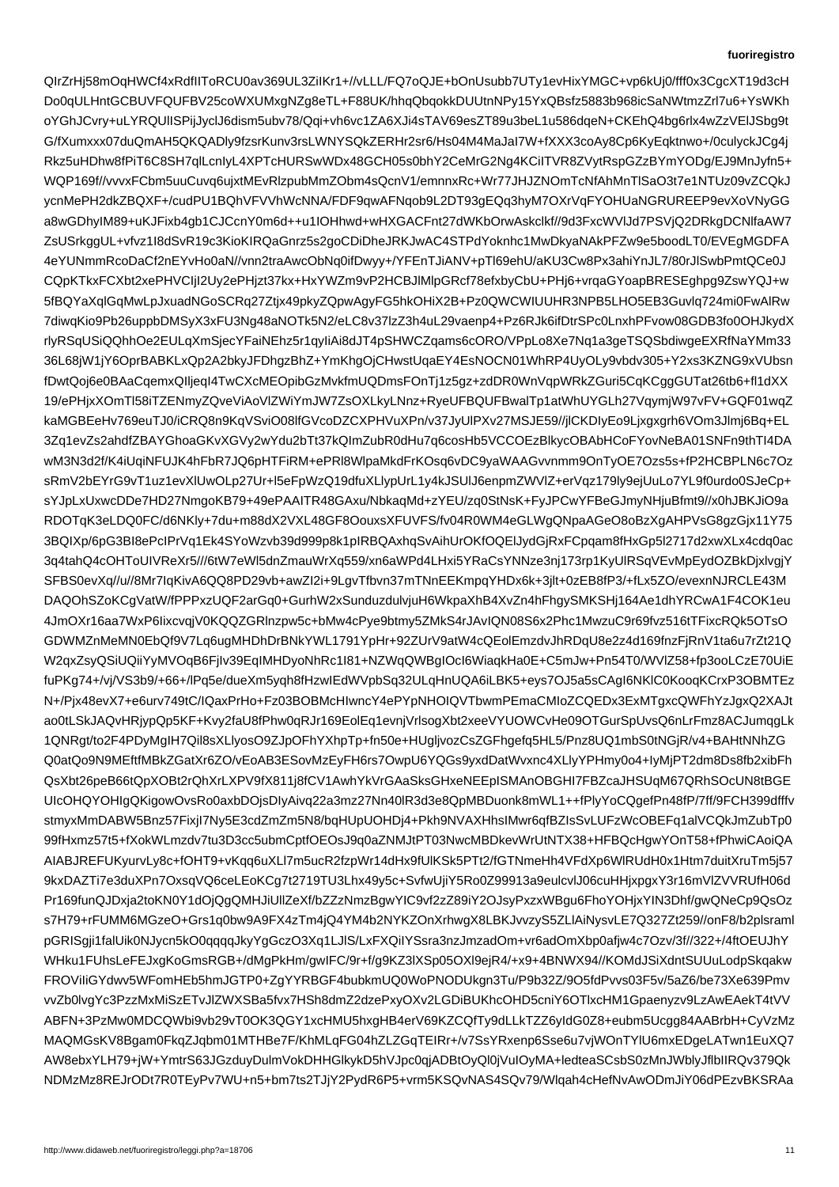QIrZrHj58mOqHWCf4xRdfIIToRCU0av369UL3ZiIKr1+//vLLL/FQ7oQJE+bOnUsubb7UTy1evHixYMGC+vp6kUj0/fff0x3CgcXT19d3cH Do0qULHntGCBUVFQUFBV25coWXUMxqNZq8eTL+F88UK/hhqQbqokkDUUtnNPy15YxQBsfz5883b968icSaNWtmzZrl7u6+YsWKh oYGhJCvry+uLYRQUIISPijJyclJ6dism5ubv78/Qqi+vh6vc1ZA6XJi4sTAV69esZT89u3beL1u586dqeN+CKEhQ4bq6rlx4wZzVElJSbq9t G/fXumxxx07duQmAH5QKQADly9fzsrKunv3rsLWNYSQkZERHr2sr6/Hs04M4MaJaI7W+fXXX3coAy8Cp6KyEqktnwo+/0culyckJCq4i Rkz5uHDhw8fPiT6C8SH7qlLcnlyL4XPTcHURSwWDx48GCH05s0bhY2CeMrG2Ng4KCiITVR8ZVytRspGZzBYmYODg/EJ9MnJyfn5+ WQP169f//vvvxFCbm5uuCuvq6ujxtMEvRlzpubMmZObm4sQcnV1/emnnxRc+Wr77JHJZNOmTcNfAhMnTlSaO3t7e1NTUz09vZCQkJ ycnMePH2dkZBQXF+/cudPU1BQhVFVVhWcNNA/FDF9qwAFNqob9L2DT93gEQq3hyM7OXrVqFYOHUaNGRUREEP9evXoVNyGG a8wGDhyIM89+uKJFixb4gb1CJCcnY0m6d++u1IOHhwd+wHXGACFnt27dWKbOrwAskclkf//9d3FxcWVIJd7PSViQ2DRkgDCNIfaAW7 ZsUSrkggUL+vfvz1l8dSvR19c3KioKIRQaGnrz5s2goCDiDheJRKJwAC4STPdYoknhc1MwDkyaNAkPFZw9e5boodLT0/EVEgMGDFA 4eYUNmmRcoDaCf2nEYvHo0aN//vnn2traAwcObNq0ifDwyy+/YFEnTJiANV+pTl69ehU/aKU3Cw8Px3ahiYnJL7/80rJlSwbPmtQCe0J CQpKTkxFCXbt2xePHVCljl2Uy2ePHjzt37kx+HxYWZm9vP2HCBJlMlpGRcf78efxbyCbU+PHj6+vrqaGYoapBRESEghpg9ZswYQJ+w 5fBQYaXqlGqMwLpJxuadNGoSCRq27Ztjx49pkyZQpwAqyFG5hkOHiX2B+Pz0QWCWIUUHR3NPB5LHO5EB3Guvlq724mi0FwAlRw 7diwqKio9Pb26uppbDMSyX3xFU3Nq48aNOTk5N2/eLC8v37lzZ3h4uL29vaenp4+Pz6RJk6ifDtrSPc0LnxhPFvow08GDB3fo0OHJkydX rlyRSqUSiQQhhOe2EULqXmSjecYFaiNEhz5r1qyliAi8dJT4pSHWCZqams6cORO/VPpLo8Xe7Nq1a3geTSQSbdiwgeEXRfNaYMm33 36L68jW1jY6OprBABKLxQp2A2bkyJFDhgzBhZ+YmKhgOjCHwstUqaEY4EsNOCN01WhRP4UyOLy9vbdv305+Y2xs3KZNG9xVUbsn fDwtQoj6e0BAaCqemxQlljeql4TwCXcMEOpibGzMvkfmUQDmsFOnTj1z5gz+zdDR0WnVqpWRkZGuri5CqKCqgGUTat26tb6+fl1dXX 19/ePHjxXOmTl58iTZENmyZQveViAoVlZWiYmJW7ZsOXLkyLNnz+RyeUFBQUFBwalTp1atWhUYGLh27VqymjW97vFV+GQF01wqZ kaMGBEeHv769euTJ0/iCRQ8n9KqVSviO08lfGVcoDZCXPHVuXPn/v37JyUlPXv27MSJE59//jlCKDlyEo9Ljxgxgrh6VOm3Jlmj6Bq+EL 3Zq1evZs2ahdfZBAYGhoaGKvXGVy2wYdu2bTt37kQlmZubR0dHu7q6cosHb5VCCOEzBlkycOBAbHCoFYovNeBA01SNFn9thTl4DA wM3N3d2f/K4iUqiNFUJK4hFbR7JQ6pHTFiRM+ePRI8WlpaMkdFrKOsq6vDC9yaWAAGvvnmm9OnTyOE7Ozs5s+fP2HCBPLN6c7Oz sRmV2bEYrG9vT1uz1evXlUwOLp27Ur+l5eFpWzQ19dfuXLlypUrL1y4kJSUlJ6enpmZWVlZ+erVqz179ly9ejUuLo7YL9f0urdo0SJeCp+ sYJpLxUxwcDDe7HD27NmqoKB79+49ePAAITR48GAxu/NbkaqMd+zYEU/zq0StNsK+FyJPCwYFBeGJmyNHjuBfmt9//x0hJBKJiO9a RDOTgK3eLDQ0FC/d6NKly+7du+m88dX2VXL48GF8OouxsXFUVFS/fv04R0WM4eGLWgQNpaAGeO8oBzXgAHPVsG8qzGix11Y75 3BQIXp/6pG3BI8ePcIPrVq1Ek4SYoWzvb39d999p8k1pIRBQAxhqSvAihUrOKfOQEIJydGjRxFCpqam8fHxGp5l2717d2xwXLx4cdq0ac 3q4tahQ4cOHToUIVReXr5///6tW7eWl5dnZmauWrXq559/xn6aWPd4LHxi5YRaCsYNNze3nj173rp1KyUlRSqVEvMpEydOZBkDjxlvgjY SFBS0evXq//u//8Mr7lqKivA6QQ8PD29vb+awZl2i+9LqvTfbvn37mTNnEEKmpqYHDx6k+3jlt+0zEB8fP3/+fLx5ZO/evexnNJRCLE43M DAQOhSZoKCgVatW/fPPPxzUQF2arGq0+GurhW2xSunduzdulvjuH6WkpaXhB4XvZn4hFhgySMKSHj164Ae1dhYRCwA1F4COK1eu 4JmOXr16aa7WxP6lixcvqjV0KQQZGRlnzpw5c+bMw4cPye9btmy5ZMkS4rJAvlQN08S6x2Phc1MwzuC9r69fvz516tTFixcRQk5OTsO GDWMZnMeMN0EbQf9V7Lq6uqMHDhDrBNkYWL1791YpHr+92ZUrV9atW4cQEolEmzdvJhRDqU8e2z4d169fnzFjRnV1ta6u7rZt21Q W2qxZsyQSiUQiiYyMVOqB6FjIv39EqIMHDyoNhRc1I81+NZWqQWBgIOcI6WiaqkHa0E+C5mJw+Pn54T0/WVIZ58+fp3ooLCzE70UiE fuPKg74+/vj/VS3b9/+66+/lPg5e/dueXm5ygh8fHzwlEdWVpbSg32ULgHnUQA6iLBK5+eys7OJ5a5sCAgI6NKIC0KoogKCrxP3OBMTEz N+/Pjx48evX7+e6urv749tC/IQaxPrHo+Fz03BOBMcHIwncY4ePYpNHOIQVTbwmPEmaCMIoZCQEDx3ExMTgxcQWFhYzJgxQ2XAJt ao0tLSkJAQvHRjvpQp5KF+Kvv2faU8fPhw0qRJr169EolEq1evnjVrlsoqXbt2xeeVYUOWCvHe09OTGurSpUvsQ6nLrFmz8ACJumqqLk 1QNRat/to2F4PDvMaIH7Qil8sXLlvosO9ZJpOFhYXhpTp+fn50e+HUalivozCsZGFhaefa5HL5/Pnz8UQ1mbS0tNGiR/v4+BAHtNNhZG Q0atQo9N9MEftfMBkZGatXr6ZO/vEoAB3ESovMzEyFH6rs7OwpU6YQGs9yxdDatWvxnc4XLlyYPHmy0o4+IyMjPT2dm8Ds8fb2xibFh QsXbt26peB66tQpXOBt2rQhXrLXPV9fX811j8fCV1AwhYkVrGAaSksGHxeNEEpISMAnOBGHI7FBZcaJHSUqM67QRhSOcUN8tBGE UIcOHQYOHIgQKigowOvsRo0axbDOjsDlyAivq22a3mz27Nn40lR3d3e8QpMBDuonk8mWL1++fPlyYoCQgefPn48fP/7ff/9FCH399dfffv stmyxMmDABW5Bnz57Fixjl7Ny5E3cdZmZm5N8/bqHUpUOHDj4+Pkh9NVAXHhslMwr6qfBZlsSvLUFzWcOBEFq1alVCQkJmZubTp0 99fHxmz57t5+fXokWLmzdv7tu3D3cc5ubmCptfOEOsJ9q0aZNMJtPT03NwcMBDkevWrUtNTX38+HFBQcHqwYOnT58+fPhwiCAoiQA AIABJREFUKyurvLy8c+fOHT9+vKqq6uXLl7m5ucR2fzpWr14dHx9fUlKSk5PTt2/fGTNmeHh4VFdXp6WlRUdH0x1Htm7duitXruTm5j57 9kxDAZTi7e3duXPn7OxsqVQ6ceLEoKCq7t2719TU3Lhx49y5c+SvfwUjiY5Ro0Z99913a9eulcvlJ06cuHHixpqxY3r16mVlZVVRUfH06d Pr169funQJDxja2toKN0Y1dOjQqQMHJiUllZeXf/bZZzNmzBqwYIC9vf2zZ89iY2OJsyPxzxWBqu6FhoYOHjxYIN3Dhf/qwQNeCp9QsOz s7H79+rFUMM6MGzeO+Grs1q0bw9A9FX4zTm4jQ4YM4b2NYKZOnXrhwqX8LBKJvvzyS5ZLIAiNysvLE7Q327Zt259//onF8/b2plsraml pGRISgji1falUik0NJycn5kO0qqqqJkyYgGczO3Xq1LJIS/LxFXQiIYSsra3nzJmzadOm+vr6adOmXbp0afjw4c7Ozv/3f//322+/4ftOEUJhY WHku1FUhsLeFEJxgKoGmsRGB+/dMgPkHm/gwIFC/9r+f/g9KZ3IXSp05OXI9ejR4/+x9+4BNWX94//KOMdJSiXdntSUUuLodpSkgakw FROViliGYdwv5WFomHEb5hmJGTP0+ZgYYRBGF4bubkmUQ0WoPNODUkgn3Tu/P9b32Z/9O5fdPvvs03F5v/5aZ6/be73Xe639Pmv vvZb0lvgYc3PzzMxMiSzETvJlZWXSBa5fvx7HSh8dmZ2dzePxyOXv2LGDiBUKhcOHD5cniY6OTlxcHM1Gpaenyzv9LzAwEAekT4tVV ABFN+3PzMw0MDCQWbi9vb29vT0OK3QGY1xcHMU5hxgHB4erV69KZCQfTy9dLLkTZZ6yIdG0Z8+eubm5Ucgq84AABrbH+CyVzMz MAQMGsKV8Bgam0FkqZJqbm01MTHBe7F/KhMLqFG04hZLZGqTEIRr+/v7SsYRxenp6Sse6u7vjWOnTYIU6mxEDgeLATwn1EuXQ7 AW8ebxYLH79+jW+YmtrS63JGzduyDulmVokDHHGlkykD5hVJpc0qjADBtOyQl0jVulOyMA+ledteaSCsbS0zMnJWblyJflblIRQv379Qk NDMzMz8REJrODt7R0TEyPv7WU+n5+bm7ts2TJjY2PydR6P5+vrm5KSQvNAS4SQv79/Wlqah4cHefNvAwODmJiY06dPEzvBKSRAa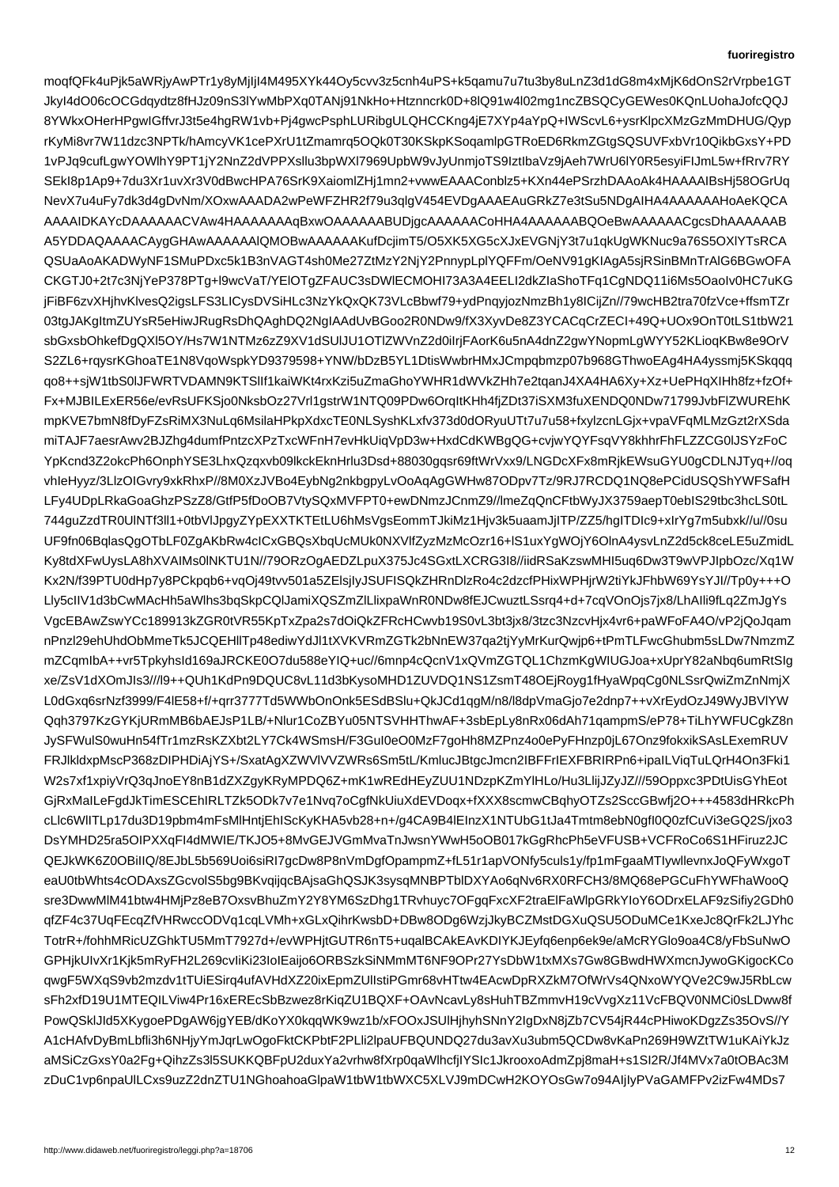moqfQFk4uPjk5aWRjyAwPTr1y8yMjIjl4M495XYk44Oy5cvv3z5cnh4uPS+k5qamu7u7tu3by8uLnZ3d1dG8m4xMjK6dOnS2rVrpbe1GT JkyI4dO06cOCGdqydtz8fHJz09nS3IYwMbPXq0TANj91NkHo+Htznncrk0D+8lQ91w4l02mq1ncZBSQCyGEWes0KQnLUohaJofcQQJ 8YWkxOHerHPqwlGffvrJ3t5e4hqRW1vb+Pj4qwcPsphLURibqULQHCCKnq4jE7XYp4aYpQ+IWScvL6+ysrKlpcXMzGzMmDHUG/Qvp rKyMi8vr7W11dzc3NPTk/hAmcyVK1cePXrU1tZmamrq5OQk0T30KSkpKSoqamlpGTRoED6RkmZGtqSQSUVFxbVr10QikbGxsY+PD 1vPJq9cufLgwYOWlhY9PT1jY2NnZ2dVPPXsllu3bpWXl7969UpbW9vJyUnmjoTS9lztlbaVz9jAeh7WrU6lY0R5esyiFIJmL5w+fRrv7RY SEkl8p1Ap9+7du3Xr1uvXr3V0dBwcHPA76SrK9XaiomlZHj1mn2+vwwEAAAConblz5+KXn44ePSrzhDAAoAk4HAAAAIBsHj58OGrUq NevX7u4uFy7dk3d4gDvNm/XOxwAAADA2wPeWFZHR2f79u3qlgV454EVDgAAAEAuGRkZ7e3tSu5NDgAIHA4AAAAAAHoAeKQCA AAAAIDKAYcDAAAAAACVAw4HAAAAAAAAgBxwOAAAAAABUDjgcAAAAAACoHHA4AAAAAABQOeBwAAAAAACgcsDhAAAAAAB A5YDDAQAAAACAygGHAwAAAAAAIQMOBwAAAAAAKufDcjimT5/O5XK5XG5cXJxEVGNjY3t7u1qkUgWKNuc9a76S5OXIYTsRCA QSUaAoAKADWyNF1SMuPDxc5k1B3nVAGT4sh0Me27ZtMzY2NjY2PnnypLplYQFFm/OeNV91gKIAgA5sjRSinBMnTrAlG6BGwOFA CKGTJ0+2t7c3NjYeP378PTg+l9wcVaT/YEIOTgZFAUC3sDWIECMOHI73A3A4EELI2dkZlaShoTFq1CgNDQ11i6Ms5Oaolv0HC7uKG iFiBF6zvXHihvKlvesQ2iqsLFS3LlCysDVSiHLc3NzYkQxQK73VLcBbwf79+ydPnqyjozNmzBh1y8lCijZn//79wcHB2tra70fzVce+ffsmTZr 03tgJAKgltmZUYsR5eHiwJRugRsDhQAghDQ2NgIAAdUvBGoo2R0NDw9/fX3XyvDe8Z3YCACgCrZECI+49Q+UOx9OnT0tLS1tbW21 sbGxsbOhkefDgQXl5OY/Hs7W1NTMz6zZ9XV1dSUIJU1OTIZWVnZ2d0iIrjFAorK6u5nA4dnZ2gwYNopmLgWYY52KLioqKBw8e9OrV S2ZL6+ravsrKGhoaTE1N8VgoWspkYD9379598+YNW/bDzB5YL1DtisWwbrHMxJCmpgbmzp07b968GThwoEAg4HA4vssmi5KSkggg qo8++sjW1tbS0lJFWRTVDAMN9KTSllf1kaiWKt4rxKzi5uZmaGhoYWHR1dWVkZHh7e2tqanJ4XA4HA6Xy+Xz+UePHqXlHh8fz+fzOf+ Fx+MJBILExER56e/evRsUFKSjo0NksbOz27Vrl1gstrW1NTQ09PDw6OrgItKHh4fjZDt37iSXM3fuXENDQ0NDw71799JvbFlZWUREhK mpKVE7bmN8fDyFZsRiMX3NuLq6MsilaHPkpXdxcTE0NLSyshKLxfv373d0dORyuUTt7u7u58+fxylzcnLGjx+vpaVFqMLMzGzt2rXSda miTAJF7aesrAwv2BJZhg4dumfPntzcXPzTxcWFnH7evHkUiqVpD3w+HxdCdKWBgQG+cvjwYQYFsqVY8khhrFhFLZZCG0IJSYzFoC YpKcnd3Z2okcPh6OnphYSE3LhxQzqxvb09lkckEknHrlu3Dsd+88030qqsr69ftWrVxx9/LNGDcXFx8mRjkEWsuGYU0qCDLNJTyq+//oq vhleHyyz/3LlzOIGvry9xkRhxP//8M0XzJVBo4EybNg2nkbgpyLvOoAqAgGWHw87ODpv7Tz/9RJ7RCDQ1NQ8ePCidUSQShYWFSafH LFv4UDpLRkaGoaGhzPSzZ8/GtfP5fDoOB7VtvSQxMVFPT0+ewDNmzJCnmZ9//lmeZqQnCFtbWyJX3759aepT0ebIS29tbc3hcLS0tL 744quZzdTR0UINTf3ll1+0tbVIJpqyZYpEXXTKTEtLU6hMsVqsEommTJkiMz1Hjv3k5uaamJjITP/ZZ5/hqITDIc9+xIrYq7m5ubxk//u//0su UF9fn06BqlasQqOTbLF0ZqAKbRw4clCxGBQsXbqUcMUk0NXVlfZyzMzMcOzr16+IS1uxYgWOjY6OlnA4ysvLnZ2d5ck8ceLE5uZmidL Ky8tdXFwUysLA8hXVAIMs0lNKTU1N//79ORzOgAEDZLpuX375Jc4SGxtLXCRG3l8//iidRSaKzswMHI5uq6Dw3T9wVPJIpbOzc/Xq1W Kx2N/f39PTU0dHp7y8PCkpqb6+vqOj49tvv501a5ZElsjIyJSUFISQkZHRnDlzRo4c2dzcfPHixWPHjrW2tiYkJFhbW69YsYJI//Tp0y+++O Lly5cllV1d3bCwMAcHh5aWlhs3bqSkpCQlJamiXQSZmZlLlixpaWnR0NDw8fEJCwuztLSsrq4+d+7cqVOnOjs7jx8/LhAlli9fLq2ZmJqYs VgcEBAwZswYCc189913kZGR0tVR55KpTxZpa2s7dOiQkZFRcHCwvb19S0vL3bt3jx8/3tzc3NzcvHjx4vr6+paWFoFA4O/vP2jQoJqam nPnzl29ehUhdObMmeTk5JCQEHIITp48ediwYdJl1tXVKVRmZGTk2bNnEW37qa2tjYyMrKurQwjp6+tPmTLFwcGhubm5sLDw7NmzmZ mZCqmlbA++vr5TpkyhsId169aJRCKE0O7du588eYIQ+uc//6mnp4cQcnV1xQVmZGTQL1ChzmKgWIUGJoa+xUprY82aNbq6umRtSIg xe/ZsV1dXOmJIs3///l9++QUh1KdPn9DQUC8vL11d3bKysoMHD1ZUVDQ1NS1ZsmT48OEjRoyq1fHyaWpqCq0NLSsrQwiZmZnNmjX L0dGxq6srNzf3999/F4lE58+f/+grr3777Td5WWbOnOnk5ESdBSlu+QkJCd1gqM/n8/l8dpVmaGjo7e2dnp7++vXrEydOzJ49WyJBVIYW Qqh3797KzGYKjURmMB6bAEJsP1LB/+Nlur1CoZBYu05NTSVHHThwAF+3sbEpLy8nRx06dAh71qampmS/eP78+TiLhYWFUCqkZ8n JvSFWulS0wuHn54fTr1mzRsKZXbt2LY7Ck4WSmsH/F3GuI0eO0MzF7goHh8MZPnz4o0ePvFHnzp0iL67Onz9fokxikSAsLExemRUV FRJIkldxpMscP368zDIPHDiAjYS+/SxatAgXZWVIVVZWRs6Sm5tL/KmlucJBtgcJmcn2IBFFrIEXFBRIRPn6+ipalLViqTuLQrH4On3Fki1 W2s7xf1xpiyVrQ3qJnoEY8nB1dZXZgyKRyMPDQ6Z+mK1wREdHEyZUU1NDzpKZmYlHLo/Hu3LlijJZyJZ///59Oppxc3PDtUisGYhEot GjRxMalLeFgdJkTimESCEhIRLTZk5ODk7v7e1Nvq7oCgfNkUiuXdEVDoqx+fXXX8scmwCBqhyOTZs2SccGBwfj2O+++4583dHRkcPh cLIc6WIITLp17du3D19pbm4mFsMIHntjEhIScKyKHA5vb28+n+/g4CA9B4IEInzX1NTUbG1tJa4Tmtm8ebN0gfI0Q0zfCuVi3eGQ2S/jxo3 DsYMHD25ra5OIPXXqFI4dMWIE/TKJO5+8MvGEJVGmMvaTnJwsnYWwH5oOB017kGqRhcPh5eVFUSB+VCFRoCo6S1HFiruz2JC QEJkWK6Z0OBillQ/8EJbL5b569Uoi6siRI7gcDw8P8nVmDgfOpampmZ+fL51r1apVONfy5culs1y/fp1mFgaaMTlywllevnxJoQFyWxgoT eaU0tbWhts4cODAxsZGcvolS5bq9BKvqijqcBAjsaGhQSJK3sysqMNBPTblDXYAo6qNv6RX0RFCH3/8MQ68ePGCuFhYWFhaWooQ sre3DwwMlM41btw4HMjPz8eB7OxsvBhuZmY2Y8YM6SzDhq1TRvhuyc7OFqqFxcXF2traElFaWlpGRkYloY6ODrxELAF9zSifiy2GDh0 gfZF4c37UgFEcgZfVHRwccODVg1cgLVMh+xGLxQihrKwsbD+DBw8ODg6WzjJkyBCZMstDGXuQSU5ODuMCe1KxeJc8QrFk2LJYhc TotrR+/fohhMRicUZGhkTU5MmT7927d+/evWPHjtGUTR6nT5+uqalBCAkEAvKDIYKJEyfq6enp6ek9e/aMcRYGlo9oa4C8/yFbSuNwO GPHjkUlvXr1Kjk5mRyFH2L269cvliKi23loIEaijo6ORBSzkSiNMmMT6NF9OPr27YsDbW1txMXs7Gw8GBwdHWXmcnJywoGKigocKCo qwgF5WXqS9vb2mzdv1tTUiESirq4ufAVHdXZ20ixEpmZUllstiPGmr68vHTtw4EAcwDpRXZkM7OfWrVs4QNxoWYQVe2C9wJ5RbLcw sFh2xfD19U1MTEQILViw4Pr16xEREcSbBzwez8rKiqZU1BQXF+OAvNcavLy8sHuhTBZmmvH19cVvgXz11VcFBQV0NMCi0sLDww8f PowQSkIJId5XKygoePDgAW6jgYEB/dKoYX0kqqWK9wz1b/xFOOxJSUlHjhyhSNnY2lgDxN8jZb7CV54jR44cPHiwoKDgzZs35OvS//Y A1cHAfvDyBmLbfli3h6NHjyYmJqrLwOgoFktCKPbtF2PLli2lpaUFBQUNDQ27du3avXu3ubm5QCDw8vKaPn269H9WZtTW1uKAiYkJz aMSiCzGxsY0a2Fg+QihzZs3l5SUKKQBFpU2duxYa2vrhw8fXrp0qaWlhcfjIYSlc1JkrooxoAdmZpj8maH+s1Sl2R/Jf4MVx7a0tOBAc3M zDuC1vp6npaUILCxs9uzZ2dnZTU1NGhoahoaGlpaW1tbW1tbWXC5XLVJ9mDCwH2KOYOsGw7o94AljIyPVaGAMFPv2izFw4MDs7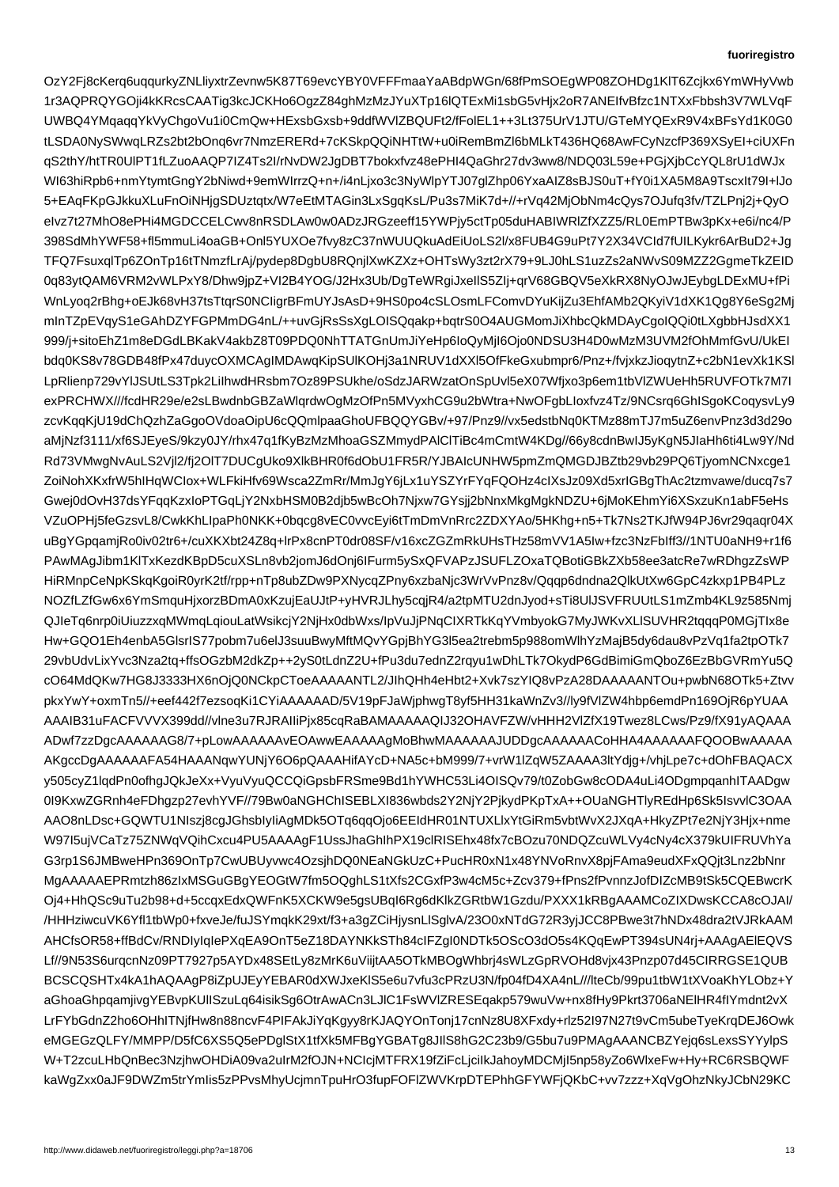OzY2Fj8cKerq6uqqurkyZNLliyxtrZevnw5K87T69evcYBY0VFFFmaaYaABdpWGn/68fPmSOEqWP08ZOHDq1KlT6Zcjkx6YmWHyVwb 1r3AQPRQYGOji4kKRcsCAATig3kcJCKHo6OgzZ84ghMzMzJYuXTp16lQTExMi1sbG5vHjx2oR7ANEIfvBfzc1NTXxFbbsh3V7WLVgF UWBQ4YMqaqqYkVyChqoVu1i0CmQw+HExsbGxsb+9ddfWVIZBQUFt2/fFolEL1++3Lt375UrV1JTU/GTeMYQExR9V4xBFsYd1K0G0 tLSDA0NySWwqLRZs2bt2bOnq6vr7NmzERERd+7cKSkpQQiNHTtW+u0iRemBmZl6bMLkT436HQ68AwFCyNzcfP369XSyEI+ciUXFn gS2thY/htTR0UIPT1fLZuoAAQP7IZ4Ts2I/rNvDW2JgDBT7bokxfvz48ePHI4QaGhr27dv3ww8/NDQ03L59e+PGjXjbCcYQL8rU1dWJx WI63hiRpb6+nmYtymtGngY2bNiwd+9emWIrrzQ+n+/i4nLjxo3c3NyWIpYTJ07glZhp06YxaAIZ8sBJS0uT+fY0i1XA5M8A9Tscxlt79l+IJo 5+EAqFKpGJkkuXLuFnOiNHjgSDUztqtx/W7eEtMTAGin3LxSqqKsL/Pu3s7MiK7d+//+rVq42MjObNm4cQys7OJufq3fv/TZLPnj2j+QyO elvz7t27MhO8ePHi4MGDCCELCwv8nRSDLAw0w0ADzJRGzeeff15YWPjy5ctTp05duHABIWRIZfXZZ5/RL0EmPTBw3pKx+e6i/nc4/P 398SdMhYWF58+fl5mmuLi4oaGB+Onl5YUXOe7fvy8zC37nWUUQkuAdEiUoLS2l/x8FUB4G9uPt7Y2X34VCld7fUlLKykr6ArBuD2+Jg TFQ7FsuxqlTp6ZOnTp16tTNmzfLrAj/pydep8DgbU8RQnjlXwKZXz+OHTsWy3zt2rX79+9LJ0hLS1uzZs2aNWvS09MZZ2GgmeTkZEID 0q83ytQAM6VRM2vWLPxY8/Dhw9jpZ+VI2B4YOG/J2Hx3Ub/DgTeWRgiJxelIS5ZIj+qrV68GBQV5eXkRX8NyOJwJEybgLDExMU+fPi WnLyoq2rBhq+oEJk68vH37tsTtqrS0NCliqrBFmUYJsAsD+9HS0po4cSLOsmLFComvDYuKijZu3EhfAMb2QKyiV1dXK1Qq8Y6eSq2Mj mInTZpEVqyS1eGAhDZYFGPMmDG4nL/++uvGiRsSsXqLOISQqakp+bqtrS0O4AUGMomJiXhbcQkMDAyCqoIQQi0tLXqbbHJsdXX1 999/j+sitoEhZ1m8eDGdLBKakV4akbZ8T09PDQ0NhTTATGnUmJiYeHp6loQyMjI6Ojo0NDSU3H4D0wMzM3UVM2fOhMmfGvU/UkEI bdq0KS8v78GDB48fPx47duycOXMCAgIMDAwqKipSUlKOHj3a1NRUV1dXXl5OfFkeGxubmpr6/Pnz+/fvjxkzJioqytnZ+c2bN1evXk1KSI LpRlienp729vYIJSUtLS3Tpk2LilhwdHRsbm7Oz89PSUkhe/oSdzJARWzatOnSpUvl5eX07Wfjxo3p6em1tbVlZWUeHh5RUVFOTk7M7I exPRCHWX///fcdHR29e/e2sLBwdnbGBZaWlqrdwOgMzOfPn5MVyxhCG9u2bWtra+NwOFgbLloxfvz4Tz/9NCsrq6GhlSgoKCoqysvLy9 zcvKqqKjU19dChQzhZaGgoOVdoaOipU6cQQmlpaaGhoUFBQQYGBv/+97/Pnz9//vx5edstbNq0KTMz88mTJ7m5uZ6envPnz3d3d29o aMjNzf3111/xf6SJEyeS/9kzy0JY/rhx47q1fKyBzMzMhoaGSZMmydPAlClTiBc4mCmtW4KDg//66y8cdnBwlJ5yKgN5JlaHh6ti4Lw9Y/Nd Rd73VMwqNvAuLS2Vjl2/fj2OIT7DUCqUko9XlkBHR0f6dObU1FR5R/YJBAIcUNHW5pmZmQMGDJBZtb29vb29PQ6TjyomNCNxcqe1 ZoiNohXKxfrW5hlHqWClox+WLFkiHfv69Wsca2ZmRr/MmJgY6jLx1uYSZYrFYqFQOHz4clXsJz09Xd5xrlGBgThAc2tzmvawe/ducq7s7 Gwei0dOvH37dsYFqqKzxloPTGqLjY2NxbHSM0B2djb5wBcOh7Njxw7GYsjj2bNnxMkqMqkNDZU+6jMoKEhmYi6XSxzuKn1abF5eHs VZuOPHi5feGzsvL8/CwkKhLIpaPh0NKK+0bqcq8vEC0vvcEyi6tTmDmVnRrc2ZDXYAo/5HKhq+n5+Tk7Ns2TKJfW94PJ6vr29qaqr04X uBqYGpqamjRo0iv02tr6+/cuXKXbt24Z8q+lrPx8cnPT0dr08SF/v16xcZGZmRkUHsTHz58mVV1A5Iw+fzc3NzFblff3//1NTU0aNH9+r1f6 PAwMAgJibm1KITxKezdKBpD5cuXSLn8vb2jomJ6dOnj6lFurm5ySxQFVAPzJSUFLZOxaTQBotiGBkZXb58ee3atcRe7wRDhgzZsWP HiRMnpCeNpKSkqKgoiR0yrK2tf/rpp+nTp8ubZDw9PXNycqZPny6xzbaNjc3WrVvPnz8v/Qqqp6dndna2QlkUtXw6GpC4zkxp1PB4PLz NOZfLZfGw6x6YmSmquHjxorzBDmA0xKzujEaUJtP+yHVRJLhy5cqjR4/a2tpMTU2dnJyod+sTi8UIJSVFRUUtLS1mZmb4KL9z585Nmj QJIeTq6nrp0iUiuzzxqMWmqLqiouLatWsikcjY2NjHx0dbWxs/lpVuJjPNqCIXRTkKqYVmbyokG7MyJWKvXLISUVHR2tqqqP0MGjTlx8e Hw+GQO1Eh4enbA5GlsrlS77pobm7u6elJ3suuBwyMftMQvYGpjBhYG3l5ea2trebm5p988omWlhYzMajB5dy6dau8vPzVq1fa2tpOTk7 29vbUdvLixYvc3Nza2tq+ffsOGzbM2dkZp++2yS0tLdnZ2U+fPu3du7ednZ2rqyu1wDhLTk7OkydP6GdBimiGmQboZ6EzBbGVRmYu5Q cO64MdQKw7HG8J3333HX6nOjQ0NCkpCToeAAAAANTL2/JlhQHh4eHbt2+Xvk7szYlQ8vPzA28DAAAAANTOu+pwbN68OTk5+Ztvv pkxYwY+oxmTn5//+eef442f7ezsoqKi1CYiAAAAAAD/5V19pFJaWjphwqT8yf5HH31kaWnZv3//ly9fVlZW4hbp6emdPn169OjR6pYUAA AAAIB31uFACFVVVX399dd//vlne3u7RJRAIIiPjx85cqRaBAMAAAAAQIJ32OHAVFZW/vHHH2VIZfX19Twez8LCws/Pz9/fX91yAQAAA ADwf7zzDgcAAAAAAG8/7+pLowAAAAAAvEOAwwEAAAAAgMoBhwMAAAAAAJUDDgcAAAAAACoHHA4AAAAAAFQOOBwAAAAA AKgccDgAAAAAAFA54HAAANgwYUNjY6O6pQAAAHifAYcD+NA5c+bM999/7+vrW1lZqW5ZAAAA3ltYdjg+/vhjLpe7c+dOhFBAQACX y505cyZ1lqdPn0ofhgJQkJeXx+VyuVyuQCCQiGpsbFRSme9Bd1hYWHC53Li4OISQv79/t0ZobGw8cODA4uLi4ODgmpqanhITAADgw 0l9KxwZGRnh4eFDhgzp27evhYVF//79Bw0aNGHChISEBLXI836wbds2Y2NjY2PjkydPKpTxA++OUaNGHTlyREdHp6Sk5IsvvIC3OAA AAO8nLDsc+GQWTU1NIszj8cgJGhsblyliAgMDk5OTq6qqOjo6EEIdHR01NTUXLlxYtGiRm5vbtWvX2JXqA+HkyZPt7e2NjY3Hjx+nme W97I5ujVCaTz75ZNWqVQihCxcu4PU5AAAAqF1UssJhaGhIhPX19clRISEhx48fx7cBOzu70NDQZcuWLVy4cNy4cX379kUIFRUVhYa G3rp1S6JMBweHPn369OnTp7CwUBUyvwc4OzsjhDQ0NEaNGkUzC+PucHR0xN1x48YNVoRnvX8pjFAma9eudXFxQQjt3Lnz2bNnr MgAAAAAEPRmtzh86zlxMSGuGBqYEOGtW7fm5OQqhLS1tXfs2CGxfP3w4cM5c+Zcv379+fPns2fPvnnzJofDIZcMB9tSk5CQEBwcrK Oj4+HhQSc9uTu2b98+d+5ccqxEdxQWFnK5XCKW9e5qsUBql6Rq6dKlkZGRtbW1Gzdu/PXXX1kRBqAAAMCoZIXDwsKCCA8cOJAl/ /HHHziwcuVK6Yfl1tbWp0+fxveJe/fuJSYmqkK29xt/f3+a3qZCiHjysnLlSqlvA/23O0xNTdG72R3yjJCC8PBwe3t7hNDx48dra2tVJRkAAM AHCfsOR58+ffBdCv/RNDIyIqIePXqEA9OnT5eZ18DAYNKkSTh84cIFZqI0NDTk5OScO3dO5s4KQqEwPT394sUN4rj+AAAgAEIEQVS Lf//9N53S6urgcnNz09PT7927p5AYDx48SEtLy8zMrK6uViijtAA5OTkMBOgWhbrj4sWLzGpRVOHd8vjx43Pnzp07d45CIRRGSE1QUB BCSCQSHTx4kA1hAQAAgP8iZpUJEyYEBAR0dXWJxeKIS5e6u7vfu3cPRzU3N/fp04fD4XA4nL///tteCb/99pu1tbW1tXVoaKhYLObz+Y aGhoaGhpqamjivqYEBvpKUllSzuLq64isikSq6OtrAwACn3LJlC1FsWVlZRESEqakp579wuVw+nx8fHy9Pkrt3706aNElHR4flYmdnt2vX LrFYbGdnZ2ho6OHhlTNjfHw8n88ncvF4PIFAkJiYqKgyy8rKJAQYOnTonj17cnNz8U8XFxdy+rlz52l97N27t9vCm5ubeTyeKrqDEJ6Owk eMGEGzQLFY/MMPP/D5fC6XS5Q5ePDglStX1tfXk5MFBgYGBATg8JllS8hG2C23b9/G5bu7u9PMAgAAANCBZYejq6sLexsSYYylpS W+T2zcuLHbQnBec3NzjhwOHDiA09va2uIrM2fOJN+NCIcjMTFRX19fZiFcLjciIkJahoyMDCMjI5np58yZo6WIxeFw+Hy+RC6RSBQWF kaWqZxx0aJF9DWZm5trYmlis5zPPvsMhyUcjmnTpuHrO3fupFOFIZWVKrpDTEPhhGFYWFjQKbC+vv7zzz+XqVqOhzNkyJCbN29KC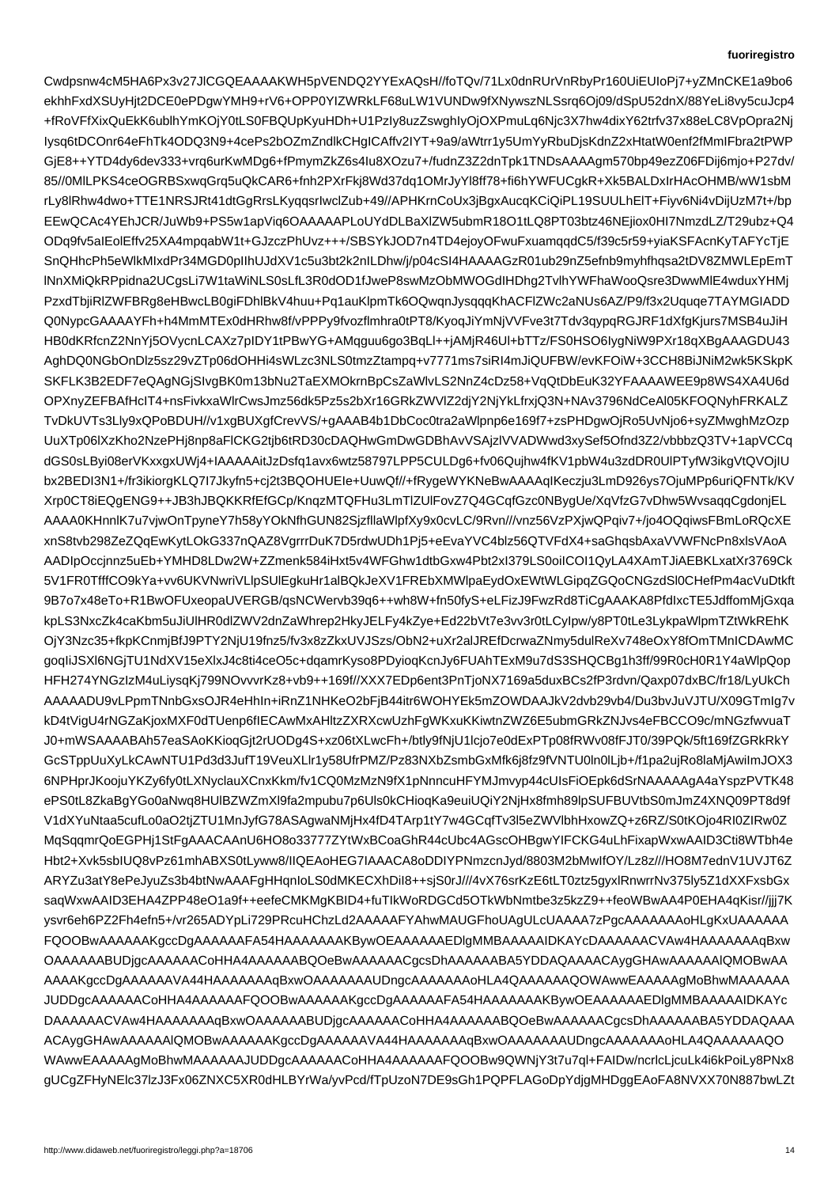Cwdpsnw4cM5HA6Px3v27JICGQEAAAAKWH5pVENDQ2YYExAQsH//foTQv/71Lx0dnRUrVnRbyPr160UiEUIoPj7+yZMnCKE1a9bo6 ekhhFxdXSUyHit2DCE0ePDgwYMH9+rV6+OPP0YIZWRkLF68uLW1VUNDw9fXNywszNLSsrq6Oj09/dSpU52dnX/88YeLi8vy5cuJcp4 +fRoVFfXixQuEkK6ublhYmKOjY0tLS0FBQUpKyuHDh+U1Pzly8uzZswqhlyOjOXPmuLq6Njc3X7hw4dixY62trfv37x88eLC8VpOpra2Nj lysg6tDCOnr64eFhTk4ODQ3N9+4cePs2bOZmZndlkCHqlCAffv2lYT+9a9/aWtrr1y5UmYyRbuDjsKdnZ2xHtatW0enf2fMmlFbra2tPWP GjE8++YTD4dy6dev333+vrq6urKwMDq6+fPmymZkZ6s4lu8XOzu7+/fudnZ3Z2dnTpk1TNDsAAAAqm570bp49ezZ06FDij6mjo+P27dv/ 85//0MILPKS4ceOGRBSxwqGrq5uQkCAR6+fnh2PXrFkj8Wd37dq1OMrJyYl8ff78+fi6hYWFUCgkR+Xk5BALDxIrHAcOHMB/wW1sbM rLy8lRhw4dwo+TTE1NRSJRt41dtGqRrsLKyqqsrlwclZub+49//APHKrnCoUx3jBqxAucqKCiQiPL19SUULhEIT+Fiyv6Ni4vDijUzM7t+/bp EEwQCAc4YEhJCR/JuWb9+PS5w1apViq6OAAAAAPLoUYdDLBaXIZW5ubmR18O1tLQ8PT03btz46NEjiox0HI7NmzdLZ/T29ubz+Q4 ODq9fv5aIEoIEffv25XA4mpqabW1t+GJzczPhUvz+++/SBSYkJOD7n4TD4ejoyOFwuFxuamqqdC5/f39c5r59+yiaKSFAcnKyTAFYcTjE SnQHhcPh5eWlkMlxdPr34MGD0plIhUJdXV1c5u3bt2k2nILDhw/j/p04cSI4HAAAAGzR01ub29nZ5efnb9myhfhqsa2tDV8ZMWLEpEmT INnXMiQkRPpidna2UCgsLi7W1taWiNLS0sLfL3R0dOD1fJweP8swMzObMWOGdIHDhg2TvlhYWFhaWooQsre3DwwMlE4wduxYHMj PzxdTbjiRIZWFBRg8eHBwcLB0giFDhlBkV4huu+Pg1auKlpmTk6OQwgnJysqqqKhACFIZWc2aNUs6AZ/P9/f3x2Uquqe7TAYMGIADD Q0NypcGAAAAYFh+h4MmMTEx0dHRhw8f/vPPPy9fvozflmhra0tPT8/KyoqJiYmNjVVFve3t7Tdv3qypqRGJRF1dXfqKjurs7MSB4uJiH HB0dKRfcnZ2NnYj5OVycnLCAXz7pIDY1tPBwYG+AMqquu6qo3BqLl++jAMjR46Ul+bTTz/FS0HSO6IyqNiW9PXr18qXBqAAAGDU43 AghDQ0NGbOnDlz5sz29vZTp06dOHHi4sWLzc3NLS0tmzZtampg+v7771ms7siRI4mJiQUFBW/evKFOiW+3CCH8BiJNiM2wk5KSkpK SKFLK3B2EDF7eQAgNGjSlvgBK0m13bNu2TaEXMOkrnBpCsZaWlvLS2NnZ4cDz58+VqQtDbEuK32YFAAAAWEE9p8WS4XA4U6d OPXnyZEFBAfHcIT4+nsFivkxaWlrCwsJmz56dk5Pz5s2bXr16GRkZWVIZ2djY2NjYkLfrxjQ3N+NAv3796NdCeAl05KFOQNyhFRKALZ TvDkUVTs3Lly9xQPoBDUH//v1xgBUXgfCrevVS/+gAAAB4b1DbCoc0tra2aWlpnp6e169f7+zsPHDgwOjRo5UvNjo6+svZMwqhMzOzp UuXTp06IXzKho2NzePHj8np8aFICKG2tjb6tRD30cDAQHwGmDwGDBhAvVSAjzIVVADWwd3xySef5Ofnd3Z2/vbbbzQ3TV+1apVCCq dGS0sLByi08erVKxxqxUWi4+IAAAAAitJzDsfq1avx6wtz58797LPP5CULDq6+fv06Qujhw4fKV1pbW4u3zdDR0UlPTyfW3ikqVtQVOjIU bx2BEDI3N1+/fr3ikiorgKLQ7I7Jkyfn5+cj2t3BQOHUEIe+UuwQf//+fRygeWYKNeBwAAAAqIKeczju3LmD926ys7OjuMPp6uriQFNTk/KV Xrp0CT8iEQqENG9++JB3hJBQKKRfEfGCp/KnqzMTQFHu3LmTlZUlFovZ7Q4GCqfGzc0NByqUe/XqVfzG7vDhw5WvsaqqCqdonjEL AAAA0KHnnlK7u7vjwOnTpyneY7h58yYOkNfhGUN82SizfllaWlpfXy9x0cvLC/9Rvn///vnz56VzPXjwQPqiv7+/jo4OQqiwsFBmLoRQcXE xnS8tvb298ZeZQqEwKytLOkG337nQAZ8VgrrrDuK7D5rdwUDh1Pj5+eEvaYVC4blz56QTVFdX4+saGhqsbAxaVVWFNcPn8xlsVAoA AADIpOccjnnz5uEb+YMHD8LDw2W+ZZmenk584iHxt5v4WFGhw1dtbGxw4Pbt2xl379LS0oilCOl1QyLA4XAmTJiAEBKLxatXr3769Ck 5V1FR0TfffCO9kYa+vv6UKVNwriVLlpSUlEgkuHr1alBQkJeXV1FREbXMWlpaEydOxEWtWLGipqZGQoCNGzdSl0CHefPm4acVuDtkft 9B7o7x48eTo+R1BwOFUxeopaUVERGB/qsNCWervb39q6++wh8W+fn50fyS+eLFizJ9FwzRd8TiCgAAAKA8PfdlxcTE5JdffomMjGxqa kpLS3NxcZk4caKbm5uJiUlHR0dlZWV2dnZaWhrep2HkyJELFy4kZye+Ed22bVt7e3vv3r0tLCylpw/y8PT0tLe3LykpaWlpmTZtWkREhK OjY3Nzc35+fkpKCnmjBfJ9PTY2NjU19fnz5/fv3x8zZkxUVJSzs/ObN2+uXr2alJREfDcrwaZNmy5dulReXv748eOxY8fOmTMnICDAwMC goqliJSXl6NGjTU1NdXV15eXlxJ4c8ti4ceO5c+dqamrKyso8PDyioqKcnJy6FUAhTExM9u7dS3SHQCBg1h3ff/99R0cH0R1Y4aWlpQop HFH274YNGzIzM4uLiysqKj799NOvvvrKz8+vb9++169f//XXX7EDp6ent3PnTjoNX7169a5duxBCs2fP3rdvn/Qaxp07dxBC/fr18/LyUkCh AAAAADU9vLPpmTNnbGxsOJR4eHhln+iRnZ1NHKeO2bFjB44itr6WOHYEk5mZOWDAAJkV2dvb29vb4/Du3bvJuVJTU/X09GTmlg7v kD4tVigU4rNGZaKjoxMXF0dTUenp6fIECAwMxAHItzZXRXcwUzhFqWKxuKKiwtnZWZ6E5ubmGRkZNJvs4eFBCCO9c/mNGzfwvuaT J0+mWSAAAABAh57eaSAoKKiogGjt2rUODg4S+xz06tXLwcFh+/btly9fNjU1lcjo7e0dExPTp08fRWv08fFJT0/39PQk/5ft169fZGRkRkY GcSTppUuXyLkCAwNTU1Pd3d3JufT19VeuXLlr1y58UfrPMZ/Pz83NXbZsmbGxMfk6j8fz9fVNTU0ln0lLjb+/f1pa2ujRo8laMjAwiImJOX3 6NPHprJKoojuYKZy6fy0tLXNyclauXCnxKkm/fv1CQ0MzMzN9fX1pNnncuHFYMJmvyp44cUIsFiOEpk6dSrNAAAAAqA4aYspzPVTK48 ePS0tL8ZkaBgYGo0aNwq8HUIBZWZmXl9fa2mpubu7p6UIs0kCHioqKa9euiUQiY2NjHx8fmh89lpSUFBUVtbS0mJmZ4XNQ09PT8d9f V1dXYuNtaa5cufLo0aO2tjZTU1MnJyfG78ASAgwaNMjHx4fD4TArp1tY7w4GCqfTv3l5eZWVlbhHxowZQ+z6RZ/S0tKOjo4Rl0ZIRw0Z MgSggmrQoEGPHi1StFgAAACAAnU6HO8o33777ZYtWxBCoaGhR44cUbc4AGscOHBgwYIFCKG4uLhFixapWxwAAID3Cti8WTbh4e Hbt2+Xvk5sbIUQ8vPz61mhABXS0tLyww8/IIQEAoHEG7IAAACA8oDDIYPNmzcnJyd/8803M2bMwIfOY/Lz8z///HO8M7ednV1UVJT6Z ARYZu3atY8ePeJyuZs3b4btNwAAAFqHHqnloLS0dMKECXhDil8++sjS0rJ///4vX76srKzE6tLT0ztz5qyxlRnwrrNv375ly5Z1dXXFxsbGx saqWxwAAID3EHA4ZPP48eO1a9f++eefeCMKMqKBID4+fuTIkWoRDGCd5OTkWbNmtbe3z5kzZ9++feoWBwAA4P0EHA4qKisr//ijj7K vsvr6eh6PZ2Fh4efn5+/vr265ADYpLi729PRcuHChzLd2AAAAAFYAhwMAUGFhoUAqULcUAAAA7zPqcAAAAAAAdHLqKxUAAAAAA FQOOBwAAAAAAKgccDgAAAAAAFA54HAAAAAAAKBywOEAAAAAAEDIgMMBAAAAAIDKAYcDAAAAAACVAw4HAAAAAAqBxw OAAAAAABUDjgcAAAAAACoHHA4AAAAAABQOeBwAAAAAACgcsDhAAAAAABA5YDDAQAAAACAygGHAwAAAAAAIQMOBwAA AAAAKgccDgAAAAAAVA44HAAAAAAAAgBxwOAAAAAAAUDngcAAAAAAAoHLA4QAAAAAAQOWAwwEAAAAAgMoBhwMAAAAAA JUDDgcAAAAAACoHHA4AAAAAAFQOOBwAAAAAAKgccDgAAAAAAFA54HAAAAAAAKBywOEAAAAAAEDIgMMBAAAAAIDKAYc DAAAAAACVAw4HAAAAAAAAgBxwOAAAAAABUDjgcAAAAAACoHHA4AAAAAABQOeBwAAAAAAACgcsDhAAAAAABA5YDDAQAAA ACAygGHAwAAAAAAIQMOBwAAAAAAKgccDgAAAAAAVA44HAAAAAAAAgBxwOAAAAAAAUDngcAAAAAAAAAHLA4QAAAAAAQO WAwwEAAAAAgMoBhwMAAAAAAJUDDgcAAAAAACoHHA4AAAAAAFQOOBw9QWNjY3t7u7ql+FAIDw/ncrlcLjcuLk4i6kPoiLy8PNx8 gUCgZFHyNElc37lzJ3Fx06ZNXC5XR0dHLBYrWa/yvPcd/fTpUzoN7DE9sGh1PQPFLAGoDpYdjgMHDggEAoFA8NVXX70N887bwLZt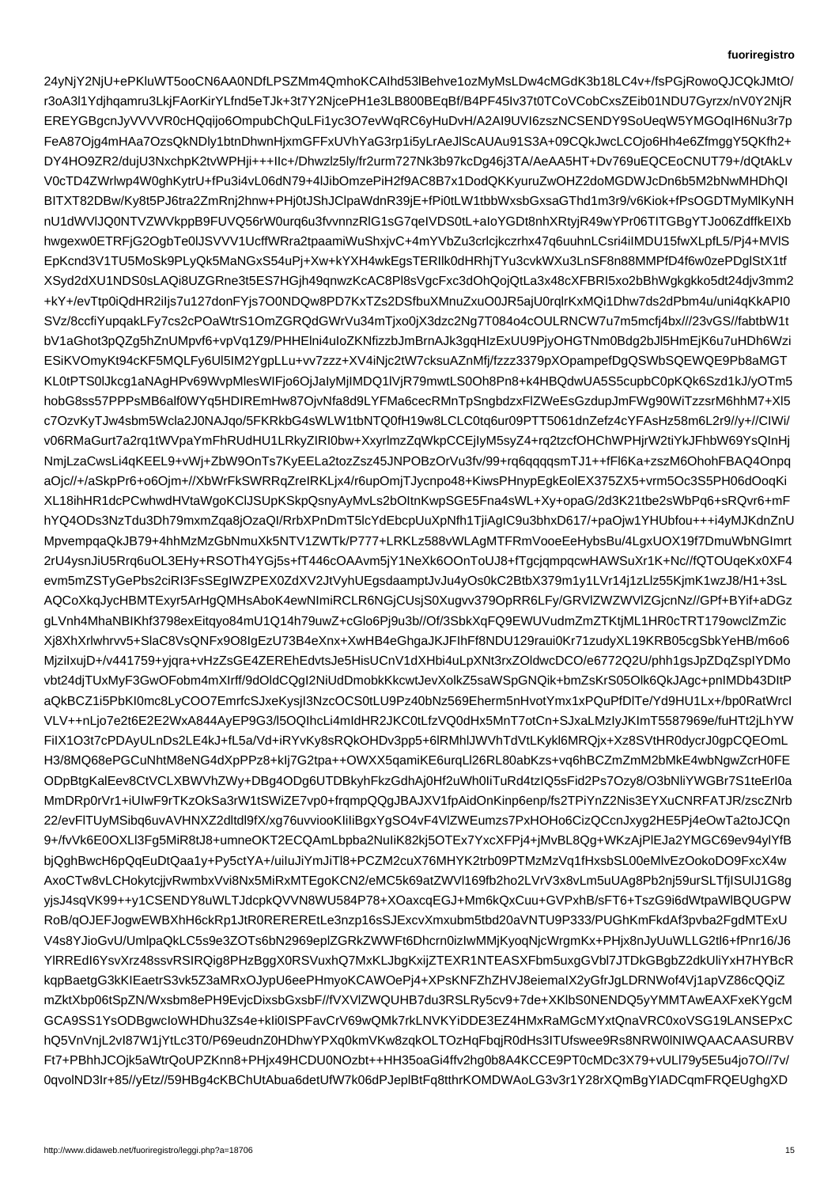24yNjY2NjU+ePKluWT5ooCN6AA0NDfLPSZMm4QmhoKCAIhd53lBehve1ozMyMsLDw4cMGdK3b18LC4v+/fsPGjRowoQJCQkJMtO/ r3oA3l1Ydjhqamru3LkjFAorKirYLfnd5eTJk+3t7Y2NjcePH1e3LB800BEqBf/B4PF45lv37t0TCoVCobCxsZEib01NDU7Gyrzx/nV0Y2NjR EREYGBgcnJyVVVVR0cHQgijo6OmpubChQuLFi1yc3O7evWgRC6yHuDvH/A2AI9UVI6zszNCSENDY9SoUegW5YMGOglH6Nu3r7p FeA87Ojg4mHAa7OzsQkNDly1btnDhwnHjxmGFFxUVhYaG3rp1i5yLrAeJlScAUAu91S3A+09CQkJwcLCOjo6Hh4e6ZfmgqY5QKfh2+ DY4HO9ZR2/dujU3NxchpK2tvWPHji+++IIc+/DhwzIz5ly/fr2urm727Nk3b97kcDg46j3TA/AeAA5HT+Dv769uEQCEoCNUT79+/dQtAkLv V0cTD4ZWrlwp4W0ghKytrU+fPu3i4vL06dN79+4IJibOmzePiH2f9AC8B7x1DodQKKyuruZwOHZ2doMGDWJcDn6b5M2bNwMHDhQI BITXT82DBw/Ky8t5PJ6tra2ZmRnj2hnw+PHj0tJShJClpaWdnR39jE+fPi0tLW1tbbWxsbGxsaGThd1m3r9/v6Kiok+fPsOGDTMyMlKyNH nU1dWVIJQ0NTVZWVkppB9FUVQ56rW0urq6u3fvvnnzRIG1sG7qeIVDS0tL+aloYGDt8nhXRtyjR49wYPr06TITGBgYTJo06ZdffkEIXb hwgexw0ETRFjG2OgbTe0IJSVVV1UcffWRra2tpaamiWuShxjvC+4mYVbZu3crlcjkczrhx47q6uuhnLCsri4iIMDU15fwXLpfL5/Pj4+MVIS EpKcnd3V1TU5MoSk9PLyQk5MaNGxS54uPj+Xw+kYXH4wkEgsTERIIk0dHRhjTYu3cvkWXu3LnSF8n88MMPfD4f6w0zePDglStX1tf XSyd2dXU1NDS0sLAQi8UZGRne3t5ES7HGjh49qnwzKcAC8Pl8sVgcFxc3dOhQojQtLa3x48cXFBRI5xo2bBhWgkgkko5dt24djv3mm2 +kY+/evTtp0iQdHR2ilis7u127donFYjs7O0NDQw8PD7KxTZs2DSfbuXMnuZxuO0JR5ajU0rglrKxMQi1Dhw7ds2dPbm4u/uni4gKkAPI0 SVz/8ccfiYupqakLFy7cs2cPOaWtrS1OmZGRQdGWrVu34mTjxo0jX3dzc2Nq7T084o4cOULRNCW7u7m5mcfj4bx///23vGS//fabtbW1t bV1aGhot3pQZg5hZnUMpvf6+vpVq1Z9/PHHElni4uloZKNfizzbJmBrnAJk3gqHlzExUU9PjyOHGTNm0Bdg2bJl5HmEjK6u7uHDh6Wzi ESiKVOmyKt94cKF5MQLFy6UI5IM2YgpLLu+vv7zzz+XV4iNjc2tW7cksuAZnMfj/fzzz3379pXOpampefDgQSWbSQEWQE9Pb8aMGT KL0tPTS0IJkcg1aNAgHPv69WvpMlesWIFjo6OjJalyMjIMDQ1IVjR79mwtLS0Oh8Pn8+k4HBQdwUA5S5cupbC0pKQk6Szd1kJ/yOTm5 hobG8ss57PPPsMB6alf0WYq5HDIREmHw87OjvNfa8d9LYFMa6cecRMnTpSngbdzxFlZWeEsGzdupJmFWg90WiTzzsrM6hhM7+Xl5 c7OzvKyTJw4sbm5Wcla2J0NAJqo/5FKRkbG4sWLW1tbNTQ0fH19w8LCLC0tq6ur09PTT5061dnZefz4cYFAsHz58m6L2r9//y+//CIWi/ v06RMaGurt7a2rq1tWVpaYmFhRUdHU1LRkyZIRI0bw+XxyrImzZqWkpCCEjlyM5syZ4+rq2tzcfOHChWPHjrW2tiYkJFhbW69YsQInHj NmjLzaCwsLi4qKEEL9+vWj+ZbW9OnTs7KyEELa2tozZsz45JNPOBzOrVu3fv/99+rq6qqqqsmTJ1++fFl6Ka+zszM6OhohFBAQ4Onpq aOjc//+/aSkpPr6+o6Ojm+//XbWrFkSWRRqZreIRKLjx4/r6upOmjTJycnpo48+KiwsPHnypEgkEolEX375ZX5+vrm5Oc3S5PH06dOoqKi XL18ihHR1dcPCwhwdHVtaWqoKCIJSUpKSkpQsnyAyMvLs2bOltnKwpSGE5Fna4sWL+Xy+opaG/2d3K21tbe2sWbPq6+sRQvr6+mF hYQ4ODs3NzTdu3Dh79mxmZqa8jOzaQl/RrbXPnDmT5lcYdEbcpUuXpNfh1TjiAglC9u3bhxD617/+paOjw1YHUbfou+++i4yMJKdnZnU MpvempqaQkJB79+4hhMzMzGbNmuXk5NTV1ZWTk/P777+LRKLz588vWLAgMTFRmVooeEeHybsBu/4LgxUOX19f7DmuWbNGImrt 2rU4ysnJiU5Rrq6uOL3EHy+RSOTh4YGj5s+fT446cOAAvm5jY1NeXk6OOnToUJ8+fTgcjqmpqcwHAWSuXr1K+Nc//fQTOUqeKx0XF4 evm5mZSTyGePbs2ciRI3FsSEgIWZPEX0ZdXV2JtVyhUEgsdaamptJvJu4yOs0kC2BtbX379m1y1LVr14j1zLlz55KjmK1wzJ8/H1+3sL AQCoXkqJycHBMTExyr5ArHgQMHsAboK4ewNImiRCLR6NGjCUsjS0Xugvv379OpRR6LFy/GRVIZWZWVIZGjcnNz//GPf+BYif+aDGz gLVnh4MhaNBIKhf3798exEitqyo84mU1Q14h79uwZ+cGlo6Pj9u3b//Of/3SbkXqFQ9EWUVudmZmZTKtjML1HR0cTRT179owclZmZic Xj8XhXrlwhrvv5+SlaC8VsQNFx9O8IqEzU73B4eXnx+XwHB4eGhqaJKJFIhFf8NDU129raui0Kr71zudyXL19KRB05cqSbkYeHB/m6o6 MjzilxujD+/v441759+yjqra+vHzZsGE4ZEREhEdvtsJe5HisUCnV1dXHbi4uLpXNt3rxZOldwcDCO/e6772Q2U/phh1gsJpZDqZsplYDMo vbt24djTUxMyF3GwOFobm4mXIrff/9dOldCQqI2NiUdDmobkKkcwtJevXolkZ5saWSpGNQik+bmZsKrS05Olk6QkJAqc+pnIMDb43DltP aQkBCZ1i5PbKl0mc8LyCOO7EmrfcSJxeKysjl3NzcOCS0tLU9Pz40bNz569Eherm5nHvotYmx1xPQuPfDlTe/Yd9HU1Lx+/bp0RatWrcl VLV++nLjo7e2t6E2E2WxA844AyEP9G3/I5OQIhcLi4mIdHR2JKC0tLfzVQ0dHx5MnT7otCn+SJxaLMzIyJKImT5587969e/fuHTt2jLhYW FilX1O3t7cPDAvULnDs2LE4kJ+fL5a/Vd+iRYvKv8sRQkOHDv3pp5+6lRMhlJWVhTdVtLKvkl6MRQix+Xz8SVtHR0dvcrJ0apCQEOmL H3/8MQ68ePGCuNhtM8eNG4dXpPPz8+klj7G2tpa++OWXX5qamiKE6urqLl26RL80abKzs+vq6hBCZmZmM2bMkE4wbNgwZcrH0FE ODpBtgKalEev8CtVCLXBWVhZWy+DBg4ODg6UTDBkyhFkzGdhAj0Hf2uWh0liTuRd4tzlQ5sFid2Ps7Ozy8/O3bNliYWGBr7S1teErl0a MmDRp0rVr1+iUIwF9rTKzOkSa3rW1tSWiZE7vp0+frqmpQQgJBAJXV1fpAidOnKinp6enp/fs2TPiYnZ2Nis3EYXuCNRFATJR/zscZNrb 22/evFITUyMSibq6uvAVHNXZ2dltdl9fX/xq76uvviooKliliBqxYqSO4vF4VlZWEumzs7PxHOHo6CizQCcnJxyq2HE5Pj4eOwTa2toJCQn 9+/fvVk6E0OXLI3Fq5MiR8tJ8+umneOKT2ECQAmLbpba2NuIiK82kj5OTEx7YxcXFPj4+jMvBL8Qq+WKzAjPlEJa2YMGC69ev94ylYfB bjQghBwcH6pQqEuDtQaa1y+Py5ctYA+/uiluJiYmJiTl8+PCZM2cuX76MHYK2trb09PTMzMzVq1fHxsbSL00eMlvEzOokoDO9FxcX4w AxoCTw8vLCHokytcjjvRwmbxVvi8Nx5MiRxMTEqoKCN2/eMC5k69atZWVI169fb2ho2LVrV3x8vLm5uUAq8Pb2nj59urSLTfjISUIJ1G8q yjsJ4sqVK99++y1CSENDY8uWLTJdcpkQVVN8WU584P78+XOaxcqEGJ+Mm6kQxCuu+GVPxhB/sFT6+TszG9i6dWtpaWlBQUGPW RoB/qOJEFJoqwEWBXhH6ckRp1JtR0REREREtLe3nzp16sSJExcvXmxubm5tbd20aVNTU9P333/PUGhKmFkdAf3pvba2FqdMTExU V4s8YJioGvU/UmlpaQkLC5s9e3ZOTs6bN2969eplZGRkZWWFt6Dhcrn0izIwMMjKyoqNjcWrgmKx+PHjx8nJyUuWLLG2tl6+fPnr16/J6 YIRREdI6YsvXrz48ssvRSIRQig8PHzBggX0RSVuxhQ7MxKLJbgKxijZTEXR1NTEASXFbm5uxgGVbI7JTDkGBgbZ2dkUliYxH7HYBcR kqpBaetgG3kKIEaetrS3vk5Z3aMRxOJypU6eePHmyoKCAWOePj4+XPsKNFZhZHVJ8eiemalX2yGfrJgLDRNWof4Vj1apVZ86cQQiZ mZktXbp06tSpZN/Wxsbm8ePH9EvjcDixsbGxsbF//fVXVIZWQUHB7du3RSLRy5cv9+7de+XKlbS0NENDQ5yYMMTAwEAXFxeKYgcM GCA9SS1YsODBgwcloWHDhu3Zs4e+kli0ISPFavCrV69wQMk7rkLNVKYiDDE3EZ4HMxRaMGcMYxtQnaVRC0xoVSG19LANSEPxC hQ5VnVnjL2vl87W1jYtLc3T0/P69eudnZ0HDhwYPXq0kmVKw8zqkOLTOzHqFbqjR0dHs3lTUfswee9Rs8NRW0lNIWQAACAASURBV Ft7+PBhhJCOjk5aWtrQoUPZKnn8+PHjx49HCDU0NOzbt++HH35oaGi4ffv2hg0b8A4KCCE9PT0cMDc3X79+vULl79y5E5u4jo7O//7v/ 0qvolND3lr+85//yEtz//59HBg4cKBChUtAbua6detUfW7k06dPJeplBtFq8tthrKOMDWAoLG3v3r1Y28rXQmBgYIADCqmFRQEUghgXD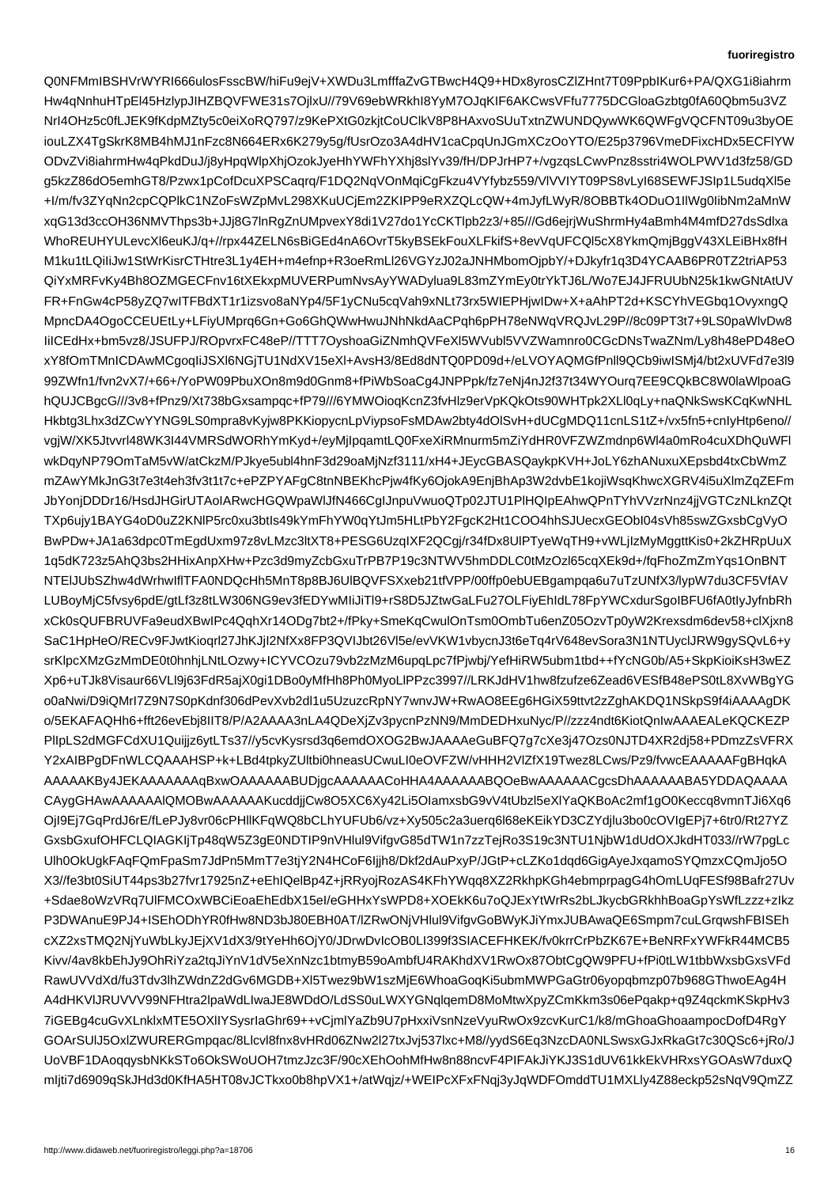Q0NFMmIBSHVrWYRI666ulosFsscBW/hiFu9ejV+XWDu3LmfffaZvGTBwcH4Q9+HDx8yrosCZIZHnt7T09PpblKur6+PA/QXG1i8iahrm Hw4qNnhuHTpEl45HzIypJIHZBQVFWE31s7OjlxU//79V69ebWRkhl8YyM7OJqKIF6AKCwsVFfu7775DCGloaGzbtg0fA60Qbm5u3VZ NrI4OHz5c0fLJEK9fKdpMZty5c0eiXoRQ797/z9KePXtG0zkitCoUClkV8P8HAxvoSUuTxtnZWUNDQywWK6QWFqVQCFNT09u3byOE iouLZX4TqSkrK8MB4hMJ1nFzc8N664ERx6K279y5q/fUsrOzo3A4dHV1caCpqUnJGmXCzOoYTO/E25p3796VmeDFixcHDx5ECFIYW ODvZVi8iahrmHw4qPkdDuJ/j8yHpqWlpXhjOzokJyeHhYWFhYXhj8slYv39/fH/DPJrHP7+/vgzqsLCwvPnz8sstri4WOLPWV1d3fz58/GD g5kzZ86dO5emhGT8/Pzwx1pCofDcuXPSCaqrq/F1DQ2NqVOnMqiCgFkzu4VYfybz559/VIVVIYT09PS8vLyI68SEWFJSIp1L5udqXl5e +I/m/fv3ZYqNn2cpCQPlkC1NZoFsWZpMvL298XKuUCjEm2ZKIPP9eRXZQLcQW+4mJyfLWyR/8OBBTk4ODuO1IIWg0libNm2aMnW xqG13d3ccOH36NMVThps3b+JJj8G7lnRgZnUMpvexY8di1V27do1YcCKTlpb2z3/+85///Gd6ejrjWuShrmHy4aBmh4M4mfD27dsSdlxa WhoREUHYULevcXl6euKJ/q+//rpx44ZELN6sBiGEd4nA6OvrT5kyBSEkFouXLFkifS+8evVqUFCQl5cX8YkmQmjBggV43XLEiBHx8fH M1ku1tLQiliJw1StWrKisrCTHtre3L1y4EH+m4efnp+R3oeRmLl26VGYzJ02aJNHMbomOjpbY/+DJkyfr1q3D4YCAAB6PR0TZ2triAP53 QiYxMRFvKy4Bh8OZMGECFnv16tXEkxpMUVERPumNvsAyYWADylua9L83mZYmEy0trYkTJ6L/Wo7EJ4JFRUUbN25k1kwGNtAtUV FR+FnGw4cP58yZQ7wlTFBdXT1r1izsvo8aNYp4/5F1yCNu5cqVah9xNLt73rx5WlEPHjwlDw+X+aAhPT2d+KSCYhVEGbq1OvyxnqQ MpncDA4OgoCCEUEtLy+LFiyUMprg6Gn+Go6GhQWwHwuJNhNkdAaCPgh6pPH78eNWgVRQJvL29P//8c09PT3t7+9LS0paWlvDw8 lilCEdHx+bm5vz8/JSUFPJ/ROpvrxFC48eP//TTT7OyshoaGiZNmhQVFeXl5WVubl5VVZWamnro0CGcDNsTwaZNm/Ly8h48ePD48eO xY8fOmTMnICDAwMCqoqIiJSXI6NGiTU1NdXV15eXI+AvsH3/8Ed8dNTQ0PD09d+/eLVOYAQMGfPnII9QCb9iwISMi4/bt2xUVFd7e3l9 99ZWfn1/fvn2vX7/+66+/YoPW09PbuXOn8m9d0Gnm8+fPiWbSoaCg4JNPPpk/fz7eNj4nJ2f37t34WYOurq7EE9CQkBC8W0laWlpoaG hQUJCBgcG///3v8+fPnz9/Xt738bGxsampqc+fP79///6YMWOioqKcnZ3fvHlz9erVpKQkOts90WHTpk2XLl0qLy+naQNkSwsKCqKwNHL Hkbtg3Lhx3dZCwYYNG9LS0mpra8vKyjw8PKKiopycnLpViypsoFsMDAw2bty4dOlSvH+dUCgMDQ11cnLS1tZ+/vx5fn5+cnlvHtp6eno// vgjW/XK5Jtvvrl48WK3I44VMRSdWORhYmKyd+/eyMjIpqamtLQ0FxeXiRMnurm5mZiYdHR0VFZWZmdnp6Wl4a0mRo4cuXDhQuWFI wkDqyNP79OmTaM5vW/atCkzM/PJkye5ubl4hnF3d29oaMjNzf3111/xH4+JEycGBASQaykpKVH+JoLY6zhANuxuXEpsbd4txCbWmZ mZAwYMkJnG3t7e3t4eh3fv3t1t7c+ePZPYAFgC8tnNBEKhcPjw4fKy6OjokA9EnjBhAp3W2dvbE1kojiWsqKhwcXGRV4i5uXlmZqZEFm JbYonjDDDr16/HsdJHGirUTAoIARwcHGQWpaWlJfN466CqIJnpuVwuoQTp02JTU1PIHQIpEAhwQPnTYhVVzrNnz4jjVGTCzNLknZQt TXp6ujy1BAYG4oD0uZ2KNIP5rc0xu3btls49kYmFhYW0qYtJm5HLtPbY2FqcK2Ht1COO4hhSJUecxGEObI04sVh85swZGxsbCqVyO BwPDw+JA1a63dpc0TmEgdUxm97z8vLMzc3ltXT8+PESG6UzqlXF2QCgj/r34fDx8UIPTyeWqTH9+vWLjIzMyMggttKis0+2kZHRpUuX 1q5dK723z5AhQ3bs2HHixAnpXHw+Pzc3d9myZcbGxuTrPB7P19c3NTWV5hmDDLC0tMzOzl65cqXEk9d+/fqFhoZmZmYqs1OnBNT NTEIJUbSZhw4dWrhwlfITFA0NDQcHh5MnT8p8BJ6UIBQVFSXxeb21tfVPP/00ffp0ebUEBgampqa6u7uTzUNfX3/lypW7du3CF5VfAV LUBoyMjC5fvsy6pdE/gtLf3z8tLW306NG9ev3fEDYwMliJiTl9+rS8D5JZtwGaLFu27OLFiyEhIdL78FpYWCxdurSgoIBFU6fA0tlyJyfnbRh xCk0sQUFBRUVFa9eudXBwlPc4QqhXr14ODg7bt2+/fPky+SmeKqCwulOnTsm0OmbTu6enZ05OzvTp0yW2Krexsdm6dev58+clXjxn8 SaC1HpHeO/RECv9FJwtKiogrl27JhKJjl2NfXx8FP3QVIJbt26VI5e/evVKW1vbycnJ3t6eTq4rV648evSora3N1NTUyclJRW9qySQvL6+y srKlpcXMzGzMmDE0t0hnhjLNtLOzwy+ICYVCOzu79vb2zMzM6upqLpc7fPjwbj/YefHiRW5ubm1tbd++fYcNG0b/A5+SkpKioiKsH3wEZ Xp6+uTJk8Visaur66VLI9j63FdR5ajX0qi1DBo0yMfHh8Ph0MyoLIPPzc3997//LRKJdHV1hw8fzufze6Zead6VESfB48ePS0tL8XvWBqYG o0aNwi/D9iQMrl7Z9N7S0pKdnf306dPevXvb2dl1u5UzuzcRpNY7wnvJW+RwAO8EEq6HGiX59ttvt2zZqhAKDQ1NSkpS9f4iAAAAqDK o/5EKAFAQHh6+fft26evEbj8llT8/P/A2AAAA3nLA4QDeXjZv3pycnPzNN9/MmDEDHxuNyc/P//zzz4ndt6KiotQnIwAAAEALeKQCKEZP PIIpLS2dMGFCdXU1Quiiiz6vtLTs37//v5cvKvsrsd3a6emdOXOG2BwJAAAAeGuBFQ7a7cXe3i47Ozs0NJTD4XR2di58+PDmzZsVFRX Y2xAIBPgDFnWLCQAAAHSP+k+LBd4tpkyZUltbi0hneasUCwuLI0eOVFZW/vHHH2VIZfX19Twez8LCws/Pz9/fvwcEAAAAAFgBHqkA AAAAAKBy4JEKAAAAAAAAgBxwOAAAAAABUDjgcAAAAAACoHHA4AAAAABQOeBwAAAAAACgcsDhAAAAABA5YDDAQAAAA CAygGHAwAAAAAAIQMOBwAAAAAAKucddjjCw8O5XC6Xy42Li5OlamxsbG9vV4tUbzl5eXlYaQKBoAc2mf1gO0Keccq8vmnTJi6Xq6 Ojl9Ej7GqPrdJ6rE/fLePJy8vr06cPHIIKFqWQ8bCLhYUFUb6/vz+Xy505c2a3uerq6l68eKEikYD3CZYdjlu3bo0cOVIgEPj7+6tr0/Rt27YZ GxsbGxufOHFCLQIAGKIiTp48qW5Z3qE0NDTIP9nVHlul9VifqvG85dTW1n7zzTejRo3S19c3NTU1NjbW1dUdOXJkdHT033//rW7pqLc Ulh0OkUgkFAqFQmFpaSm7JdPn5MmT7e3tjY2N4HCoF6ljjh8/Dkf2dAuPxyP/JGtP+cLZKo1dqd6GigAyeJxqamoSYQmzxCQmJjo5O X3//fe3bt0SiUT44ps3b27fvr17925nZ+eEhIQelBp4Z+jRRyojRozAS4KFhYWqq8XZ2RkhpKGh4ebmprpaqG4hOmLUqFESf98Bafr27Uv +Sdae8oWzVRq7UIFMCOxWBCiEoaEhEdbX15el/eGHHxYsWPD8+XOEkK6u7oQJExYtWrRs2bLJkycbGRkhhBoaGpYsWfLzzz+zlkz P3DWAnuE9PJ4+ISEhODhYR0fHw8ND3bJ80EBH0AT/IZRwONjVHlul9VifqvGoBWyKJiYmxJUBAwaQE6Smpm7cuLGrqwshFBISEh cXZ2xsTMQ2NjYuWbLkyJEjXV1dX3/9tYeHh6OjY0/JDrwDvlcOB0Ll399f3SIACEFHKEK/fv0krrCrPbZK67E+BeNRFxYWFkR44MCB5 Kivv/4av8kbEhJy9OhRiYza2tqJiYnV1dV5eXnNzc1btmyB59oAmbfU4RAKhdXV1RwOx87ObtCgQW9PFU+fPi0tLW1tbbWxsbGxsVFd RawUVVdXd/fu3Tdv3lhZWdnZ2dGv6MGDB+Xl5Twez9bW1szMjE6WhoaGoqKi5ubmMWPGaGtr06yopqbmzp07b968GThwoEAg4H A4dHKVIJRUVVV99NFHtra2lpaWdLIwaJE8WDdO/LdSS0uLWXYGNqlqemD8MoMtwXpyZCmKkm3s06ePqakp+q9Z4qckmKSkpHv3 7iGEBg4cuGvXLnklxMTE5OXIIYSysrlaGhr69++vCjmlYaZb9U7pHxxiVsnNzeVyuRwOx9zcvKurC1/k8/mGhoaGhoaampocDofD4RgY GOArSUIJ5OxIZWURERGmpqac/8Llcvl8fnx8vHRd06ZNw2l27txJvj537lxc+M8//yydS6Eq3NzcDA0NLSwsxGJxRkaGt7c30QSc6+jRo/J UoVBF1DAoggysbNKkSTo6OkSWoUOH7tmzJzc3F/90cXEhOohMfHw8n88ncvF4PIFAkJiYKJ3S1dUV61kkEkVHRxsYGOAsW7duxQ mljti7d6909qSkJHd3d0KfHA5HT08vJCTkxo0b8hpVX1+/atWqiz/+WEIPcXFxFNqj3yJqWDFOmddTU1MXLly4Z88eckp52sNqV9QmZZ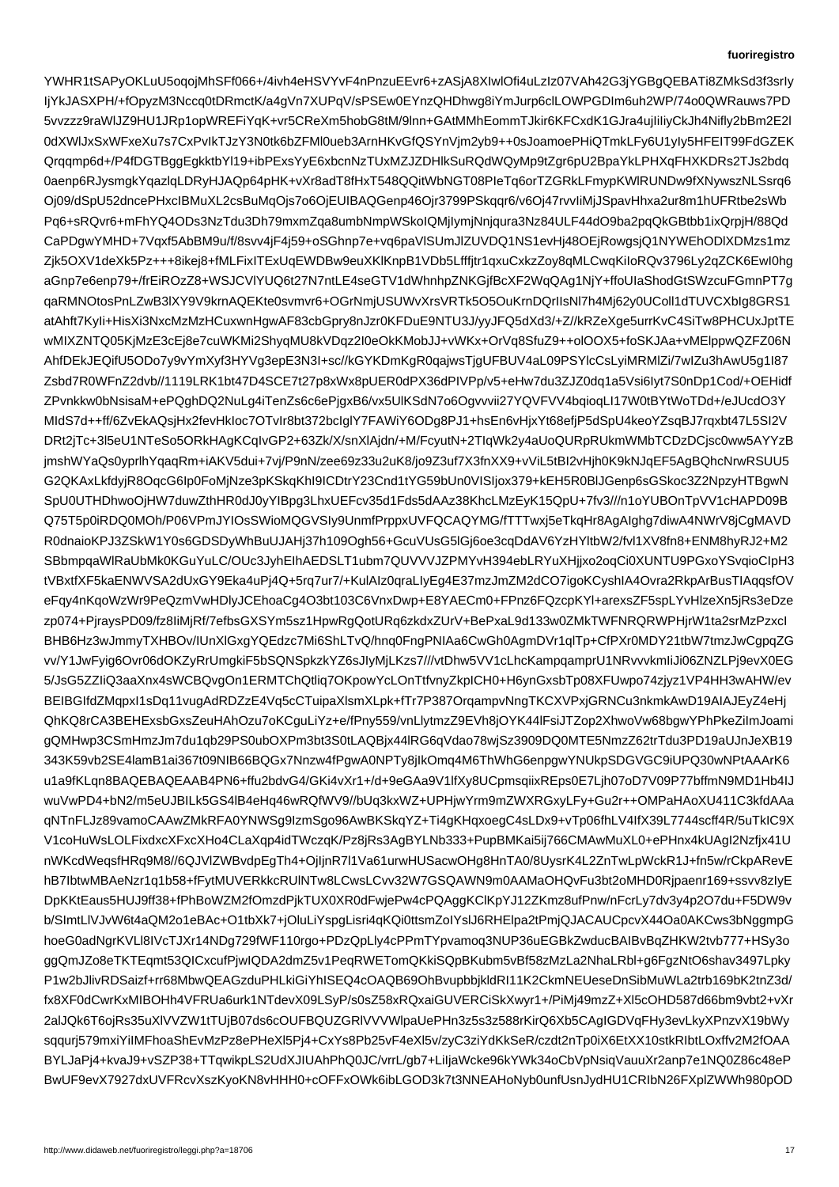YWHR1tSAPyOKLuU5ogojMhSFf066+/4ivh4eHSVYvF4nPnzuEEvr6+zASjA8XIwlOfi4uLzIz07VAh42G3jYGBqQEBATi8ZMkSd3f3srly ljYkJASXPH/+fOpyzM3Nccq0tDRmctK/a4gVn7XUPqV/sPSEw0EYnzQHDhwg8iYmJurp6clLOWPGDIm6uh2WP/74o0QWRauws7PD 5vvzzz9raWIJZ9HU1JRp1opWREFiYqK+vr5CReXm5hobG8tM/9Inn+GAtMMhEommTJkir6KFCxdK1GJra4ujliliyCkJh4Nifly2bBm2E2I 0dXWIJxSxWFxeXu7s7CxPvIkTJzY3N0tk6bZFMI0ueb3ArnHKvGfQSYnVjm2yb9++0sJoamoePHiQTmkLFy6U1yly5HFEIT99FdGZEK Qrgqmp6d+/P4fDGTBggEgkktbYl19+ibPExsYyE6xbcnNzTUxMZJZDHlkSuRQdWQyMp9tZgr6pU2BpaYkLPHXqFHXKDRs2TJs2bdq 0aenp6RJysmgkYqazlqLDRyHJAQp64pHK+vXr8adT8fHxT548QQitWbNGT08PleTq6orTZGRkLFmypKWlRUNDw9fXNywszNLSsrq6 Oj09/dSpU52dncePHxclBMuXL2csBuMqOjs7o6OjEUIBAQGenp46Ojr3799PSkqqr6/v6Oj47rvvliMjJSpavHhxa2ur8m1hUFRtbe2sWb Pq6+sRQvr6+mFhYQ4ODs3NzTdu3Dh79mxmZqa8umbNmpWSkolQMjlymjNnjqura3Nz84ULF44dO9ba2pqQkGBtbb1ixQrpjH/88Qd CaPDgwYMHD+7Vqxf5AbBM9u/f/8svv4jF4j59+oSGhnp7e+vq6paVISUmJIZUVDQ1NS1evHj48OEjRowgsjQ1NYWEhODIXDMzs1mz Zjk5OXV1deXk5Pz+++8ikej8+fMLFixITExUqEWDBw9euXKlKnpB1VDb5Lfffitr1gxuCxkzZoy8gMLCwgKiloRQv3796Ly2gZCK6EwI0hg aGnp7e6enp79+/frEiROzZ8+WSJCVIYUQ6t27N7ntLE4seGTV1dWhnhpZNKGjfBcXF2WqQAg1NjY+ffoUlaShodGtSWzcuFGmnPT7g gaRMNOtosPnLZwB3IXY9V9krnAQEKte0svmvr6+OGrNmjUSUWvXrsVRTk5O5OuKrnDQrIIsNI7h4Mj62y0UColl1dTUVCXblq8GRS1 atAhft7Kyli+HisXi3NxcMzMzHCuxwnHqwAF83cbGpry8nJzr0KFDuE9NTU3J/yyJFQ5dXd3/+Z//kRZeXqe5urrKvC4SiTw8PHCUxJptTE wMIXZNTQ05KjMzE3cEj8e7cuWKMi2ShyqMU8kVDqz2l0eOkKMobJJ+vWKx+OrVq8SfuZ9++olOOX5+foSKJAa+vMElppwQZFZ06N AhfDEkJEQifU5ODo7y9vYmXyf3HYVg3epE3N3I+sc//kGYKDmKgR0qajwsTjgUFBUV4aL09PSYlcCsLyiMRMIZi/7wIZu3hAwU5g1I87 Zsbd7R0WFnZ2dvb//1119LRK1bt47D4SCE7t27p8xWx8pUER0dPX36dPIVPp/v5+eHw7du3ZJZ0dq1a5Vsi6lyt7S0nDp1Cod/+OEHidf ZPvnkkw0bNsisaM+ePQghDQ2NuLg4iTenZs6c6ePjgxB6/vx5UlKSdN7o6Ogvvvii27YQVFVV4bqioqLl17W0tBYtWoTDd+/eJUcdO3Y MIdS7d++ff/6ZvEkAQsjHx2fevHkIoc7OTvIr8bt372bcIgIY7FAWiY6ODg8PJ1+hsEn6vHjxYt68efjP5dSpU4keoYZsqBJ7rqxbt47L5SI2V DRt2jTc+3l5eU1NTeSo5ORkHAgKCqIvGP2+63Zk/X/snXlAjdn/+M/FcyutN+2TlqWk2y4aUoQURpRUkmWMbTCDzDCjsc0ww5AYYzB imshWYaQs0yprlhYqaqRm+iAKV5dui+7vj/P9nN/zee69z33u2uK8/jo9Z3uf7X3fnXX9+vViL5tBl2vHjh0K9kNJqEF5AqBQhcNrwRSUU5 G2QKAxLkfdyjR8OqcG6Ip0FoMjNze3pKSkqKhl9ICDtrY23Cnd1tYG59bUn0VISIjox379+kEH5R0BIJGenp6sGSkoc3Z2NpzyHTBgwN SpU0UTHDhwoOjHW7duwZthHR0dJ0yYIBpq3LhxUEFcv35d1Fds5dAAz38KhcLMzEyK15QpU+7fv3///n1oYUBOnTpVV1cHAPD09B Q75T5p0iRDQ0MOh/P06VPmJYIOsSWioMQGVSIy9UnmfPrppxUVFQCAQYMG/fTTTwxi5eTkqHr8AqAIqhq7diwA4NWrV8jCqMAVD R0dnaioKPJ3ZSkW1Y0s6GDSDyWhBuUJAHj37h109Ogh56+GcuVUsG5lGj6oe3cqDdAV6YzHYltbW2/fvl1XV8fn8+ENM8hyRJ2+M2 SBbmpqaWlRaUbMk0KGuYuLC/OUc3JyhElhAEDSLT1ubm7QUVVVJZPMYvH394ebLRYuXHjjxo2oqCi0XUNTU9PGxoYSvqioClpH3 tVBxtfXF5kaENWVSA2dUxGY9Eka4uPj4Q+5rq7ur7/+KulAlz0qraLlyEq4E37mzJmZM2dCO7igoKCyshIA4Ovra2RkpArBusTIAqqsfOV eFqy4nKqoWzWr9PeQzmVwHDlyJCEhoaCq4O3bt103C6VnxDwp+E8YAECm0+FPnz6FQzcpKYI+arexsZF5spLYvHlzeXn5jRs3eDze zp074+PjraysPD09/fz8liMjRf/7efbsGXSYm5sz1HpwRqQotURq6zkdxZUrV+BePxaL9d133w0ZMkTWFNRQRWPHjrW1ta2srMzPzxcl BHB6Hz3wJmmyTXHBOv/IUnXIGxgYQEdzc7Mi6ShLTvQ/hnq0FngPNIAa6CwGh0AgmDVr1qlTp+CfPXr0MDY21tbW7tmzJwCgpqZG vv/Y1JwFyig6Ovr06dOKZyRrUmgkiF5bSQNSpkzkYZ6sJlyMjLKzs7///vtDhw5VV1cLhcKampqamprU1NRvvvkmliJi06ZNZLPj9evX0EG 5/JsG5ZZliQ3aaXnx4sWCBQvqOn1ERMTChQtliq7OKpowYcLOnTtfvnyZkpICH0+H6ynGxsbTp08XFUwpo74zjyz1VP4HH3wAHW/ev BEIBGIfdZMqpxI1sDq11vuqAdRDZzE4Vq5cCTuipaXlsmXLpk+fTr7P387OrqampvNnqTKCXVPxjGRNCu3nkmkAwD19AIAJEvZ4eHj QhKQ8rCA3BEHExsbGxsZeuHAhOzu7oKCquLiYz+e/fPny559/vnLlytmzZ9EVh8jOYK44IFsiJTZop2XhwoVw68bqwYPhPkeZilmJoami gQMHwp3CSmHmzJm7du1qb29PS0ubOXPm3bt3S0tLAQBjx44lRG6qVdao78wjSz3909DQ0MTE5NmzZ62trTdu3PD19aUJnJeXB19 343K59vb2SE4lamB1ai367t09NIB66BQGx7Nnzw4fPgwA0NPTy8jlkOmq4M6ThWhG6enpgwYNUkpSDGVGC9iUPQ30wNPtAAArK6 u1a9fKLqn8BAQEBAQEAAB4PN6+ffu2bdvG4/GKi4vXr1+/d+9eGAa9V1lfXy8UCpmsqiixREps0E7Ljh07oD7V09P77bffmN9MD1Hb4IJ wuVwPD4+bN2/m5eUJBILk5GS4lB4eHq46wRQfWV9//bUq3kxWZ+UPHjwYrm9mZWXRGxyLFy+Gu2r++OMPaHAoXU411C3kfdAAa qNTnFLJz89vamoCAAwZMkRFA0YNWSg9IzmSgo96AwBKSkqYZ+Ti4gKHqxoegC4sLDx9+vTp06fhLV4IfX39L7744scff4R/5uTkIC9X V1coHuWsLOLFixdxcXFxcXHo4CLaXqp4idTWczqK/Pz8jRs3AqBYLNb333+PupBMKai5ij766CMAwMuXL0+ePHnx4kUAqI2Nzfjx41U nWKcdWeqsfHRq9M8//6QJVIZWBvdpEgTh4+OjIjnR7I1Va61urwHUSacwOHg8HnTA0/8UysrK4L2ZnTwLpWckR1J+fn5w/rCkpARevE hB7lbtwMBAeNzr1q1b58+fFytMUVERkkcRUINTw8LCwsLCvv32W7GSQAWN9m0AAMaOHQvFu3bt2oMHD0Rjpaenr169+ssvv8zlvE DpKKtEaus5HUJ9ff38+fPhBoWZM2fOmzdPjkTUX0XR0dFwjePw4cPQAggKClKpYJ12ZKmz8ufPnw/nFcrLy7dv3y4p2O7du+F5DW9v b/SImtLIVJvW6t4aQM2o1eBAc+O1tbXk7+jOluLiYspgLisri4qKQi0ttsmZolYsIJ6RHElpa2tPmjQJACAUCpcvX44Oa0AKCws3bNqqmpG hoeG0adNgrKVLI8IVcTJXr14NDg729fWF110rgo+PDzQpLly4cPPmTYpvamoq3NUP36uEGBkZwducBAIBvBqZHKW2tvb777+HSy3o ggQmJZo8eTKTEqmt53QICxcufPjwIQDA2dmZ5v1PeqRWETomQKkiSQpBKubm5vBf58zMzLa2NhaLRbl+g6FgzNtO6shav3497Lpky P1w2bJlivRDSaizf+rr68MbwQEAGzduPHLkiGiYhISEQ4cOAQB69OhBvupbbjkldRI11K2CkmNEUeseDnSibMuWLa2trb169bK2tnZ3d/ fx8XF0dCwrKxMIBOHh4VFRUa6urk1NTdevX09LSyP/s0sZ58xRQxaiGUVERCiSkXwyr1+/PiMj49mzZ+Xl5cOHD587d66bm9vbt2+vXr 2alJQk6T6ojRs35uXIVVZW1tTUjB07ds6cOUFBQUZGRIVVVWIpaUePHn3z5s3z588rKirQ6Xb5CAgIGDVqFHy3evLkyXPnzvX19bWy sqqurj579mxiYiIMFhoaShEvMzPz8ePHeXl5Pj4+CxYs8Pb25vF4eXl5v/zyC3ziYdKkSeR/czdt2nTp0iX6EtXX10stkRlbtLOxffv2M2fOAA BYLJaPj4+kvaJ9+vSZP38+TTqwikpLS2UdXJIUAhPhQ0JC/vrrL/gb7+LiIjaWcke96kYWk34oCbVpNsiqVauuXr2anp7e1NQ0Z86c48eP BwUF9evX7927dxUVFRcvXszKyoKN8vHHH0+cOFFxOWk6ibLGOD3k7t3NNEAHoNyb0unfUsnJydHU1CRIbN26FXplZWWh980pOD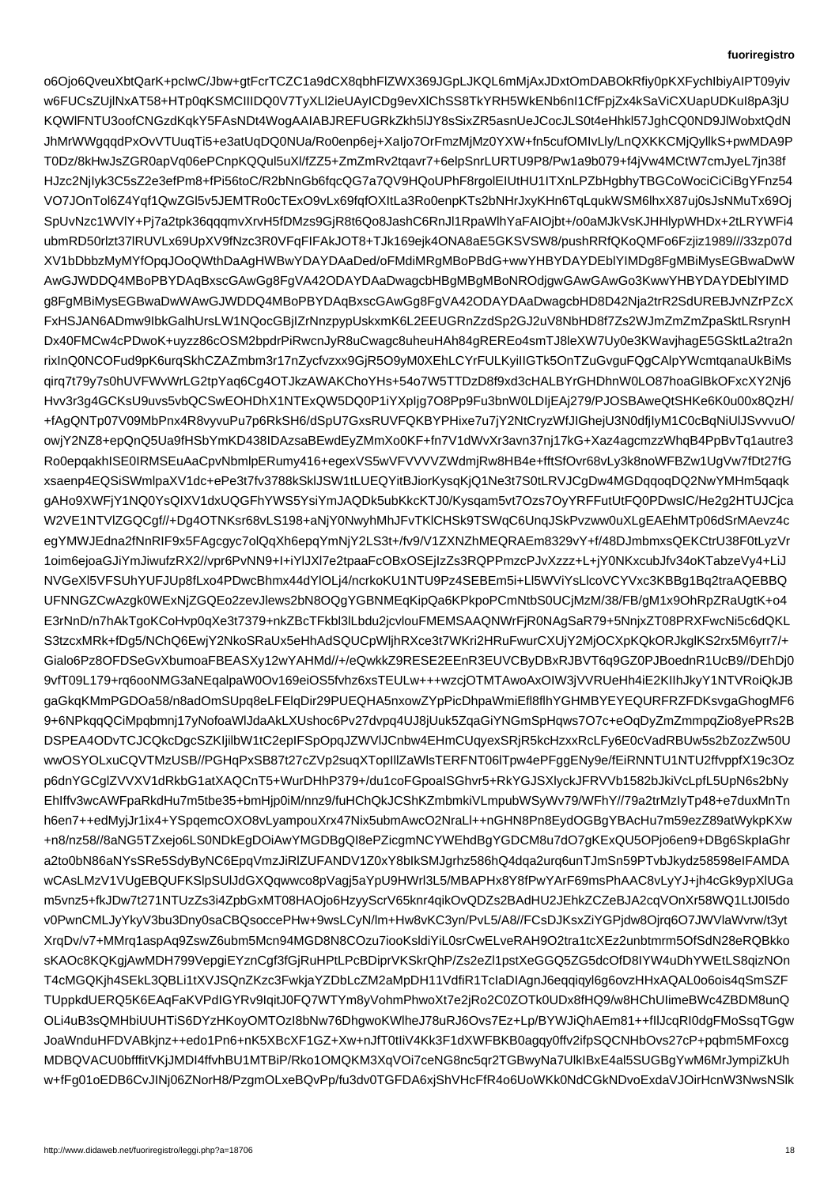o6Ojo6QveuXbtQarK+pclwC/Jbw+gtFcrTCZC1a9dCX8qbhFlZWX369JGpLJKQL6mMjAxJDxtOmDABOkRfiy0pKXFychlbiyAlPT09yiv w6FUCsZUjlNxAT58+HTp0qKSMCIIIDQ0V7TyXLl2ieUAyICDg9evXlChSS8TkYRH5WkENb6nl1CfFpjZx4kSaViCXUapUDKuI8pA3jU KQWIFNTU3oofCNGzdKqkY5FAsNDt4WoqAAIABJREFUGRkZkh5IJY8sSixZR5asnUeJCocJLS0t4eHhkl57JqhCQ0ND9JlWobxtQdN JhMrWWqqqdPxOvVTUuqTi5+e3atUqDQ0NUa/Ro0enp6ej+Xaljo7OrFmzMjMz0YXW+fn5cufOMIvLly/LnQXKKCMjQyllkS+pwMDA9P T0Dz/8kHwJsZGR0apVq06ePCnpKQQul5uXl/fZZ5+ZmZmRv2tqavr7+6elpSnrLURTU9P8/Pw1a9b079+f4jVw4MCtW7cmJyeL7jn38f HJzc2Nilvk3C5sZ2e3efPm8+fPi56toC/R2bNnGb6fqcQG7a7QV9HQoUPhF8rgolEIUtHU1ITXnLPZbHgbhyTBGCoWociCiCiBgYFnz54 VO7JOnTol6Z4Yqf1QwZGl5v5JEMTRo0cTExO9vLx69fqfOXItLa3Ro0enpKTs2bNHrJxyKHn6TqLqukWSM6lhxX87uj0sJsNMuTx69Oj SpUvNzc1WVIY+Pj7a2tpk36qqqmvXrvH5fDMzs9GjR8t6Qo8JashC6RnJl1RpaWlhYaFAIOjbt+/o0aMJkVsKJHHlypWHDx+2tLRYWFi4 ubmRD50rlzt37lRUVLx69UpXV9fNzc3R0VFqFIFAkJOT8+TJk169ejk4ONA8aE5GKSVSW8/pushRRfQKoQMFo6Fzjiz1989///33zp07d XV1bDbbzMyMYfOpqJOoQWthDaAgHWBwYDAYDAaDed/oFMdiMRgMBoPBdG+wwYHBYDAYDEbIYIMDg8FgMBiMysEGBwaDwW AwGJWDDQ4MBoPBYDAqBxscGAwGg8FgVA42ODAYDAaDwagcbHBgMBgMBoNROdjgwGAwGAwGo3KwwYHBYDAYDEbIYIMD g8FgMBiMysEGBwaDwWAwGJWDDQ4MBoPBYDAgBxscGAwGg8FgVA42ODAYDAaDwagcbHD8D42Nja2trR2SdUREBJvNZrPZcX FxHSJAN6ADmw9lbkGalhUrsLW1NQocGBjlZrNnzpypUskxmK6L2EEUGRnZzdSp2GJ2uV8NbHD8f7Zs2WJmZmZmZpaSktLRsrynH Dx40FMCw4cPDwoK+uyzz86cOSM2bpdrPiRwcnJyR8uCwagc8uheuHAh84gREREo4smTJ8leXW7Uy0e3KWavjhagE5GSktLa2tra2n rixInQ0NCOFud9pK6urgSkhCZAZmbm3r17nZvcfvzxx9GiR5O9vM0XEhLCYrFULKvillGTk5OnTZuGvguFQgCAlpYWcmtganaUkBiMs qirq7t79y7s0hUVFWvWrLG2tpYaq6Cg4OTJkzAWAKChoYHs+54o7W5TTDzD8f9xd3cHALBYrGHDhnW0LO87hoaGlBkOFxcXY2Nj6 Hvv3r3q4GCKsU9uvs5vbQCSwEOHDhX1NTExQW5DQ0P1iYXpljg7O8Pp9Fu3bnW0LDljEAj279/PJOSBAweQtSHKe6K0u00x8QzH/ +fAgQNTp07V09MbPnx4R8vyvuPu7p6RkSH6/dSpU7GxsRUVFQKBYPHixe7u7jY2NtCryzWfJIGhejU3N0dfjlyM1C0cBqNiUIJSvvvuO/ owjY2NZ8+epQnQ5Ua9fHSbYmKD438IDAzsaBEwdEyZMmXo0KF+fn7V1dWvXr3avn37nj17kG+Xaz4agcmzzWhqB4PpBvTq1autre3 Ro0epgakhISE0IRMSEuAaCpvNbmlpERumy416+egexVS5wVFVVVVZWdmjRw8HB4e+fftSfOvr68vLy3k8noWFBZw1UgVw7fDt27fG xsaenp4EQSiSWmlpaXV1dc+ePe3t7fv3788kSkIJSW1tLUEQYitBJiorKysqKjQ1Ne3t7S0tLRVJCgDw4MGDqqoqDQ2NwYMHm5qaqk gAHo9XWFjY1NQ0YsQIXV1dxUQGFhYWS5YsiYmJAQDk5ubKkcKTJ0/Kysqam5vt7Ozs7OyYRFFutUtFQ0PDwsIC/He2q2HTUJCjca W2VE1NTVIZGQCqf//+Dq4OTNKsr68vLS198+aNjY0NwyhMhJFvTKICHSk9TSWqC6UnqJSkPvzww0uXLqEAEhMTp06dSrMAevz4c egYMWJEdna2fNnRIF9x5FAgcgyc7olQqXh6epqYmNjY2LS3t+/fv9/V1ZXNZhMEQRAEm8329vY+f/48DJmbmxsQEKCtrU38F0tLyzVr 1oim6ejoaGJiYmJiwufzRX2//vpr6PvNN9+I+iYIJXl7e2tpaaFcOBxOSEjIzZs3RQPPmzcPJvXzzz+L+jY0NKxcubJfv34oKTabzeVy4+LiJ NVGeXI5VFSUhYUFJUp8fLxo4PDwcBhmx44dYIOLj4/ncrkoKU1NTU9Pz4SEBEm5i+LI5WViYsLlcoVCYVxc3KBBg1Bq2traAQEBBQ UFNNGZCwAzgk0WExNjZGQEo2zevJlews2bN8OQgYGBNMEqKipQa6KPkpoPCmNtbS0UCjMzM/38/FB/gM1x9OhRpZRaUgtK+o4 E3rNnD/n7hAkTgoKCoHvp0qXe3t7379+nkZBcTFkbl3lLbdu2jcvlouFMEMSAAQNWrFjR0NAgSaR79+5NnjxZT08PRXFwcNi5c6dQKL S3tzcxMRk+fDq5/NChQ6EwjY2NkoSRaUx5eHhAdSQUCpWljhRXce3t7WKri2HRuFwurCXUjY2MjOCXpKQkORJkqlKS2rx5M6yrr7/+ Gialo6Pz8OFDSeGvXbumoaFBEASXy12wYAHMd//+/eQwkkZ9RESE2EEnR3EUVCByDBxRJBVT6q9GZ0PJBoednR1UcB9//DEhDj0 9vfT09L179+rq6ooNMG3aNEqalpaW0Ov169eiOS5fvhz6xsTEULw+++wzcjOTMTAwoAxOIW3jVVRUeHh4iE2KIIhJkyY1NTVRoiQkJB gaGkgKMmPGDOa58/n8adOmSUpg8eLFEIgDir29PUEQHA5nxowZYpPicDhpaWmiEfl8flhYGHMBYEYEQURFRZFDKsvgaGhogMF6 9+6NPkgqQCiMpqbmnj17yNofoaWIJdaAkLXUshoc6Pv27dvpq4UJ8jUuk5ZqaGiYNGmSpHqws7O7c+eOqDyZmZmmpqZio8yePRs2B DSPEA4ODvTCJCQkcDgcSZKIjilbW1tC2epIFSpOpgJZWVIJCnbw4EHmCUqyexSRjR5kcHzxxRcLFy6E0cVadRBUw5s2bZozZw50U wwOSYOLxuCQVTMzUSB//PGHqPxSB87t27cZVp2suqXTopIllZaWIsTERFNT06lTpw4ePFgqENy9e/fEiRNNTU1NTU2ffvppfX19c3Oz p6dnYGCqlZVVXV1dRkbG1atXAQCnT5+WurDHhP379+/du1coFGpoalSGhvr5+RkYGJSXlyckJFRVVb1582bJkiVcLpfL5UpN6s2bNy Ehlffv3wcAWFpaRkdHu7m5tbe35+bmHjp0iM/nnz9/fuHChQkJCShKZmbmkiVLmpubWSyWv79/WFhY//79a2trMzlyTp48+e7duxMnTn h6en7++edMyjJr1ix4+YSpqemcOXO8vLyampouXrx47Nix5ubmAwcO2NraLl++nGHN8Pn8EydOGBgYBAcHu7m59ezZ89atWykpKXw +n8/nz58//8aNG5TZxejo6LS0NDkEgDOiAwYMGDBgQI8ePZicgmNCYWEhdBgYGDCM8u7dO7gKExQU5OPjo6en9+DBg6SkplaGhr a2to0bN86aNYsSRe5SdyByNC6EpqVmzJiRlZUFANDV1Z0xY8blkSMJgrhz586hQ4dqa2urq6unTJmSn59PTvbJkydz58598elFAMDA wCAsLMzV1VUqEBQUFKSlpSUIJdGXQqwwco8pVaqj5aYpU9HWrl3L5/MBAPHx8Y8fPwYArF69msPhAAC8vLyYJ+jh4cGk9ypXlUGa m5vnz5+fkJDw7t271NTUzZs3i4ZpbGxMT08HAOjo6HzyyScrV65knr4qikOvQDZs2BAdHU2JEhkZCZeBJA2cqVOnXr58WQ1LtJ0l5do v0PwnCMLJyYkyV3bu3Dny0saCBQsoccePHw+9wsLCyN/lm+Hw8vKC3yn/PvL5/A8//FCsDJKsxZiYGPjdw8Ojrq6O7JWVlaWvrw/t3yt XrgDv/v7+MMrq1aspAq9ZswZ6ubm5Mcn94MGD8N8COzu7iooKsldiYiL0srCwELveRAH9O2tra1tcXEz2unbtmrm5OfSdN28eRQBkko sKAOc8KQKgjAwMDH799VepgiEYznCgf3fGjRuHPtLPcBDiprVKSkrQhP/Zs2eZl1pstXeGGQ5ZG5dcOfD8lYW4uDhYWEtLS8qizNOn T4cMGQKjh4SEkL3QBLi1tXVJSQnZKzc3FwkjaYZDbLcZM2aMpDH11VdfiR1TclaDIAgnJ6eqqiqyl6q6ovzHHxAQAL0o6ois4qSmSZF TUppkdUERQ5K6EAqFaKVPdIGYRv9lqitJ0FQ7WTYm8yVohmPhwoXt7e2jRo2C0ZOTk0UDx8fHQ9/w8HChUIimeBWc4ZBDM8unQ OLi4uB3sQMHbiUUHTiS6DYzHKoyOMTOzl8bNw76DhgwoKWlheJ78uRJ6Ovs7Ez+Lp/BYWJiQhAEm81++flIJcqRl0dgFMoSsqTGgw JoaWnduHFDVABkjnz++edo1Pn6+nK5XBcXF1GZ+Xw+nJfT0tliV4Kk3F1dXWFBKB0agqy0ffv2ifpSQCNHbOvs27cP+pqbm5MFoxcg MDBQVACU0bfffitVKjJMDI4ffvhBU1MTBiP/Rko1OMQKM3XqVOi7ceNG8nc5qr2TGBwyNa7UlkIBxE4al5SUGBqYwM6MrJympiZkUh w+fFq01oEDB6CvJINj06ZNorH8/PzqmOLxeBQvPp/fu3dv0TGFDA6xjShVHcFfR4o6UoWKk0NdCGkNDvoExdaVJOirHcnW3NwsNSlk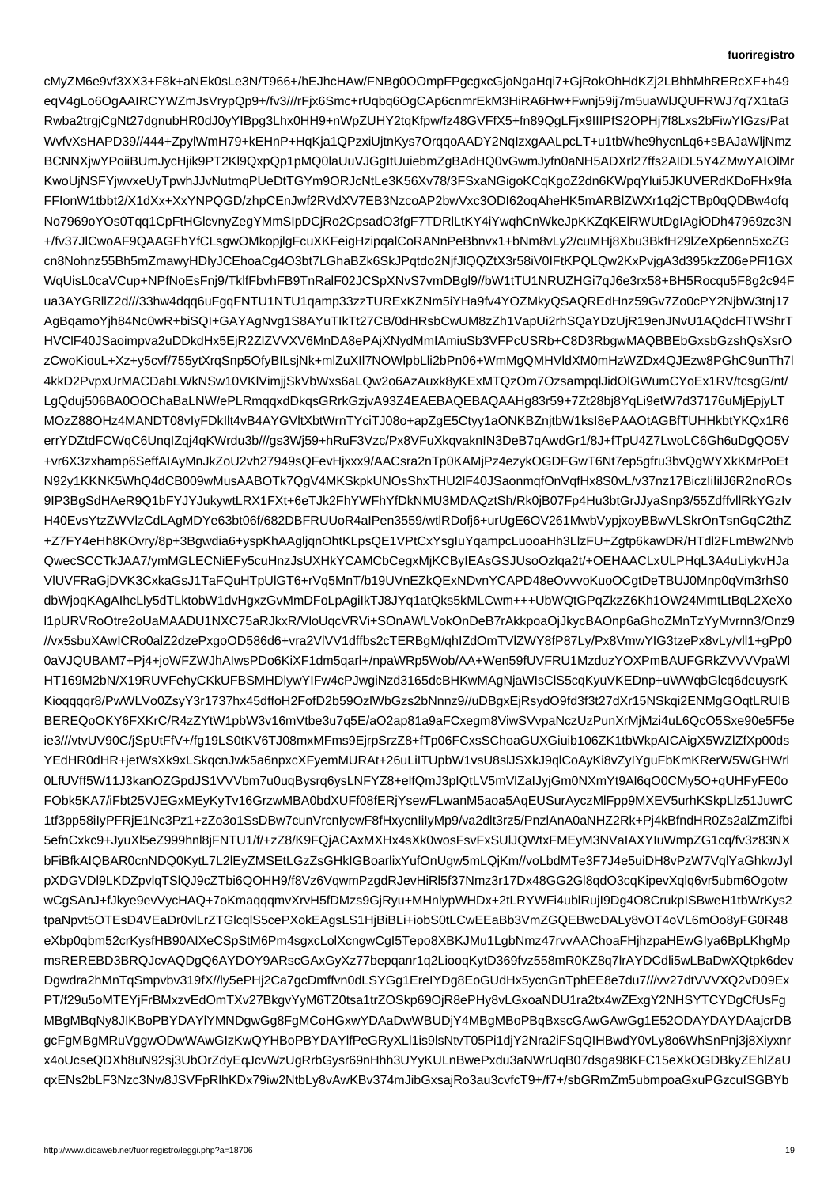cMyZM6e9vf3XX3+F8k+aNEk0sLe3N/T966+/hEJhcHAw/FNBg0OOmpFPgcgxcGjoNgaHqi7+GjRokOhHdKZj2LBhhMhRERcXF+h49 egV4gLo6OgAAIRCYWZmJsVrypQp9+/fv3///rFjx6Smc+rUgbq6OgCAp6cnmrEkM3HiRA6Hw+Fwnj59ij7m5uaWIJQUFRWJ7g7X1taG Rwba2trqjCqNt27dqnubHR0dJ0yYIBpq3Lhx0HH9+nWpZUHY2tqKfpw/fz48GVFfX5+fn89QqLFjx9IIIPfS2OPHj7f8Lxs2bFiwYIGzs/Pat WvfvXsHAPD39//444+ZpylWmH79+kEHnP+HqKia1QPzxiUjtnKys7OrggoAADY2NqIzxgAALpcLT+u1tbWhe9hycnLq6+sBAJaWljNmz BCNNXjwYPoiiBUmJycHjik9PT2Kl9QxpQp1pMQ0laUuVJGgltUuiebmZgBAdHQ0vGwmJyfn0aNH5ADXrl27ffs2AIDL5Y4ZMwYAIOlMr KwoUjNSFYjwvxeUyTpwhJJvNutmqPUeDtTGYm9ORJcNtLe3K56Xv78/3FSxaNGigoKCqKgoZ2dn6KWpqYlui5JKUVERdKDoFHx9fa FFlonW1tbbt2/X1dXx+XxYNPQGD/zhpCEnJwf2RVdXV7EB3NzcoAP2bwVxc3ODI62oqAheHK5mARBlZWXr1q2jCTBp0qQDBw4ofq No7969oYOs0Tqq1CpFtHGlcvnyZeqYMmSIpDCjRo2CpsadO3fgF7TDRILtKY4iYwqhCnWkeJpKKZqKElRWUtDqIAgiODh47969zc3N +/fv37JICwoAF9QAAGFhYfCLsgwOMkopjlgFcuXKFeigHzipqalCoRANnPeBbnvx1+bNm8vLy2/cuMHj8Xbu3BkfH29lZeXp6enn5xcZG cn8Nohnz55Bh5mZmawyHDlyJCEhoaCq4O3bt7LGhaBZk6SkJPqtdo2NjfJlQQZtX3r58iV0lFtKPQLQw2KxPvjqA3d395kzZ06ePFI1GX WqUisL0caVCup+NPfNoEsFnj9/TklfFbvhFB9TnRalF02JCSpXNvS7vmDBgl9//bW1tTU1NRUZHGi7qJ6e3rx58+BH5Rocqu5F8g2c94F ua3AYGRIIZ2d///33hw4dqq6uFqqFNTU1NTU1qamp33zzTURExKZNm5iYHa9fv4YOZMkyQSAQREdHnz59Gv7Zo0cPY2NjbW3tnj17 AgBqamoYjh84Nc0wR+biSQI+GAYAgNvg1S8AYuTlkTt27CB/0dHRsbCwUM8zZh1VapUi2rhSQaYDzUiR19enJNvU1AQdcFlTWShrT HVCIF40JSaoimpva2uDDkdHx5EjR2ZIZVVXV6MnDA8ePAjXNydMmlAmiuSb3VFPcUSRb+C8D3RbgwMAQBBEbGxsbGzshQsXsrO zCwoKiouL+Xz+v5cvf/755vtXraSnp5OfvBILsiNk+mlZuXII7NOWIpbLli2bPn06+WmMaQMHVldXM0mHzWZDx4QJEzw8PGhC9unTh7I 4kkD2PvpxUrMACDabLWkNSw10VKIVimjjSkVbWxs6aLQw2o6AzAuxk8yKExMTQzOm7OzsampqIJidOlGWumCYoEx1RV/tcsgG/nt/ LgQduj506BA0OOChaBaLNW/ePLRmqqxdDkqsGRrkGzjvA93Z4EAEBAQEBAQAAHg83r59+7Zt28bj8YqLi9etW7d37176uMjEpjyLT MOzZ88OHz4MANDT08vIyFDkIlt4vB4AYGVItXbtWrnTYciTJ08o+apZqE5Ctyy1aONKBZnjtbW1ksI8ePAAOtAGBfTUHHkbtYKQx1R6 errYDZtdFCWqC6UnqlZqj4qKWrdu3b///gs3Wj59+hRuF3Vzc/Px8VFuXkqvaknIN3DeB7qAwdGr1/8J+fTpU4Z7LwoLC6Gh6uDgQO5V +vr6X3zxhamp6SeffAIAyMnJkZoU2vh27949sQFevHjxxx9/AACsra2nTp0KAMjPz4ezykOGDFGwT6Nt7ep5qfru3bvQqWYXkKMrPoEt N92y1KKNK5WhQ4dCB009wMusAABOTk7QgV4MKSkpkUNOsShxTHU2lF40JSaonmqfOnVqfHx8S0vL/v37nz17BiczlililJ6R2noROs 9IP3BqSdHAeR9Q1bFYJYJukywtLRX1FXt+6eTJk2FhYWFhYfDkNMU3MDAQztSh/Rk0jB07Fp4Hu3btGrJJyaSnp3/55ZdffvllRkYGzlv H40EvsYtzZWVlzCdLAgMDYe63bt06f/682DBFRUUoR4alPen3559/wtlRDofj6+urUqE6OV261MwbVypjxoyBBwVLSkrOnTsnGqC2thZ +Z7FY4eHh8KOvry/8p+3Bgwdia6+yspKhAAgljqnOhtKLpsQE1VPtCxYsgluYqampcLuooaHh3LlzFU+Zgtp6kawDR/HTdl2FLmBw2Nvb QwecSCCTkJAA7/ymMGLECNiEFy5cuHnzJsUXHkYCAMCbCegxMjKCByIEAsGSJUsoOzIqa2t/+OEHAACLxULPHqL3A4uLiykvHJa VIUVFRaGiDVK3CxkaGsJ1TaFQuHTpUIGT6+rVq5MnT/b19UVnEZkQExNDvnYCAPD48eOvvvoKuoOCqtDeTBUJ0Mnp0qVm3rhS0 dbWjoqKAgAlhcLly5dTLktobW1dvHgxzGvMmDFoLpAgilkTJ8JYq1atQks5kMLCwm+++UbWQtGPqZkzZ6Kh1OW24MmtLtBqL2XeXo I1pURVRoOtre2oUaMAADU1NXC75aRJkxR/VloUqcVRVi+SOnAWLVokOnDeB7rAkkpoaOjJkycBAOnp6aGhoZMnTzYyMvrnn3/Onz9 //vx5sbuXAwICRo0alZ2dzePxgoOD586d6+vra2VIVV1dffbs2cTERBgM/ghIZdOmTVIZWY8fP87Ly/Px8VmwYIG3tzePx8vLy/vll1+gPp0 0aVJQUBAM7+Pj4+joWFZWJhAlwsPDo6KiXF1dm5qarl+/npaWRp5Wob/AA+Wen59fUVFRU1MzduzYOXPmBAUFGRkZVVVVpaWl HT169M2bN/X19RUVFehyCKkUFBSMHDlywYlFw4cPJwgiNzd3165dcBHKwMAgNjaWIsClS5cgKyuVKEDnp+uWWqbGlcq6deuysrK Kioqqqqr8/PwWLVo0ZsyY3r1737hx45dffoH2FofD2b59OzIWbGzs2bNnnz9//uDBgxEjRsydO9fd3f3t27dXr15NSkqi2ENMgGOqtLRUIB BEREQoOKY6FXKrC/R4zZYtW1pbW3v16mVtbe3u7q5E/aO2ap81a9aFCxeqm8ViwSVvpaNczUzPunXrMjMzi4uL6QcO5Sxe90e5F5e ie3///vtvUV90C/iSpUtFfV+/fq19LS0tKV6TJ08mxMFms9EirpSrzZ8+fTp06FCxsSChoaGUXGiuib106ZK1tbWkpAICAiqX5WZIZfXp00ds YEdHR0dHR+jetWsXk9xLSkqcnJwk5a6npxcXFyemMURAt+26uLiITUpbW1vsU8sIJSXkJ9qlCoAyKi8vZylYguFbKmKRerW5WGHWrl 0LfUVff5W11J3kanOZGpdJS1VVVbm7u0uqBysrq6ysLNFYZ8+elfQmJ3plQtLV5mVlZalJyjGm0NXmYt9Al6qO0CMy5O+qUHFyFE0o FObk5KA7/iFbt25VJEGxMEyKyTv16GrzwMBA0bdXUFf08fERjYsewFLwanM5aoa5AqEUSurAyczMlFpp9MXEV5urhKSkpLlz51JuwrC 1tf3pp58ilyPFRjE1Nc3Pz1+zZo3o1SsDBw7cunVrcnlycwF8fHxycnlilyMp9/va2dlt3rz5/PnzlAnA0aNHZ2Rk+Pj4kBfndHR0Zs2alZmZifbi 5efnCxkc9+JyuXl5eZ999hnl8jFNTU1/f/+zZ8/K9FQjACAxMXHx4sXk0wosFsvFxSUIJQWtxFMEyM3NVaIAXYIuWmpZG1cq/fv3z83NX bFiBfkAIQBAR0cnNDQ0KytL7L2IEyZMSEtLGzZsGHkIGBoarlixYufOnUgw5mLQjKm//voLbdMTe3F7J4e5uiDH8vPzW7VqlYaGhkwJyl pXDGVDI9LKDZpvlqTSIQJ9cZTbi6QOHH9/f8Vz6VqwmPzqdRJevHiRl5f37Nmz3r17Dx48GG2Gl8qdO3cqKipevXqlq6vr5ubm6Oqotw wCqSAnJ+fJkye9evVycHAQ+7oKmaqqqmvXrvH5fDMzs9GjRyu+MHnlypWHDx+2tLRYWFi4ublRujl9Dq4O8CrukpISBweH1tbWrKys2 tpaNpvt5OTEsD4VEaDr0vlLrZTGlcqlS5cePXokEAqsLS1HjBiBLi+iobS0tLCwEEaBb3VmZGQEBwcDALy8vOT4oVL6mOo8yFG0R48 eXbp0qbm52crKysfHB90AIXeCSpStM6Pm4sgxcLoIXcngwCgI5Tepo8XBKJMu1LgbNmz47rvvAAChoaFHjhzpaHEwGIya6BpLKhgMp msREREBD3BRQJcvAQDgQ6AYDOY9ARscGAxGyXz77bepqanr1q2LiooqKytD369fvz558mR0KZ8q7lrAYDCdli5wLBaDwXQtpk6dev Dgwdra2hMnTqSmpvbv319fX//ly5ePHj2Ca7gcDmffvn0dLSYGg1ErelYDg8EoGUdHx5ycnGnTphEE8e7du7///vv27dtVVVXQ2vD09Ex PT/f29u5oMTEYjFrBMxzvEdOmTXv27BkgvYyM6TZ0tsa1trZOSkp69OjR8ePHy8vLGxoaNDU1ra2tx4wZExgY2NHSYTCYDgCfUsFg MBgMBgNy8JIKBoPBYDAYIYMNDgwGg8FgMCoHGxwYDAaDwWBUDjY4MBgMBoPBqBxscGAwGAwGg1E52ODAYDAYDAajcrDB gcFgMBgMRuVggwODwWAwGlzKwQYHBoPBYDAYIfPeGRyXLI1is9lsNtvT05Pi1djY2Nra2iFSqQlHBwdY0vLy8o6WhSnPnj3j8Xiyxnr x4oUcseQDXh8uN92sj3UbOrZdyEqJcvWzUqRrbGysr69nHhh3UYyKULnBwePxdu3aNWrUqB07dsqa98KFC15eXkOGDBkyZEhlZaU gxENs2bLF3Nzc3Nw8JSVFpRlhKDx79iw2NtbLy8vAwKBv374mJibGxsajRo3au3cvfcT9+/f7+/sbGRmZm5ubmpoaGxuPGzcuISGBYb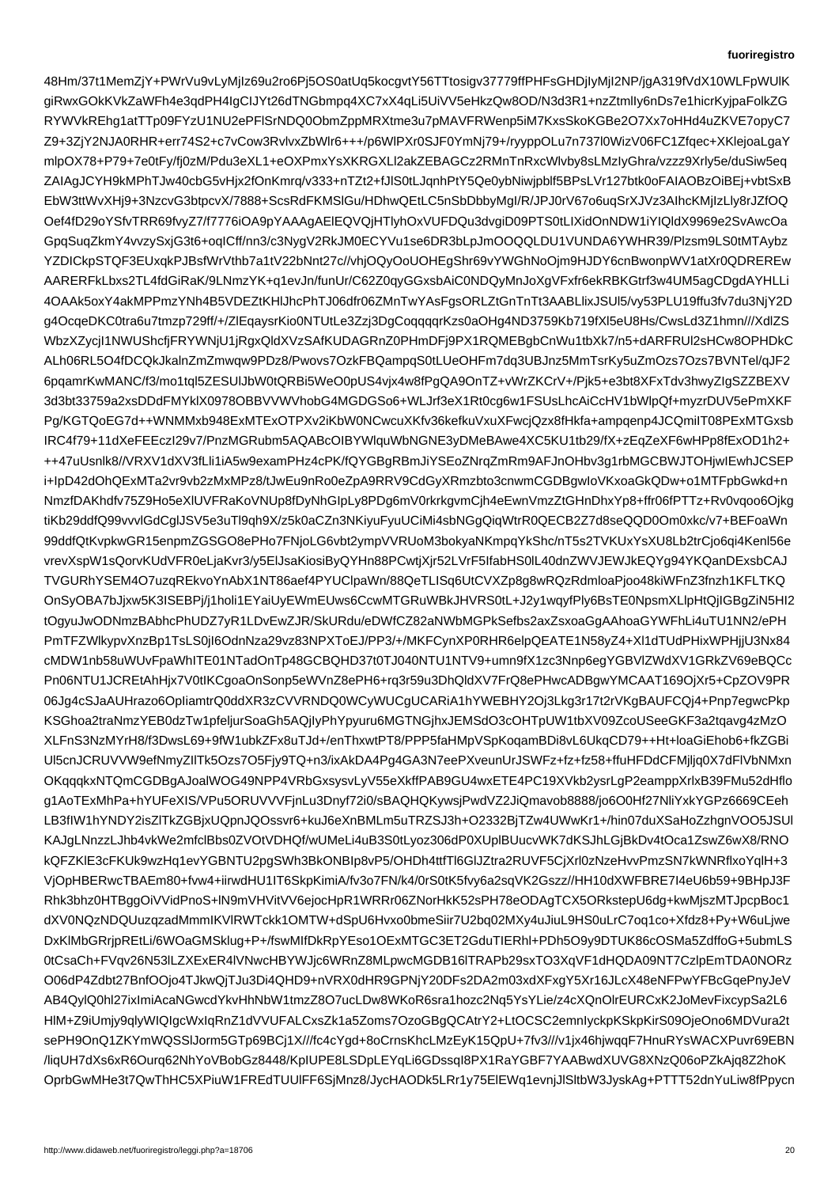48Hm/37t1MemZjY+PWrVu9vLyMjIz69u2ro6Pj5OS0atUq5kocgvtY56TTtosigv37779ffPHFsGHDjIyMjI2NP/jgA319fVdX10WLFpWUIK giRwxGOkKVkZaWFh4e3qdPH4IgClJYt26dTNGbmpq4XC7xX4qLi5UiVV5eHkzQw8OD/N3d3R1+nzZtmlly6nDs7e1hicrKyjpaFolkZG RYWVkREhg1atTTp09FYzU1NU2ePFISrNDQ0ObmZppMRXtme3u7pMAVFRWenp5iM7KxsSkoKGBe2O7Xx7oHHd4uZKVE7opyC7 Z9+3ZjY2NJA0RHR+err74S2+c7vCow3RvlvxZbWlr6+++/p6WIPXr0SJF0YmNj79+/ryyppOLu7n737l0WizV06FC1Zfqec+XKlejoaLqaY mlpOX78+P79+7e0tFy/fj0zM/Pdu3eXL1+eOXPmxYsXKRGXLI2akZEBAGCz2RMnTnRxcWlvby8sLMzIyGhra/vzzz9Xrly5e/duSiw5eq ZAIAgJCYH9kMPhTJw40cbG5vHjx2fOnKmrq/v333+nTZt2+fJlS0tLJqnhPtY5Qe0ybNiwjpblf5BPsLVr127btk0oFAIAOBzOiBEj+vbtSxB EbW3ttWvXHj9+3NzcvG3btpcvX/7888+ScsRdFKMSlGu/HDhwQEtLC5nSbDbbyMgl/R/JPJ0rV67o6uqSrXJVz3AlhcKMjIzLly8rJZfOQ Oef4fD29oYSfvTRR69fvyZ7/f7776iOA9pYAAAgAEIEQVQjHTIyhOxVUFDQu3dvgiD09PTS0tLIXidOnNDW1iYIQldX9969e2SvAwcOa GpqSuqZkmY4vvzySxjG3t6+oqlCff/nn3/c3NygV2RkJM0ECYVu1se6DR3bLpJmOOQQLDU1VUNDA6YWHR39/Plzsm9LS0tMTAybz YZDICkpSTQF3EUxqkPJBsfWrVthb7a1tV22bNnt27c//vhjOQyOoUOHEgShr69vYWGhNoOjm9HJDY6cnBwonpWV1atXr0QDREREw AARERFkLbxs2TL4fdGiRaK/9LNmzYK+q1evJn/funUr/C62Z0qyGGxsbAiC0NDQyMnJoXgVFxfr6ekRBKGtrf3w4UM5agCDgdAYHLLi 4OAAk5oxY4akMPPmzYNh4B5VDEZtKHIJhcPhTJ06dfr06ZMnTwYAsFqsORLZtGnTnTt3AABLlixJSUl5/vy53PLU19ffu3fv7du3NjY2D q4OcqeDKC0tra6u7tmzp729ff/+/ZlEqaysrKio0NTUtLe3Zzj3DqCoqqqqrKzs0aOHq4ND3759Kb719fXl5eU8Hs/CwsLd3Z1hmn///XdlZS WbzXZycjI1NWUShcfjFRYWNjU1jRgxQldXVzSAfKUDAGRnZ0PHmDFj9PX1RQMEBgbCnWu1tbXk7/n5+dARFRUI2sHCw8OPHDkC ALh06RL5O4fDCQkJkalnZmZmwqw9PDz8/Pwovs7OzkFBQampqS0tLUeOHFm7dq3UBJnz5MmTsrKy5uZmOzs7Ozs7BVNTel/qJF2 6pqamrKwMANC/f3/mo1tql5ZESUIJbW0tQRBi5WeO0pUS4vjx4w8fPgQA9OnTZ+vWrZKCrV+/Pjk5+e3bt8XFxTdv3hwyZlgSZZBEXV 3d3bt33759a2xsDDdFMYklX0978OBBVVWVhobG4MGDGSo6+WLJrf3eX1Rt0cg6w1FSUsLhcAiCcHV1bWlpQf+myzrDUV5ePmXKF Pg/KGTQoEG7d++WNMMxb948ExMTExOTPXv2iKbW0NCwcuXKfv36kefkuVxuXFwcjQzx8fHkfa+ampqenp4JCQmiIT08PExMTGxsb IRC4f79+11dXeFEEczI29v7/PnzMGRubm5AQABcOIBYWIquWbNGNE3yDMeBAwe4XC5KU1tb29/fX+zEqZeXF6wHPp8fExOD1h2+ ++47uUsnlk8//VRXV1dXV3fLli1iA5w9examPHz4cPK/fQYGBqRBmJiYSEoZNrqZmRm9AFJnOHbv3q1rbMGCBWJTOHjwlEwhJCSEP i+IpD42dOhQExMTa2vr9vb2zMxMPz8/tJwEu9nRo0eZpA9RRV9CdGyXRmzbto3cnwmCGDBgwloVKxoaGkQDw+o1MTFpbGwkd+n NmzfDAKhdfv75Z9Ho5eXIUVFRaKoVNUp8fDyNhGIpLy8PDq6mV0rkrkqvmCjh4eEwnVmzZtGHnDhxYp8+ffr06fPTTz+Rv0vqoo6Ojkq tiKb29ddfQ99vvvlGdCqlJSV5e3uTl9qh9X/z5k0aCZn3NKiyuFyuUCiMi4sbNGqQiqWtrR0QECB2Z7d8seQQD0Om0xkc/v7+BEFoaWn 99ddfQtKvpkwGR15enpmZGSGO8ePHo7FNjoLG6vbt2ympVVRUoM3bokyaNKmpqYkShc/nT5s2TVKUxYsXU8Lb2trCjo6qi4Kenl56e vrevXspW1sQorvKUdVFR0eLjaKvr3/y5EIJsaKiosiByQYHn88PCwtjXjr52LVrF5IfabHS0lL40dnZWVJEWJkEQYg94YKQanDExsbCAJ TVGURhYSEM4O7uzqREkvoYnAbX1NT86aef4PYUClpaWn/88QeTLISq6UtCVXZp8q8wRQzRdmloaPjoo48kiWFnZ3fnzh1KFLTKQ OnSyOBA7bJjxw5K3ISEBPj/j1holi1EYaiUyEWmEUws6CcwMTGRuWBkJHVRS0tL+J2y1wqyfPly6BsTE0NpsmXLlpHtQjIGBqZiN5HI2 tOgyuJwODNmzBAbhcPhUDZ7yR1LDvEwZJR/SkURdu/eDWfCZ82aNWbMGPkSefbs2axZsxoaGgAAhoaGYWFhLi4uTU1NN2/ePH PmTFZWlkypvXnzBp1TsLS0jl6OdnNza29vz83NPXToEJ/PP3/+/MKFCynXP0RHR6elpQEATE1N58yZ4+Xl1dTUdPHixWPHjjU3Nx84 cMDW1nb58uWUvFpaWhITE01NTadOnTp48GCBQHD37t0TJ040NTU1NTV9+umn9fX1zc3Nnp6egYGBVIZWdXV1GRkZV69eBQCc Pn06NTU1JCREtAhHix7V0tlKCqoaOnSonp5eWVnZ8ePH6+rq3r59u3DhQldXV7FrQ8ePHwcADBqwYMCAAT169OjXr5+CpZOV9PR 06Jq4cSJaAUHrazo6OpliamtrQ0ddXR3zCVVRNDQ0WCyWUCqUCARiA1hYWEBHY2Oj3Lkq3r17t2rVKqBAUFCQj4+Pnp7eqwcPkp KSGhoa2traNmzYEB0dzTw1pfeljurSoaGh5AQjlyPhYpyuru6MGTNGjhxJEMSdO3cOHTpUW1tbXV09ZcoUSeeGKF3a2tqavq4zMzO XLFnS3NzMYrH8/f3DwsL69+9fW1ubkZFx8uTJd+/enThxwtPT8/PPP5faHMpVSpKogamBDi8vL6UkgCD79++Ht+loaGiEhob6+fkZGBi UI5cnJCRUVVW9efNmyZIITk5Ozs7O5Fjy9TQ+n3/ixAkDA4Pg4GA3N7eePXveunUrJSWFz+fz+fz58+ffuHFDdCFMjljq0X7dFlVbNMxn OKgggkxNTQmCGDBgAJoalWOG49NPP4VRbGxsysvLyV55eXkffPAB9GU4wxETE4PC19XVkb2ysrLgP2eamppXrlxB39FMu52dHflo g1AoTExMhPa+hYUFeXIS/VPu5ORUVVVFjnLu3Dnyf72i0/sBAQHQKywsjPwdVZ2JiQmavob8888/jo6O0Hf27NliYxkYGPz6669CEeh LB3fIW1hYNDY2isZITkZGBjxUQpnJQOssvr6+kuJ6eXnBMLm5uTRZSJ3h+O2332BjTZw4UWwKr1+/hin07duXSaHoZzhgnVOO5JSUI KAJqLNnzzLJhb4vkWe2mfclBbs0ZVOtVDHQf/wUMeLi4uB3S0tLyoz306dP0XUplBUucvWK7dKSJhLGjBkDv4tOca1ZswZ6wX8/RNO kQFZKIE3cFKUk9wzHq1evYGBNTU2pgSWh3BkONBlp8vP5/OHDh4ttfTl6GlJZtra2RUVF5CjXrl0zNzeHvvPmzSN7kWNRflxoYqlH+3 VjOpHBERwcTBAEm80+fvw4+iirwdHU1IT6SkpKimiA/fv3o7FN/k4/0rS0tK5fvy6a2sqVK2Gszz//HH10dXWFBRE7I4eU6b59+9BHpJ3F Rhk3bhz0HTBqqOiVVidPnoS+IN9mVHVitVV6ejocHpR1WRRr06ZNorHkK52sPH78eODAqTCX5ORkstepU6dq+kwMjszMTJpcpBoc1 dXV0NQzNDQUuzqzadMmmlKVlRWTckk1OMTW+dSpU6Hvxo0bmeSiir7U2bq02MXy4uJiuL9HS0uLrC7oq1co+Xfdz8+Py+W6uLjwe DxKIMbGRrjpREtLi/6WOaGMSklug+P+/fswMIfDkRpYEso1OExMTGC3ET2GduTIERhI+PDh5O9y9DTUK86cOSMa5ZdffoG+5ubmLS 0tCsaCh+FVqv26N53ILZXExER4IVNwcHBYWJjc6WRnZ8MLpwcMGDB16ITRAPb29sxTO3XqVF1dHQDA09NT7CzIpEmTDA0NORz O06dP4Zdbt27BnfOOjo4TJkwQjTJu3Di4QHD9+nVRX0dHR9GPNjY20DFs2DA2m03xdXFxgY5Xr16JLcX48eNFPwYFBcGqePnyJeV AB4QylQ0hl27ixImiAcaNGwcdYkvHhNbW1tmzZ8O7ucLDw8WKoR6sra1hozc2Nq5YsYLie/z4cXQnOlrEURCxK2JoMevFixcypSa2L6 HIM+Z9iUmjy9qlyWIQIqcWxIqRnZ1dVVUFALCxsZk1a5Zoms7OzoGBgQCAtrY2+LtOCSC2emnlyckpKSkpKirS09OjeOno6MDVura2t sePH9OnQ1ZKYmWQSSIJorm5GTp69BCj1X///fc4cYgd+8oCrnsKhcLMzEyK15QpU+7fv3///v1jx46hjwqqF7HnuRYsWACXPuvr69EBN /ligUH7dXs6xR6Ourg62NhYoVBobGz8448/KpIUPE8LSDpLEYqLi6GDssql8PX1RaYGBF7YAABwdXUVG8XNzQ06oPZkAjq8Z2hoK OprbGwMHe3t7QwThHC5XPiuW1FREdTUUIFF6SjMnz8/JycHAODk5LRr1y75ElEWq1evnjJlSltbW3JyskAg+PTTT52dnYuLiw8fPpycn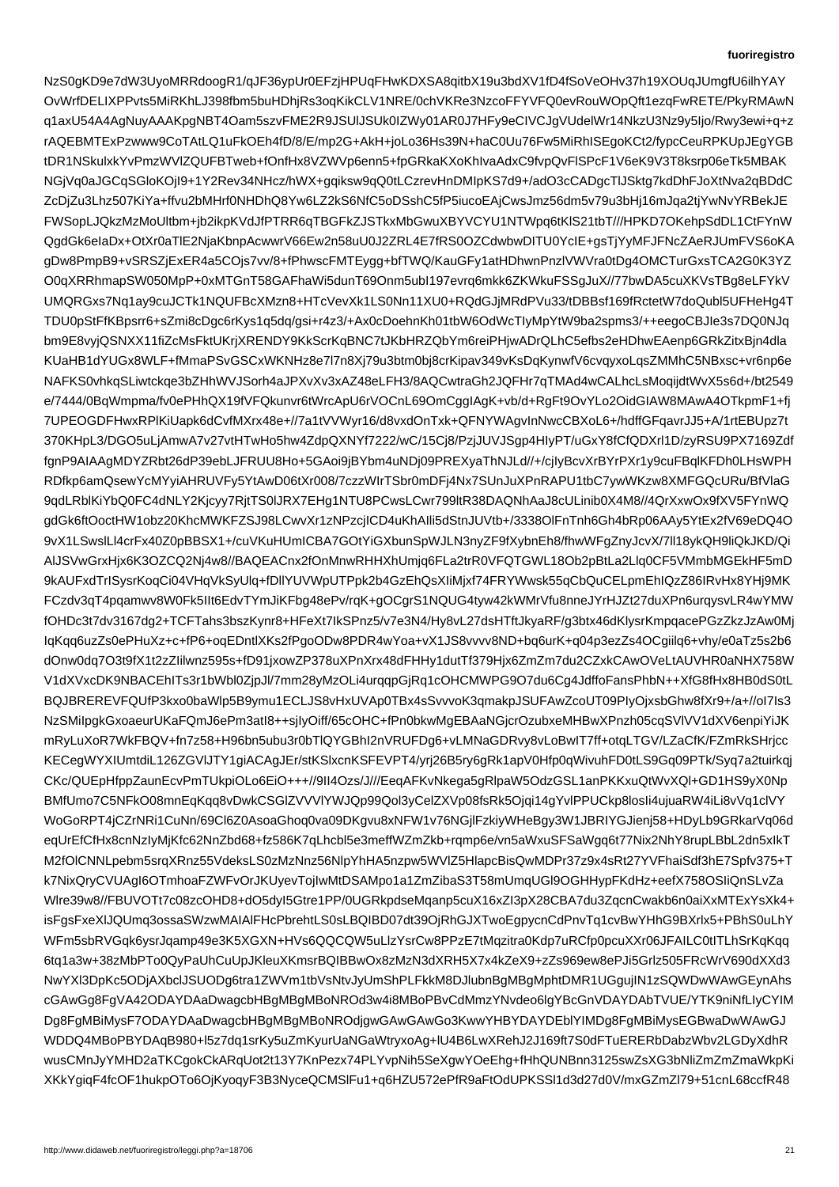NzS0gKD9e7dW3UyoMRRdoogR1/qJF36ypUr0EFzjHPUqFHwKDXSA8qitbX19u3bdXV1fD4fSoVeOHv37h19XOUqJUmgfU6ilhYAY OvWrfDELIXPPvts5MiRKhLJ398fbm5buHDhjRs3oqKikCLV1NRE/0chVKRe3NzcoFFYVFQ0evRouWOpQft1ezqFwRETE/PkyRMAwN g1axU54A4AqNuyAAAKpqNBT4Oam5szvFME2R9JSUIJSUk0IZWy01AR0J7HFy9eCIVCJqVUdelWr14NkzU3Nz9y5ljo/Rwy3ewi+q+z rAQEBMTExPzwww9CoTAtLQ1uFkOEh4fD/8/E/mp2G+AkH+joLo36Hs39N+haC0Uu76Fw5MiRhISEqoKCt2/fypcCeuRPKUpJEqYGB tDR1NSkulxkYvPmzWVIZQUFBTweb+fOnfHx8VZWVp6enn5+fpGRkaKXoKhlvaAdxC9fvpQvFISPcF1V6eK9V3T8ksrp06eTk5MBAK NGjVq0aJGCqSGloKOjI9+1Y2Rev34NHcz/hWX+gqiksw9qQ0tLCzrevHnDMlpKS7d9+/adO3cCADgcTlJSktg7kdDhFJoXtNva2qBDdC ZcDjZu3Lhz507KiYa+ffvu2bMHrf0NHDhQ8Yw6LZ2kS6NfC5oDSshC5fP5iucoEAjCwsJmz56dm5v79u3bHj16mJqa2tjYwNvYRBekJE FWSopLJQkzMzMoUltbm+jb2ikpKVdJfPTRR6qTBGFkZJSTkxMbGwuXBYVCYU1NTWpq6tKlS21tbT///HPKD7OKehpSdDL1CtFYnW QgdGk6elaDx+OtXr0aTlE2NjaKbnpAcwwrV66Ew2n58uU0J2ZRL4E7fRS0OZCdwbwDITU0YclE+gsTjYyMFJFNcZAeRJUmFVS6oKA gDw8PmpB9+vSRSZjExER4a5COjs7vv/8+fPhwscFMTEygg+bfTWQ/KauGFy1atHDhwnPnzlVWVra0tDg4OMCTurGxsTCA2G0K3YZ O0qXRRhmapSW050MpP+0xMTGnT58GAFhaWi5dunT69Onm5ubl197evrq6mkk6ZKWkuFSSgJuX//77bwDA5cuXKVsTBg8eLFYkV UMQRGxs7Nq1ay9cuJCTk1NQUFBcXMzn8+HTcVevXk1LS0Nn11XU0+RQdGJjMRdPVu33/tDBBsf169fRctetW7doQubl5UFHeHq4T TDU0pStFfKBpsrr6+sZmi8cDqc6rKys1q5dq/qsi+r4z3/+Ax0cDoehnKh01tbW6OdWcTlyMpYtW9ba2spms3/++eeqoCBJle3s7DQ0NJq bm9E8vyjQSNXX11fiZcMsFktUKrjXRENDY9KkScrKqBNC7tJKbHRZQbYm6reiPHjwADrQLhC5efbs2eHDhwEAenp6GRkZitxBjn4dla KUaHB1dYUGx8WLF+fMmaPSvGSCxWKNHz8e7l7n8Xi79u3btm0bi8crKipav349vKsDqKvnwfV6cvqvxoLqsZMMhC5NBxsc+vr6np6e NAFKS0vhkqSLiwtckqe3bZHhWVJSorh4aJPXvXv3xAZ48eLFH3/8AQCwtraGh2JQFHr7qTMAd4wCALhcLsMoqijdtWvX5s6d+/bt2549 e/7444/0BqWmpma/fv0ePHhQX19fVFQkunvr6tWrcApU6rVOCnL69OmCgglAgK+vb/d+RgFt9OvYLo2OidGlAW8MAwA4OTkpmF1+fj 7UPEOGDFHwxRPlKiUapk6dCvfMXrx48e+//7a1tVVWyr16/d8vxdOnTxk+QFNYWAgvInNwcCBXoL6+/hdffGFqavrJJ5+A/1rtEBUpz7t 370KHpL3/DGO5uLjAmwA7v27vtHTwHo5hw4ZdpQXNYf7222/wC/15Cj8/PzjJUVJSgp4HlyPT/uGxY8fCfQDXrl1D/zyRSU9PX7169Zdf fgnP9AIAAgMDYZRbt26dP39ebLJFRUU8Ho+5GAoi9jBYbm4uNDj09PREXyaThNJLd//+/cjIyBcvXrBYrPXr1y9cuFBqlKFDh0LHsWPH RDfkp6amQsewYcMYyiAHRUVFy5YtAwD06tXr008/7czzWIrTSbr0mDFj4Nx7SUnJuXPnRAPU1tbC7ywWKzw8XMFGQcURu/BfVlaG 9qdLRblKiYbQ0FC4dNLY2Kjcyy7RjtTS0lJRX7EHq1NTU8PCwsLCwr799ltR38DAQNhAaJ8cULinib0X4M8//4QrXxwOx9fXV5FYnWQ gdGk6ftOoctHW1obz20KhcMWKFZSJ98LCwvXr1zNPzcjICD4uKhAlli5dStnJUVtb+/3338OlFnTnh6Gh4bRp06AAy5YtEx2fV69eDQ4O 9vX1LSwsILI4crFx40Z0pBBSX1+/cuVKuHUmICBA7GOtYiGXbunSpWJLN3nyZF9fXybnEh8/fhwWFgZnyJcvX/7ll18ykQH9liQkJKD/Qi AIJSVwGrxHjx6K3OZCQ2Nj4w8//BAQEACnx2fOnMnwRHHXhUmjq6FLa2trR0VFQTGWL18Ob2pBtLa2Llq0CF5VMmbMGEkHF5mD 9kAUFxdTrlSysrKoqCi04VHqVkSyUlq+fDllYUVWpUTPpk2b4GzEhQsXliMjxf74FRYWwsk55qCbQuCELpmEhlQzZ86lRvHx8YHj9MK FCzdv3qT4pqamwv8W0Fk5IIt6EdvTYmJiKFbg48ePv/rqK+gOCgrS1NQUG4tyw42kWMrVfu8nneJYrHJZt27duXPn6urqysvLR4wYMW fOHDc3t7dv3167dg2+TCFTahs3bszKynr8+HFeXt7lkSPnz5/v7e3N4/Hy8vL27dsHTftJkyaRF/g3btx46dKlysrKmpgacePGzZkzJzAw0Mj lgKgg6uzZs0ePHuXz+c+fP6+ogEDntlXKs2fPgoODw8PDR4wYoa+vX1JS8vvvv8ND+bg6urK+g04p3ezZs4OCgiilg6+vhy/e0aTz5s2b6 dOnw0dq7O3t9fX1t2zZlilwnz595s+fD91jxowZP378uXPnXrx48dFHHy1dutTf379Hjx6ZmZm7du2CZxkCAwOVeLtAUVHR0aNHX758W V1dXVxcDK9NBACEhlTs3r1bWbl0ZjpJl/7mm28yMzOLi4urqqpGjRq1cOHCMWPG9O7du6Cq4JdffoFansPhbN++XfG8fHx8HB0dS0tL BQJBREREVFQUfP3kxo0baWlp5B9ymu1ECLJS8vHxUVAp0TBx4sSvvvoK3qmakpJSUFAwZcoUT09PlyOjxsbGhw8fXr9+/a+//ol7ls3 NzSMilpgkGxoaeurUKaFQmJ6ePm3atl8++silyOiff/65cOHC+fPn0bkwMgEBAaNGjcrOzubxeMHBwXPnzh05cgSVIVV1dXV6enpiYiJK mRvLuXoR7WkFBQV+fn7z58+H96bn5ubu3r0bTlQYGBhl2nVRUFDq6+vLMNaGDRvv8vLoBwlT7ff+otgLTGV/LZaCfK/FZmRkSHricc KECegWYXIUmtdiL126ZGVIJTY1giACAgJEr/stKSIxcnKSFEVPT4/yrj26B5ry6gRk1apV0Hfp0qWivuhFD0tLS9Gq09PTk/Syq7a2tuirkqj CKc/QUEpHfppZaunEcvPmTUkpiOLo6EiO+++//9II4Ozs/J///EeqAFKvNkega5gRlpaW5OdzGSL1anPKKxuQtWvXQI+GD1HS9yX0Np BMfUmo7C5NFkO08mnEqKqq8vDwkCSGIZVVVIYWJQp99Qol3yCeIZXVp08fsRk5Ojqi14qYvlPPUCkp8losli4ujuaRW4iLi8vVq1clVY WoGoRPT4jCZrNRi1CuNn/69Cl6Z0AsoaGhoq0va09DKgvu8xNFW1v76NGjlFzkiyWHeBgy3W1JBRIYGJienj58+HDyLb9GRkarVq06d eqUrEfCfHx8cnNzIyMjKfc62NnZbd68+fz586K7qLhcbl5e3meffWZmZkb+rqmp6e/vn5aWxuSFSaWqq6t77Nix2NhY8rupLBbL2dn5xIkT M2fOICNNLpebm5srqXRnz55VdeksLS0zMzNnz56NlpYhHA5nzpw5WVIZ5HlapcBisQwMDPr37z9x4sRt27YVFhaiSdf3hE7Spfv375+T k7NixQryCVUAqI6OTmhoaFZWFvOrJKUyevTojlwMtDSAMpo1a1ZmZibaS3T58mUmqUGl9OGHHypFKdHz+eefX758OSIiQnSLvZa Wlre39w8//FBUVOTt7c08zcOHD8+dO5dyI5Gtre1PP/0UGRkpdseMganp5cuX16xZI3pX28CBA7du3ZqcnCwakb6n0aiXxMTExYsXk4+ isFgsFxeXIJQUmq3ossaSWzwMAIAIFHcPbrehtLS0sLBQIBD07dt39OjRhGJXTwoEqpycnCdPnvTq1cvBwYHhG9BXrlx5+PBhS0uLhY WFm5sbRVGqk6ysrJqamp49e3K5XGXN+HVs6QQCQW5uLlzYsrCw8PPzE7tMqzitra0Kdp7uRCfp0pcuXXr06JFAILC0tlTLhSrKqKqq 6tq1a3w+38zMbPTo0QyPaUhCuUpJKleuXKmsrBQIBBwOx8zMzN3dXRH5X7x4kZeX9+zZs969ew8ePJi5Grlz505FRcWrV690dXXd3 NwYXl3DpKc5ODjAXbclJSUODg6tra1ZWVm1tbVsNtvJyUmShPLFkkM8DJlubnBgMBgMphtDMR1UGgujIN1zSQWDwWAwGEynAhs cGAwGg8FgVA42ODAYDAaDwagcbHBgMBgMBoNROd3w4i8MBoPBvCdMmzYNvdeo6lgYBcGnVDAYDAbTVUE/YTK9niNfLlyCYIM Dg8FgMBiMysF7ODAYDAaDwagcbHBgMBgMBoNROdjgwGAwGAwGo3KwwYHBYDAYDEblYIMDg8FgMBiMysEGBwaDwWAwGJ WDDQ4MBoPBYDAqB980+l5z7dq1srKy5uZmKyurUaNGaWtryxoAg+lU4B6LwXRehJ2J169ft7S0dFTuERERbDabzWbv2LGDyXdhR wusCMnJyYMHD2aTKCgokCkARqUot2t13Y7KnPezx74PLYvpNih5SeXgwYOeEhg+fHhQUNBnn3125swZsXG3bNliZmZmZmaWkpKi XKkYgigF4fcOF1hukpOTo6OjKyogyF3B3NyceQCMSIFu1+g6HZU572ePfR9aFtOdUPKSSI1d3d27d0V/mxGZmZl79+51cnL68ccfR48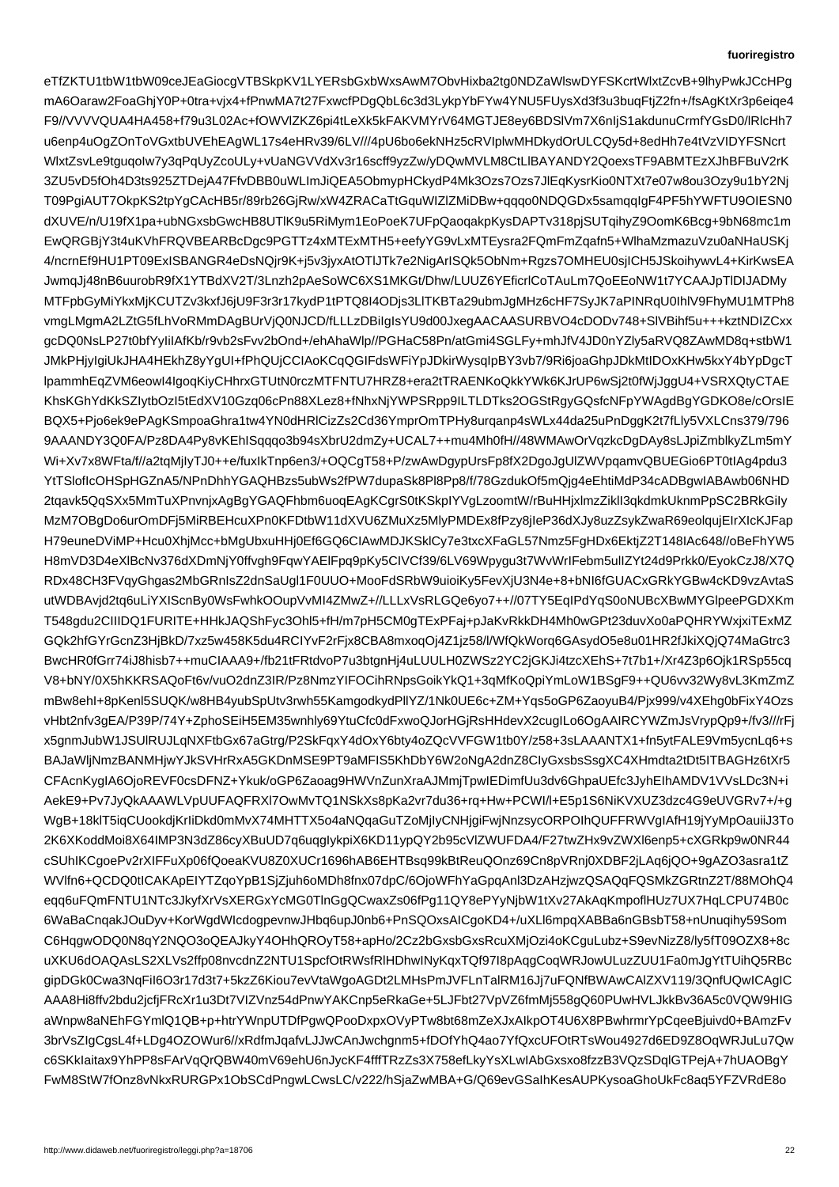eTfZKTU1tbW1tbW09ceJEaGiocgVTBSkpKV1LYERsbGxbWxsAwM7ObvHixba2tg0NDZaWlswDYFSKcrtWlxtZcvB+9lhyPwkJCcHPg mA6Oaraw2FoaGhjY0P+0tra+vjx4+fPnwMA7t27FxwcfPDgQbL6c3d3LykpYbFYw4YNU5FUysXd3f3u3buqFtjZ2fn+/fsAgKtXr3p6eiqe4 F9//VVVVQUA4HA458+f79u3L02Ac+fOWVIZKZ6pi4tLeXk5kFAKVMYrV64MGTJE8ey6BDSIVm7X6nljS1akdunuCrmfYGsD0/IRIcHh7 u6enp4uOqZOnToVGxtbUVEhEAqWL17s4eHRv39/6LV///4pU6bo6ekNHz5cRVIpIwMHDkydOrULCQv5d+8edHh7e4tVzVIDYFSNcrt WlxtZsvLe9tquqolw7y3qPqUyZcoULy+vUaNGVVdXv3r16scff9yzZw/yDQwMVLM8CtLIBAYANDY2QoexsTF9ABMTEzXJhBFBuV2rK 3ZU5vD5fOh4D3ts925ZTDejA47FfvDBB0uWLImJiQEA5ObmypHCkydP4Mk3Ozs7Ozs7JlEqKysrKio0NTXt7e07w8ou3Ozy9u1bY2Nj T09PgiAUT7OkpKS2tpYgCAcHB5r/89rb26GjRw/xW4ZRACaTtGquWIZIZMiDBw+qqqo0NDQGDx5samqqIqF4PF5hYWFTU9OIESN0 dXUVE/n/U19fX1pa+ubNGxsbGwcHB8UTIK9u5RiMym1EoPoeK7UFpQaoqakpKysDAPTv318pjSUTqihyZ9OomK6Bcg+9bN68mc1m EwQRGBjY3t4uKVhFRQVBEARBcDgc9PGTTz4xMTExMTH5+eefyYG9vLxMTEysra2FQmFmZqafn5+WlhaMzmazuVzu0aNHaUSKj 4/ncrnEf9HU1PT09ExISBANGR4eDsNQjr9K+j5v3jyxAtOTIJTk7e2NigArISQk5ObNm+Rgzs7OMHEU0sjICH5JSkoihywvL4+KirKwsEA JwmqJj48nB6uurobR9fX1YTBdXV2T/3Lnzh2pAeSoWC6XS1MKGt/Dhw/LUUZ6YEficrlCoTAuLm7QoEEoNW1t7YCAAJpTlDIJADMy MTFpbGyMiYkxMjKCUTZv3kxfJ6jU9F3r3r17kydP1tPTQ8I4ODjs3LlTKBTa29ubmJqMHz6cHF7SyJK7aPINRqU0IhlV9FhyMU1MTPh8 vmgLMgmA2LZtG5fLhVoRMmDAgBUrVjQ0NJCD/fLLLzDBilgIsYU9d00JxegAACAASURBVO4cDODv748+SIVBihf5u+++kztNDIZCxx gcDQ0NsLP27t0bfYyliIAfKb/r9vb2sFvv2bOnd+/ehAhaWlp//PGHaC58Pn/atGmi4SGLFy+mhJfV4JD0nYZly5aRVQ8ZAwMD8q+stbW1 JMkPHivlaiUkJHA4HEkhZ8vYaUI+fPhQUiCCIAoKCaQGIFdsWFiYpJDkirWvsaIpBY3vb7/9Ri6ioaGhpJDkMtIDOxKHw5kxY4bYpDacT lpammhEqZVM6eowl4lgoqKiyCHhrxGTUtN0rczMTFNTU7HRZ8+era2tTRAENKoQkkYWk6KJrUP6wSj2t0fWjJgqU4+VSRXQtyCTAE KhsKGhYdKkSZlytbOzI5tEdXV10Gzq06cPn88XLez8+fNhxNjYWPSRpp9ILTLDTks2OGStRgyGQsfcNFpYWAgdBgYGDKO8e/cOrsIE BQX5+Pjo6ek9ePAgKSmpoaGhra1tw4YN0dHRICizZs2Cd36YmprOmTPHy8urganp4sWLx44da25uPnDggK2t7fLly5VXLCns379/796 9AAANDY3Q0FA/Pz8DA4Py8vKEhISqqqo3b94sXbrU2dmZy+UCAL7++mu4Mh0fH//48WMAwOrVqzkcDgDAy8sLJpiZmblkyZLm5mY Wi+Xv7x8WFta/f//a2tqMjlyTJ0++e/fuxlkTnp6en3/+OQCqT58+P/zwAwDqypUrsFp8fX2DqoJqUlZWVpqamvQBUEGio6PT0tlAq4pdu3 YtTSlofIcOHSpHGZnA5/NPnDhhYGAQHBzs5ubWs2fPW7dupaSk8PI8Pp8/f/78GzdukOf5mQjg4eEhtiMdP34cADBgwIABAwb06NHD 2tgavk5QgSXx5MmTuXPnvnjxAgBgYGAQFhbm6uogEAgKCgrS0tKSkplYVgLzoomtW/rBuHHjxlmzZikll3gkdmkUknmPpSC2BRkGily MzM7OBqDo6urOmDFj5MiRBEHcuXPn0KFDtbW11dXVU6ZMuXz5MlyPMDEx8fPzy8jleP36dXJy8uzZsykZwaR69eolqujElrXlcKJFap H79euneDViMP+Hcu0XhjMcc+bMgUbxuHHj0Ef6GQ6CIAwMDJKSklCy7e3txcXFaGL57Nmz5FgHDx6EktjZ2T148IAc648//oBeFhYW5 H8mVD3D4eXIBcNv376dXDmNjY0ffvgh9FqwYAEIFpq9pKy5CIVCf39/6LV69Wpyqu3t7WvWrIFebm5uIIZYt24d9Prkk0/EyokCzJ8/X7Q RDx48CH3FVqyGhgas2MbGRnIsZ2dnSaUgI1F0UUO+MooFdSRbW9uioiKy5FevXjU3N4e+8+bNl6fGUACxGRkYGBw4cKD9vzAvtaS utWDBAvid2ta6uLiYXIScnBv0WsFwhkOOupVvMI4ZMwZ+//LLLxVsRLGQe6vo7++//07TY5EaIPdYaS0oNUBcXBwMYGlpeePGDXKm T548gdu2CIIIDQ1FURITE+HHkJAQShFyc3Ohl5+fH/m7pH5CM0gTExPFaj+pJaKvRkkDH4Mh0wGPt23duvXo0aPQHRYWxjxiTExMZ GQk2hfGYrGcnZ3HiBkD/7xz5w458K5du4RCIYvF2rFix8CBA8mxoqOj4Z1jz58/l/WfQkWorq6GAsydO5e8u01HR2fJkiXQjQ74MaGtrc3 BwcHR0fGrr74iJ8hisb7++muClAAA9+/fb21tFRtdvoP7u3btgnHj4uLUULH0ZWSz2YC2jGKJi4tzcXEhS+7t7b1+/Xr4Z3p6Ojk1RSp55cq V8+bNY/0X5hKKRSAQoFt6v/vuO2dnZ3lR/Pz8NmzYIFOCihRNpsGoikYkQ1+3qMfKoQpiYmLoW1BSqF9++QU6vv32Wy8vL3KmZmZ mBw8ehl+8pKenl5SUQK/w8HB4yubSpUtv3rwh55KamgodkydPllYZ/1Nk0UE6c+ZM+Ygs5oGP6ZaoyuB4/Pjx999/v4XEhq0bFixY4Ozs vHbt2nfv3gEA/P39P/74Y+ZphoSEiH5EM35wnhly69YtuCfc0dFxwoQJorHGjRsHHdevX2cugILo6OgAAIRCYWZmJsVrypQp9+/fv3///rFi x5gnmJubW1JSUIRUJLgNXFtbGx67aGtrg/P2SkFgxY4dOxY6btv4oZQcVVFGW1tb0Y/z58+3sLAAANTX1+fn5vtFALE9Vm5vcnLg6+s BAJaWljNmzBANMHjwYJkSVHrRxA5GKDnMSE9PT9aMFIS5KhDbY6W2oNgA2dnZ8ClyGxsbsSsgXC4XHmdta2tDt5ITBAGHz6tXr5 CFAcnKygIA6OjoREVF0csDFNZ+Ykuk/oGP6Zaoag9HWVnZunXraAJMmjTpwlEDimfUu3dv6GhpaUEfc3JyhEIhAMDV1VVsLDc3N+i AekE9+Pv7JyQkAAAWLVpUUFAQFRXI7OwMvTQ1NSkXs8pKa2vr7du36+rq+Hw+PCWI/I+E5p1S6NiKVXUZ3dzc4G9eUVGRv7+/+g WgB+18klT5iqCUookdjKrliDkd0mMvX74MHTTX5o4aNQqaGuTZoMjlyCNHjgiFwjNnzsycORPOIhQUFFRWVgIAfH19jYyMpOauiiJ3To 2K6XKoddMoi8X64IMP3N3dZ86cyXBuUD7q6uqqlykpiX6KD11ypQY2b95cVlZWUFDA4/F27twZHx9vZWXI6enp5+cXGRkp9w0NR44 cSUhlKCgoePv2rXIFFuXp06fQoeaKVU8Z0XUCr1696hAB6EHTBsq99kBtReuQOnz69Cn8pVRnj0XDBF2jLAq6jQO+9gAZO3asra1tZ WVIfn6+QCDQ0tICAKApEIYTZqoYpB1SiZjuh6oMDh8fnx07dpC/6OjoWFhYaGpqAnI3DzAHzjwzQSAQqFQSMkZGRtnZ2T/88MOhQ4 eqq6uFQmFNTU1NTc3JkyfXrVsXERGxYcMG0TlnGgQCwaxZs06fPg11QY8ePYyNjbW1tXv27AkAqKmpoflHUz7UX7HqLCPU74B0c 6WaBaCngakJOuDyv+KorWgdWlcdogpevnwJHbq6upJ0nb6+PnSQOxsAlCgoKD4+/uXLl6mpgXABBa6nGBsbT58+nUnugihy59Som C6HqqwODQ0N8qY2NQO3oQEAJkyY4OHhQROyT58+apHo/2Cz2bGxsbGxsRcuXMjOzi4oKCquLubz+S9evNizZ8/ly5fT09OZX8+8c uXKU6dOAQAsLS2XLVs2ffp08nvcdnZ2NTU1SpcfOtRWsfRlHDhwlNyKqxTQf97l8pAqqCoqWRJowULuzZUU1Fa0mJqYtTUihQ5RBc gipDGk0Cwa3NqFil6O3r17d3t7+5kzZ6Kiou7evVtaWgoAGDt2LMHsPmJVFLnTalRM16Jj7uFQNfBWAwCAlZXV119/3QnfUQwlCAglC AAA8Hi8ffv2bdu2jcfjFRcXr1u3Dt7VIZVnz54dPnwYAKCnp5eRkaGe+5LJFbt27VpVZ6fmMj558gQ60PUwHVLJkkBv36A5c0VQW9HIG aWnpw8aNEhFGYmlQ1QB+p+htrYWnpUTDfPgwQPooDxpxOVyPTw8bt68mZeXJxAlkpOT4U6X8PBwhrmrYpCqeeBjuivd0+BAmzFv 3brVsZIgCgsL4f+LDg4OZOWur6//xRdfmJqafvLJJwCAnJwchgnm5+fDOfYhQ4ao7YfQxcUFOtRTsWou4927d6ED9Z8OqWRJuLu7Qw c6SKklaitax9YhPP8sFArVqQrQBW40mV69ehU6nJycKF4fffTRzZs3X758efLkyYsXLwlAbGxsxo8fzzB3VQzSDqlGTPejA+7hUAOBqY FwM8StW7fOnz8vNkxRURGPx1ObSCdPnqwLCwsLC/v222/hSjaZwMBA+G/Q69evGSalhKesAUPKysoaGhoUkFc8aq5YFZVRdE8o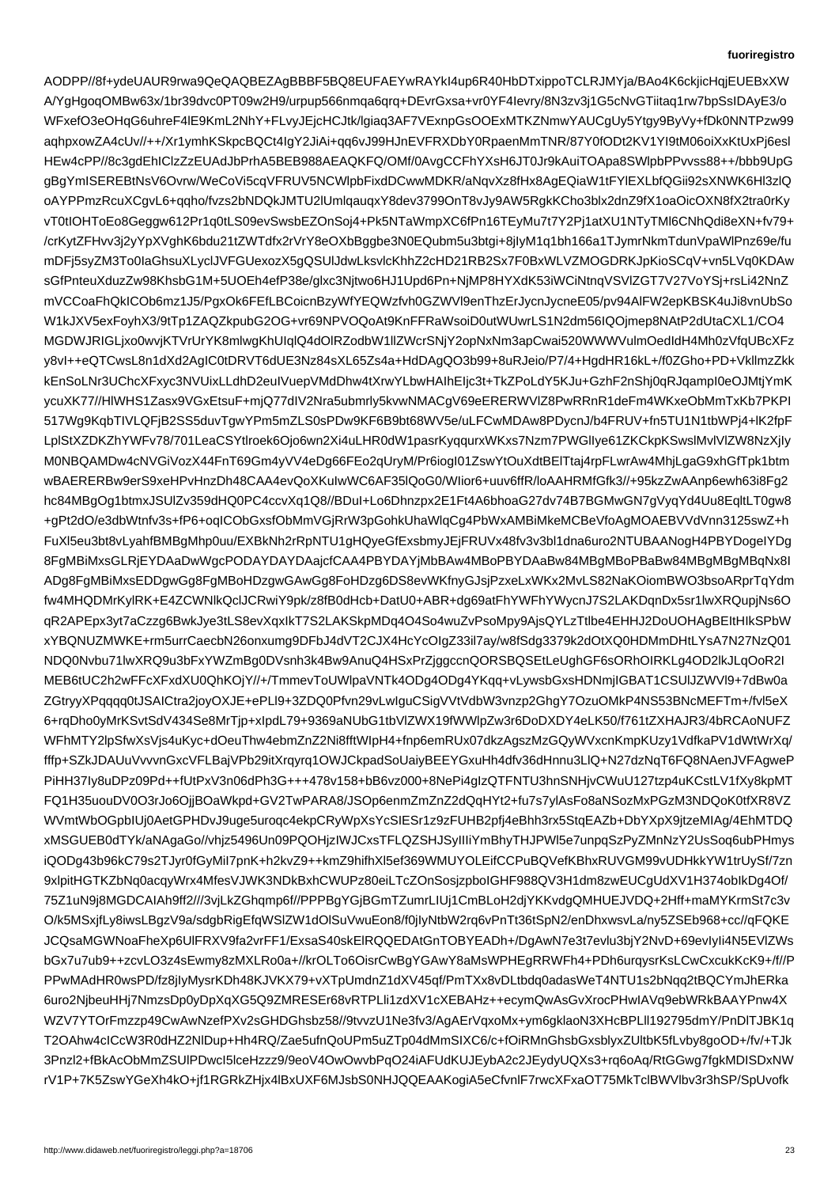AODPP//8f+ydeUAUR9rwa9QeQAQBEZAgBBBF5BQ8EUFAEYwRAYkI4up6R40HbDTxippoTCLRJMYja/BAo4K6ckjicHqjEUEBxXW A/YgHgoqOMBw63x/1br39dvc0PT09w2H9/urpup566nmqa6qrq+DEvrGxsa+vr0YF4levry/8N3zv3j1G5cNvGTiitaq1rw7bpSsIDAyE3/o WFxefO3eOHqG6uhreF4IE9KmL2NhY+FLvyJEjcHCJtk/lqiaq3AF7VExnpGsOOExMTKZNmwYAUCqUy5Ytqy9ByVy+fDk0NNTPzw99 aghpxowZA4cUv//++/Xr1ymhKSkpcBQCt4lgY2JiAi+gq6vJ99HJnEVFRXDbY0RpaenMmTNR/87Y0fODt2KV1Yl9tM06oiXxKtUxPj6esl HEw4cPP//8c3gdEhIClzZzEUAdJbPrhA5BEB988AEAQKFQ/OMf/0AvgCCFhYXsH6JT0Jr9kAuiTOApa8SWlpbPPvvss88++/bbb9UpG gBgYmISEREBtNsV6Ovrw/WeCoVi5cqVFRUV5NCWIpbFixdDCwwMDKR/aNqvXz8fHx8AgEQiaW1tFYIEXLbfQGii92sXNWK6Hl3zIQ oAYPPmzRcuXCgvL6+qqho/fvzs2bNDQkJMTU2lUmlqauqxY8dev3799OnT8vJy9AW5RgkKCho3blx2dnZ9fX1oaOicOXN8fX2tra0rKy vT0tlOHToEo8Geggw612Pr1q0tLS09evSwsbEZOnSoj4+Pk5NTaWmpXC6fPn16TEyMu7t7Y2Pj1atXU1NTyTMl6CNhQdi8eXN+fv79+ /crKytZFHvv3j2yYpXVghK6bdu21tZWTdfx2rVrY8eOXbBggbe3N0EQubm5u3btgi+8jlyM1q1bh166a1TJymrNkmTdunVpaWlPnz69e/fu mDFj5syZM3To0laGhsuXLyclJVFGUexozX5gQSUIJdwLksvlcKhhZ2cHD21RB2Sx7F0BxWLVZMOGDRKJpKioSCqV+vn5LVq0KDAw sGfPnteuXduzZw98KhsbG1M+5UOEh4efP38e/glxc3Njtwo6HJ1Upd6Pn+NjMP8HYXdK53iWCiNtnqVSVIZGT7V27VoYSj+rsLi42NnZ mVCCoaFhQkICOb6mz1J5/PqxOk6FEfLBCoicnBzyWfYEQWzfvh0GZWVI9enThzErJycnJycneE05/pv94AIFW2epKBSK4uJi8vnUbSo W1kJXV5exFoyhX3/9tTp1ZAQZkpubG2OG+vr69NPVOQoAt9KnFFRaWsoiD0utWUwrLS1N2dm56IQOjmep8NAtP2dUtaCXL1/CO4 MGDWJRIGLjxo0wvjKTVrUrYK8mlwgKhUIqIQ4dOIRZodbW1llZWcrSNjY2opNxNm3apCwai520WWWVulmOedIdH4Mh0zVfqUBcXFz y8vl++eQTCwsL8n1dXd2AgIC0tDRVT6dUE3Nz84sXL65Zs4a+HdDAgQO3b99+8uRJeio/P7/4+HgdHR16kL+/f0ZGho+PD+VkllmzZkk kEnSoLNr3UChcXFxyc3NVUixLLdhD2euIVuepVMdDhw4tXrwYLbwHAIhEljc3t+TkZPoLdY5KJu+GzhF2nShj0qRJqampI0eOJMtjYmK ycuXK77//HIWHS1Zasx9VGxEtsuF+mjQ77dIV2Nra5ubmrly5kvwNMACgV69eERERWVIZ8PwRRnR1deFm4WKxeObMmTxKb7PKPI 517Wg9KgbTIVLQFjB2SS5duvTgwYPm5mZLS0sPDw9KF6B9bt68WV5e/uLFCwMDAw8PDycnJ/b4FRUV+fn5TU1N1tbWPj4+lK2fpF LpIStXZDKZhYWFv78/701LeaCSYtIroek6Ojo6wn2Xi4uLHR0dW1pasrKyqqurxWKxs7Nzm7PWGIIye61ZKCkpKSwsIMvIVIZW8NzXjIy M0NBQAMDw4cNVGiVozX44FnT69Gm4yVV4eDq66FEo2qUryM/Pr6ioql01ZswYtOuXdtBEITtaj4rpFLwrAw4MhjLqaG9xhGfTpk1btm wBAERERBw9erS9xeHPvHnzDh48CAA4evQoXKulwWC6AF35IQoG0/Wlior6+uuv6ffR/loAAHRMfGfk3//+95kzZwAAnp6ewh63i8Fg2 hc84MBqOq1btmxJSUIZv359dHQ0PC4ccvXq1Q8//BDuI+Lo6Dhnzpx2E1Ft4A6bhoaG27dv74B7BGMwGN7qVyqYd4Uu8EqltLT0qw8 +qPt2dO/e3dbWtnfv3s+fP6+oqICObGxsfObMmVGjRrW3pGohkUhaWlqCq4PbWxAMBiMkeMCBeVfoAqMOAEBVVdVnn3125swZ+h FuXl5eu3bt8vLyahfBMBgMhp0uu/EXBkNh2rRpNTU1gHQyeGfExsbmyJEjFRUVx48fv3v3bl1dna6uro2NTUBAANogH4PBYDogelYDg 8FgMBiMxsGLRjEYDAaDwWgcPODAYDAYDAajcfCAA4PBYDAYjMbBAw4MBoPBYDAaBw84MBgMBoPBaBw84MBgMBgMBgNx8I ADg8FgMBiMxsEDDgwGg8FgMBoHDzgwGAwGg8FoHDzg6DS8evWKfnyGJsjPzxeLxWKx2MvLS82NaKOiomBWO3bsoARprTqYdm fw4MHQDMrKylRK+E4ZCWNlkQclJCRwiY9pk/z8fB0dHcb+DatU0+ABR+dg69atFhYWFhYWycnJ7S2LAKDqnDx5sr1lwXRQupjNs6O qR2APEpx3yt7aCzzq6BwkJye3tLS8evXqxIkT7S2LAKSkpMDq4O4So4wuZvPsoMpy9AjsQYLzTtlbe4EHHJ2DoUOHAgBEItHIkSPbW xYBQNUZMWKE+rm5urrCaecbN26onxumg9DFbJ4dVT2CJX4HcYcOlgZ33il7ay/w8fSdg3379k2dOtXQ0HDMmDHtLYsA7N27NzQ01 NDQ0Nvbu71lwXRQ9u3bFxYWZmBg0DVsnh3k4Bw9AnuQ4HSxPrZjggccnQORSBQSEtLeUghGF6sORhOIRKLg4OD2lkJLqOoR2I MEB6tUC2h2wFFcXFxdXU0QhKOjY//+/TmmevToUWlpaVNTk4ODq4ODq4YKqq+vLywsbGxsHDNmjIGBAT1CSUIJZWVI9+7dBw0a ZGtryyXPqqqq0tJSAlCtra2joyOXJE+ePLl9+3ZDQ0Pfvn29vLwIquCSiqVVtVdbW3vnzp2GhqY7OzuOMkP4NS53BNcMEFTm+/fvl5eX 6+rgDho0yMrKSvtSdV434Se8MrTjp+xIpdL79+9369aNUbG1tbVlZWX19fWWlpZw3r6DoDXDY4eLK50/f761tZXHAJR3/4bRCAoNUFZ WFhMTY2lpSfwXsVjs4uKyc+dOeuThw4ebmZnZ2Ni8fftWlpH4+fnp6emRUx07dkzAgszMzGQyWVxcnKmpKUzy1VdfkaPV1dWtWrXq/ fffp+SZkJDAUuVvvvnGxcVFLBajVPb29itXrqyrq1OWJCkpadSoUaiyBEEYGxuHh4dfv36dHnnu3LlQ+N27dzNqT6FQ8NAenJVFAqweP PiHH37Iy8uDPz09Pd++fUtPxV3n06dPh3G+++478v158+bB6vz000+8NePi4gIzQTFNTU3hnSNHjvCWuU127tzp4uKCstLV1fXy8kpMT FQ1H35uouDV0O3rJo6OjjBOaWkpd+GV2TwPARA8/JSOp6enmZmZnZ2dQqHYt2+fu7s7ylAsFo8aNSozMxPGzM3NDQoK0tfXR8VZ WVmtWbOGpbIUj0AetGPHDvJ9uge5uroqc4ekpCRyWpXsYcSIESr1z9zFUHB2pfj4eBhh3rx5StqEAZb+DbYXpX9jtzeMIAg/4EhMTDQ xMSGUEB0dTYk/aNAqaGo//vhjz5496Un09PQOHjzIWJCxsTFLQZSHJSyIIIiYmBhyTHJPWI5e7unpqSzPyZMnNzY2UsSoq6ubPHmys iQODg43b96kC79s2TJyr0fGyMil7pnK+h2kvZ9++kmZ9hifhXl5ef369WMUYOLEifCCPuBQVefKBhxRUVGM99vUDHkkYW1trUySf/7zn 9xlpitHGTKZbNq0acqyWrx4MfesVJWK3NDkBxhCWUPz80eiLTcZOnSosjzpboIGHF988QV3H1dm8zwEUCqUdXV1H374oblkDq4Of/ 75Z1uN9j8MGDCAIAh9ff2///3vjLkZGhqmp6f//PPPBqYGjBGmTZumrLIUj1CmBLoH2djYKKvdqQMHUEJVDQ+2Hff+maMYKrmSt7c3v O/k5MSxifLy8iwsLBqzV9a/sdqbRiqEfqWSIZW1dOlSuVwuEon8/f0jlyNtbW2rq6vPnTt36tSpN2/enDhxwsvLa/ny5ZSEb968+cc//qFQKE JCQsaMGWNoaFheXp6UIFRXV9fa2vrFF1/ExsaS40skEIRQQEDAtGnTOBYEADh+/DgAwN7e3t7evlu3bjY2NvD+69evlyli4N5EVIZWs bGx7u7ub9++zcvLO3z4sEwmy8zMXLRo0a+//krOLTo6OisrCwBgYGAwY8aMsWPHEgRRWFh4+PDh6urqysrKsLCwCxcukKcK9+/f//P PPwMAdHR0wsPD/fz8jlyMysrKDh48KJVKX79+vXTpUmdnZ1dXV45qf/PmTXx8vDLtbdq0adasWeT4NTU1s2bNqq2tBQCYmJhERka 6uro2NjbeuHHj7NmzsDp0yDpXqXG5Q9ZMRESEr68vRTPLli1zdXV1cXEBAHz++ecymQwAsGvXrocPHwIAVq9ebWRkBAAYPnw4X WZV7YTOrFmzzp49CwAwNzefPXv2sGHDGhsbz58//9tvvzU1Ne3fv3/AgAErVqxoMx+ym6gklaoN3XHcBPLII192795dmY/PnDlTJBK1q T2OAhw4clCcW3R0dHZ2NlDup+Hh4RQ/Zae5ufnQoUPm5uZTp04dMmSIXC6/c+fOiRMnGhsbGxsblyxZUltbK5fLvby8goOD+/fv/+TJk 3Pnzl2+fBkAcObMmZSUIPDwcl5lceHzzz9/9eoV4OwOwvbPqO24iAFUdKUJEybA2c2JEydyUQXs3+rq6oAq/RtGGwg7fgkMDISDxNW rV1P+7K5ZswYGeXh4kO+jf1RGRkZHjx4lBxUXF6MJsbS0NHJQQEAAKoqiA5eCfvnlF7rwcXFxaOT75MkTclBWVlbv3r3hSP/SpUvofk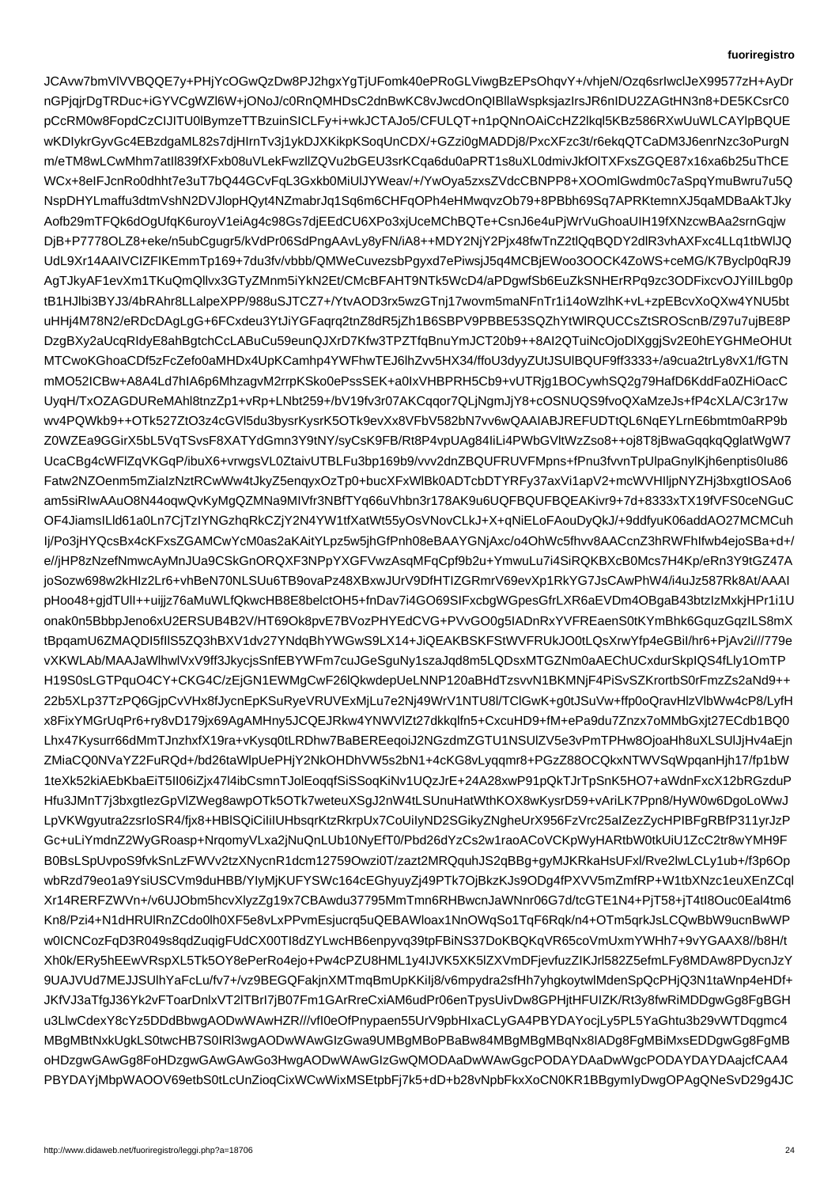JCAvw7bmVlVVBQQE7y+PHjYcOGwQzDw8PJ2hgxYgTjUFomk40ePRoGLViwgBzEPsOhqvY+/vhjeN/Ozq6srlwclJeX99577zH+AyDr nGPjqjrDqTRDuc+iGYVCqWZl6W+jONoJ/c0RnQMHDsC2dnBwKC8vJwcdOnQlBllaWspksjazIrsJR6nIDU2ZAGtHN3n8+DE5KCsrC0 pCcRM0w8FopdCzCIJITU0lBymzeTTBzuinSICLFy+i+wkJCTAJo5/CFULQT+n1pQNnOAiCcHZ2lkql5KBz586RXwUuWLCAYlpBQUE wKDIykrGyvGc4EBzdgaML82s7djHlrnTv3j1ykDJXKikpKSoqUnCDX/+GZzi0gMADDj8/PxcXFzc3t/r6ekqQTCaDM3J6enrNzc3oPurgN m/eTM8wLCwMhm7atll839fXFxb08uVLekFwzllZQVu2bGEU3srKCqa6du0aPRT1s8uXL0dmivJkfOlTXFxsZGQE87x16xa6b25uThCE WCx+8eIFJcnRo0dhht7e3uT7bQ44GCvFqL3Gxkb0MiUIJYWeav/+/YwOya5zxsZVdcCBNPP8+XOOmIGwdm0c7aSpqYmuBwru7u5Q NspDHYLmaffu3dtmVshN2DVJlopHQyt4NZmabrJq1Sq6m6CHFqOPh4eHMwqvzOb79+8PBbh69Sq7APRKtemnXJ5qaMDBaAkTJky Aofb29mTFQk6dOgUfqK6uroyV1eiAg4c98Gs7djEEdCU6XPo3xjUceMChBQTe+CsnJ6e4uPjWrVuGhoaUIH19fXNzcwBAa2srnGqjw DjB+P7778OLZ8+eke/n5ubCgugr5/kVdPr06SdPngAAvLy8yFN/iA8++MDY2NjY2Pjx48fwTnZ2tlQqBQDY2dlR3vhAXFxc4LLq1tbWlJQ UdL9Xr14AAIVCIZFIKEmmTp169+7du3fv/vbbb/QMWeCuvezsbPgyxd7ePiwsjJ5q4MCBjEWoo3OOCK4ZoWS+ceMG/K7Byclp0qRJ9 AgTJkyAF1evXm1TKuQmQllvx3GTyZMnm5iYkN2Et/CMcBFAHT9NTk5WcD4/aPDgwfSb6EuZkSNHErRPq9zc3ODFixcvOJYillLbg0p tB1HJlbi3BYJ3/4bRAhr8LLalpeXPP/988uSJTCZ7+/YtvAOD3rx5wzGTnj17wovm5maNFnTr1i14oWzlhK+vL+zpEBcvXoQXw4YNU5bt uHHj4M78N2/eRDcDAqLqG+6FCxdeu3YtJiYGFaqrq2tnZ8dR5jZh1B6SBPV9PBBE53SQZhYtWlRQUCCsZtSROScnB/Z97u7ujBE8P DzgBXy2aUcqRIdyE8ahBgtchCcLABuCu59eunQJXrD7Kfw3TPZTfqBnuYmJCT20b9++8Al2QTuiNcOjoDlXggjSv2E0hEYGHMeOHUt MTCwoKGhoaCDf5zFcZefo0aMHDx4UpKCamhp4YWFhwTEJ6lhZvv5HX34/ffoU3dvvZUtJSUIBQUF9ff3333+/a9cua2trLv8vX1/fGTN mMO52ICBw+A8A4Ld7hIA6p6MhzagvM2rrpKSko0ePssSEK+a0IxVHBPRH5Cb9+vUTRjg1BOCywhSQ2g79HafD6KddFa0ZHiOacC UyqH/TxOZAGDUReMAhl8tnzZp1+vRp+LNbt259+/bV19fv3r07AKCqqor7QLjNgmJjY8+cOSNUQS9fvoQXaMzeJs+fP4cXLA/C3r17w wv4PQWkb9++OTk527ZtO3z4cGVl5du3bysrKysrK5OTk9evXx8VFbV582bN7vv6wQAAIABJREFUDTtQL6NqEYLrnE6bmtm0aRP9b Z0WZEa9GGirX5bL5VqTSvsF8XATYdGmn3Y9tNY/syCsK9FB/Rt8P4vpUAg84liLi4PWbGVltWzZso8++oj8T8jBwaGqqkqQglatWgW7 UcaCBq4cWFIZqVKGqP/ibuX6+vrwqsVL0ZtaivUTBLFu3bp169b9/vvv2dnZBQUFRUVFMpns+fPnu3fvvnTpUlpaGnylKjh6enptis0lu86 Fatw2NZOenm5mZialzNztRCwWw4tJkyZ5enqyxOzTp0+bucXFxWlBk0ADTcbDTYRFy37axVi1apV2+mcWVHIIjpNYZHj3bxgtIOSAo6 am5siRIwAAuO8N44oqwQvKyMqQZMNa9MIVfr3NBfTYq66uVhbn3r178AK9u6UQFBQUFBQEAKivr9+7d+8333xTX19fVFS0ceNGuC OF4JiamsILId61a0Ln7CjTzIYNGzhqRkCZjY2N4YW1tfXatWt55yOsVNovCLkJ+X+qNiELoFAouDyQkJ/+9ddfyuK06addAO27MCMCuh lj/Po3jHYQcsBx4cKFxsZGAMCwYcM0as2aKAitYLpz5w5jhGfPnh08eBAAYGNjAxc/o4OhWc5fhvv8AACcnZ3hRWFhlfwb4ejoSBa+d+/ e//jHP8zNzefNmwcAyMnJUa9CSkGnORQXF3NPpYXGFVwzAsqMFqCpf9b2u+YmwuLu7i4SiRQKBXcB0Mcs7H4Kp/eRn3Y9tGZ47A joSozw698w2kHlz2Lr6+vhBeN70NLSUu6TB9ovaPz48XBxwJUrV9DfHTIZGRmrV69evXp1RkYG7JsCAwPhW4/i4uJz587Rk8At/AAAI pHoo48+gjdTUll++uijjz76aMuWLfQkwcHB8E8belctOH5+fnDav7i4GO69SIFxcbgWGpesGfrLXR6aEVDm4OBgaB43btzlzMxkjHPr1i1U onak0n5BbbpJeno6xU2ERSUB4B2V/HT69Ok8pvE7BVozPHYEdCVG+PVvGO0g5IADnRxYVFREaenS0tKYmBhk6GquzGqzILS8mX tBpgamU6ZMAQDI5fIIS5ZQ3hBXV1dv27YNdqBhYWGwS9LX14+JiQEAKBSKFStWVFRUkJO0tLQsXrwYfp4eGBil/hr6+PjAv2i///779e vXKWLAb/MAAJaWlhwlVxV9ff3JkycjsSnfEBYWFm7cuJGeSguNy1szaJqd8m5LQDsxMTGZNm0aAEChUCxdurSkplQS4fLly1OmTP H19S0sLGTPquO4CY+CKG4C/zEjGN1EWMqCwF26lQkwdepUeLNNP120aBHdTzsvvN1BKMNjF4PiSvSZKrortbS0rFmzZs2aNd9++ 22b5XLp37TzPQ6GjpCvVHx8fJycnEpKSuRyeVRUVExMjLu7e2Nj49WrV1NTU8l/TClGwK+q0tJSuVw+ffp0oQravHlzVlbWw4cP8/LyfH x8FixYMGrUqPr6+ry8vD179jx69AqAMHny5JCQEJRkw4YNWVIZt27dkkqlfn5+CxcuHD9+fM+ePa9du7Znzx7oMMbGxjt27ECdb1BQ0 Lhx47Kvsurr66dMmTJnzhxfX19ra+vKvsq0tLRDhw7BaBEREeqoiJ2NGzdmZGTU1NSUlZV5e3vPmTPHw8OioaHh8uXLSUlJiHv4aEin ZMiaCQ0NVaYZ2FuRQd+/bd26taWlpUePHjY2NkOHDhVW5s2bN1+4cKG8vLyqqmr8+PGzZ88OCQkxNTWVSqWpqanHjh17/fp1bW 1teXk52kiAEbKbaEiT5II06iZjx47l4ibCsmnTJolEoqqfSiSSoqKiNv1UQzJrE+24A28xwP91pQkTJrTpSnK5HO7+aWdnFxcX12bRGzduP Hfu3JMnT7j3bxgtlezGpVlZWeg8awpOTk5OTk7weteuXSgJ2nW4tLSUnuHatWthKOX8wKysrD59+vAriLK7Ppn8/HyW0w6DgoLoWwJ LpVKWgyutra2zsrloSR4/fjx8+HBISQiCiliIUHbsqrKtzRkrpUx7CoUilyND2SGikyZNgheUrX956FzVrc25aIZezZycHPIBFgRBfP311yrJzP Gc+uLiYmdnZ2WyGRoasp+NrgomyVLxa2jNuQnLUb10NyEfT0/Pbd26dYzCs2w1raoACoVCKpWyHARtbW0tkUiU1ZcC2tr8wYMH9F B0BsLSpUvpoS9fvkSnLzFWVv2tzXNycnR1dcm12759Owzi0T/zazt2MRQquhJS2qBBg+gyMJKRkaHsUFxl/Rve2lwLCLy1ub+/f3p6Op wbRzd79eo1a9YsiUSCVm9duHBB/YlyMjKUFYSWc164cEGhyuyZj49PTk7OjBkzKJs9ODq4fPXVV5mZmfRP+W1tbXNzc1euXEnZCql Xr14RERFZWVn+/v6UJObm5hcvXlyzZq19x7CBAwdu37795MmTmn6RHBwcnJaWNnr06G7d/tcGTE1N4+PjT58+jT4tl8Ouc0Eal4tm6 Kn8/Pzi4+N1dHRUIRnZCdo0lh0XF5e8vLxPPvmEsjucrq5uQEBAWloax1NnOWqSo1TqF6Rqk/n4+OTm5qrkJsLCQwBbW9ucnBwWP w0ICNCozFqD3R049s8qdZuqigFUdCX00TI8dZYLwcHB6enpyvq39tpFBiNS37DoKBQKqVR65coVmUxmYWHh7+9vYGAAX8//b8H/t Xh0k/ERy5hEEwVRspXL5Tk5OY8ePerRo4ejo+Pw4cPZU8HML1y4IJVK5XK5IZXVmDFjevfuzZIKJrl582Z5efmLFy8MDAw8PDycnJzY 9UAJVUd7MEJJSUlhYaFcLu/fv7+/vz9BEGQFakjnXMTmqBmUpKKilj8/v6mpydra2sfHh7yhgkoytwlMdenSpQcPHjQ3N1taWnp4eHDf+ JKfVJ3aTfgJ36Yk2vFToarDnlxVT2lTBrl7jB07Fm1GArRreCxiAM6udPr06enTpysUivDw8GPHjtHFUIZK/Rt3y8fwRiMDDgwGg8FgBGH u3LlwCdexY8cYz5DDdBbwgAODwWAwHZR///vfl0eOfPnypaen55UrV9pbHIxaCLyGA4PBYDAYocjLy5PL5YaGhtu3b29vWTDqgmc4 MBgMBtNxkUgkLS0twcHB7S0IRl3wgAODwWAwGlzGwa9UMBgMBoPBaBw84MBgMBgMBqNx8IADg8FgMBiMxsEDDgwGg8FgMB oHDzgwGAwGg8FoHDzgwGAwGAwGo3HwgAODwWAwGIzGwQMODAaDwWAwGgcPODAYDAaDwWgcPODAYDAYDAajcfCAA4 PBYDAYjMbpWAOOV69etbS0tLcUnZioqCixWCwWixMSEtpbFj7k5+dD+b28vNpbFkxXoCN0KR1BBqymlyDwqOPAqQNeSvD29q4JC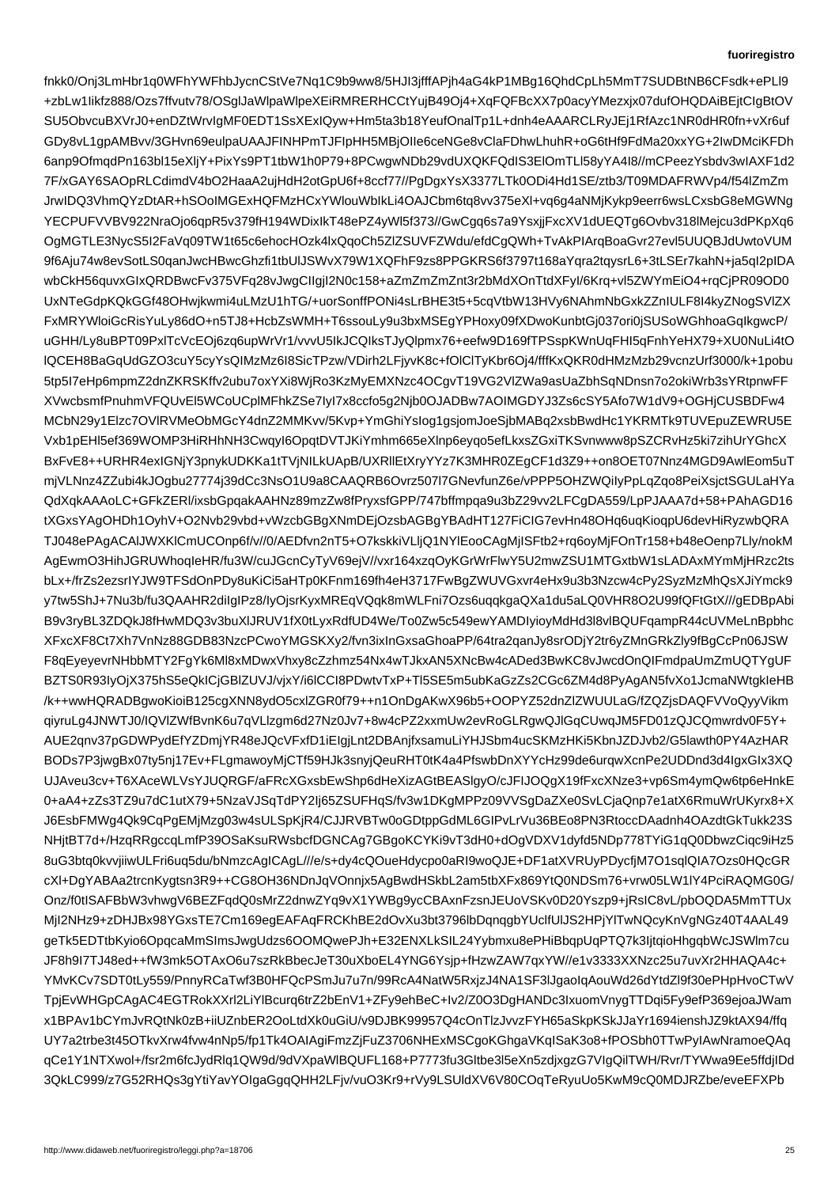fnkk0/Onj3LmHbr1q0WFhYWFhbJycnCStVe7Nq1C9b9ww8/5HJI3jfffAPjh4aG4kP1MBg16QhdCpLh5MmT7SUDBtNB6CFsdk+ePLI9 +zbLw1likfz888/Ozs7ffvutv78/OSglJaWlpaWlpeXEiRMRERHCCtYujB49Oj4+XqFQFBcXX7p0acyYMezxjx07dufOHQDAiBEjtClgBtOV SU5ObvcuBXVrJ0+enDZtWrvIqMF0EDT1SsXExIQvw+Hm5ta3b18YeufOnalTp1L+dnh4eAAARCLRyJEj1RfAzc1NR0dHR0fn+vXr6uf GDy8vL1qpAMBvv/3GHvn69eulpaUAAJFINHPmTJFIpHH5MBjOIIe6ceNGe8vClaFDhwLhuhR+oG6tHf9FdMa20xxYG+2IwDMciKFDh 6anp9OfmqdPn163bl15eXljY+PixYs9PT1tbW1h0P79+8PCwgwNDb29vdUXQKFQdIS3EIOmTLI58yYA4I8//mCPeezYsbdv3wIAXF1d2 7F/xGAY6SAOpRLCdimdV4bO2HaaA2ujHdH2otGpU6f+8ccf77//PgDgxYsX3377LTk0ODi4Hd1SE/ztb3/T09MDAFRWVp4/f54lZmZm JrwIDQ3VhmQYzDtAR+hSOoIMGExHQFMzHCxYWlouWblkLi4OAJCbm6tq8vv375eXl+vq6q4aNMjKykp9eerr6wsLCxsbG8eMGWNg YECPUFVVBV922NraOjo6qpR5v379fH194WDixIkT48ePZ4yWl5f373//GwCgq6s7a9YsxjjFxcXV1dUEQTq6Ovbv318lMejcu3dPKpXq6 OgMGTLE3NycS5I2FaVq09TW1t65c6ehocHOzk4lxQqoCh5ZIZSUVFZWdu/efdCgQWh+TvAkPIArqBoaGvr27evl5UUQBJdUwtoVUM 9f6Aju74w8evSotLS0qanJwcHBwcGhzfi1tbUIJSWvX79W1XQFhF9zs8PPGKRS6f3797t168aYqra2tqysrL6+3tLSEr7kahN+ja5ql2pIDA wbCkH56quvxGlxQRDBwcFv375VFq28vJwgClIgjI2N0c158+aZmZmZmZnt3r2bMdXOnTtdXFyl/6Krq+vl5ZWYmEiO4+rqCjPR09OD0 UxNTeGdpKQkGGf48OHwikwmi4uLMzU1hTG/+uorSonffPONi4sLrBHE3t5+5cqVtbW13HVy6NAhmNbGxkZZnIULF8I4kyZNogSVIZX FxMRYWloiGcRisYuLy86dO+n5TJ8+HcbZsWMH+T6ssouLy9u3bxMSEqYPHoxy09fXDwoKunbtGj037ori0jSUSoWGhhoaGqlkqwcP/ uGHH/Ly8uBPT09PxlTcVcEOj6zq6upWrVr1/vvvU5lkJCQlksTJyQlpmx76+eefw9D169fTPSspKWnUqFHI5qFnhYeHX79+XU0NuLi4tO IQCEH8BaGqUdGZO3cuY5cyYsQIMzMz6I8SicTPzw/VDirh2LFjyvK8c+fOlClTyKbr6Oj4/fffKxQKR0dHMzMzb29vcnzUrf3000/k+1pobu 5tp5I7eHp6mpmZ2dnZKRSKffv2ubu7oxYXi8WjRo3KzMyEMXNzc4OCgvT19VG2VIZWa9asUaZbhSqNDnsn7o2okiWrb3sYRtpnwFF XVwcbsmfPnuhmVFQUvEl5WCoUCplMFhkZSe7lyl7x8ccfo5g2Njb0OJADBw7AOIMGDYJ3Zs6cSY5Afo7W1dV9+OGHjCUSBDFw4 MCbN29y1Elzc7OVIRVMeObMGcY4dnZ2MMKvv/5Kvp+YmGhiYslog1gsjomJoeSjbMABq2xsbBwdHc1YKRMTk9TUVEpuZEWRU5E Vxb1pEHI5ef369WOMP3HiRHhNH3CwqyI6OpqtDVTJKiYmhm665eXInp6eyqo5efLkxsZGxiTKSvnwww8pSZCRvHz5ki7zihUrYGhcX BxFvE8++URHR4exIGNjY3pnykUDKKa1tTVjNILkUApB/UXRIIEtXryYYz7K3MHR0ZEqCF1d3Z9++on8OET07Nnz4MGD9AwIEom5uT mjVLNnz4ZZubi4kJOgbu27774j39dCc3NsO1U9a8CAAQRB6Ovrz507l7GNevfunZ6e/vPPP5OHZWQilyPpLqZqo8PeiXsjctSGULaHYa QdXqkAAAoLC+GFkZERl/ixsbGpqakAAHNz89mzZw8fPryxsfGPP/747bffmpqa9u3bZ29vv2LFCqDA559/LpPJAAA7d+58+PAhAGD16 tXGxsYAqOHDh1OyhV+O2Nvb29vbd+vWzcbGBqXNmDEjOzsbAGBqYBAdHT127FiCIG7evHn48OHq6uqKioqpU6devHiRyzwbQRA TJ048ePAgACAIJWXKICmUCOnp6f/v//0/AEDfvn2nT5+O7kskkiVLIjQ1NYIEooCAgMjISFtb2+rq6oyMjFOnTr158+b48eOenp7Lly/nokM AgEwmO3HihJGRUWhoqleHR/fu3W/cuJGcnCyTyV69ejV//vxr164xzqOyKGrWrFlwY5U2mwZSU1MTGxtbW1sLADAxMYmMjHRzc2ts bLx+/frZs2ezsrlYJW9TFSdOnPDy8uKiCi5aHTp0KFnm169fh4eH3717FwBgZWUVGxvr4eHx9u3b3Nzcw4cPy2SyzMzMhQsXJiYmck9 y7tw5ShJ+7Nu3b/fu3QAAHR2diIgIPz8/IyOjsrKyxMREqVQqk8mWLFni7Ozs6uqqkgaQXa1du5aLQ0VHR8O2U99fQFtGtX///gEDBpAbi B9v3ryBL3ZDQkJ8fHwMDQ3v3buXIJRUV1fX0tLyxRdfUD4We/To0Zw5c549ewYAMDIyioyMdHd3l8vIBQUFqampR44cUVMeLnBpbhc XFxcXF8Ct7Xh7VnNz88GDB83NzcPCwoYMGSKXy2/fvn3ixInGxsaGhoaPP/64tra2qanJy8srODjY2tr6yZMnGRkZly9fBqCcPn06JSW F8qEyeyevrNHbbMTY2FgYk6Ml8xMDwxVhxy8cZzhmz54Nx4wTJkxAN5XNcBw4cADed3BwKC8vJwcdOnQlFmdpaUmZmUQTYgUF BZTS0R93IvOjX375hS5eQkICjGBIZUVJ/vjxY/i6lCCl8PDwtvTxP+Tl5SE5m5ubKaGzZs2CGc6ZM4d8PyAqAN5fvXo1JcmaNWtqkIeHB /k++wwHQRADBqwoKioiB125cqXNN8ydO5cxlZGR0f79++n1OnDqAKwX96b5+OOPYZ52dnZlZWUULaG/fZQZjsDAQFVVoQyyVikm giyruLq4JNWTJ0/IQVIZWfBvnK6u7qVLIzgm6d27Nz0Jv7+8w4cPZ2xxmUw2evRoGLRgwQJIGqCUwqJM5FD01zQJCQmwrdv0F5Y+ AUE2qnv37pGDWPydEfYZDmjYR48eJQcVFxfD1iElgjLnt2DBAnjfxsamuLiYHJSbm4ucSKMzHKi5KbnJZDJvb2/G5lawth0PY4AzHAR BODs7P3jwgBx07ty5nj17Ev+FLgmawoyMjCTf59HJk3snyjQeuRHT0tK4a4PfswbDnXYYcHz99de6urqwXcnPe2UDDnd3d4lgxGlx3XQ UJAveu3cv+T6XAceWLVsYJUQRGF/aFRcXGxsbEwShp6dHeXizAGtBEASIgyO/cJFIJOQgX19fFxcXNze3+vp6Sm4ymQw6tp6eHnkE 0+aA4+zZs3TZ9u7dC1utX79+5NzaVJSqTdPY2Ij65ZSUFHqS/fv3w1DKgMPPz09VVSgDaZXe0SvLCjaQnp7e1atX6RmuWrUKyrx8+X J6EsbFMWg4Qk9CqPgEMjMzq03w4sULSpKjR4/CJJRVBTw0oGDtppGdML6GIPvLrVu36BEo8PN3RtoccDAadnh4OAzdtGkTukk23S NHjtBT7d+/HzqRRgccqLmfP39OSaKsuRWsbcfDGNCAg7GBgoKCYKi9vT3dH0+dOgVDXV1dyfd5NDp778TYiG1qQ0DbwzCiqc9iHz5 8uG3btq0kvvjiiwULFri6uq5du/bNmzcAgICAgL///e/s+dy4cQOueHdycpo0aRI9woQJE+DF1atXVRUyPDycfjM7O1sqlQIA7Ozs0HQcGR cXI+DqYABAa2trcnKyqtsn3R9++CG8OH36NDnJqVOnnjx5AqBwdHSkbL2am5tbXFx869YtQ0NDSm76+vrw05LW1lY4PciRAQMG0G/ Onz/f0tISAFBbW3vhwqV6BEZFqdQ0sMrZ2dnwZYq9vX1YWBq9vcCBAxnFzsnJEUoVSKv0D20Yszp9+jRsIC8vL/pbOQDA5MmTTUx Mil2NHz9+zDHJBx98YGxsTE7Cm169eqEAFAqFRCKhBE2dOvXu3bt3796lbDqnqqbYUclfUIJS2HPjYlTwNQcyKnVqNGz40T4AAL49 geTk5EDTtbKyio6OpgcaMmSImsJwgUdzs6OOMQwePJh+E32ENXLkSIL24Yybmxu8ePHiBbqpUqPTQ7k3IjtqioHhgqbWcJSWIm7cu JF8h9I7TJ48ed++fW3mk5OTAxO6u7szRkBbecJeT30uXboEL4YNG6Ysjp+fHzwZAW7qxYW//e1v3333XXNzc25u7uvXr2HHAQA4c+ YMvKCv7SDT0tLy559/PnnyRCaTwf3B0HFQcPSmJu7u7n/99RcA4NatW5RxjzJ4NA1SF3lJgaolgAouWd26dYtdZl9f30ePHpHvoCTwV TpjEvWHGpCAgAC4EGTRokXXrl2LiYlBcurq6trZ2bEnV1+ZFy9ehBeC+Iv2/Z0O3DgHANDc3IxuomVnygTTDqi5Fy9efP369ejoaJWam x1BPAv1bCYmJvRQtNk0zB+iiUZnbER2OoLtdXk0uGiU/v9DJBK99957Q4cOnTlzJvvzFYH65aSkpKSkJJaYr1694ienshJZ9ktAX94/ffq UY7a2trbe3t45OTkvXrw4fvw4nNp5/fp1Tk4OAIAgiFmzZjFuZ3706NHExMSCgoKGhgaVKqISaK3o8+fPOSbh0TTwPyIAwNramoeQAq qCe1Y1NTXwol+/fsr2m6fcJydRlq1QW9d/9dVXpaWIBQUFL168+P7773fu3Gltbe3l5eXn5zdjxgzG7VIgQilTWH/Rvr/TYWwa9Ee5ffdjIDd 3QkLC999/z7G52RHQs3gYtiYavYOIgaGgqQHH2LFjv/vuO3Kr9+rVy9LSUldXV6V80COqTeRyuUo5KwM9cQ0MDJRZbe/eveEFXPb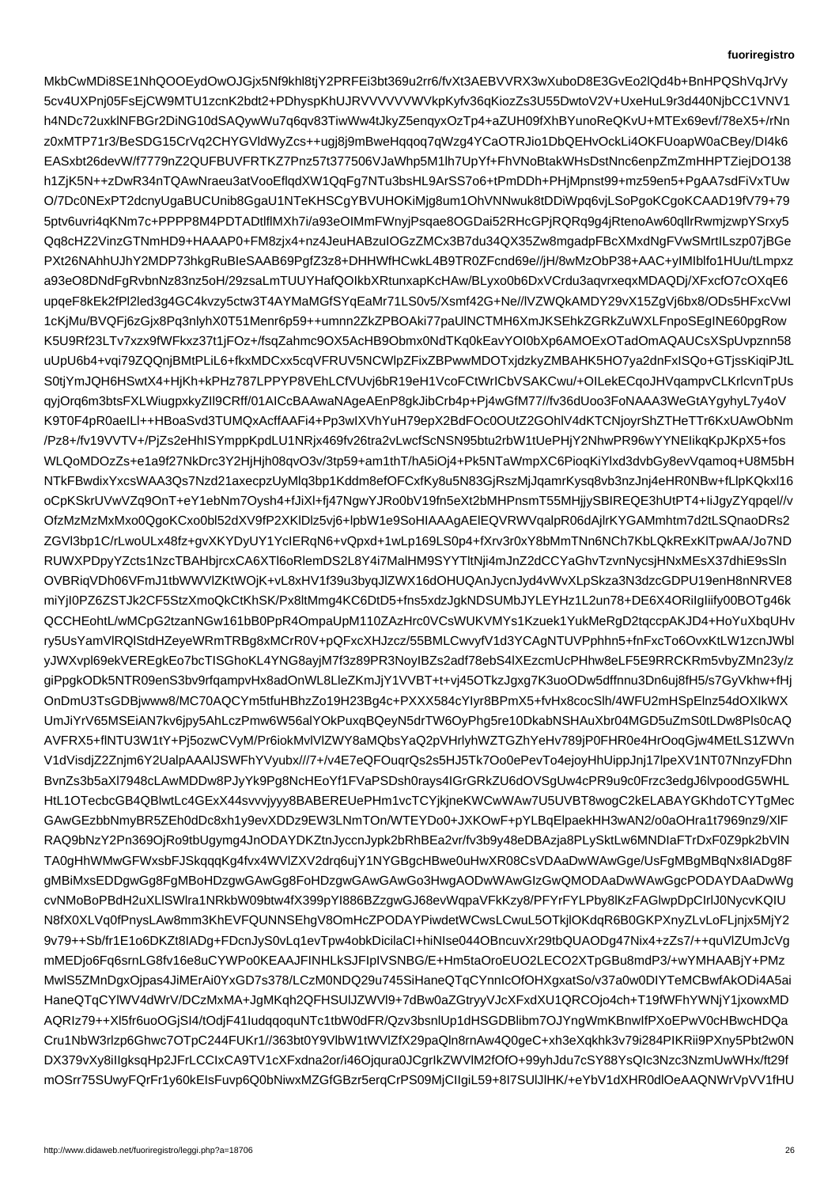MkbCwMDi8SE1NhQOOEydOwOJGix5Nf9khl8tjY2PRFEi3bt369u2rr6/fvXt3AEBVVRX3wXuboD8E3GvEo2lQd4b+BnHPQShVqJrVy 5cv4UXPnj05FsEjCW9MTU1zcnK2bdt2+PDhyspKhUJRVVVVVVVVkpKyfv36qKiozZs3U55DwtoV2V+UxeHuL9r3d440NjbCC1VNV1 h4NDc72uxklNFBGr2DiNG10dSAQywWu7q6qv83TiwWw4tJkyZ5enqyxOzTp4+aZUH09fXhBYunoReQKvU+MTEx69evf/78eX5+/rNn z0xMTP71r3/BeSDG15CrVq2CHYGVldWyZcs++uqj8j9mBweHqqoq7qWzq4YCaOTRJio1DbQEHvOckLi4OKFUoapW0aCBey/DI4k6 EASxbt26devW/f7779nZ2QUFBUVFRTKZ7Pnz57t377506VJaWhp5M1lh7UpYf+FhVNoBtakWHsDstNnc6enpZmZmHHPTZiejDO138 h1ZjK5N++zDwR34nTQAwNraeu3atVooEflqdXW1QqFg7NTu3bsHL9ArSS7o6+tPmDDh+PHjMpnst99+mz59en5+PgAA7sdFiVxTUw O/7Dc0NExPT2dcnyUgaBUCUnib8GgaU1NTeKHSCgYBVUHOKiMjg8um1OhVNNwuk8tDDiWpq6vjLSoPgoKCgoKCAAD19fV79+79 5ptv6uvri4qKNm7c+PPPP8M4PDTADtlflMXh7i/a93eOIMmFWnyjPsqae8OGDai52RHcGPjRQRq9q4jRtenoAw60qllrRwmjzwpYSrxy5 Qq8cHZ2VinzGTNmHD9+HAAAP0+FM8zjx4+nz4JeuHABzulOGzZMCx3B7du34QX35Zw8mgadpFBcXMxdNgFVwSMrtlLszp07jBGe PXt26NAhhUJhY2MDP73hkgRuBleSAAB69PgfZ3z8+DHHWfHCwkL4B9TR0ZFcnd69e//jH/8wMzObP38+AAC+ylMlblfo1HUu/tLmpxz a93eO8DNdFgRvbnNz83nz5oH/29zsaLmTUUYHafQOlkbXRtunxapKcHAw/BLyxo0b6DxVCrdu3aqvrxeqxMDAQDj/XFxcfO7cOXqE6 upgeF8kEk2fPl2led3g4GC4kvzy5ctw3T4AYMaMGfSYgEaMr71LS0v5/Xsmf42G+Ne//IVZWQkAMDY29vX15ZqVj6bx8/ODs5HFxcVwl 1cKiMu/BVQFj6zGix8Pq3nlyhX0T51Menr6p59++umnn2ZkZPBOAki77paUINCTMH6XmJKSEhkZGRkZuWXLFnpoSEqINE60pqRow K5U9Rf23LTv7xzx9fWFkxz37t1jFOz+/fsqZahmc9OX5AcHB9Obmx0NdTKq0kEavYOl0bXp6AMOExOTadOmAQAUCsXSpUvpznn58 uUpU6b4+vai79ZQQniBMtPLiL6+fkxMDCxx5caVFRUV5NCWIpZFixZBPwwMDOTxidzkvZMBAHK5HO7va2dnFxISQo+GTissKiqiPJtL S0tjYmJQH6HSwtX4+HjKh+kPHz787LPPYP8VEhLCfVUvj6bR19eH1VcoFCtWrICbVSAKCwu/+OILekECqoJHVqampvCLKrlcvnTpUs qyjOrq6m3btsFXLWiugpxkyZll9CRff/01AICcBAAwaNAgeAEnP8gkJibCrb4p+Pj4wGfM77//fv36dUoo3FoNAAA3WeGtAYgyhyL7y4oV K9T0F4pR0aeILI++HBoaSvd3TUMQxAcffAAFi4+Pp3wIXVhYuH79epX2BdFOc0OUtZ2GOhIV4dKTCNjoyrShZTHeTTr6KxUAwObNm /Pz8+/fv19VVTV+/PjZs2eHhISYmppKpdLU1NRjx469fv26tra2vLwcfScNSN95btu2rbW1tUePHjY2NhwPR96wYYNEIikqKpJKpX5+fos WLQoMDOzZs+e1a9f27NkDrc3Y2HiHih08qvO3v/3tp59+am1thT/hA5iOj4+Pk5NTaWmpXC6PioqKiYlxd3dvbGy8evVqamoq+U8M5bH NTkFBwdixYxcsWAA3Qs7Nzd21axecpzUyMlq3bp1Kddm8efOFCxfKy8u5N83GjRszMjJqamrKysq8vb3nzJnj4eHR0NBw+fLlpKQkxl16 oCpKSkrUVwVZq9OnT+eY1ebNm7Oysh4+fJiXl+fj47NqwYJRo0bV19fn5eXt2bMHPnsmT55MHjjySBIREQE3hUtPT4+liJqyZYqpqel//v OfzMzMzMxMxo0QqoKCxo0bl52dXV9fP2XKIDlz5vj6+lpbW1e9SoHIAAAqAEIEQVRWVqalpR06dAilrKYGAMmhtm7d2tLSQnaoDRs2 ZGVl3bp1C/rLwoULx48fz+gvXKYDyUY1YcIERqN6+vQpxd+1wLp169LS0p4+fXrv3r0xY8bMmTNn6NCh7KbLQkRExKITpwAA/Jo7ND RUWXPDpyYZcts1NzcTBAHbjrcxCA6XTl6oRlemDS2L8Y4i7MalHM9SYYTltNji4mJnZ2dCCYaGhvTzvnNycsjHNxMEsX37dhiE9sSln OVBRigVDh06VFmJ1tbWWVIZKtWOjK+vL8xHV1f39u3bygJIZWX16dOHUQAnJycnJyd4vWvXLpSkza3N3dzcGDPU19enH8nNRVE8 miYjI0PZ6ZSTJk2CF5StzXmoQkCtKhSK/Px8ltMmg4KC6DtD5+fns5xdzJgkNDSUMbJYLEYHz1L2un78+DE6X4ORiIgliify00BOTg46k QCCHEohtL/wMCpG2tzanNGw161bB0PpR4OmpaUpM110ZAzHrc0VCsWUKVMYs1Kzuek1YukMeRgD2tqccpAKJD4+HoYuXbqUHv ry5UsYamVIRQIStdHZeyeWRmTRBq8xMCrR0V+pQFxcXHJzcz/55BMLCwvyfV1d3YCAqNTUVPphhn5+fnFxcTo6OvxKtLW1zcnJWbl yJWXvpl69ekVEREgkEo7bcTISGhoKL4YNG8ayjM7f3z89PR3NoyIBZs2adf78ebS4IXEzcmUcPHhw8eLF5E9RRCKRm5vbyZMn23y/z giPpgkODk5NTR09enS3bv9rfgampvHx8adOnWL8LleZKmJjY1VVBT+t+vj45OTkzJgxg7K3uoODw5dffnnu3Dn6uj8fH5/s7GyVkhw+fHj OnDmU3TsGDBjwww8/MC70AQCYm5tfuHBhzZo19H23Bg4c+PXXX584cYlyr8BPmX5+fvHx8cocSlh/4WFU2mHSpElnz54dOXlkWX UmJiYrV65MSEiAN7kv6jpv5AhLczPmw6W56alYOkPuxqBQevN5drTW6OyPhq5re10DkabNSHAuXbr04MGD5uZmS0tLDw8Pls0cAQ AVFRX5+flNTU3W1tY+Pi5ozwCVvM/Pr6iokMvlVlZWY8aMQbsYaQ2pVHrlvhWZTGZhYeHv789iP0FHR0e4HrOogGiw4MEtLS1ZWVn V1dVisdjZ2Znjm6Y2UalpAAAIJSWFhYVyubx///7+/v4E7eQFOugrQs2s5HJ5Tk7Oo0ePevTo4ejoyHhUippJnj17lpeXV1NT07NnzyFDhn BvnZs3b5aXl7948cLAwMDDw8PJyYk9Pq8NcHEoYf1FVaPSDsh0rays4lGrGRkZU6dOVSgUw4cPR9u9c0Frzc3edgJ6lvpoodG5WHL HtL1OTecbcGB4QBlwtLc4GExX44svvvjyyy8BABEREUePHm1vcTCYjkjneKWCwWAw7U5UVBT8wogC2kELABAYGKhdoTCYTqMec GAwGEzbbNmyBR5ZEh0dDc8xh1y9evXDDz9EW3LNmTOn/WTEYDo0+JXKOwF+pYLBqElpaekHH3wAN2/o0aOHra1t7969nz9/XIF RAQ9bNzY2Pn369OjRo9tbUqymq4JnODAYDKZtnJyccnJypk2bRhBEa2vr/fv3b9y48eDBAzja8PLySktLw6MNDIaFTrDxF0Z9pk2bVlN TA0gHhWMwGFWxsbFJSkqqqKg4fvx4WVIZXV2drq6ujY1NYGBgcHBwe0uHwXR08CsVDAaDwWAwGge/UsFgMBgMBqNx8IADg8F gMBiMxsEDDgwGq8FgMBoHDzgwGAwGq8FoHDzgwGAwGAwGo3HwqAODwWAwGIzGwQMODAaDwWAwGqcPODAYDAaDwWg cvNMoBoPBdH2uXLISWIra1NRkbW09btw4fX399pYI886BZzgwGJ68evWqpaVFkKzy8/PFYrFYLPby8lKzFAGlwpDpCIrlJ0NycvKQIU N8fX0XLVq0fPnysLAw8mm3KhEVFQUNNSEhqV8OmHcZPODAYPiwdetWCwsLCwuL5OTkjlOKdqR6B0GKPXnyZLvLoFLjnjx5MjY2 9v79++Sb/fr1E1o6DKZt8IADg+FDcnJyS0vLq1evTpw4obkDicilaCI+hiNIse044OBncuvXr29tbQUAODg47Nix4+zZs7/++quVlZUmJcVg mMEDjo6Fq6srnLG8fv16e8uCYWPo0KEAAJFINHLkSJFIpIVSNBG/E+Hm5taOroEUO2LECO2XTpGBu8mdP3/+wYMHAABjY+PMz MwlS5ZMnDgxOjpas4JiMErAi0YxGD7s378/LCzM0NDQ29u745SiHaneQTqCYnnlcOfOHXgxatSo/v37a0w0DIYTeMCBwfAkODi4A5ai HaneQTqCYIWV4dWrV/DCzMxMA+JqMKqh2QFHSUIJZWVI9+7dBw0aZGtryyVJcXFxdXU1QRCOjo4ch+T19fWFhYWNjY1jxowxMD AQRIz79++Xl5fr6uoOGjSI4/tOdjF41IudqqoquNTc1tbW0dFR/Qzv3bsnlUp1dHSGDBlibm7OJYngWmKBnwlfPXoEPwV0cHBwcHDQa Cru1NbW3rlzp6Ghwc7OTpC244FUKr1//363bt0Y9VlbW1tWVlZfX29paQln8rnAw4Q0geC+xh3eXqkhk3v79i284PIKRii9PXny5Pbt2w0N DX379vXy8iIIqksqHp2JFrLCClxCA9TV1cXFxdna2or/i46Ojqura0JCqrlkZWVlM2fOfO+99yhJdu7cSY88YsQlc3Nzc3NzmUwWHx/ft29f mOSrr75SUwyFQrFr1y60kEIsFuvp6Q0bNiwxMZGfGBzr5erqCrPS09MjClIgiL59+8I7SUIJIHK/+eYbV1dXHR0dlOeAAQNWrVpVV1fHU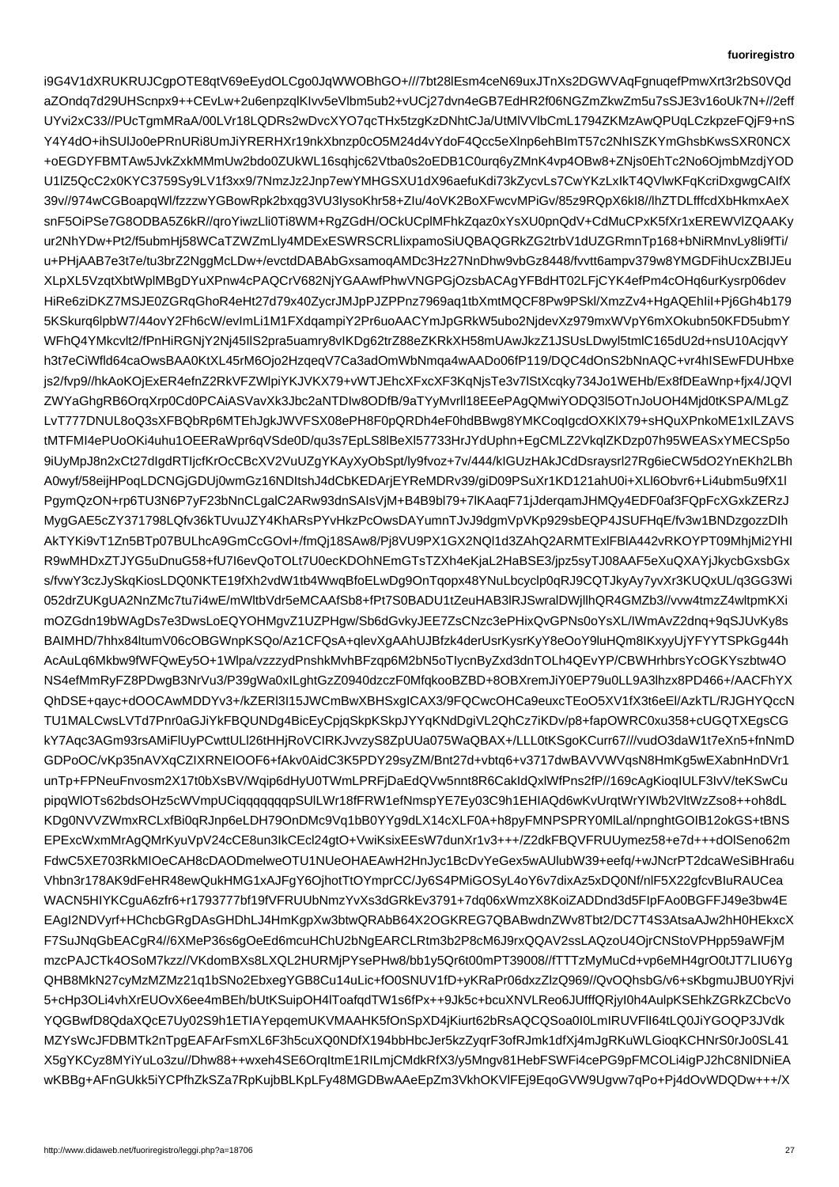i9G4V1dXRUKRUJCgpOTE8qtV69eEydOLCgo0JqWWOBhGO+///7bt28lEsm4ceN69uxJTnXs2DGWVAqFgnuqefPmwXrt3r2bS0VQd aZOndq7d29UHScnpx9++CEvLw+2u6enpzqlKIvv5eVlbm5ub2+vUCj27dvn4eGB7EdHR2f06NGZmZkwZm5u7sSJE3v16oUk7N+//2eff UYvi2xC33//PUcTqmMRaA/00LVr18LQDRs2wDvcXYO7qcTHx5tzqKzDNhtCJa/UtMIVVlbCmL1794ZKMzAwQPUqLCzkpzeFQiF9+nS Y4Y4dO+ihSUIJo0ePRnURi8UmJiYRERHXr19nkXbnzp0cO5M24d4vYdoF4Qcc5eXInp6ehBImT57c2NhISZKYmGhsbKwsSXR0NCX +oEGDYFBMTAw5JvkZxkMMmUw2bdo0ZUkWL16sqhjc62Vtba0s2oEDB1C0urq6yZMnK4vp4OBw8+ZNjs0EhTc2No6OjmbMzdjYOD U1IZ5QcC2x0KYC3759Sy9LV1f3xx9/7NmzJz2Jnp7ewYMHGSXU1dX96aefuKdi73kZycvLs7CwYKzLxlkT4QVlwKFqKcriDxgwgCAlfX 39v//974wCGBoapqWl/fzzzwYGBowRpk2bxqq3VU3lysoKhr58+Zlu/4oVK2BoXFwcvMPiGv/85z9RQpX6kl8//lhZTDLfffcdXbHkmxAeX snF5OiPSe7G8ODBA5Z6kR//qroYiwzLli0Ti8WM+RqZGdH/OCkUCplMFhkZqaz0xYsXU0pnQdV+CdMuCPxK5fXr1xEREWVIZQAAKy ur2NhYDw+Pt2/f5ubmHj58WCaTZWZmLly4MDExESWRSCRLlixpamoSiUQBAQGRkZG2trbV1dUZGRmnTp168+bNiRMnvLy8li9fTi/ u+PHjAAB7e3t7e/tu3brZ2NqqMcLDw+/evctdDABAbGxsamoqAMDc3Hz27NnDhw9vbGz8448/fvvtt6ampv379w8YMGDFihUcxZBIJEu XLpXL5VzqtXbtWplMBgDYuXPnw4cPAQCrV682NjYGAAwfPhwVNGPGjOzsbACAgYFBdHT02LFjCYK4efPm4cOHq6urKysrp06dev HiRe6ziDKZ7MSJE0ZGRqGhoR4eHt27d79x40ZycrJMJpPJZPPnz7969aq1tbXmtMQCF8Pw9PSkl/XmzZv4+HqAQEhlil+Pj6Gh4b179 5KSkurg6lpbW7/44ovY2Fh6cW/evImLi1M1FXdqampiY2Pr6uoAACYmJpGRkW5ubo2NjdevXz979mxWVpY6mXOkubn50KFD5ubmY WFhQ4YMkcvlt2/fPnHiRGNjY2Nj45llS2pra5uamry8vlKDg62trZ88eZKRkXH58mUAwJkzZ1JSUsLDwyl5tmlC165dU2d+nsU10AcjqvY h3t7eCiWfld64caOwsBAA0KtXL45rM6Oio2HzqeqV7Ca3adOmWbNmqa4wAADo06fP119/DQC4dOnS2bNnAQC+vr4hISEwFDUHbxe js2/fvp9//hkAoKOjExER4efnZ2RkVFZWlpiYKJVKX79+vWTJEhcXFxcXF3KqNjsTe3v7lStXcqky734Jo1WEHb/Ex8fDEaWnp+fjx4/JQVI ZWYaGhgRB6OrgXrp0Cd0PCAiASVavXk3Jbc2aNTDIw8ODfB/9aTYyMvrll18EEePAgQMwiYODQ3I5OTnJoUOH4Mjd0tKSPA/MLgZ LvT777DNUL8oQ3sXFBQbRp6MTEhJgkJWVFSX08ePH8F0pQRDh4eF0hdBBwg8YMKCoqIgcdOXKIX79+sHQuXPnkoME1xILZAVS tMTFMI4ePUoOKi4uhu1OEERaWpr6qVSde0D/qu3s7EpLS8lBeXl57733HrJYdUphn+EgCMLZ2VkqlZKDzp07h95WEASxYMECSp5o 9iUyMpJ8n2xCt27dlqdRTljcfKrOcCBcXV2VuUZqYKAyXyObSpt/ly9fvoz+7v/444/kIGUzHAkJCdDsraysrl27Rq6ieCW5dO2YnEKh2LBh A0wyf/58eijHPoqLDCNGjGDUj0wmGz16NDItshJ4dCbKEDArjEYReMDRv39/giD09PSuXr1KD121ahU0i+XLl6Obvr6+Li4ubm5u9fX1I PqymQzON+rp6TU3N6P7yF23bNnCLqalC2ARw93dnSAIsVjM+B4B9bl79+7lKAaqF71jJderqamJHMQy4EDF0af3FQpFcXGxkZERzJ MygGAE5cZY371798LQfv36kTUvuJZY4KhARsPYvHkzPcOwsDAYumnTJvJ9dgmVpVKp929sbEQP4JSUFHqE/fv3w1BNDzqozzDlh AkTYKi9vT1Zn5BTp07BULhcA9GmCcGOvl+/fmQj18SAw8/Pj8VU9PX1GX2NQl1d3ZAhQ2ARMTExIFBIA442vRKOYPT09MhjMi2YHI R9wMHDxZTJYG5uDnuG58+fU7l6evQoTOLt7U0ecKDOhNEmGTsTZXh4eKjaL2HaBSE3/jpz5syTJ08AAF5eXuQXAYjJkycbGxsbGx s/fvwY3czJySkqKiosLDQ0NKTE19fXh2vdW1tb4WwqBfoELwDg9OnTqopx48YNuLbcyclp0qRJ9CQTJkyAy7yvXr3KUQxUL/q3GG3Wi 052drZUKgUA2NnZMc7tu7i4wE/mWltbVdr5eMCAAfSb8+fPt7S0BADU1tZeuHAB3lRJSwralDWjllhQR4GMZb3//vvw4tmzZ4wltpmKXi mOZGdn19bWAgDs7e3DwsLoEQYOHMgvZ1UZPHgw/Sb6dGvkyJEE7ZsCNzc3ePHixQvGPNs0oYsXL/IWmAvZ2dnq+9qSJUvKy8s BAIMHD/7hhx84ltumV06cOBGWnpKSQo/Az1CFQsA+qlevXqAAhUJBfzk4derUsrKysrKyY8eOoY9luHQm8lKxyyUjYFYYTSPkGq44h AcAuLq6Mkbw9fWFQwEy5O+1Wlpa/vzzzydPnshkMvhBFzqp6M2bN5oTIycnByZxd3dnTOLh4QEvYP/CBWHrhbrsYcOGKYszbtw4O NS4efMmRyFZ8PDwqB3NrVu3/P39qWa0xILqhtGzZ0940dzczF0MfqkooBZBD+8OBXremJiY0EP79u0LL9A3lhzx8PD466+/AACFhYX QhDSE+qayc+dOOCAwMDDYv3+/kZERI3I15JWCmBwXBHSxqICAX3/9FQCwcOHCa9euxcTEoO5XV1fX3t6eEl/AzkTL/RJGHYQccN TU1MALCwsLVTd7Pnr0aGJiYkFBQUNDq4BicEyCpiqSkpKSkpJYYqKNdDqiVL2QhCz7iKDv/p8+fapOWRC0xu358+cUGQTXEqsCG kY7Aqc3AGm93rsAMiFIUyPCwttULl26tHHjRoVCIRKJvvzyS8ZpUUa075WaQBAX+/LLL0tKSgoKCurr67///vudO3daW1t7eXn5+fnNmD GDPoOC/vKp35nAVXqCZIXRNEIOOF6+fAkv0AidC3K5PDY29syZM/Bnt27d+vbtq6+v3717dwBAVVWVqsN8HmKq5wEXabnHnDVr1 unTp+FPNeuFnvosm2X17t0bXsBV/Wqip6dHyU0TWmLPRFjDaEdQVw5nnt8R6CakIdQxIWfPns2fP//169cAgKioqIULF3IvV/teKSwCu pipqWIOTs62bdsOHz5cWVmpUCiqqqqqqqpSUILWr18fFRW1efNmspYE7Ey03C9h1EHIAQd6wKvUrqtWrYIWb2VItWzZso8++oh8dL KDg0NVVZWmxRCLxfBi0qRJnp6eLDH79OnDMc9Vq1bB0YYg9dLX14cXLF0A+h8pyFMNPSPRY0MlLal/npnghtGOIB12okGS+tBNS EPExcWxmMrAqQMrKyuVpV24cCE8un3lkCEcl24qtO+VwiKsixEEsW7dunXr1v3+++/Z2dkFBQVFRUUymez58+e7d+++dOlSeno62m FdwC5XE703RkMIOeCAH8cDAODmelweOTU1NUeOHAEAwH2HnJyc1BcDvYeGex5wAUlubW39+eefq/+wJNcrPT2dcaWeSiBHra6u Vhbn3r178AK9dFeHR48ewQukHMG1xAJFqY6OjhotTtOYmprCC/Jy6S4PMiGOSyL4oY6v7dixAz5xDQ0Nf/nlF5X22qfcvBluRAUCea WACN5HIYKCquA6zfr6+r1793777bf19fVFRUUbNmzYvXs3dGRkEv3791+7dq06xWmzX8KoiZADDnd3d5FlpFAo0BGFFJ49e3bw4E EAgl2NDVyrf+HChcbGRgDAsGHDhLJ4HmKgpXw3btwQRAbB64X2OGKREG7QBABwdnZWv8Tbt2/DC7T4S3AtsaAJw2hH0HEkxcX F7SuJNqGbEACqR4//6XMeP36s6gOeEd6mcuHChU2bNqEARCLRtm3b2P8cM6J9rxQQAV2ssLAQzoU4OjrCNStoVPHpp59aWFjM mzcPAJCTk4OSoM7kzz//VKdomBXs8LXQL2HURMjPYsePHw8/bb1y5Qr6t00mPT39008//fTTTzMyMuCd+vp6eMH4grO0tJT7LIU6Yg QHB8MkN27cyMzMZMz21q1bSNo2EbxegYGB8Cu14uLic+fO0SNUV1fD+yKRaPr06dxzZlzQ969//QvOQhsbG/v6+sKbgmuJBU0YRjvi 5+cHp3OLi4vhXrEUOvX6ee4mBEh/bUtKSuipOH4lToafqdTW1s6fPx++9Jk5c+bcuXNVLReo6JUfffQRjyI0h4AulpKSEhkZGRkZCbcVo YQGBwfD8QdaXQcE7Uy02S9h1ETIAYepqemUKVMAAHK5fOnSpXD4jKiurt62bRsAQCQSoa0l0LmIRUVFII64tLQ0JiYGOQP3JVdk MZYsWcJFDBMTk2nTpgEAFArFsmXL6F3h5cuXQ0NDfX194bbHbcJer5kzZyqrF3ofRJmk1dfXj4mJgRKuWLGioqKCHNrS0rJo0SL41 X5gYKCyz8MYiYuLo3zu//Dhw88++wxeh4SE6OrqltmE1RILmjCMdkRfX3/y5Mngv81HebFSWFi4cePG9pFMCOLi4igPJ2hC8NIDNiEA wKBBq+AFnGUkk5iYCPfhZkSZa7RpKujbBLKpLFy48MGDBwAAeEpZm3VkhOKVIFEj9EqoGVW9Uqvw7qPo+Pj4dOvWDQDw+++/X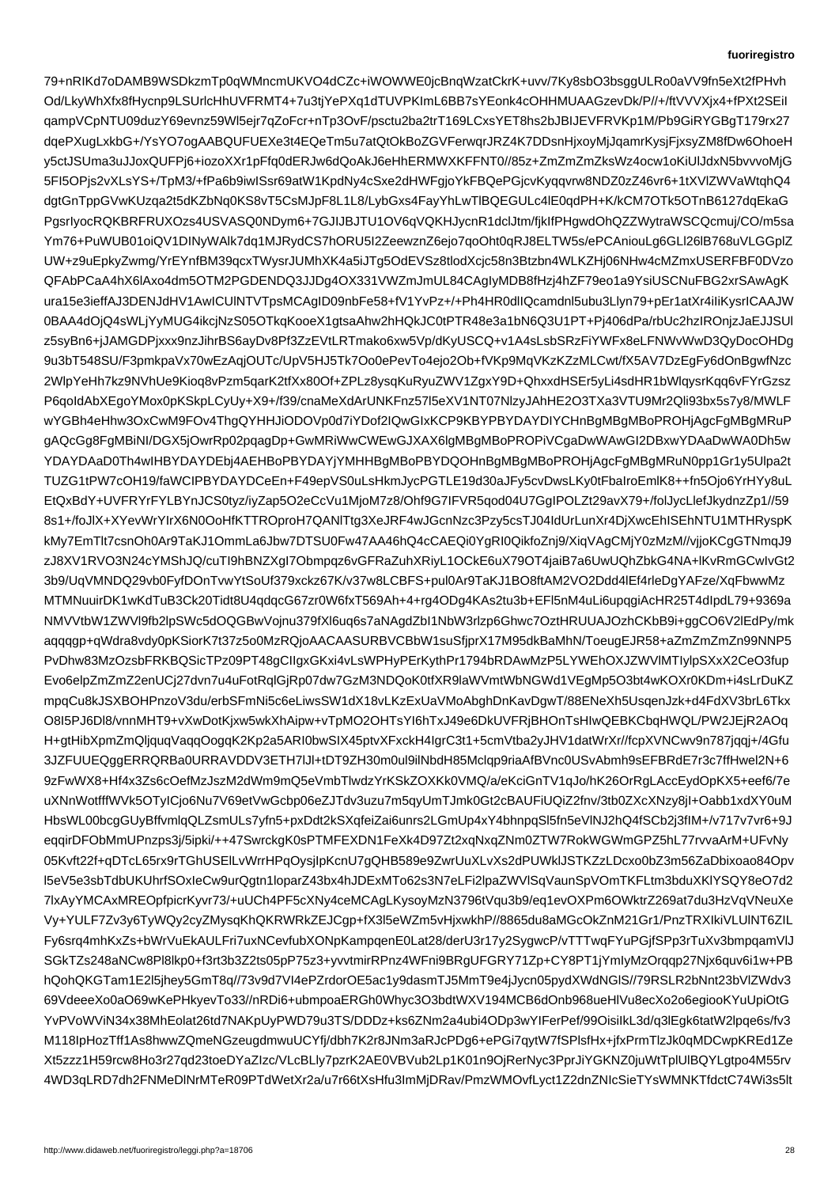79+nRIKd7oDAMB9WSDkzmTp0qWMncmUKVO4dCZc+iWOWWE0jcBnqWzatCkrK+uvv/7Ky8sbO3bsqqULRo0aVV9fn5eXt2fPHvh Od/LkyWhXfx8fHycnp9LSUrlcHhUVFRMT4+7u3tiYePXq1dTUVPKImL6BB7sYEonk4cOHHMUAAGzevDk/P//+/ftVVVXix4+fPXt2SEil gampVCpNTU09duzY69evnz59Wl5eir7qZoFcr+nTp3OvF/psctu2ba2trT169LCxsYET8hs2bJBIJEVFRVKp1M/Pb9GiRYGBqT179rx27 dgePXugLxkbG+/YsYO7ogAABQUFUEXe3t4EQeTm5u7atQtOkBoZGVFerwgrJRZ4K7DDsnHjxoyMjJgamrKysjFjxsyZM8fDw6OhoeH y5ctJSUma3uJJoxQUFPj6+iozoXXr1pFfq0dERJw6dQoAkJ6eHhERMWXKFFNT0//85z+ZmZmZmZksWz4ocw1oKiUIJdxN5bvvvoMjG 5FI5OPjs2vXLsYS+/TpM3/+fPa6b9iwISsr69atW1KpdNy4cSxe2dHWFgjoYkFBQePGjcvKyqqvrw8NDZ0zZ46vr6+1tXVIZWVaWtqhQ4 dgtGnTppGVwKUzqa2t5dKZbNq0KS8vT5CsMJpF8L1L8/LybGxs4FayYhLwTlBQEGULc4lE0qdPH+K/kCM7OTk5OTnB6127dqEkaG PgsrlyocRQKBRFRUXOzs4USVASQ0NDym6+7GJIJBJTU1OV6qVQKHJycnR1dclJtm/fjklfPHgwdOhQZZWytraWSCQcmuj/CO/m5sa Ym76+PuWUB01oiQV1DINyWAlk7dq1MJRydCS7hORU5I2ZeewznZ6ejo7qoOht0qRJ8ELTW5s/ePCAniouLg6GLI26lB768uVLGGplZ UW+z9uEpkyZwmg/YrEYnfBM39qcxTWysrJUMhXK4a5iJTg5OdEVSz8tlodXcjc58n3Btzbn4WLKZHj06NHw4cMZmxUSERFBF0DVzo QFAbPCaA4hX6lAxo4dm5OTM2PGDENDQ3JJDg4OX331VWZmJmUL84CAglyMDB8fHzj4hZF79eo1a9YsiUSCNuFBG2xrSAwAgK ura15e3ieffAJ3DENJdHV1AwICUINTVTpsMCAqID09nbFe58+fV1YvPz+/+Ph4HR0dlIQcamdnl5ubu3Llyn79+pEr1atXr4iliKysrlCAAJW 0BAA4dOjQ4sWLjYyMUG4ikcjNzS05OTkgKooeX1qtsaAhw2hHQkJC0tPTR48e3a1bN6Q3U1PT+Pj406dPa/rbUc2hzIROnjzJaEJJSUI z5syBn6+jJAMGDPjxxx9nzJihrBS6ayDv8Pf3ZzEVtLRTmako6xw5Vp/dKyUSCQ+v1A4sLsbSRzFiYWFx8eLFNWvWwD3QyDocOHDg 9u3bT548SU/F3pmkpaVx70wEzAqjOUTc/UpV5HJ5Tk7Oo0ePevTo4ejo2Ob+fVKp9MqVKzKZzMLCwt/fX5AV7DzEgFy6dOnBgwfNzc 2WlpYeHh7kz9NVhUe9Kioq8vPzm5qarK2tfXx80Of+ZPLz8ysqKuRyuZWV1ZgxY9D+QhxxdHSEr5yLi4sdHR1bWlqysrKqq6vFYrGzsz P6qoldAbXEgoYMox0pKSkpLCyUy+X9+/f39/cnaMeXdArUNKFnz57l5eXV1NT07NlzyJAhHE2O3TXa3VTU9Mr2Qli93bx5s7y8/MWLF wYGBh4eHhw3OxCwM9FOv4ThgQYHHJiODOVp0d7iYDof2lQwGlxKCP9KBYPBYDAYDIYCHnBgMBgMBoPROHjAgcFgMBgMRuP gAQcGg8FgMBiNI/DGX5jOwrRp02pqagDp+GwMRiWwCWEwGJXAX6lgMBgMBoPROPiVCgaDwWAwGI2DBxwYDAaDwWA0Dh5w YDAYDAaD0Th4wIHBYDAYDEbj4AEHBoPBYDAYjYMHHBqMBoPBYDQOHnBqMBqMBoPROHjAqcFqMBqMRuN0pp1Gr1y5Ulpa2t TUZG1tPW7cOH19/faWCIPBYDAYDCeEn+F49epVS0uLsHkmJycPGTLE19d30aJFy5cvDwsLKy0tFbaIroEmlK8++fn5Ojo6YrHYy8uL EtQxBdY+UVFRYrFYLBYnJCS0tyz/iyZap5O2eCcVu1MjoM7z8/Ohf9G7IFVR5qod04U7GqIPOLZt29avX79+/folJycLlefJkydnzZp1//59 8s1+/foJlX+XYevWrYIrX6N0OoHfKTTROproH7QANITtg3XeJRF4wJGcnNzc3Pzy5csTJ04IdUrLunXr4DjXwcEhISEhNTU1MTHRyspK kMy7EmTlt7csnOh0Ar9TaKJ1OmmLa6Jbw7DTSU0Fw47AA46hQ4cCAEQi0YgRl0QikfoZnj9/XiqVAgCMjY0zMzM//vjjoKCgGTNmqJ9 zJ8XV1RVO3N24cYMShJQ/cuTl9hBNZXgl7Obmpqz6vGFRaZuhXRiyL1OCkE6uX79OT4jaiB7a6UwUQhZbkG4NA+IKvRmGCwlvGt2 3b9/UqVMNDQ29vb0FyfDOnTvwYtSoUf379xckz67K/v37w8LCBFS+pul0Ar9TaKJ1BO8ftAM2VO2Ddd4lEf4rleDgYAFze/XqFbwwMz MTMNuuirDK1wKdTuB3Ck20Tidt8U4qdqcG67zr0W6fxT569Ah+4+rg4ODg4KAs2tu3b+EFl5nM4uLi6upqgiAcHR25T4dlpdL79+9369a NMVVtbW1ZWVl9fb2lpSWc5dOQGBwVojnu379fXl6uq6s7aNAgdZbl1NbW3rlzp6Ghwc7OztHRUUAJOzhCKbB9i+ggCO6V2lEdPy/mk aggggp+gWdra8vdy0pKSiorK7t37z5o0MzRQjoAACAASURBVCBbW1suSfjprX17M95dkBaMhN/ToeugEJR58+aZmZmZmZn99NNP5 PvDhw83MzOzsbFRKBQSicTPz09PT48gClIgxGKxi4vLsWPHyPErKythPr1794bRDAwMzP5LYWEhOXJZWVIMTlylpSXxX2CeO3fup Evo6elpZmZmZ2enUCj27dvn7u4uFotRqlGjRp07dw7GzM3NDQoK0tfXR9laWVmtWbNGWd1VEqMp5O3bt4wKOXr0KDm+i4sLrDuKZ mpgCu8kJSXBOHPnzoV3du/erbSFmNi5c6eLiwsSW1dX18vLKzExUaVMoAbghDnKavDgwT/88ENeXh5UsgenJzk+d4FdXV3brL6Tkx O8I5PJ6DI8/vnnMHT9+vXwDotKixw5wkXhAipw+vTpMO2OHTsYI6hTxJ49e6DkUVFRiBHOnTsHIwQEBKCbqHWQL/PW2JEjR2AOq H+gtHibXpmZmQljquqVaqqOogqK2Kp2a5ARI0bwSIX45ptvXFxckH4IgrC3t1+5cmVtba2yJHV1datWrXr//fcpXVNCwv9n787jqqj+/4Gfu 3JZFUUEQggERRQRBa0URRAVDDV3ETH7IJI+tDT9ZH30m0ul9ilNbdH85Mclqp9riaAfBVnc0USvAbmh9sEFBRdE7r3c7ffHwel2N+6 9zFwWX8+Hf4x3Zs6cOefMzJszM2dWm9mQ5eVmbTlwdzYrKSkZOXKk0VMQ/a/eKciGnTV1qJo/hK26OrRgLAccEydOpKX5+eef6/7e uXNnWotfffWVk5OTylCjo6Nu7V69etVwGcbp06eZJTdv3uzu7m5qyUmTJmk0Gt2cBAUFiUQiZ2fnv/3tb0ZXcXNzy8jl+Oabb1xdXY0uM HbsWL00bcgGUyBffvmlqQLZsmULs7yfn5+pxDdt2kSXqfeiZai6unrs2LGmUp4xY4bhnpqSl5fn5eVlNJ2hQ4fSCb2j3flM+/v717v7vr6+9J eggirDFObMmUPnzps3j/5ipki/++47SwrckgK0sPTMFEXDN1FeXk4D97Zt2xgNxgZNm0ZTW7RokWGWmGPZ5hL77rvvaArM+UFvNy 05Kvft22f+qDTcL65rx9rTGhUSEILvWrrHPqOysjIpKcnU7gQHB589e9ZwrUuXLvXs2dPUWkIJSTKZzLDcxo0bZ3m56ZaDbixoao84Opv I5eV5e3sbTdbUKUhrfSOxleCw9urQqtn1loparZ43bx4hJDExMTo62s3N7eLFi2lpaZWVISqVaunSpVOmTKFLtm3bduXKIYSQY8eO7d2 7lxAyYMCAxMREOpfpicrKyvr73/+uUCh4PF5cXNy4ceMCAqLKysoyMzN3796tVqu3b9/eq1evOXPm6OWktrZ269at7du3HzVqVNeuXe Vy+YULF7Zv3y6TyWQy2cyZMysqKhQKRWRkZEJCqp+fX3l5eWZm5vHjxwkhP//8865du8aMGcOkZnM21Gr1/PnzTRXIkiVLUINT6ZIL Fy6srq4mhKxZs+bWrVuEkAULFri7uxNCevfubXONpKampqenE0Lat28/derU3r17y2SygwcP/vTTTwqFYuPGjfSPp3rTuXv3bmpqamVIJ SGkTZs248aNCw8Pl8lkp0+f3rt3b3Z2ts05pP75z3+yvvtmirRPnz4WFni9BRgUFGRY71Zp+CY8PT1jYmlyMzOrgqp27Njx6quv6i1w+PB hQohQKGTam1E2l5jhey5GmT8q//73v9d7VI4ePZrdorOE5ac1y9dasmTJ5MmT9e4jJycn05pydXWdNGIS//79RSLR2bNnt23bVIZWdv3 69VdeeeXo0aO69wKePHkyevTo33//nRDi6+ubmpoaERGh0Whyc3O3bdtWXV194MCB6dOnb968ueHlVu8ecXo2o6egiooKYuUpiOtG YvPVoWViN34x38MhEolat26td7NAKpUyPWD79u3TS/DDDz+ks6ZNm2a4ubi4ODp3wYIFerPef/99OisilkL3d/q3lEgk6tatW2lpqe6s/fv3 M118lpHozTff1As8hwwZQmeNGzeugdmwuUCYfj/dbh7K2r8JNm3aRJcPDg6+ePGi7qytW7fSPlsfHx+jfxPrmTlzJk0qMDCwpKREd1Ze Xt5zzz1H59rcw8Ho3r27qd23toeDYaZlzc/VLcBLly7pzrK2AE0VBVub2Lp1K01n9OjRerNyc3PprJiYGKNZ0juWtTplUIBQYLqtpo4M55rv 4WD3qLRD7dh2FNMeDINrMTeR09PTdWetXr2a/u7r66tXsHfu3ImMjDRav/PmzWMOvfLyct1Z2dnZNIcSieTYsWMNKTfdctC74Wi3s5lt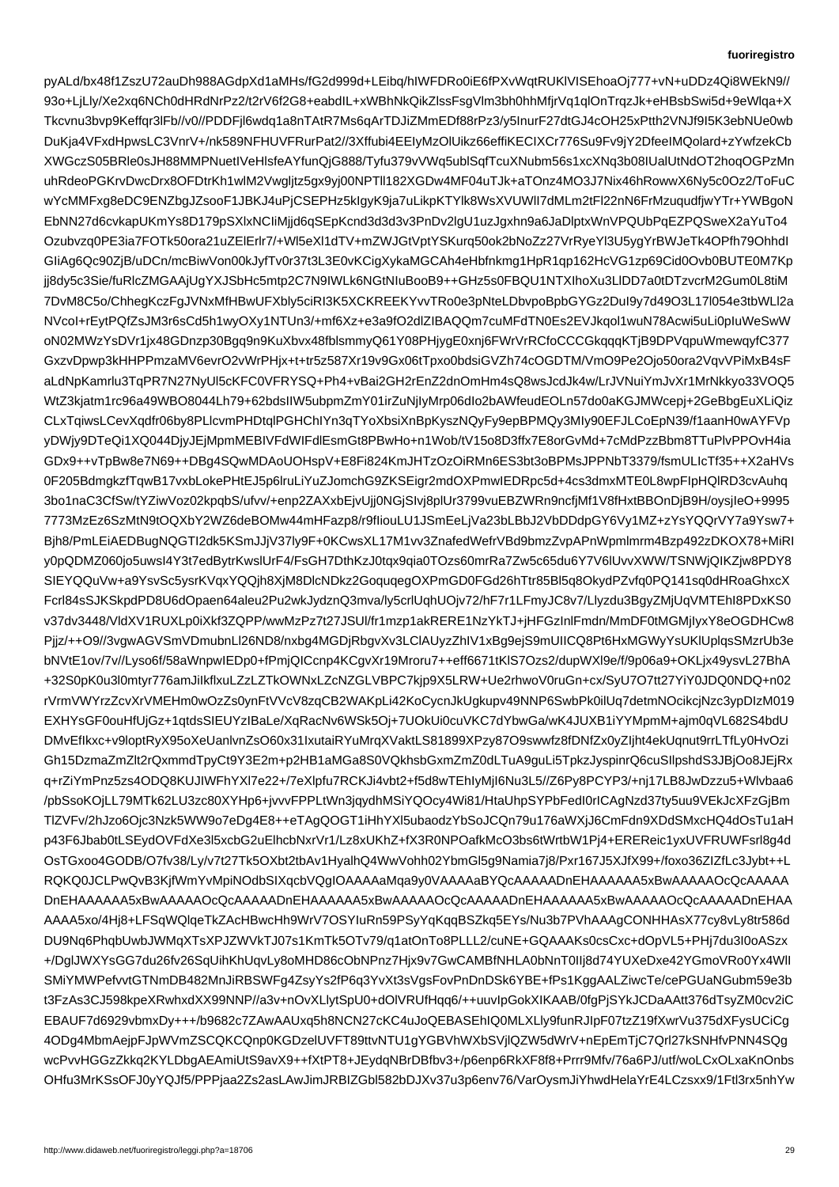pyALd/bx48f1ZszU72auDh988AGdpXd1aMHs/fG2d999d+LEibq/hIWFDRo0iE6fPXvWqtRUKIVISEhoaOj777+vN+uDDz4Qi8WEkN9// 93o+LjLly/Xe2xq6NCh0dHRdNrPz2/t2rV6f2G8+eabdlL+xWBhNkQikZlssFsgVlm3bh0hhMfjrVq1qlOnTrqzJk+eHBsbSwi5d+9eWlqa+X Tkcvnu3bvp9Keffqr3IFb//v0//PDDFjl6wdq1a8nTAtR7Ms6qArTDJiZMmEDf88rPz3/y5InurF27dtGJ4cOH25xPtth2VNJf9I5K3ebNUe0wb DuKja4VFxdHpwsLC3VnrV+/nk589NFHUVFRurPat2//3Xffubi4EEIyMzOlUikz66effiKECIXCr776Su9Fv9jY2DfeelMQolard+zYwfzekCb XWGczS05BRIe0sJH88MMPNuetIVeHlsfeAYfunQjG888/Tyfu379vVWq5ublSqfTcuXNubm56s1xcXNq3b08IUalUtNdOT2hoqOGPzMn uhRdeoPGKrvDwcDrx8OFDtrKh1wlM2Vwgljtz5qx9yj00NPTll182XGDw4MF04uTJk+aTOnz4MO3J7Nix46hRowwX6Ny5c0Oz2/ToFuC wYcMMFxg8eDC9ENZbgJZsooF1JBKJ4uPjCSEPHz5kIgyK9ja7uLikpKTYlk8WsXVUWII7dMLm2tFl22nN6FrMzuqudfjwYTr+YWBgoN EbNN27d6cvkapUKmYs8D179pSXlxNCliMjjd6qSEpKcnd3d3d3v3PnDv2lqU1uzJgxhn9a6JaDlptxWnVPQUbPqEZPQSweX2aYuTo4 Ozubvzq0PE3ia7FOTk50ora21uZElErlr7/+Wl5eXI1dTV+mZWJGtVptYSKurq50ok2bNoZz27VrRyeYl3U5ygYrBWJeTk4OPfh79Ohhdl GliAg6Qc90ZjB/uDCn/mcBiwVon00kJyfTv0r37t3L3E0vKCigXykaMGCAh4eHbfnkmg1HpR1qp162HcVG1zp69Cid0Ovb0BUTE0M7Kp jj8dy5c3Sie/fuRlcZMGAAjUgYXJSbHc5mtp2C7N9IWLk6NGtNIuBooB9++GHz5s0FBQU1NTXIhoXu3LIDD7a0tDTzvcrM2Gum0L8tiM 7DvM8C5o/ChheqKczFqJVNxMfHBwUFXbly5ciRl3K5XCKREEKYvvTRo0e3pNteLDbvpoBpbGYGz2Dul9v7d49O3L17l054e3tbWLl2a NVcol+rEytPQfZsJM3r6sCd5h1wyOXy1NTUn3/+mf6Xz+e3a9fO2dlZIBAQQm7cuMFdTN0Es2EVJkqol1wuN78Acwi5uLi0pluWeSwW oN02MWzYsDVr1jx48GDnzp30Bgq9n9KuXbvx48fblsmmyQ61Y08PHjygE0xnj6FWrVrRCfoCCCGkqqqKTjB9DPVqpuWmewqyfC377 GxzvDpwp3kHHPPmzaMV6evrO2vWrPHix+t+tr5z587Xr19v9Gx06tTpxo0bdsiGVZh74cOGDTM/VmO9Pe2Oio50ora2VgvVPiMxB4sF aLdNpKamrlu3TqPR7N27NyUI5cKFC0VFRYSQ+Ph4+vBai2GH2rEnZ2dnOmHm4sQ8wsJcdJk4w/LrJVNuiYmJvXr1MrNkkyo33VOQ5 WtZ3kjatm1rc96a49WBO8044Lh79+62bdsIIW5ubpmZmY01irZuNjlyMrp06dlo2bAWfeudEOLn57do0aKGJMWcepj+2GeBbgEuXLiQiz CLxTqiwsLCevXqdfr06by8PLlcvmPHDtqlPGHChlYn3qTYoXbsiXnBpKyszNQyFy9epBPMQy3MIy90EFJLCoEpN39/f1aanH0wAYFVp yDWjy9DTeQi1XQ044DjyJEjMpmMEBIVFdWIFdlEsmGt8PBwHo+n1Wob/tV15o8D3ffx7E8orGvMd+7cMdPzzBbm8TTuPlvPPOvH4ia GDx9++vTpBw8e7N69++DBq4SQwMDAoUOHspV+E8Fi824KmJHTzOzOiRMn6ES3bt3oBPMsJPPNbT3379/fsmULIcTf35++X2aHVs 0F205BdmgkzfTqwB17vxbLokePHtEJ5p6IruLiYuZJomchG9ZKSEigr2mdOXPmwIEDRpc5d+4cs3dmxMTE0L8wpFIpHQlRD3cvAuhq 3bo1naC3CfSw/tYZiwVoz02kpqbS/ufvv/+enp2ZAXxbEjvUjj0NGjSIvj8plUr3799vuEBZWRn9ncfjMf1V8fHxtBBOnDjB9H/oysjleO+9995 7773MzEz6SzMtN9tOQXbY2WZ6deBOMw44mHFazp8/r9fliouLU1JSmEeLjVa23bLBbJ2VbDDdpGY6Vy1MZ+zYsYQQrVY7a9Ysw7+ Bjh8/PmLEiAEDBugNQGTI2dk5KSmJJjV37Iy9F+0KCwsXL17M1vv3ZnafedWefrVBd9bmzZvpAPnWpmlmrm4Bzp492zDKOX78+MiRI y0pQDMZ060jo5uwsI4Y3t7edBytrKwsIUrF4/FsGH7DthKzJ0tqx9qia0TOzs60mrRa7Zw5c65du6Y7V6IUvvXWW/TSNWiQIKZiw8PDY8 SIEYQQuVw+a9YsvSc5ysrKVqxYQQjh8XjM8DlcNDkz2GoquqeqOXPmGD0FGd26hTtr85Bl5q8OkydPZvfq0PQ141sq0dHRoaGhxcX Fcrl84sSJKSkpdPD8U6dOpaen64aleu2Pu2wkJydznQ3mva/ly5crlUqhUOjv72/hF7r1LFmyJC8v7/Llyzdu3BgyZMjUqVMTEhI8PDxKS0 v37dv3448/VldXV1RUXLp0iXkf3ZQPP/wwMzPz7t27JSUl/fr1mzp1akRERE1NzYkTJ+jHFGzInlFmdn/MmDF0tMGMjIyxY8eOGDHCw8 Pijz/++O9//3vgwAGVSmVDmubnLl26ND8/nxbg4MGDjRbgvXv3LCIAUyzZhIV1xBg9ejS9mUIICQ8Pt6HxMGWyYsUKIUplqsSMzrUb3e bNVtE1ov/7v//Lyso6f/58aWnpwlEDp0+fPmjQlCcnp4KCgvXr19Mroru7++eff6671tKlS7Ozs2/dupWXl9e/f/9p06a9+OKLjx49ysvL27BhA +32S0pK0u3l0mtyr776amJilkflxuLZzLZTkOWNxLZcNZGLVBPC7kjp9X5LRW+Ue2rhwoV0ruGn+cx/SyU7O7tt27YiY0JDQ0NDQ+n02 rVrmVWYrzZcvXrVMEHm0wOzZs0ynFtVVcV8zqCB2WAKpLi42KoCycnJkUqkupv49NNP6SwbPk0ilUq7detmNOcikcjNzc3ypDlzM019 EXHYsGF0ouHfUjGz+1qtdsSIEUYzIBaLe/XqRacNv6WSk5Oj+7UOkUi0cuVKC7dYbwGa/wK4JUXB1iYYMpmM+ajm0qVL682S4bdU DMvEflkxc+v9loptRvX95oXeUanlvnZsO60x31lxutaiRYuMrqXVaktLS81899XPzv87O9swwfz8fDNfZx0vZliht4ekUqnut9rrLTfLv0HvOzi Gh15DzmaZmZlt2rQxmmdTpyCt9Y3E2m+p2HB1aMGa8S0VQkhsbGxmZmZ0dLTuA9guLi5TpkzJyspinrQ6cuSllpshdS3JBjOo8JEjRx q+rZiYmPnz5zs4ODQ8KUJIWFhYXI7e22+/7eXlpfu7RCKJi4vbt2+f5d8wTEhlyMjI6Nu3L5//Z6Py8PCYP3/+nj17LB8JwDzzu5+Wlvbaa6 /pbSsoKOjLL79MTk62LU3zc80XYHp6+jvvvFPPLtWn3jqydhMSiYQOcy4Wi81/HtaUhpSYPbFedl0rlCAgNzd37ty5uu9VEkJcXFzGjBm TIZVFv/2hJzo6Ojc3Nzk5WW9o7eDg4E8++eTAgQOGT1iHhYXl5ubaodzYbSoJCQn79u176aWXjJ6CmFdn9XDdSMxcHQ4dOsTu1aH p43F6Jbab0tLSEydOVFdXe3l5xcbG2uElhcbNxrVr1/Lz8xUKhZ+fX3R0NPOafkMcO3bs6tWrtbW1Pj4+EREReic1yxUVFRUWFsrl8q4d OsTGxoo4GODB/O7fv38/Ly/v7t27Tk5OXbt2tbAv1HyalhQ4WwVohh02YbmGl5g9Namia7j8/Pxr167J5XJfX99+/foxo36ZlZfLc3Jybt++L RQKQ0JCLPwQvB3KjfWmYvMpiNOdbSIXqcbVQqIOAAAAaMqa9y0VAAAAaBYQcAAAAADnEHAAAAAA5xBwAAAAAOcQcAAAAA DnEHAAAAAA5xBwAAAAAOcQcAAAAADnEHAAAAAA5xBwAAAAAOcQcAAAAADnEHAAAAAA5xBwAAAAAOcQcAAAAADnEHAA AAAA5xo/4Hj8+LFSqWQlqeTkZAcHBwcHh9WrV7OSYIuRn59PSyYqKqqBSZkq5EYs/Nu3b7PVhAAAqCONHHAsX77cy8vLy8tr586d DU9Nq6PhqbUwbJWMqXTsXPJZWVkTJ07s1KmTk5OTv79/q1atOnTo8PLLL2/cuNE+GQAAAKs0csCxc+dOpVL5+PHj7du3l0oASzx +/DglJWXYsGG7du26fv26SqUihKhUqvLy8oMHD86cObNPnz7Hjx9v7GwCAMBfNHLA0bNnT0IIj8d74YUXeDxe42YGmoVRo0Yx4Wll SMiYMWPefvvtGTNmDB482MnJiRBSWFg4ZsyYs2fP6q3YvXt3sVgsFovPnDnDSk6YBE+fPs1KggAALZiwcTe/cePGUaNGubm59e3b t3FzAs3CJ598kpeXRwhxdXX99NNP//a3v+nOvXLlytSpU0+dOlVRUfHqq6/++uuvlpGokXlKAAB/0fgPjSYkJCDaAAtt376dTsyZM0cv2iC EBAUF7d6929vbmxDy+++/b9682c7ZAwAAUxq5h8NCN27cKC4uJoQEBASEhIQ0MLXLIy9funRJIpF07tzZ19fXwrVu375dXFysUCiCq 4ODg4MbmAejpFJpWVmZSCQKCQnp0KGDzelUVFT89ttvNTU1gYGBVhWXbSVjlQZW5dWrV+nEpEmTjC7Qrl27kSNHfvPNN4SQg wcPvvHGGzZkkq2KYLDbgAEAmiUtS9avX9++fXtPT8+JEydqNBrDBfbv3+/p6enp6RkXF8f8+Prrr9Mfv/76a6PJ/utf/woLCxOLxaKnOnbs OHfu3MrKSsOFJ0yYQJf5/PPPjaa2Zs2asLAwJimJRBIZGbl582bDJXv37u3p6env76/VarOysmJiYhwdHelaYrE4LCzsxx9/1Ftl3rx5nhYw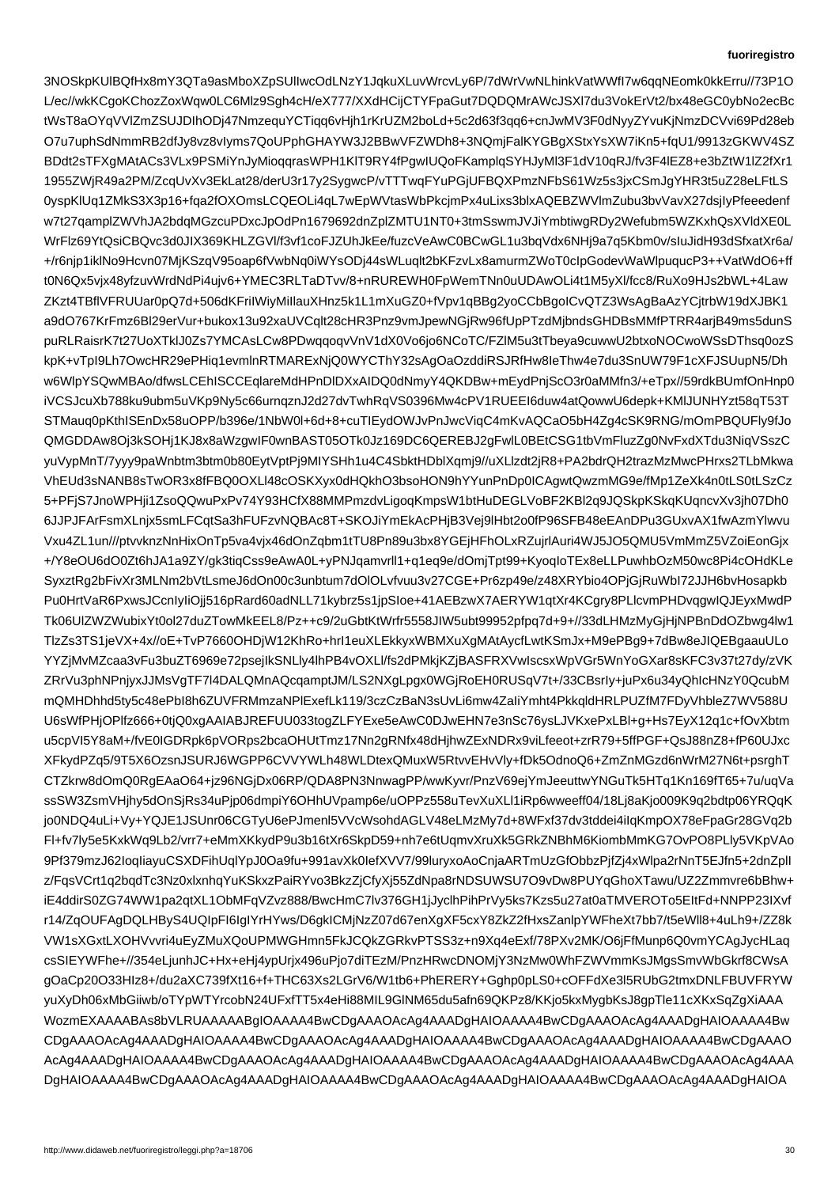3NOSkpKUIBQfHx8mY3QTa9asMboXZpSUIIwcOdLNzY1JqkuXLuvWrcvLy6P/7dWrVwNLhinkVatWWfI7w6qqNEomk0kkErru//73P1O L/ec//wkKCgoKChozZoxWqw0LC6Mlz9Sgh4cH/eX777/XXdHCijCTYFpaGut7DQDQMrAWcJSXl7du3VokErVt2/bx48eGC0ybNo2ecBc tWsT8aOYqVVIZmZSUJDIhODj47NmzequYCTiqq6vHjh1rKrUZM2boLd+5c2d63f3qq6+cnJwMV3F0dNyyZYvuKjNmzDCVvi69Pd28eb O7u7uphSdNmmRB2dfJy8vz8vIyms7QoUPphGHAYW3J2BBwVFZWDh8+3NQmjFalKYGBqXStxYsXW7iKn5+fqU1/9913zGKWV4SZ BDdt2sTFXgMAtACs3VLx9PSMiYnJyMiogqrasWPH1KIT9RY4fPgwIUQoFKamplqSYHJyMI3F1dV10qRJ/fv3F4IEZ8+e3bZtW1IZ2fXr1 1955ZWjR49a2PM/ZcqUvXv3EkLat28/derU3r17y2SygwcP/vTTTwqFYuPGjUFBQXPmzNFbS61Wz5s3jxCSmJgYHR3t5uZ28eLFtLS 0yspKlUq1ZMkS3X3p16+fqa2fOXOmsLCQEOLi4qL7wEpWVtasWbPkcjmPx4uLixs3blxAQEBZWVlmZubu3bvVavX27dsjlyPfeeedenf w7t27qamplZWVhJA2bdqMGzcuPDxcJpOdPn1679692dnZplZMTU1NT0+3tmSswmJVJiYmbtiwgRDy2Wefubm5WZKxhQsXVldXE0L WrFIz69YtQsiCBQvc3d0JIX369KHLZGVI/f3vf1coFJZUhJkEe/fuzcVeAwC0BCwGL1u3bqVdx6NHj9a7q5Kbm0v/sluJidH93dSfxatXr6a/ +/r6nip1iklNo9Hcvn07MiKSzqV95oap6fVwbNq0iWYsODj44sWLuqlt2bKFzvLx8amurmZWoT0clpGodevWaWlpuqucP3++VatWdO6+ff t0N6Qx5vjx48yfzuvWrdNdPi4ujv6+YMEC3RLTaDTvv/8+nRUREWH0FpWemTNn0uUDAwOLi4t1M5yXl/fcc8/RuXo9HJs2bWL+4Law ZKzt4TBflVFRUUar0pQ7d+506dKFrilWiyMillauXHnz5k1L1mXuGZ0+fVpv1qBBq2yoCCbBqolCvQTZ3WsAqBaAzYCjtrbW19dXJBK1 a9dO767KrFmz6Bl29erVur+bukox13u92xaUVCqlt28cHR3Pnz9vmJpewNGjRw96fUpPTzdMjbndsGHDBsMMfPTRR4arjB49ms5dunS puRLRaisrK7t27UoXTklJ0Zs7YMCAsLCw8PDwqqoqvVnV1dX0Vo6jo6NCoTC/FZlM5u3tTbeya9cuwwU2btxoNOCwoWSsDThsq0ozS kpK+vTpl9Lh7OwcHR29ePHiq1evmInRTMARExNjQ0WYCThY32sAgOaOzddiRSJRfHw8leThw4e7du3SnUW79F1cXFJSUupN5/Dh w6WlpYSQwMBAo/dfwsLCEhISCCEqlareMdHPnDIDXxAIDQ0dNmyY4QKDBw+mEydPnjScO3r0aMMfn3/+eTpx//59rdkBUmfOnHnp0 iVCSJcuXb788ku9ubm5uVKp9Ny5c66urnqznJ2d27dvTwhRqVS0396Mw4cPV1RUEEI6duw4atQowwU6depk+KMIJUNHYzt58qT53T STMauq0pKthISEnDx58uOPP/b396e/1NbW0l+6d+8+cuTIEydOWJvPnJwcViqC4mKvAQCaO5bH4Zq4cSK9RNG/mOmPBQUFly9fJo QMGDDAw8Oj3kSOHj1KJ8x8aWzgwlF0wnBAST05OTk0Jz169DC6QEREBJ2gFwlL0BEtCSG1tbVmFluzZg0NvFxdXTdu3NiqVSszC yuVypMnT/7yyy9paWnbtm3btm0b80EytVptPj9MIYSHh1u4C4SbktHDblXgmj9//uXLlzdt2jR8+PA2bdrQH2trazMzMwcPHrxs2TLbMkwa VhEUd3sNANB8sTwOR3x8fFBQ0OXLI48cOSKXyx0dHQkhO3bsoHON9hYYunPnDp0ICAgwtQwzmMG9e/fMp1ZeXk4n0tLS0tLSzCz 5+PFjS7JnoWPHji1ZsoQQwuPxPv74Y93HCfX88MMPmzdvLigoqKmpsW1btHuDEGLVoBF2KBl2q9JQSkpKSkqKUqncvXv3jh07Dh0 6JJPJFArFsmXLnjx5smLFCqtSa3hFUFzvNQBAc8T+SKOJiYmEkAcPHjB3Vej9lHbt2o0fP96SFB48eEAnDPu3GUxvAX1fwAzmYlwvu Vxu4ZL1un///ptvvknzNnHixOnTp5va4vjx46dOnZqbm1tTU8Pn89u3bx8YGEjHFhOLxRZujrlAuri4WJ5JO5QMU5VmMmZ5VZoiEonGjx +/Y8eOU6dO0Zt6hJA1a9ZY/gk3tiqCss9eAwA0L+yPNJqamvrll1+q1eq9e/dOmjTpt99+KyoqloTEx8eLLPuwhbOzM50wc8Pi4cOHdKLe SyxztRg2bFivXr3MLNm2bVtLsmeJ6dOn00c3unbtum7dOlOLvfvuu3v27CGE+Pr6zp49e/z48XRYbio4OPjGjRuWbl72JJH6bvHosapkb Pu0HrtVaR6PxwsJCcnlyliOji516pRard60adNLL71kybrz5s1jpSloe+41AEBzwX7AERYW1qtXr4KCgry8PLlcvmPHDvqgwlQJEyxMwdP Tk06UIZWZWubixYt0oI27duZTowMkEEL8/Pz++c9/2uGbtKtWrfr5558JIW5ubt99952pfpq7d+9+//33dLHMzMyGjHjNPBnDdOZbwg4lw1 TlzZs3TS1jeVX+4x//oE+TvP7660OHDjW12KhRo+hrl1euXLEkkyxWBMXuXqMAtAycfLwtKSmJx+M9ePBq9+7dBw8eJIQEBqaauULo YYZjMvMZcaa3vFu3buZT6969e72psejIkSNLly4lhPB4vOXLl/fs2dPMkjKZjBASFRXVwIscsxWpVGr5WnYoGXar8sKFC3v37t27dy/zVK ZRrVu3phNPnjyxJJMsVqTF7I4DALQMnAQcqamptJM/LS2NXqLpqx0WGjRoEH0RUSqV7t+/33CBsrly+juPx6u34yQhIcHNzY0QcubM mQMHDhhd5ty5c48ePbl8h6ZUVFRMmzaNPlExefLk119/3czCzBaN3sUvLi6mw4ZaliYmht4PkkgldHRLPUZfM7FDyVhbleZ7WV588U U6sWfPHjOPIfz666+0tjQ0xqAAIABJREFUU033toqZLFYExe5eAwC0DJwEHN7e3nSc76ysLJVKxePxLBI+q+Hs7EyX12q1c+fOvXbtm u5cpVI5Y8aM+/fvE0IGDRpk6pVORps2bcaOHUtTmz17Nn2gRNfx48dHjhwZExNDRx9viLfeeot+zrR79+5ffPGF+QsJ88nZ8+fP60UJxc XFkydPZq5/9T5X6OzsnJSURJ6WGPP6CVVYWLh48WLDtexQMuxW5RtvvEHvVly+fDk5OdnoQ6+ZmZnMGzd6nWrM27N6t+psrghT CTZkrw8dOmQ0RgEAaO64+jz96NGjDx06RP/QDA8PN3NnwagPP/wwKyvr/PnzV69ejYmJeeuttwYNGuTk5HTq1Kn169fT65+7u/uqVa ssSW3ZsmVHjhy5dOnSjRs34uPjp06dmpiY6OHhUVpamp6e/uOPPz558uTevXuXLl1iRp6wweeff04/18Lj8aKjo009K9q2bdtp06YRQqK jo0NDQ4uLi+Vy+YQJE1JSUnr06CGTyU6ePJmenl5VVcWsohdAGLV48eLMzMy7d+8WFxf37dv3tddei4ilqKmpOX78eFpaGr28GVq2b FI+fv7ly5e5KxkWq9Lb2/vrr7+eMmXKkydP9u3b16tXr6SkpD59+nh7e6tUqmvXruXk5GRkZNBhM6KiombMmKG7OvPO8PLly5VKpVAo 9Pf379mzJ62loqliayuCSXDFihUqlYpJ0Oa9fu+991avXk0lefXVV7/99luryxoAoCnjaARTmUzGfObbzPjfZj4xWlpa2rNnT5EJfn5+2dnZpll z/FqsVCrt1q2bqdTc3Nz0xlxnhqYuKSkxzPaiRYvo3BkzZjCfyXj55ZdNpa8rNDSUWSU7O9vDw8PUYqGhoXTawu/UZ2Zmmvre6bBhw+ iE4ddirS0ZG74WW1pa2qtXL1ObMFqVZvz888/BwcHmC7lv376GH1jJyclhPihPrVy5ks7Kzs5u27at0aTMVEROTo5EltFd+NNPP23IXvf r14/ZqOUFAqDQLHByS4UQIpFI6IqIYrHYws/D6qkICMjNzZ07d67enXqXF5cxY8ZkZ2fHxsZanIpYWFheXt7bb7/t5eWll8+4uLh9+/ZZ8k VW1sXGxtLXOHVvvri4uEyZMuXQoUPMWGHmn5FkJCQkZGRkvPTSS3z+n9Xq4eExf/78PXv2MK/O6jFfMunp6Q0vmYCAgJycHLaq csSIEYWFhe+//354eLjunhJC+Hx+eHj4ypUrjx496uPjo7diTEzM/PnzHRwcDNOMjY3NzMw0WhFZWVmmKsJMgsSmvWbGkrf8CWsA gOaCp20O33Hlz8+/du2aXC739fXt16+f+THC63Xs2LGrV6/W1tb6+PhERERY+Gghp0pLS0+cOFFdXe3l5RUbG2tmxDNLFBUVFRYW yuXyDh06xMbGiiwb/oTYpWTYrcobN24UFxfTT5x4eHi88MIL9GINM65du5afn69QKPz8/KKjo5kxMygbKsJ8gpTle11cXKxSqZqXiAAA WozmEXAAAABAs8bVLRUAAAAABgIOAAAA4BwCDgAAAOAcAg4AAADgHAIOAAAA4BwCDgAAAOAcAg4AAADgHAIOAAAA4Bw CDgAAAOAcAg4AAADgHAIOAAAA4BwCDgAAAOAcAg4AAADgHAIOAAAA4BwCDgAAAOAcAg4AAADgHAIOAAAA4BwCDgAAAO AcAg4AAADgHAIOAAAA4BwCDgAAAOAcAg4AAADgHAIOAAAA4BwCDgAAAOAcAg4AAADgHAIOAAAA4BwCDgAAAOAcAg4AAA DgHAIOAAAA4BwCDgAAAOAcAg4AAADgHAIOAAAA4BwCDgAAAOAcAg4AAADgHAIOAAAA4BwCDgAAAOAcAg4AAADgHAIOA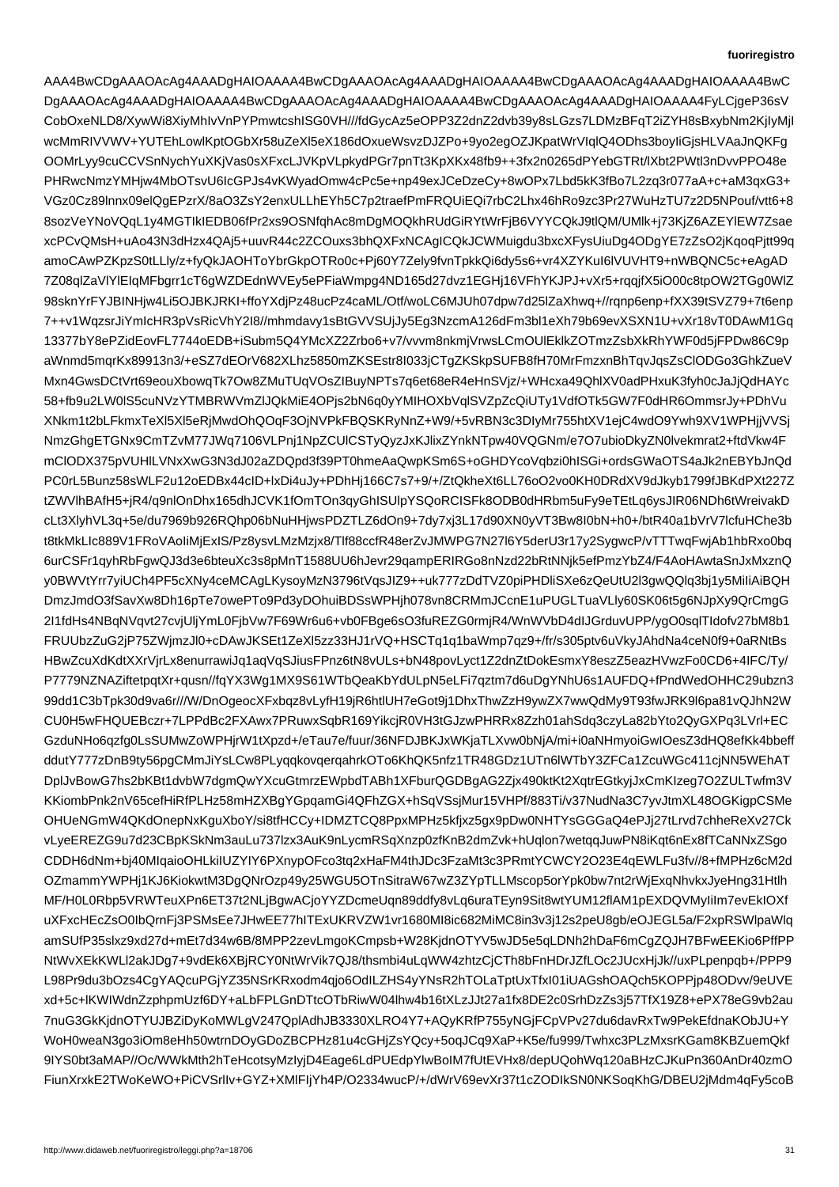AAA4BwCDgAAAOAcAg4AAADgHAIOAAAA4BwCDgAAAOAcAg4AAADgHAIOAAAA4BwCDgAAAOAcAg4AAADgHAIOAAAA4BwC DgAAAOAcAg4AAADgHAIOAAAA4BwCDgAAAOAcAg4AAADgHAIOAAAA4BwCDgAAAOAcAg4AAADgHAIOAAAA4FyLCjgeP36sV CobOxeNLD8/XywWi8XiyMhlvVnPYPmwtcshISG0VH///fdGycAz5eOPP3Z2dnZ2dvb39y8sLGzs7LDMzBFqT2iZYH8sBxybNm2KjlyMil wcMmRIVVWV+YUTEhLowlKptOGbXr58uZeXl5eX186dOxueWsvzDJZPo+9vo2eqOZJKpatWrVIqlQ4ODhs3boyIiGisHLVAaJnQKFq OOMrLyy9cuCCVSnNychYuXKjVas0sXFxcLJVKpVLpkydPGr7pnTt3KpXKx48fb9++3fx2n0265dPYebGTRt/lXbt2PWtl3nDvvPPO48e PHRwcNmzYMHjw4MbOTsvU6lcGPJs4vKWyadOmw4cPc5e+np49exJCeDzeCy+8wOPx7Lbd5kK3fBo7L2zq3r077aA+c+aM3qxG3+ VGz0Cz89lnnx09elQgEPzrX/8aO3ZsY2enxULLhEYh5C7p2traefPmFRQUiEQi7rbC2Lhx46hRo9zc3Pr27WuHzTU7z2D5NPouf/vtt6+8 8sozVeYNoVQqL1y4MGTIkIEDB06fPr2xs9OSNfqhAc8mDgMOQkhRUdGiRYtWrFjB6VYYCQkJ9tlQM/UMlk+j73KjZ6AZEYIEW7Zsae xcPCvQMsH+uAo43N3dHzx4QAj5+uuvR44c2ZCOuxs3bhQXFxNCAgICQkJCWMuigdu3bxcXFysUiuDg4ODgYE7zZsO2jKqoqPjtt99q amoCAwPZKpzS0tLLly/z+fyQkJAOHToYbrGkpOTRo0c+Pj60Y7Zely9fvnTpkkQi6dy5s6+vr4XZYKul6lVUVHT9+nWBQNC5c+eAgAD 7Z08qlZaVlYlElqMFbgrr1cT6gWZDEdnWVEy5ePFiaWmpg4ND165d27dvz1EGHj16VFhYKJPJ+vXr5+rqqjfX5iO00c8tpOW2TGg0WlZ 98sknYrFYJBINHjw4Li5OJBKJRKI+ffoYXdjPz48ucPz4caML/Otf/woLC6MJUh07dpw7d25lZaXhwq+//rqnp6enp+fXX39tSVZ79+7t6enp 7++v1WqzsrJiYmlcHR3pVsRicVhY2l8//mhmdavy1sBtGVVSUjJy5Eq3NzcmA126dFm3bl1eXh79b69evXSXN1U+vXr18vT0DAwM1Gq 13377bY8ePZidEovFL7744oEDB+iSubm5Q4YMcXZ2Zrbo6+v7/vvvm8nkmjVrwsLCmOUIEklkZOTmzZsbXkRhYWF0d5jFPDw86C9p aWnmd5mgrKx89913n3/+eSZ7dEOrV682XLhz5850mZKSEstr8l033iCTgZKSkpSUFB8fH70MrFmzxnBhTgyJgsZsClODGo3GhkZueV Mxn4GwsDCtVrt69eouXbowqTk7Ow8ZMuTUqVOsZIBuyNPTs7q6et68eR4eHnSVjz/+WHcxa49QhIXV0adPHxuK3fyh0cJaJjQdHAYc 58+fb9u2LW0IS5cuNVzYTMBRWVmZIJQkMiE4OPjs2bN6q0yYMIHOXbVqISVZpZcQiUTy1VdfOTk5GW7F0dHR6OmmsrJy+PDhVu XNkm1t2bLFkmxTeXl5Xl5eRjMwdOhQOqF3OjNVPkFBQSKRyNnZ+W9/+5vRBN3c3DlyMr755htXV1ejC4wdO9Ywh9XV1WPHjjVVSj NmzGhgETGNx9CmTZvM77JWq7106VLPnj1NpZCUICSTyQyzJxKJlixZYnkNTpw40VQGNm/e7O7ubioDkyZN0lvekmrat2+ftdVkw4F mCIODX375pVUHILVNxXwG3N3dJ02aZDQpd3f39PT0hmeAaQwpKSm6S+oGHDYcoVqbzi0hISGi+ordsGWaOTS4aJk2nEBYbJnQd PC0rL5Bunz58sWLF2u12oEDBx44cID+IxDi4uJy+PDhHj166C7s7+9/+/ZtQkheXt6LL76oO2vo0KH0DRdXV9dJkyb1799fJBKdPXt227Z tZWVlhBAfH5+jR4/q9nlOnDhx165dhJCVK1fOmTOn3qyGhISUlpYSQoRCISFk8ODB0dHRbm5uFy9eTEtLq6ysJlR06NDh6tWreivakD cLt3XlyhVL3q+5e/du7969b926RQhp06bNuHHjwsPDZTLZ6dOn9+7dy7xj3L17d90XN0yVT3Bw8l0bN+h0+/btR40a1bVrV7lcfuHChe3b t8tkMkLlc889V1FRoVAoliMjExIS/Pz8ysvLMzMzjx8/Tlf88ccfR48erZvJMWPG7N27l6Y5derU3r17y2SygwcP/vTTTwqFwjAb1hbRxo0bq 6urCSFr1qyhRbFqwQJ3d3e6bteuXc3s8pMnT1588UU6hJevr29qampERIRGo8nNzd22bRtNNjk5efPmzYbZ4/F4AoHAwtaSnJxMxznQ y0BWVtYrr7yiUCh4PF5cXNy4ceMCAgLKysoyMzN3796tVqsJIZ9++uk777zDdTVZ0piPHDliSXe6zQeUtU2l3qwQQlq3bj1y5MiliAiBQH DmzJmdO3fSavXw8Dh16pTe7owePTo9Pd3yDOhuiBDSsWPHjh078vn8CRMmJCcnE1uPUGLTuaVLly60SK06t5g6NJpXy9QrCmgG 2l1fdHs4NBqNVqvt27cvjUljYmL0FjbVw7F69Wr6u6+vb0FBqe6sO3fuREZG0rmjR4/WnWVbD4dlJGrduvUPP/yqO0sqlTldofv27bM8b1 FRUUbzZuG2jP75ZWjmzJl0+cDAwJKSEt1ZeXl5zz33HJ1rVQ+HSCTq1q1baWmp7qz9+/fr/s305ptv6uVkyJAhdNa4ceN0f9+0aRNtBs HBwZcuXdKdtXXrVjrLx8enurrawiJq1aqVqSJiusFPnz6tN8vULs+bN48povLyct1Z2dnZtDokEsmxY8eszZ5eazHVwzFo0CD6+4IFC/Ty/ P7779NZNAZiftetpqtXr+qusn//fqYX3Wq1MX9S61WTbQeaKbYdULpN5eLFi7qztm7d6uDqYNhU6s1AUFDQ+fPndWedOHHC29ubzn3 99dd1C3bTpk30d9va6r///W/DnOqeocXFxbqz8vLyfH19jR6htlUH7eGot9j1DhxThwZzH9ywZX7wwQdMy9T93fwJRK9l6pa81vQJhN2W CU0H5wFHQUEBczr+7LPPdBc2FXAwx7PRuwxSqbR169YikcjR0VH3tGJzwPHRRx8Zzh01ahSdq3czyLa82bYto2QyGXPq3LVrl+EC GzduNHo6qzfg0LsSUMwZoWPHjrW1tXpzd+/eTau7e/fuur/36NFDJBKJxWKjaTLXvw0bNjA/mi+i0aNHmyoiGwIOesZ3dHQ8efKk4bbeff ddutY777zDnB9ty56pgCMmJiYsLCw8PLyqqkovqerqahrkOTo6KhQK5nfz1TR48GDz1UTn6lWTbY3ZFCa1ZcuWGc411cjNN5WEhAT DplJvBowG7hs2bKBt1dvbW7dgmQwYXcuGtmrzEWpbdTABh1XFburQGDBgAG2Zjx490ktKt2XqtrEGtkyjJxCmKlzeg7O2ZULTwfm3V KKiombPnk2nV65cefHiRfPLHz58mHZXBgYGpqamGi4QFhZGX+hSqVSsjMur15VHPf/883Ti/v37NudNa3C7yvJtmXL48OGKigpCSMe OHUeNGmW4QKdOnepNxKguXboY/si8tfHCCy+IDMZTCQ8PpxMPHz5kfjxz5gx9pDw0NHTYsGGGaQ4ePJj27tLrvd7chheReXv27Ck vLyeEREZG9u7d23CBpKSkNm3auLu737lzx3AuK9nLycmRSqXnzp0zfKnB2dmZvk+hUqlon7wetqqJuwPN8iKqt6nEx8fTCaNNxZSqo CDDH6dNm+bj40MlqaioOHLkiIUZYIY6PXnypOFco3tq2xHaFM4thJDc3FzaMt3c3PRmtYCWCY2O23E4qEWLFu3fv//8+fMPHz6cM2d OZmammYWPHj1KJ6KiokwtM3DqQNrOzp49y25WGU5OTnSitraW67wZ3ZYpTLLMscop5orYpk0bw7nt2rWjExqNhvkxJyeHnq31Htlh MF/H0L0Rbp5VRWTeuXPn6ET37t2NLjBgwACjoYYZDcmeUqn89ddfy8vLq6uraTEyn9Sit8wtYUM12flAM1pEXDQVMyliIm7evEkIOXf uXFxcHEcZsO0lbQrnFj3PSMsEe7JHwEE77hITExUKRVZW1vr1680Ml8ic682MiMC8in3v3j12s2peU8qb/eOJEGL5a/F2xpRSWlpaWlq amSUfP35slxz9xd27d+mEt7d34w6B/8MPP2zevLmgoKCmpsb+W28KjdnOTYV5wJD5e5qLDNh2hDaF6mCgZQJH7BFwEEKio6PffPP NtWvXEkKWLI2akJDg7+9vdEk6XBjRCY0NtWrVik7QJ8/thsmbi4uLqWW4zhtzCjCTh8bFnHDrJZfLOc2JUcxHjJk//uxPLpenpqb+/PPP9 L98Pr9du3bOzs4CgYAQcuPGjYZ35NSrKRxodm4qjo6OdILZHS4yYNsR2hTOLaTptUxTfxI01iUAGshOAQch5KOPPjp48ODvv/9eUVE xd+5c+lKWlWdnZzphpmUzf6DY+aLbFPLGnDTtcOTbRiwW04lhw4b16tXLzJJt27a1fx8DE2c0SrhDzZs3j57TfX19Z8+ePX78eG9vb2au 7nuG3GkKjdnOTYUJBZiDyKoMWLgV247QplAdhJB3330XLRO4Y7+AQyKRfP755yNGjFCpVPv27du6davRxTw9PekEfdnaKObJU+Y WoH0weaN3go3iOm8eHh50wtrnDOyGDoZBCPHz81u4cGHjZsYQcy+5oqJCq9XaP+K5e/fu999/Twhxc3PLzMxsrKGam8KBZuemQkf 9IYS0bt3aMAP//Oc/WWkMth2hTeHcotsyMzIyjD4Eage6LdPUEdpYlwBoIM7fUtEVHx8/depUQohWq120aBHzCJKuPn360AnDr40zmO FiunXrxkE2TWoKeWO+PiCVSrllv+GYZ+XMIFIjYh4P/O2334wucP/+/dWrV69evXr37t1cZODIkSN0NKSoqKhG/DBEU2jMdm4qFy5coB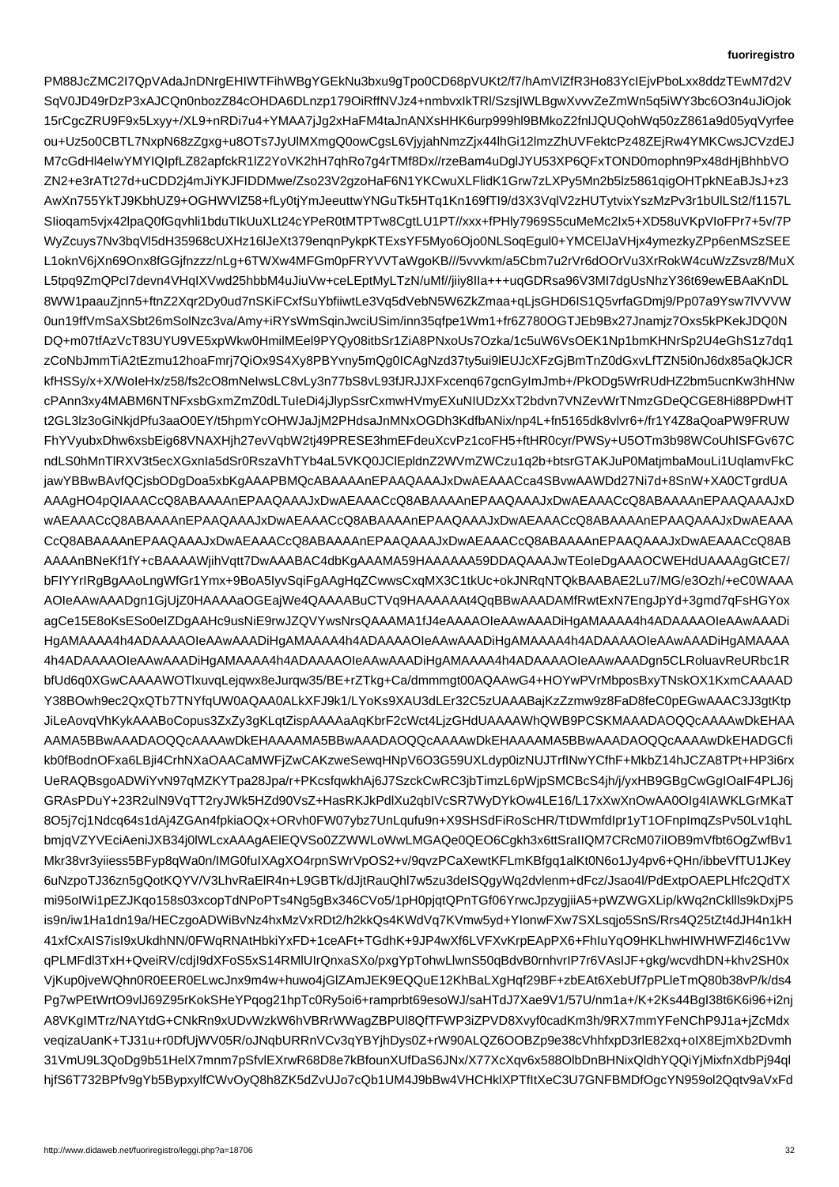PM88JcZMC2I7QpVAdaJnDNrgEHIWTFihWBgYGEkNu3bxu9gTpo0CD68pVUKt2/f7/hAmVlZfR3Ho83YcIEjvPboLxx8ddzTEwM7d2V SqV0JD49rDzP3xAJCQn0nbozZ84cOHDA6DLnzp179OiRffNVJz4+nmbvxlkTRl/SzsjlWLBgwXvvvZeZmWn5q5iWY3bc6O3n4uJiOjok 15rCqcZRU9F9x5Lxyy+/XL9+nRDi7u4+YMAA7jJq2xHaFM4taJnANXsHHK6urp999hl9BMkoZ2fnlJQUQohWq50zZ861a9d05yqVyrfee ou+Uz5o0CBTL7NxpN68zZgxg+u8OTs7JyUlMXmgQ0owCgsL6VjyjahNmzZjx44lhGi12lmzZhUVFektcPz48ZEjRw4YMKCwsJCVzdEJ M7cGdHI4eIwYMYIQIpfLZ82apfckR1IZ2YoVK2hH7qhRo7g4rTMf8Dx//rzeBam4uDgIJYU53XP6QFxTOND0mophn9Px48dHjBhhbVO ZN2+e3rATt27d+uCDD2j4mJiYKJFIDDMwe/Zso23V2gzoHaF6N1YKCwuXLFlidK1Grw7zLXPy5Mn2b5lz5861qigOHTpkNEaBJsJ+z3 AwXn755YkTJ9KbhUZ9+OGHWVIZ58+fLy0tjYmJeeuttwYNGuTk5HTq1Kn169fTI9/d3X3VqIV2zHUTytvixYszMzPv3r1bUILSt2/f1157L Sliogam5vjx42lpaQ0fGqvhli1bduTlkUuXLt24cYPeR0tMTPTw8CqtLU1PT//xxx+fPHly7969S5cuMeMc2lx5+XD58uVKpVloFPr7+5v/7P WyZcuys7Nv3bqVl5dH35968cUXHz16lJeXt379enqnPykpKTExsYF5Myo6Ojo0NLSoqEgul0+YMCEIJaVHjx4ymezkyZPp6enMSzSEE L1oknV6jXn69Onx8fGGjfnzzz/nLg+6TWXw4MFGm0pFRYVVTaWgoKB///5vvvkm/a5Cbm7u2rVr6dOOrVu3XrRokW4cuWzZsvz8/MuX L5tpq9ZmQPcl7devn4VHqIXVwd25hbbM4uJiuVw+ceLEptMyLTzN/uMf//jiiy8lla+++uqGDRsa96V3Ml7dgUsNhzY36t69ewEBAaKnDL 8WW1paauZinn5+ftnZ2Xqr2Dy0ud7nSKiFCxfSuYbfiiwtLe3Vq5dVebN5W6ZkZmaa+qLjsGHD6IS1Q5vrfaGDmj9/Pp07a9Ysw7lVVVW 0un19ffVmSaXSbt26mSolNzc3va/Amy+iRYsWmSqinJwciUSim/inn35qfpe1Wm1+fr6Z780OGTJEb9Bx27Jnamiz7Oxs5kPKekJDQ0N DQ+m07tfAzVcT83UYU9VE5xpWkw0HmilMEel9PYQy08itbSr1ZiA8PNxoUs7Ozka/1c5uW6VsOEK1Np1bmKHNrSp2U4eGhS1z7dq1 zCoNbJmmTiA2tEzmu12hoaFmrj7QiOx9S4Xy8PBYvny5mQq0ICAgNzd37ty5ui9IEUJcXFzGjBmTnZ0dGxvLfTZN5i0nJ6dx85aQkJCR kfHSSy/x+X/WoleHx/z58/fs2cO8mNelwsLC8vLy3n77bS8vL93fJRJJXFxcenq67gcnGylmJmb+/PkODg5WrRUdHZ2bm5ucnKw3hHNw cPAnn3xy4MABM6NTNFxsbGxmZmZ0dLTuleDi4jJlypSsrCxmwHVmyEXuNIUDzXxT2bdvn7VNZevWrTNmzGDeQCGE8Hi88PDwHT t2GL3lz3oGiNkjdPfu3aaO0EY/t5hpmYcOHWJaJjM2PHdsaJnMNxOGDh3KdfbANix/np4L+fn5165dk8vlvr6+/fr1Y4Z8aQoaPW9FRUW FhYVyubxDhw6xsbEig68VNAXHjh27evVqbW2tj49PRESE3hmEFdeuXcvPz1coFH5+ftHR0cyr/PWSy+U5OTm3b98WCoUhISFGv67C ndLS0hMnTlRXV3t5ecXGxnla5dSr0RszaVhTYb4aL5VKQ0JClEpIdnZ2WVmZWCzu1q2b+btsrGTAKJuP0MatjmbaMouLi1UqlamvFkC jawYBBwBAvfQCjsbODgDoa5xbKgAAAPBMQcABAAAAnEPAAQAAAJxDwAEAAACca4SBvwAAWDd27Ni7d+8SnW+XA0CTgrdUA AAAgHO4pQIAAACcQ8ABAAAAnEPAAQAAAJxDwAEAAACcQ8ABAAAAnEPAAQAAAJxDwAEAAACcQ8ABAAAAnEPAAQAAAJxD wAEAAACcQ8ABAAAAnEPAAQAAAJxDwAEAAACcQ8ABAAAAnEPAAQAAAJxDwAEAAACcQ8ABAAAAnEPAAQAAAJxDwAEAAA CcQ8ABAAAAnEPAAQAAAJxDwAEAAACcQ8ABAAAAnEPAAQAAAJxDwAEAAACcQ8ABAAAAnEPAAQAAAJxDwAEAAACcQ8AB /AAAAnBNeKf1fY+cBAAAAWjihVqtt7DwAAABAC4dbKgAAAMA59HAAAAAA59DDAQAAAJwTEoleDgAAAOCWEHdUAAAAgGtCE7 bFIYYrIRgBgAAoLngWfGr1Ymx+9BoA5IyvSqiFgAAgHqZCwwsCxqMX3C1tkUc+okJNRqNTQkBAABAE2Lu7/MG/e3Ozh/+eC0WAAA AOIeAAwAAADgn1GjUjZ0HAAAAaOGEajWe4QAAAABuCTVq9HAAAAAAt4QqBBwAAADAMfRwtExN7EngJpYd+3gmd7qFsHGYox agCe15E8oKsESo0eIZDgAAHc9usNiE9rwJZQVYwsNrsQAAAMA1fJ4eAAAAOIeAAwAAADiHgAMAAAA4h4ADAAAAOIeAAwAAADi HgAMAAAA4h4ADAAAAOleAAwAAADiHgAMAAAA4h4ADAAAAOleAAwAAADiHgAMAAAA4h4ADAAAAOleAAwAAADiHgAMAAAA 4h4ADAAAAOleAAwAAADiHgAMAAAA4h4ADAAAAOleAAwAAADiHgAMAAAA4h4ADAAAAOleAAwAAADgn5CLRoluavReURbc1R bfUd6q0XGwCAAAAWOTIxuvqLejqwx8eJurqw35/BE+rZTkq+Ca/dmmmqt00AQAAwG4+HOYwPVrMbposBxyTNskOX1KxmCAAAAD Y38BOwh9ec2QxQTb7TNYfqUW0AQAA0ALkXFJ9k1/LYoKs9XAU3dLEr32C5zUAAABajKzZzmw9z8FaD8feC0pEGwAAAC3J3qtKtp JiLeAovqVhKykAAABoCopus3ZxZy3qKLqtZispAAAAaAqKbrF2cWct4LjzGHdUAAAAWhQWB9PCSKMAAADAOQQcAAAAwDkEHAA AAMA5BBwAAADAOQQcAAAAwDkEHAAAAMA5BBwAAADAOQQcAAAAwDkEHAAAAMA5BBwAAADAOQQcAAAAwDkEHADGCfi kb0fBodnOFxa6LBji4CrhNXaOAACaMWFjZwCAKzweSewqHNpV6O3G59UXLdyp0izNUJTrfINwYCfhF+MkbZ14hJCZA8TPt+HP3i6rx UeRAQBsgoADWiYvN97qMZKYTpa28Jpa/r+PKcsfqwkhAj6J7SzckCwRC3jbTimzL6pWjpSMCBcS4jh/j/yxHB9GBqCwGqIOalF4PLJ6j GRAsPDuY+23R2ulN9VqTT2ryJWk5HZd90VsZ+HasRKJkPdlXu2qblVcSR7WyDYkOw4LE16/L17xXwXnOwAA0Olg4IAWKLGrMKaT 8O5j7cj1Ndcq64s1dAj4ZGAn4fpkiaOQx+ORvh0FW07ybz7UnLqufu9n+X9SHSdFiRoScHR/TtDWmfdlpr1yT1OFnplmqZsPv50Lv1qhL bmjqVZYVEciAeniJXB34j0IWLcxAAAgAEIEQVSo0ZZWWLoWwLMGAQe0QEO6Cgkh3x6ttSraIIQM7CRcM07iIOB9mVfbt6OgZwfBv1 Mkr38vr3yiiess5BFyp8qWa0n/IMG0fuIXAgXO4rpnSWrVpOS2+v/9qvzPCaXewtKFLmKBfgq1alKt0N6o1Jy4pv6+QHn/ibbeVfTU1JKey 6uNzpoTJ36zn5qQotKQYV/V3LhvRaElR4n+L9GBTk/dJjtRauQhl7w5zu3deISQqvWq2dvlenm+dFcz/Jsao4l/PdExtpOAEPLHfc2QdTX mi95olWi1pEZJKqo158s03xcopTdNPoPTs4Nq5qBx346CVo5/1pH0pjqtQPnTGf06YrwcJpzyqjiiA5+pWZWGXLip/kWq2nCkllls9kDxjP5 is9n/iw1Ha1dn19a/HECzqoADWiBvNz4hxMzVxRDt2/h2kkQs4KWdVq7KVmw5yd+YlonwFXw7SXLsqjo5SnS/Rrs4Q25tZt4dJH4n1kH 41xfCxAIS7isI9xUkdhNN/0FWqRNAtHbkiYxFD+1ceAFt+TGdhK+9JP4wXf6LVFXvKrpEApPX6+FhluYqO9HKLhwHIWHWFZI46c1Vw qPLMFdl3TxH+QveiRV/cdjI9dXFoS5xS14RMIUIrQnxaSXo/pxgYpTohwLlwnS50qBdvB0rnhvrIP7r6VAsIJF+gkg/wcvdhDN+khv2SH0x VjKup0jveWQhn0R0EER0ELwcJnx9m4w+huwo4jGlZAmJEK9EQQuE12KhBaLXgHqf29BF+zbEAt6XebUf7pPLleTmQ80b38vP/k/ds4 Pg7wPEtWrtO9vlJ69Z95rKokSHeYPqog21hpTc0Ry5oi6+ramprbt69esoWJ/saHTdJ7Xae9V1/57U/nm1a+/K+2Ks44Bgl38t6K6i96+i2nj A8VKgIMTrz/NAYtdG+CNkRn9xUDvWzkW6hVBRrWWagZBPUI8QfTFWP3iZPVD8Xvyf0cadKm3h/9RX7mmYFeNChP9J1a+jZcMdx veqizaUanK+TJ31u+r0DfUjWV05R/oJNqbURRnVCv3qYBYjhDys0Z+rW90ALQZ6OOBZp9e38cVhhfxpD3rlE82xq+oIX8EjmXb2Dvmh 31VmU9L3QoDg9b51HelX7mnm7pSfvlEXrwR68D8e7kBfounXUfDaS6JNx/X77XcXqv6x588OlbDnBHNixQldhYQQiYjMixfnXdbPj94ql hjfS6T732BPfv9gYb5BypxylfCWvOyQ8h8ZK5dZvUJo7cQb1UM4J9bBw4VHCHklXPTfltXeC3U7GNFBMDfOgcYN959ol2Qqtv9aVxFd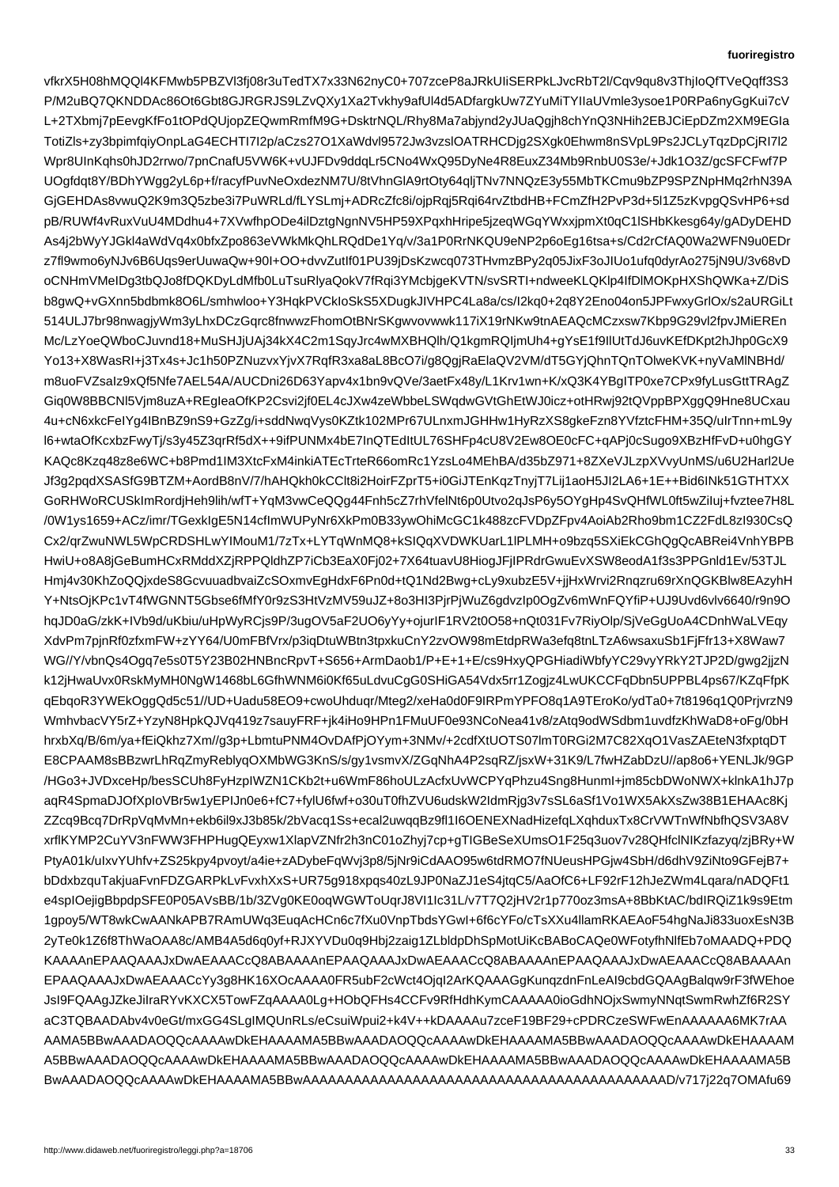vfkrX5H08hMQQl4KFMwb5PBZVl3fi08r3uTedTX7x33N62nyC0+707zceP8aJRkUIiSERPkLJvcRbT2l/Cqv9qu8v3ThiloQfTVeQqff3S3 P/M2uBQ7QKNDDAc86Ot6Gbt8GJRGRJS9LZvQXy1Xa2Tvkhy9afUl4d5ADfargkUw7ZYuMiTYllaUVmle3ysoe1P0RPa6nyGgKui7cV L+2TXbmj7pEevqKfFo1tOPdQUjopZEQwmRmfM9G+DsktrNQL/Rhy8Ma7abjynd2yJUaQqih8chYnQ3NHih2EBJCiEpDZm2XM9EGIa TotiZls+zy3bpimfqiyOnpLaG4ECHTI7I2p/aCzs27O1XaWdvl9572Jw3vzsIOATRHCDjq2SXqk0Ehwm8nSVpL9Ps2JCLyTqzDpCjRI7I2 Wpr8UInKqhs0hJD2rrwo/7pnCnafU5VW6K+vUJFDv9ddqLr5CNo4WxQ95DyNe4R8EuxZ34Mb9RnbU0S3e/+Jdk1O3Z/gcSFCFwf7P UOgfdqt8Y/BDhYWgg2yL6p+f/racyfPuvNeOxdezNM7U/8tVhnGIA9rtOty64qljTNv7NNQzE3y55MbTKCmu9bZP9SPZNpHMq2rhN39A GjGEHDAs8vwuQ2K9m3Q5zbe3i7PuWRLd/fLYSLmj+ADRcZfc8i/ojpRqj5Rqi64rvZtbdHB+FCmZfH2PvP3d+5l1Z5zKvpgQSvHP6+sd pB/RUWf4vRuxVuU4MDdhu4+7XVwfhpODe4ilDztgNgnNV5HP59XPqxhHripe5jzeqWGqYWxxjpmXt0qC1lSHbKkesg64y/gADyDEHD As4j2bWyYJGkl4aWdVq4x0bfxZpo863eVWkMkQhLRQdDe1Yq/v/3a1P0RrNKQU9eNP2p6oEg16tsa+s/Cd2rCfAQ0Wa2WFN9u0EDr z7fl9wmo6yNJv6B6Uqs9erUuwaQw+90I+OO+dvvZutlf01PU39jDsKzwcq073THvmzBPy2q05JixF3oJIUo1ufq0dyrAo275jN9U/3v68vD oCNHmVMeIDg3tbQJo8fDQKDyLdMfb0LuTsuRlyaQokV7fRqi3YMcbjgeKVTN/svSRTI+ndweeKLQKlp4IfDlMOKpHXShQWKa+Z/DiS b8qwQ+vGXnn5bdbmk8O6L/smhwloo+Y3HqkPVCkloSkS5XDuqkJIVHPC4La8a/cs/l2kq0+2q8Y2Eno04on5JPFwxyGrlOx/s2aURGiLt 514ULJ7br98nwaqiyWm3yLhxDCzGqrc8fnwwzFhomOtBNrSKqwvovwwk117iX19rNKw9tnAEAQcMCzxsw7Kbp9G29vl2fpvJMiEREn Mc/LzYoeQWboCJuvnd18+MuSHJjUAj34kX4C2m1SqyJrc4wMXBHQlh/Q1kgmRQljmUh4+qYsE1f9llUtTdJ6uvKEfDKpt2hJhp0GcX9 Yo13+X8WasRI+j3Tx4s+Jc1h50PZNuzvxYjvX7RqfR3xa8aL8BcO7i/q8QqjRaElaQV2VM/dT5GYjQhnTQnTOlweKVK+nyVaMlNBHd/ m8uoFVZsalz9xQf5Nfe7AEL54A/AUCDni26D63Yapv4x1bn9vQVe/3aetFx48y/L1Krv1wn+K/xQ3K4YBglTP0xe7CPx9fyLusGttTRAgZ Gig0W8BBCNI5Vjm8uzA+REgleaOfKP2Csvi2jf0EL4cJXw4zeWbbeLSWqdwGVtGhEtWJ0icz+otHRwj92tQVppBPXggQ9Hne8UCxau 4u+cN6xkcFelYg4lBnBZ9nS9+GzZg/i+sddNwqVys0KZtk102MPr67ULnxmJGHHw1HyRzXS8gkeFzn8YVfztcFHM+35Q/ulrTnn+mL9y I6+wtaOfKcxbzFwyTj/s3y45Z3qrRf5dX++9ifPUNMx4bE7InQTEdItUL76SHFp4cU8V2Ew8OE0cFC+qAPj0cSugo9XBzHfFvD+u0hgGY KAQc8Kzq48z8e6WC+b8Pmd1IM3XtcFxM4inkiATEcTrteR66omRc1YzsLo4MEhBA/d35bZ971+8ZXeVJLzpXVvyUnMS/u6U2Harl2Ue Jf3g2pqdXSASfG9BTZM+AordB8nV/7/hAHQkh0kCClt8i2HoirFZprT5+i0GiJTEnKqzTnyjT7Lij1aoH5JI2LA6+1E++Bid6lNk51GTHTXX GoRHWoRCUSkImRordjHeh9lih/wfT+YqM3vwCeQQq44Fnh5cZ7rhVfelNt6p0Utvo2qJsP6y5OYqHp4SvQHfWL0ft5wZiluj+fvztee7H8L /0W1ys1659+ACz/imr/TGexkIqE5N14cfImWUPyNr6XkPm0B33ywOhiMcGC1k488zcFVDpZFpv4AoiAb2Rho9bm1CZ2FdL8zI930CsQ Cx2/qrZwuNWL5WpCRDSHLwYIMouM1/7zTx+LYTqWnMQ8+kSIQqXVDWKUarL1IPLMH+o9bzq5SXiEkCGhQgQcABRei4VnhYBPB HwiU+o8A8jGeBumHCxRMddXZjRPPQldhZP7iCb3EaX0Fj02+7X64tuavU8HiogJFjIPRdrGwuEvXSW8eodA1f3s3PPGnld1Ev/53TJL Hmj4v30KhZoQQjxdeS8GcvuuadbvaiZcSOxmvEgHdxF6Pn0d+tQ1Nd2Bwg+cLy9xubzE5V+jjHxWrvi2Rnqzru69rXnQGKBlw8EAzyhH Y+NtsOjKPc1vT4fWGNNT5Gbse6fMfY0r9zS3HtVzMV59uJZ+8o3Hl3PjrPjWuZ6gdvzIp0OgZv6mWnFQYfiP+UJ9Uvd6vlv6640/r9n9O hqJD0aG/zkK+IVb9d/uKbiu/uHpWyRCjs9P/3ugOV5aF2UO6yYy+ojurlF1RV2t0O58+nQt031Fv7RiyOlp/SjVeGgUoA4CDnhWaLVEqy XdvPm7pjnRf0zfxmFW+zYY64/U0mFBfVrx/p3iqDtuWBtn3tpxkuCnY2zvOW98mEtdpRWa3efq8tnLTzA6wsaxuSb1FjFfr13+X8Waw7 WG//Y/vbnQs4Ogq7e5s0T5Y23B02HNBncRpvT+S656+ArmDaob1/P+E+1+E/cs9HxyQPGHiadiWbfyYC29vyYRkY2TJP2D/gwg2jjzN k12jHwaUvx0RskMyMH0NgW1468bL6GfhWNM6i0Kf65uLdvuCqG0SHiGA54Vdx5rr1Zoqjz4LwUKCCFqDbn5UPPBL4ps67/KZqFfpK qEbqoR3YWEkOggQd5c51//UD+Uadu58EO9+cwoUhduqr/Mteg2/xeHa0d0F9IRPmYPFO8q1A9TEroKo/ydTa0+7t8196q1Q0PrjvrzN9 WmhvbacVY5rZ+YzyN8HpkQJVq419z7sauyFRF+ik4iHo9HPn1FMuUF0e93NCoNea41v8/zAtq9odWSdbm1uvdfzKhWaD8+oFq/0bH hrxbXq/B/6m/va+fEiQkhz7Xm//q3p+LbmtuPNM4OvDAfPiOYvm+3NMv/+2cdfXtUOTS07ImT0RGi2M7C82XqO1VasZAEteN3fxptqDT E8CPAAM8sBBzwrLhRqZmyReblyqOXMbWG3KnS/s/gy1vsmvX/ZGqNhA4P2sqRZ/jsxW+31K9/L7fwHZabDzU//ap8o6+YENLJk/9GP /HGo3+JVDxceHp/besSCUh8FyHzpIWZN1CKb2t+u6WmF86hoULzAcfxUvWCPYqPhzu4Sng8Hunml+jm85cbDWoNWX+klnkA1hJ7p aqR4SpmaDJOfXploVBr5w1yEPIJn0e6+fC7+fylU6fwf+o30uT0fhZVU6udskW2IdmRjg3v7sSL6aSf1Vo1WX5AkXsZw38B1EHAAc8Kj ZZcq9Bcq7DrRpVqMvMn+ekb6il9xJ3b85k/2bVacq1Ss+ecal2uwqqBz9fl1l6OENEXNadHizefqLXqhduxTx8CrVWTnWfNbfhQSV3A8V xrflKYMP2CuYV3nFWW3FHPHuqQEyxw1XlapVZNfr2h3nC01oZhyj7cp+qTlGBeSeXUmsO1F25q3uov7v28QHfclNlKzfazyq/zjBRy+W PtyA01k/ulxvYUhfv+ZS25kpy4pvoyt/a4ie+zADybeFqWvj3p8/5jNr9iCdAAO95w6tdRMO7fNUeusHPGjw4SbH/d6dhV9ZiNto9GFejB7+ bDdxbzquTakjuaFvnFDZGARPkLvFvxhXxS+UR75q918xpqs40zL9JP0NaZJ1eS4jtqC5/AaOfC6+LF92rF12hJeZWm4Lqara/nADQFt1 e4splOejiqBbpdpSFE0P05AVsBB/1b/3ZVq0KE0oqWGWToUqrJ8Vl1lc31L/v7T7Q2jHV2r1p770oz3msA+8BbKtAC/bdlRQiZ1k9s9Etm 1qpoy5/WT8wkCwAANkAPB7RAmUWq3EuqAcHCn6c7fXu0VnpTbdsYGwl+6f6cYFo/cTsXXu4llamRKAEAoF54hqNaJi833uoxEsN3B 2yTe0k1Z6f8ThWaOAA8c/AMB4A5d6q0yf+RJXYVDu0q9Hbj2zaig1ZLbldpDhSpMotUiKcBABoCAQe0WFotyfhNlfEb7oMAADQ+PDQ KAAAAnEPAAQAAAJxDwAEAAACcQ8ABAAAAnEPAAQAAAJxDwAEAAACcQ8ABAAAAnEPAAQAAAJxDwAEAAACcQ8ABAAAAn EPAAQAAAJxDwAEAAACcYv3a8HK16XOcAAAA0FR5ubF2cWct4Oial2ArKQAAAGaKunazdnFnLeAl9cbdGQAAaBalaw9rF3fWEhoe JsI9FQAAgJZkeJiIraRYvKXCX5TowFZqAAAA0Lg+HObQFHs4CCFv9RfHdhKymCAAAAA0ioGdhNOjxSwmyNNqtSwmRwhZf6R2SY aC3TQBAADAbv4v0eGt/mxGG4SLqIMQUnRLs/eCsuiWpui2+k4V++kDAAAAu7zceF19BF29+cPDRCzeSWFwEnAAAAAA6MK7rAA AAMA5BBwAAADAOQQcAAAAwDkEHAAAAMA5BBwAAADAOQQcAAAAwDkEHAAAAMA5BBwAAADAOQQcAAAAwDkEHAAAAM A5BBwAAADAOQQcAAAAwDkEHAAAAMA5BBwAAADAOQQcAAAAwDkEHAAAAMA5BBwAAADAOQQcAAAAwDkEHAAAAMA5B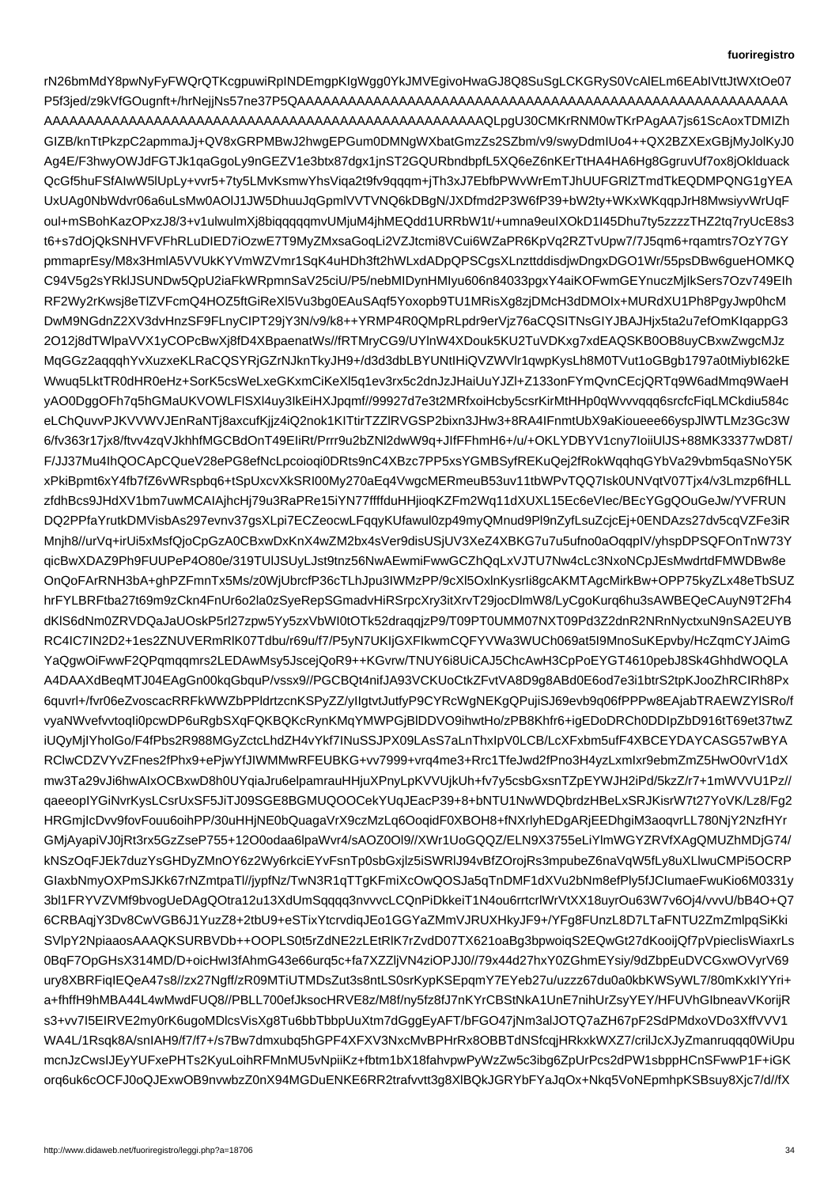rN26bmMdY8pwNyFyFWQrQTKcgpuwiRpINDEmgpKIgWgg0YkJMVEgivoHwaGJ8Q8SuSgLCKGRyS0VcAIELm6EAbIVttJtWXtOe07 GIZB/knTtPkzpC2apmmaJj+QV8xGRPMBwJ2hwgEPGum0DMNgWXbatGmzZs2SZbm/v9/swyDdmIUo4++QX2BZXExGBjMyJolKyJ0 Ag4E/F3hwyOWJdFGTJk1qaGgoLy9nGEZV1e3btx87dgx1jnST2GQURbndbpfL5XQ6eZ6nKErTtHA4HA6Hg8GgruvUf7ox8jOklduack QcGf5huFSfAlwW5lUpLy+vvr5+7ty5LMvKsmwYhsViqa2t9fv9qqqm+jTh3xJ7EbfbPWvWrEmTJhUUFGRIZTmdTkEQDMPQNG1gYEA UxUAq0NbWdvr06a6uLsMw0AOIJ1JW5DhuuJqGpmlVVTVNQ6kDBqN/JXDfmd2P3W6fP39+bW2ty+WKxWKqqpJrH8MwsiyvWrUqF oul+mSBohKazOPxzJ8/3+v1ulwulmXj8biqqqqqmvUMjuM4jhMEQdd1URRbW1t/+umna9euIXOkD1I45Dhu7ty5zzzzTHZ2tq7ryUcE8s3 t6+s7dOjQkSNHVFVFhRLuDIED7iOzwE7T9MyZMxsaGoqLi2VZJtcmi8VCui6WZaPR6KpVq2RZTvUpw7/7J5qm6+rqamtrs7OzY7GY pmmaprEsy/M8x3HmIA5VVUkKYVmWZVmr1SqK4uHDh3ft2hWLxdADpQPSCgsXLnzttddisdjwDngxDGO1Wr/55psDBw6gueHOMKQ C94V5g2sYRkIJSUNDw5QpU2iaFkWRpmnSaV25ciU/P5/nebMIDynHMIyu606n84033pgxY4aiKOFwmGEYnuczMjlkSers7Ozv749Elh RF2Wy2rKwsj8eTlZVFcmQ4HOZ5ftGiReXl5Vu3bq0EAuSAqf5Yoxopb9TU1MRisXq8zjDMcH3dDMOlx+MURdXU1Ph8PqyJwp0hcM DwM9NGdnZ2XV3dvHnzSF9FLnyCIPT29jY3N/v9/k8++YRMP4R0QMpRLpdr9erVjz76aCQSITNsGIYJBAJHix5ta2u7efOmKlaappG3 2O12j8dTWlpaVVX1yCOPcBwXj8fD4XBpaenatWs//fRTMryCG9/UYlnW4XDouk5KU2TuVDKxg7xdEAQSKB0OB8uyCBxwZwgcMJz MqGGz2aqqqhYvXuzxeKLRaCQSYRjGZrNJknTkyJH9+/d3d3dbLBYUNtIHiQVZWVlr1qwpKysLh8M0TVut1oGBqb1797a0tMiybI62kE Wwuq5LktTR0dHR0eHz+SorK5csWeLxeGKxmCiKeXl5q1ev3rx5c2dnJzJHaiUuYJZI+Z133onFYmQvnCEcjQRTq9W6adMmq9WaeH yAO0DggOFh7q5hGMaUKVOWLFISXI4uy3IkEiHXJpqmf//99927d7e3t2MRfxoiHcby5csrKirMtHHp0qWvvvqqq6srcfcFiqLMCkdiu584c eLChQuvvPJKVVWVJEnRaNTj8axcufKjjz4iQ2nok1KITtirTZZlRVGSP2bixn3JHw3+8RA4IFnmtUbX9aKioueee66yspJlWTLMz3Gc3W 6/fv363r17jx8/ftvv4zqVJkhhfMGCBdOnT49EliRt/Prrr9u2bZNl2dwW9q+JlfFFhmH6+/u/+OKLYDBYV1cny7loiiUIJS+88MK33377wD8T/ F/JJ37Mu4IhQOCApCQueV28ePG8efNcLpcoioqi0DRts9nC4XBzc7PP5xsYGMBSyfREKuQej2fRokWqqhqGYbVa29vbm5qaSNoY5K xPkiBpmt6xY4fb7fZ6vWRspbq6+tSpUxcvXkSRI00My270aEq4VwgcMERmeuB53uv11tbWPvTQQ7Isk0UNVqtV07Tjx4/v3Lmzp6fHLL zfdhBcs9JHdXV1bm7uwMCAIAihcHi79u3RaPRe15iYN77ffffduHHiiogKZFm2Wq11dXUXL15Ec6eVlec/BEcYGqQOuGeJw/YVFRUN DQ2PPfaYrutkDMVisbAs297evnv37gsXLpi7ECZeocwLFggyKUfawul0zp49myQMnud9Pl9nZyfLsuZcjcEj+0ENDAzs27dv5cgVZFe3iR Mnjh8//urVq+irUi5xMsfQjoCpGzA0CBxwDxKnX4wZM2bx4sVer9disUSjUV3XeZ4XBKG7u7u5ufno0aOqqpIV/yhspDPSQFOnTnW73Y gicBwXDAZ9Ph9FUUPeP4O80e/319TUIJSUyLJst9tnz56NwAEwmiFwwGCZhQqLxVJTU7Nw4cLc3NxoNCpJEsMwdrtdFMWDBw8e OnQoFArRNH3bA+ghPZFmnTx5Ms/z0WjUbrcfP36cTLhJpu3IWMzPP/9cXl5OxInKysrli8gcAKMTAgcMirkBw+OPP75kyZLx48eTbSUZ hrFYLBRFtba27t69m9zCkn4FnUr6o2la0zSyeRepSGmadvHiRSrpcXry3itXrvT29jocDlmW8/LyCgoKurq6hu3sAWBEQeCAuyN9T2Fh4 dKIS6dNm0ZRVDQaJaUOskP5rl27zpw5Yy5zxVbWl0tOTk52draqqjzP9/T09PT0UMM07NXT09Pd3Z2dnR2NRnNyctxuN9nSA2EUYB RC4IC7IN2D2+1es2ZNUVERmRIK07Tdbu/r69u/f7/P5yN7UKIjGXFIkwmCQFYVWa3WUCh069at5I9MnoSuKEpvby/HcZqmCYJAimG YaQgwOiFwwF2QPqmqqmrs2LEDAwMsy5JscejQoR9++KGvrw/TNUY6i8UiCAJ5ChcAwH3CpPoEYGT4610pebJ8Sk4GhhdWOQLA A4DAAXdBegMTJ04EAgGn00kgGbguP/vssx9//PGCBQt4nifJA93VCKUoCtkZFvtVA8D9q8ABd0E6od7e3i1btrS2tpKJooZhRCIRh8Px 6quvrl+/fvr06eZvoscacRRFkWWZbPPldrtzcnKSPyZZ/yllgtvtJutfyP9CYRcWgNEKgQPujiSJ69evb9q06fPPPw8EAjabTRAEWZYlSRo/f vyaNWvefvvtoqli0pcwDP6uRqbSXqFQKBQKcRynKMqYMWPGjBlDDVO9ihwtHo/zPB8Khfr6+iqEDoDRCh0DDlpZbD916tT69et37twZ iUQvMilYholGo/F4fPbs2R988MGvZctcLhdZH4vYkf7INuSSJPX09LAsS7aLnThxIpV0LCB/LcXFxbm5ufF4XBCEYDAYCASG57wBYA RCIwCDZVYvZFnes2fPhx9+ePjwYfJIWMMwRFEUBKG+vv7999+vrq4me3+Rrc1TfeJwd2fPno3H4yzLxmlxr9ebmZmZ5HwO0vrV1dX mw3Ta29vJi6hwAIxOCBxwD8h0UYqiaJru6elpamrauHHjuXPnyLpKVVUjkUh+fv7y5csbGxsnTZpEYWJH2iPd/5kzZ/r7+1mWVVU1Pz// qaeeoplYGiNvrKysLCsrUxSF5JiTJ09SGE8BGMUQOOCekYUqJEacP39+8+bNTU1NwWDQbrdzHBeLxSRJKisrW7t27YoVK/Lz8/Fq2 HRGmjlcDvv9fovFouu6oihPP/30uHHjNE0bQuagaVrX9czMzLq6OoqidF0XBOH8+fNXrlyhEDgARjEEDhgiM3aoqvrLL780NjY2NzfHYr GMiAvapiVJ0jRt3rx5GzZseP755+12O0odaa6lpaWvr4/sAOZ0Ol9//XWr1UoGQQZ/ELN9X3755eLiYlmWGYZRVfXAqQMUZhMDjG74/ kNSzOqFJEk7duzYsGHDyZMnOY6z2Wy6rkciEYvFsnTp0sbGxjlz5iSWRIJ94vBfZOrojRs3mpubeZ6naVqW5fLy8uXLlwuCMPi5OCRP GlaxbNmyOXPmSJKk67rNZmtpaTl//jypfNz/TwN3R1qTTqKFmiXcOwQOSJa5qTnDMF1dXVu2bNm8efPly5fJClumaeFwuKio6M0331y 3bl1FRYVZVMf9bvoqUeDAqQOtra12u13XdUmSqqqq3nvvvcLCQnPiDkkeiT1N4ou6rrtcrlWrVtXX18uyrOu63W7v6Oj4/vvvU/bB4O+Q7 6CRBAqjY3Dv8CwVGB6J1YuzZ8+2tbU9+eSTixYtcrvdigJEo1GGYaZMmVJRUXHkyJF9+/YFq8FUnzL8D7LTaFNTU2ZmZmlpqSiKki SVIpY2NpiaaosAAAQKSURBVDb++OOPLS0t5rZdNE2zLEtRIK7rZvdD07TX621oaBg3bpwoiqS2EQwGt27dKooijQf7pVpieclisWiaxrLs 0BqF7OpGHsX314MD/D+oicHwl3fAhmG43e66urq5c+fa7XZZIjVN4ziOPJJ0//79x44d27hxY0ZGhmEYsiy/9dZbpEuDVCGxwOVyrV69 ury8XBRFiqIEQeA47s8//zx27Ngff/zR09MTiUTMDsZut3s8ntLS0srKypKSEpqmY7EYeb27u/uzzz67du0a0kbKWSyWL7/80mKxkIYYri+ a+fhffH9hMBA44L4wMwdFUQ8//PBLL700efJksocHRVE8z/M8f/ny5fz8fJ7nKYrCBStNkA1UnE7nihUrZsyYEY/HFUVhGlbneavVKorijR s3+vv7l5EIRVE2my0rK6ugoMDlcsVisXg8Tu6bbTbbpUuXtm7dGggEyAFT/bFGO47jNm3alJOTQ7aZH67pF2SdPMdxoVDo3XffVVV1 WA4L/1Rsqk8A/snIAH9/f7/f7+/s7Bw7dmxubq5hGPF4XFXV3NxcMvBPHrRx8OBBTdNSfcqjHRkxkWXZ7/crilJcXJyZmanruqqq0WiUpu mcnJzCwsIJEyYUFxePHTs2KyuLoihRFMnMU5vNpiiKz+fbtm1bX18fahvpwPyWzZw5c3ibg6ZpUrPcs2dPW1sbppHCnSFwwP1F+iGK org6uk6cOCFJ0oQJExwOB9nvwbzZ0nX94MGDuENKE6RR2trafvvtt3q8XIBQkJGRYbFYaJqOx+Nkq5VoNEpmhpKSBsuy8Xjc7/d//fX